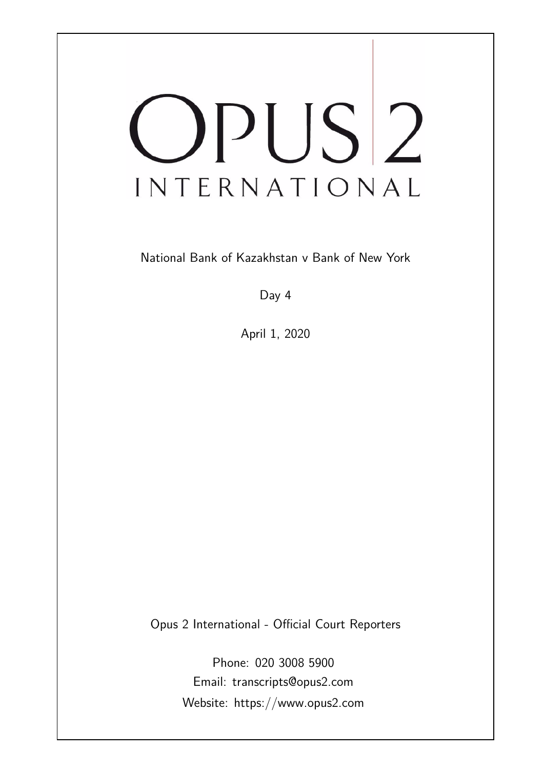# OPUS<sup>2</sup> INTERNATIONAL

National Bank of Kazakhstan v Bank of New York

Day 4

April 1, 2020

Opus 2 International - Official Court Reporters

Phone: 020 3008 5900 Email: transcripts@opus2.com Website: https://www.opus2.com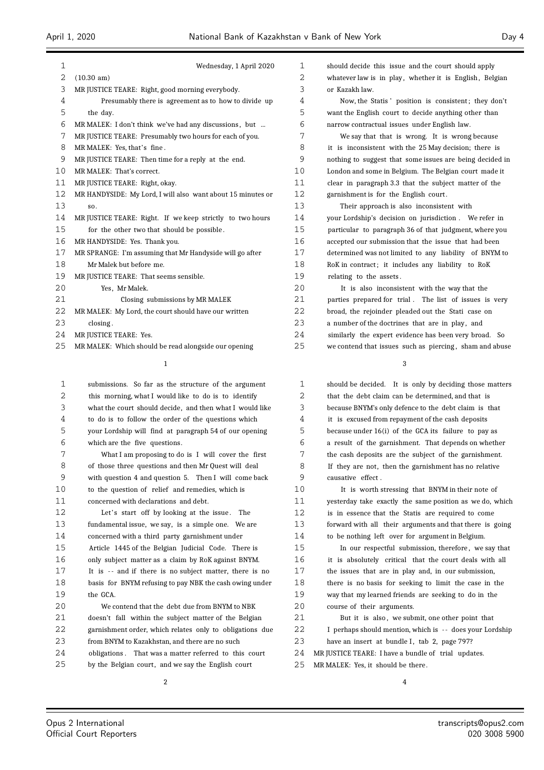| $\mathbf{1}$      | Wednesday, 1 April 2020                                     |
|-------------------|-------------------------------------------------------------|
| $\overline{2}$    | $(10.30 \text{ am})$                                        |
| 3                 | MR JUSTICE TEARE: Right, good morning everybody.            |
| 4                 | Presumably there is agreement as to how to divide up        |
| 5                 | the day.                                                    |
| 6                 | MR MALEK: I don't think we've had any discussions, but      |
| 7                 | MR JUSTICE TEARE: Presumably two hours for each of you.     |
| 8                 | MR MALEK: Yes, that's fine.                                 |
| 9                 | MR JUSTICE TEARE: Then time for a reply at the end.         |
| 10                | MR MALEK: That's correct.                                   |
| 11                | MR JUSTICE TEARE: Right, okay.                              |
| $12 \overline{ }$ | MR HANDYSIDE: My Lord, I will also want about 15 minutes or |
| 13                | SO <sub>2</sub>                                             |
| 14                | MR JUSTICE TEARE: Right. If we keep strictly to two hours   |
| 15                | for the other two that should be possible.                  |
| 16                | MR HANDYSIDE: Yes. Thank you.                               |
| 17                | MR SPRANGE: I'm assuming that Mr Handyside will go after    |
| 18                | Mr Malek but before me.                                     |
| 19                | MR JUSTICE TEARE: That seems sensible.                      |
| 20                | Yes. Mr Malek.                                              |
| 21                | Closing submissions by MR MALEK                             |
| 22                | MR MALEK: My Lord, the court should have our written        |
| 23                | closing.                                                    |
| 24                | MR JUSTICE TEARE: Yes.                                      |
|                   |                                                             |

MR MALEK: Which should be read alongside our opening

| 1  | submissions. So far as the structure of the argument     |
|----|----------------------------------------------------------|
| 2  | this morning, what I would like to do is to identify     |
| 3  | what the court should decide, and then what I would like |
| 4  | to do is to follow the order of the questions which      |
| 5  | your Lordship will find at paragraph 54 of our opening   |
| 6  | which are the five questions.                            |
| 7  | What I am proposing to do is I will cover the first      |
| 8  | of those three questions and then Mr Quest will deal     |
| 9  | with question 4 and question 5. Then I will come back    |
| 10 | to the question of relief and remedies, which is         |
| 11 | concerned with declarations and debt.                    |
| 12 | Let's start off by looking at the issue.<br>The          |
| 13 | fundamental issue, we say, is a simple one. We are       |
| 14 | concerned with a third party garnishment under           |
| 15 | Article 1445 of the Belgian Judicial Code. There is      |
| 16 | only subject matter as a claim by RoK against BNYM.      |
| 17 | It is -- and if there is no subject matter, there is no  |
| 18 | basis for BNYM refusing to pay NBK the cash owing under  |
| 19 | the GCA.                                                 |
| 20 | We contend that the debt due from BNYM to NBK            |
| 21 | doesn't fall within the subject matter of the Belgian    |
| 22 | garnishment order, which relates only to obligations due |
| 23 | from BNYM to Kazakhstan, and there are no such           |
| 24 | obligations. That was a matter referred to this court    |
| 25 | by the Belgian court, and we say the English court       |
|    |                                                          |

 should decide this issue and the court should apply 2 whatever law is in play, whether it is English, Belgian or Kazakh law.

 Now, the Statis ' position is consistent ; they don't want the English court to decide anything other than narrow contractual issues under English law.

 We say that that is wrong. It is wrong because it is inconsistent with the 25 May decision; there is nothing to suggest that some issues are being decided in London and some in Belgium. The Belgian court made it clear in paragraph 3.3 that the subject matter of the garnishment is for the English court .

 Their approach is also inconsistent with your Lordship's decision on jurisdiction . We refer in particular to paragraph 36 of that judgment, where you accepted our submission that the issue that had been determined was not limited to any liability of BNYM to RoK in contract; it includes any liability to RoK relating to the assets .

 It is also inconsistent with the way that the parties prepared for trial . The list of issues is very broad, the rejoinder pleaded out the Stati case on 23 a number of the doctrines that are in play, and similarly the expert evidence has been very broad. So we contend that issues such as piercing , sham and abuse

 should be decided. It is only by deciding those matters that the debt claim can be determined, and that is because BNYM's only defence to the debt claim is that it is excused from repayment of the cash deposits because under 16(i) of the GCA its failure to pay as a result of the garnishment. That depends on whether the cash deposits are the subject of the garnishment. If they are not, then the garnishment has no relative causative effect .

 It is worth stressing that BNYM in their note of yesterday take exactly the same position as we do, which is in essence that the Statis are required to come forward with all their arguments and that there is going to be nothing left over for argument in Belgium.

 In our respectful submission, therefore , we say that it is absolutely critical that the court deals with all the issues that are in play and, in our submission, there is no basis for seeking to limit the case in the way that my learned friends are seeking to do in the course of their arguments.

21 But it is also, we submit, one other point that 22 I perhaps should mention, which is -- does your Lordship 23 have an insert at bundle I, tab 2, page 797?

MR JUSTICE TEARE: I have a bundle of trial updates.

MR MALEK: Yes, it should be there .

 $\overline{A}$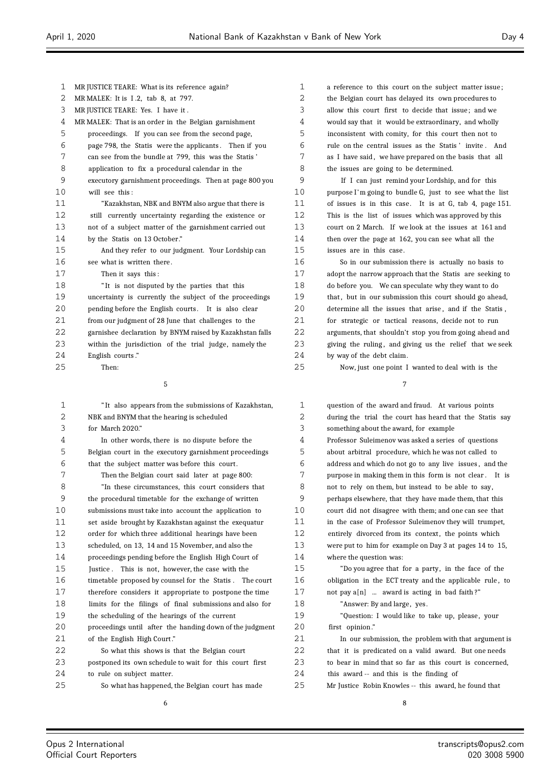| 1  | MR JUSTICE TEARE: What is its reference again?           |
|----|----------------------------------------------------------|
| 2  | MR MALEK: It is I.2, tab 8, at 797.                      |
| 3  | MR JUSTICE TEARE: Yes. I have it.                        |
| 4  | MR MALEK: That is an order in the Belgian garnishment    |
| 5  | proceedings. If you can see from the second page,        |
| 6  | page 798, the Statis were the applicants. Then if you    |
| 7  | can see from the bundle at 799, this was the Statis'     |
| 8  | application to fix a procedural calendar in the          |
| 9  | executory garnishment proceedings. Then at page 800 you  |
| 10 | will see this:                                           |
| 11 | "Kazakhstan, NBK and BNYM also argue that there is       |
| 12 | still currently uncertainty regarding the existence or   |
| 13 | not of a subject matter of the garnishment carried out   |
| 14 | by the Statis on 13 October."                            |
| 15 | And they refer to our judgment. Your Lordship can        |
| 16 | see what is written there.                               |
| 17 | Then it says this:                                       |
| 18 | "It is not disputed by the parties that this             |
| 19 | uncertainty is currently the subject of the proceedings  |
| 20 | pending before the English courts. It is also clear      |
| 21 | from our judgment of 28 June that challenges to the      |
| 22 | garnishee declaration by BNYM raised by Kazakhstan falls |
| 23 | within the jurisdiction of the trial judge, namely the   |
| 24 | English courts."                                         |
| 25 | Then:                                                    |
|    | 5                                                        |
|    |                                                          |
| 1  | "It also appears from the submissions of Kazakhstan,     |
| 2  | NBK and BNYM that the hearing is scheduled               |
| 3  | for March 2020."                                         |
| 4  | In other words, there is no dispute before the           |

 Belgian court in the executory garnishment proceedings that the subject matter was before this court . Then the Belgian court said later at page 800: "In these circumstances, this court considers that the procedural timetable for the exchange of written submissions must take into account the application to set aside brought by Kazakhstan against the exequatur order for which three additional hearings have been scheduled, on 13, 14 and 15 November, and also the proceedings pending before the English High Court of Justice . This is not, however, the case with the timetable proposed by counsel for the Statis . The court therefore considers it appropriate to postpone the time limits for the filings of final submissions and also for the scheduling of the hearings of the current proceedings until after the handing down of the judgment 21 of the English High Court." So what this shows is that the Belgian court postponed its own schedule to wait for this court first to rule on subject matter. So what has happened, the Belgian court has made

 a reference to this court on the subject matter issue; the Belgian court has delayed its own procedures to allow this court first to decide that issue; and we would say that it would be extraordinary, and wholly inconsistent with comity, for this court then not to rule on the central issues as the Statis ' invite . And 7 as I have said, we have prepared on the basis that all the issues are going to be determined.

 If I can just remind your Lordship, and for this purpose I'm going to bundle G, just to see what the list of issues is in this case. It is at G, tab 4, page 151. This is the list of issues which was approved by this court on 2 March. If we look at the issues at 161 and then over the page at 162, you can see what all the issues are in this case.

 So in our submission there is actually no basis to adopt the narrow approach that the Statis are seeking to do before you. We can speculate why they want to do 19 that, but in our submission this court should go ahead, 20 determine all the issues that arise, and if the Statis. for strategic or tactical reasons, decide not to run arguments, that shouldn't stop you from going ahead and 23 giving the ruling, and giving us the relief that we seek by way of the debt claim.

Now, just one point I wanted to deal with is the

| $\mathbf 1$ | question of the award and fraud. At various points       |
|-------------|----------------------------------------------------------|
| 2           | during the trial the court has heard that the Statis say |
| 3           | something about the award, for example                   |
| 4           | Professor Suleimenov was asked a series of questions     |
| 5           | about arbitral procedure, which he was not called to     |
| 6           | address and which do not go to any live issues, and the  |
| 7           | purpose in making them in this form is not clear. It is  |
| 8           | not to rely on them, but instead to be able to say,      |
| 9           | perhaps elsewhere, that they have made them, that this   |
| 10          | court did not disagree with them; and one can see that   |
| 11          | in the case of Professor Suleimenov they will trumpet,   |
| 12          | entirely divorced from its context, the points which     |
| 13          | were put to him for example on Day 3 at pages 14 to 15,  |
| 14          | where the question was:                                  |
| 15          | "Do you agree that for a party, in the face of the       |
| 16          | obligation in the ECT treaty and the applicable rule, to |
| 17          | not pay $a[n]$ award is acting in bad faith?"            |
| 18          | "Answer: By and large, yes.                              |
| 19          | "Question: I would like to take up, please, your         |
| 20          | first opinion."                                          |
| 21          | In our submission, the problem with that argument is     |
| 22          | that it is predicated on a valid award. But one needs    |
| 23          | to bear in mind that so far as this court is concerned,  |
| 24          | this award -- and this is the finding of                 |
| 25          | Mr Justice Robin Knowles -- this award, he found that    |
|             |                                                          |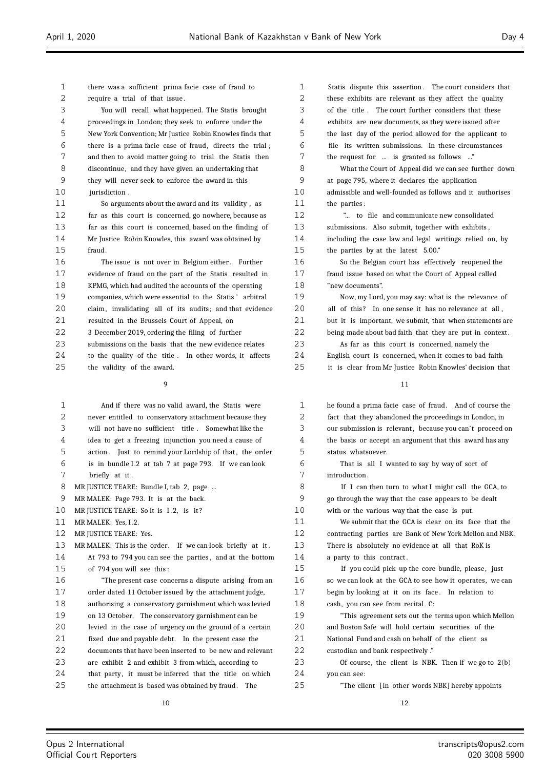require a trial of that issue . You will recall what happened. The Statis brought proceedings in London; they seek to enforce under the New York Convention; Mr Justice Robin Knowles finds that there is a prima facie case of fraud, directs the trial ; and then to avoid matter going to trial the Statis then discontinue, and they have given an undertaking that they will never seek to enforce the award in this 10 jurisdiction. So arguments about the award and its validity , as far as this court is concerned, go nowhere, because as far as this court is concerned, based on the finding of Mr Justice Robin Knowles, this award was obtained by fraud. The issue is not over in Belgium either . Further evidence of fraud on the part of the Statis resulted in KPMG, which had audited the accounts of the operating companies, which were essential to the Statis ' arbitral claim, invalidating all of its audits; and that evidence resulted in the Brussels Court of Appeal, on 3 December 2019, ordering the filing of further submissions on the basis that the new evidence relates to the quality of the title . In other words, it affects the validity of the award.  $\alpha$  And if there was no valid award, the Statis were never entitled to conservatory attachment because they will not have no sufficient title . Somewhat like the idea to get a freezing injunction you need a cause of 5 action. Just to remind your Lordship of that, the order is in bundle I .2 at tab 7 at page 793. If we can look briefly at it . 8 MR JUSTICE TEARE: Bundle I, tab 2, page ... MR MALEK: Page 793. It is at the back. 10 MR JUSTICE TEARE: So it is I.2, is it? MR MALEK: Yes, I .2. 12 MR JUSTICE TEARE: Yes. MR MALEK: This is the order. If we can look briefly at it . At 793 to 794 you can see the parties , and at the bottom of 794 you will see this : "The present case concerns a dispute arising from an order dated 11 October issued by the attachment judge, authorising a conservatory garnishment which was levied on 13 October. The conservatory garnishment can be levied in the case of urgency on the ground of a certain fixed due and payable debt. In the present case the documents that have been inserted to be new and relevant are exhibit 2 and exhibit 3 from which, according to that party, it must be inferred that the title on which the attachment is based was obtained by fraud. The

there was a sufficient prima facie case of fraud to

 Statis dispute this assertion . The court considers that 2 these exhibits are relevant as they affect the quality of the title . The court further considers that these exhibits are new documents, as they were issued after the last day of the period allowed for the applicant to file its written submissions. In these circumstances the request for ... is granted as follows ..." What the Court of Appeal did we can see further down at page 795, where it declares the application admissible and well-founded as follows and it authorises the parties :

 "... to file and communicate new consolidated submissions. Also submit, together with exhibits , including the case law and legal writings relied on, by the parties by at the latest 5.00."

 So the Belgian court has effectively reopened the fraud issue based on what the Court of Appeal called "new documents".

 Now, my Lord, you may say: what is the relevance of 20 all of this? In one sense it has no relevance at all 21 but it is important, we submit, that when statements are 22 being made about bad faith that they are put in context.

 As far as this court is concerned, namely the English court is concerned, when it comes to bad faith it is clear from Mr Justice Robin Knowles' decision that

 he found a prima facie case of fraud. And of course the fact that they abandoned the proceedings in London, in 3 our submission is relevant, because you can't proceed on the basis or accept an argument that this award has any status whatsoever.

 That is all I wanted to say by way of sort of introduction .

8 If I can then turn to what I might call the GCA, to go through the way that the case appears to be dealt with or the various way that the case is put.

 We submit that the GCA is clear on its face that the contracting parties are Bank of New York Mellon and NBK. There is absolutely no evidence at all that RoK is a party to this contract .

15 If you could pick up the core bundle, please, just so we can look at the GCA to see how it operates, we can begin by looking at it on its face . In relation to cash, you can see from recital C:

 "This agreement sets out the terms upon which Mellon and Boston Safe will hold certain securities of the National Fund and cash on behalf of the client as custodian and bank respectively ."

 Of course, the client is NBK. Then if we go to 2(b) you can see:

"The client [in other words NBK] hereby appoints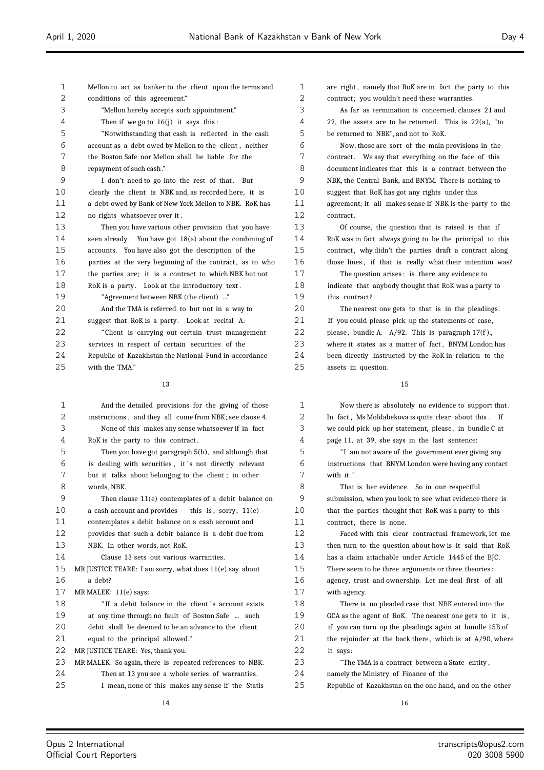| 1              | Mellon to act as banker to the client upon the terms and  | 1  |
|----------------|-----------------------------------------------------------|----|
| $\overline{2}$ | conditions of this agreement."                            | 2  |
| 3              | "Mellon hereby accepts such appointment."                 | 3  |
| 4              | Then if we go to $16(j)$ it says this:                    | 4  |
| 5              | "Notwithstanding that cash is reflected in the cash       | 5  |
| 6              | account as a debt owed by Mellon to the client, neither   | 6  |
| 7              | the Boston Safe nor Mellon shall be liable for the        | 7  |
| 8              | repayment of such cash."                                  | 8  |
| 9              | I don't need to go into the rest of that. But             | 9  |
| 10             | clearly the client is NBK and, as recorded here, it is    | 10 |
| 11             | a debt owed by Bank of New York Mellon to NBK. RoK has    | 11 |
| 12             | no rights whatsoever over it.                             | 12 |
| 13             | Then you have various other provision that you have       | 13 |
| 14             | seen already. You have got 18(a) about the combining of   | 14 |
| 15             | accounts. You have also got the description of the        | 15 |
| 16             | parties at the very beginning of the contract, as to who  | 16 |
| 17             | the parties are; it is a contract to which NBK but not    | 17 |
| 18             | RoK is a party. Look at the introductory text.            | 18 |
| 19             | "Agreement between NBK (the client) "                     | 19 |
| 20             | And the TMA is referred to but not in a way to            | 20 |
| 21             | suggest that RoK is a party. Look at recital A:           | 21 |
| 22             | "Client is carrying out certain trust management          | 22 |
| 23             | services in respect of certain securities of the          | 23 |
| 24             | Republic of Kazakhstan the National Fund in accordance    | 24 |
| 25             | with the TMA."                                            | 25 |
|                | 13                                                        |    |
|                |                                                           |    |
| 1              | And the detailed provisions for the giving of those       | 1  |
| 2              | instructions, and they all come from NBK; see clause 4.   | 2  |
| 3              | None of this makes any sense whatsoever if in fact        | 3  |
| 4              | RoK is the party to this contract.                        | 4  |
| 5              | Then you have got paragraph 5(b), and although that       | 5  |
| 6              | is dealing with securities, it's not directly relevant    | 6  |
| 7              | but it talks about belonging to the client; in other      | 7  |
| 8              | words, NBK.                                               | 8  |
| 9              | Then clause 11(e) contemplates of a debit balance on      | 9  |
| 10             | a cash account and provides -- this is, sorry, $11(e)$ -- | 10 |
| 11             | contemplates a debit balance on a cash account and        | 11 |
| 12             | provides that such a debit balance is a debt due from     | 12 |
| 13             | NBK. In other words, not RoK.                             | 13 |
| 14             | Clause 13 sets out various warranties.                    | 14 |
| 15             | MR JUSTICE TEARE: I am sorry, what does 11(e) say about   | 15 |
| 16             | a debt?                                                   | 16 |
| 17             | MR MALEK: 11(e) says:                                     | 17 |
| 18             | "If a debit balance in the client's account exists        | 18 |
| 19             | at any time through no fault of Boston Safe  such         | 19 |
| 20             | debit shall be deemed to be an advance to the client      | 20 |
| 21             | equal to the principal allowed."                          | 21 |
| 22             | MR JUSTICE TEARE: Yes, thank you.                         | 22 |
| 23             | MR MALEK: So again, there is repeated references to NBK.  | 23 |
| 24             | Then at 13 you see a whole series of warranties.          | 24 |
| 25             | I mean, none of this makes any sense if the Statis        | 25 |
|                |                                                           |    |

are right, namely that RoK are in fact the party to this 2 contract; you wouldn't need these warranties.

As far as termination is concerned, clauses 21 and 22, the assets are to be returned. This is  $22(a)$ , "to be returned to NBK", and not to RoK.

6 Now, those are sort of the main provisions in the contract. We say that everything on the face of this document indicates that this is a contract between the NBK, the Central Bank, and BNYM. There is nothing to

suggest that RoK has got any rights under this agreement; it all makes sense if NBK is the party to the contract.

13 Of course, the question that is raised is that if RoK was in fact always going to be the principal to this contract, why didn't the parties draft a contract along those lines, if that is really what their intention was?

The question arises: is there any evidence to indicate that anybody thought that RoK was a party to this contract?

The nearest one gets to that is in the pleadings. If you could please pick up the statements of case, please, bundle A.  $A/92$ . This is paragraph 17(f). where it states as a matter of fact, BNYM London has been directly instructed by the RoK in relation to the assets in question.

15

Now there is absolutely no evidence to support that. In fact, Ms Moldabekova is quite clear about this. If 3 we could pick up her statement, please , in bundle C at page 11, at 39, she says in the last sentence:

"I am not aware of the government ever giving any instructions that BNYM London were having any contact with it ."

That is her evidence. So in our respectful submission, when you look to see what evidence there is that the parties thought that RoK was a party to this contract, there is none.

12 Faced with this clear contractual framework, let me then turn to the question about how is it said that RoK has a claim attachable under Article 1445 of the BIC. There seem to be three arguments or three theories:

agency, trust and ownership. Let me deal first of all with agency.

There is no pleaded case that NBK entered into the GCA as the agent of RoK. The nearest one gets to it is, 20 if you can turn up the pleadings again at bundle 15B of the rejoinder at the back there, which is at  $A/90$ , where it says:

"The TMA is a contract between a State entity,

namely the Ministry of Finance of the

Republic of Kazakhstan on the one hand, and on the other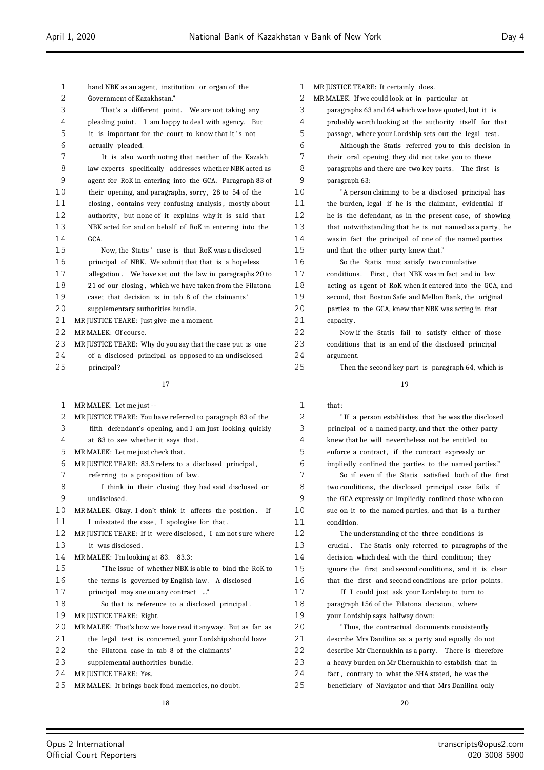| 1        | hand NBK as an agent, institution or organ of the                           |
|----------|-----------------------------------------------------------------------------|
| 2        | Government of Kazakhstan."                                                  |
| 3        | That's a different point. We are not taking any                             |
| 4        | pleading point. I am happy to deal with agency. But                         |
| 5        | it is important for the court to know that it's not                         |
| 6        | actually pleaded.                                                           |
| 7        | It is also worth noting that neither of the Kazakh                          |
| 8        | law experts specifically addresses whether NBK acted as                     |
| 9        | agent for RoK in entering into the GCA. Paragraph 83 of                     |
| 10       | their opening, and paragraphs, sorry, 28 to 54 of the                       |
| 11       | closing, contains very confusing analysis, mostly about                     |
| 12       | authority, but none of it explains why it is said that                      |
| 13       | NBK acted for and on behalf of RoK in entering into the                     |
| 14       | GCA.                                                                        |
| 15       | Now, the Statis' case is that RoK was a disclosed                           |
| 16       | principal of NBK. We submit that that is a hopeless                         |
| 17       | allegation. We have set out the law in paragraphs 20 to                     |
| 18       | 21 of our closing, which we have taken from the Filatona                    |
| 19       | case; that decision is in tab 8 of the claimants'                           |
| 20       | supplementary authorities bundle.                                           |
| 21       | MR JUSTICE TEARE: Just give me a moment.                                    |
| 22       | MR MALEK: Of course.                                                        |
| 23       | MR JUSTICE TEARE: Why do you say that the case put is one                   |
| 24       | of a disclosed principal as opposed to an undisclosed                       |
| 25       | principal?                                                                  |
|          |                                                                             |
|          | 17                                                                          |
|          |                                                                             |
|          |                                                                             |
| 1        | MR MALEK: Let me just --                                                    |
| 2        | MR JUSTICE TEARE: You have referred to paragraph 83 of the                  |
| 3        | fifth defendant's opening, and I am just looking quickly                    |
| 4        | at 83 to see whether it says that.                                          |
| 5        | MR MALEK: Let me just check that.                                           |
| 6        | MR JUSTICE TEARE: 83.3 refers to a disclosed principal,                     |
| 7        | referring to a proposition of law.                                          |
| 8        | I think in their closing they had said disclosed or                         |
| 9        | undisclosed.                                                                |
| 10       | MR MALEK: Okay. I don't think it affects the position.<br>If                |
| 11       | I misstated the case, I apologise for that.                                 |
| 12       | MR JUSTICE TEARE: If it were disclosed, I am not sure where                 |
| 13       | it was disclosed.                                                           |
| 14       | MR MALEK: I'm looking at 83. 83.3:                                          |
| 15       | "The issue of whether NBK is able to bind the RoK to                        |
| 16       | the terms is governed by English law. A disclosed                           |
| 17       | principal may sue on any contract "                                         |
| 18       | So that is reference to a disclosed principal.                              |
| 19       | MR JUSTICE TEARE: Right.                                                    |
| 20       | MR MALEK: That's how we have read it anyway. But as far as                  |
| 21       | the legal test is concerned, your Lordship should have                      |
| 22       | the Filatona case in tab 8 of the claimants'                                |
| 23       | supplemental authorities bundle.                                            |
| 24<br>25 | MR JUSTICE TEARE: Yes.<br>MR MALEK: It brings back fond memories, no doubt. |

 MR JUSTICE TEARE: It certainly does. MR MALEK: If we could look at in particular at paragraphs 63 and 64 which we have quoted, but it is probably worth looking at the authority itself for that passage, where your Lordship sets out the legal test . Although the Statis referred you to this decision in their oral opening, they did not take you to these 8 paragraphs and there are two key parts. The first is paragraph 63: "A person claiming to be a disclosed principal has the burden, legal if he is the claimant, evidential if he is the defendant, as in the present case, of showing that notwithstanding that he is not named as a party, he was in fact the principal of one of the named parties and that the other party knew that." So the Statis must satisfy two cumulative 17 conditions. First, that NBK was in fact and in law acting as agent of RoK when it entered into the GCA, and second, that Boston Safe and Mellon Bank, the original parties to the GCA, knew that NBK was acting in that 2.1 capacity Now if the Statis fail to satisfy either of those conditions that is an end of the disclosed principal argument. Then the second key part is paragraph 64, which is 1 that: " If a person establishes that he was the disclosed principal of a named party, and that the other party knew that he will nevertheless not be entitled to enforce a contract , if the contract expressly or impliedly confined the parties to the named parties." So if even if the Statis satisfied both of the first

 two conditions, the disclosed principal case fails if the GCA expressly or impliedly confined those who can sue on it to the named parties, and that is a further 11 condition.

 The understanding of the three conditions is crucial . The Statis only referred to paragraphs of the decision which deal with the third condition; they ignore the first and second conditions, and it is clear that the first and second conditions are prior points .

17 If I could just ask your Lordship to turn to 18 paragraph 156 of the Filatona decision, where your Lordship says halfway down:

 "Thus, the contractual documents consistently describe Mrs Danilina as a party and equally do not describe Mr Chernukhin as a party. There is therefore a heavy burden on Mr Chernukhin to establish that in fact , contrary to what the SHA stated, he was the beneficiary of Navigator and that Mrs Danilina only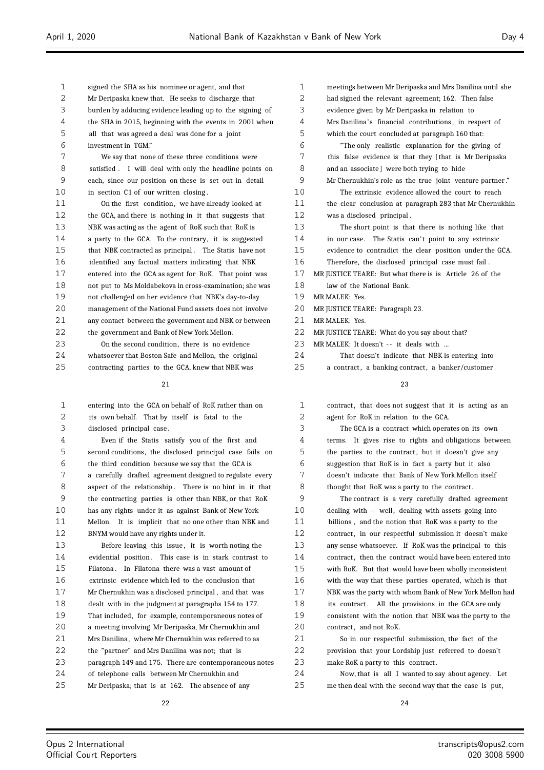Mr Deripaska knew that. He seeks to discharge that burden by adducing evidence leading up to the signing of the SHA in 2015, beginning with the events in 2001 when all that was agreed a deal was done for a joint investment in TGM." We say that none of these three conditions were satisfied . I will deal with only the headline points on each, since our position on these is set out in detail in section C1 of our written closing . 11 On the first condition, we have already looked at the GCA, and there is nothing in it that suggests that NBK was acting as the agent of RoK such that RoK is a party to the GCA. To the contrary, it is suggested that NBK contracted as principal . The Statis have not identified any factual matters indicating that NBK entered into the GCA as agent for RoK. That point was not put to Ms Moldabekova in cross-examination; she was not challenged on her evidence that NBK's day-to-day management of the National Fund assets does not involve any contact between the government and NBK or between the government and Bank of New York Mellon.

signed the SHA as his nominee or agent, and that

 On the second condition, there is no evidence whatsoever that Boston Safe and Mellon, the original contracting parties to the GCA, knew that NBK was

| 1  | entering into the GCA on behalf of RoK rather than on    |
|----|----------------------------------------------------------|
| -2 | its own behalf. That by itself is fatal to the           |
| 3  | disclosed principal case.                                |
|    | Even if the Statis satisfy you of the first and          |
| 5  | second conditions, the disclosed principal case fails on |
| 6  | the third condition because we say that the GCA is       |

 a carefully drafted agreement designed to regulate every aspect of the relationship . There is no hint in it that the contracting parties is other than NBK, or that RoK has any rights under it as against Bank of New York Mellon. It is implicit that no one other than NBK and BNYM would have any rights under it.

 Before leaving this issue , it is worth noting the 14 evidential position. This case is in stark contrast to Filatona . In Filatona there was a vast amount of extrinsic evidence which led to the conclusion that Mr Chernukhin was a disclosed principal , and that was dealt with in the judgment at paragraphs 154 to 177. That included, for example, contemporaneous notes of a meeting involving Mr Deripaska, Mr Chernukhin and Mrs Danilina, where Mr Chernukhin was referred to as the "partner" and Mrs Danilina was not; that is paragraph 149 and 175. There are contemporaneous notes of telephone calls between Mr Chernukhin and Mr Deripaska; that is at 162. The absence of any

| 1              | meetings between Mr Deripaska and Mrs Danilina until she |
|----------------|----------------------------------------------------------|
| $\overline{2}$ | had signed the relevant agreement; 162. Then false       |
| 3              | evidence given by Mr Deripaska in relation to            |
| 4              | Mrs Danilina's financial contributions, in respect of    |
| 5              | which the court concluded at paragraph 160 that:         |
| 6              | "The only realistic explanation for the giving of        |
| 7              | this false evidence is that they [that is Mr Deripaska   |
| 8              | and an associate] were both trying to hide               |
| 9              | Mr Chernukhin's role as the true joint venture partner." |
| 10             | The extrinsic evidence allowed the court to reach        |
| 11             | the clear conclusion at paragraph 283 that Mr Chernukhin |
| 12             | was a disclosed principal.                               |
| 13             | The short point is that there is nothing like that       |
| 14             | in our case. The Statis can't point to any extrinsic     |
| 15             | evidence to contradict the clear position under the GCA. |
| 16             | Therefore, the disclosed principal case must fail.       |
| 17             | MR JUSTICE TEARE: But what there is is Article 26 of the |
| 18             | law of the National Bank.                                |
| 19             | MR MALEK: Yes.                                           |
| 20             | MR JUSTICE TEARE: Paragraph 23.                          |
| 21             | MR MALEK: Yes.                                           |
| 22             | MR JUSTICE TEARE: What do you say about that?            |
| 23             | MR MALEK: It doesn't -- it deals with                    |
| 24             | That doesn't indicate that NBK is entering into          |

a contract , a banking contract , a banker/customer

#### 

| $\mathbf{1}$ | contract, that does not suggest that it is acting as an  |
|--------------|----------------------------------------------------------|
| 2            | agent for RoK in relation to the GCA.                    |
| 3            | The GCA is a contract which operates on its own          |
| 4            | terms. It gives rise to rights and obligations between   |
| 5            | the parties to the contract, but it doesn't give any     |
| 6            | suggestion that RoK is in fact a party but it also       |
| 7            | doesn't indicate that Bank of New York Mellon itself     |
| 8            | thought that RoK was a party to the contract.            |
| 9            | The contract is a very carefully drafted agreement       |
| 10           | dealing with -- well, dealing with assets going into     |
| 11           | billions, and the notion that RoK was a party to the     |
| 12           | contract, in our respectful submission it doesn't make   |
| 13           | any sense whatsoever. If RoK was the principal to this   |
| 14           | contract, then the contract would have been entered into |
| 15           | with RoK. But that would have been wholly inconsistent   |
| 16           | with the way that these parties operated, which is that  |
| 17           | NBK was the party with whom Bank of New York Mellon had  |
| 18           | its contract. All the provisions in the GCA are only     |
| 19           | consistent with the notion that NBK was the party to the |
| 20           | contract, and not RoK.                                   |
| 21           | So in our respectful submission, the fact of the         |
| 22           | provision that your Lordship just referred to doesn't    |
| 23           | make RoK a party to this contract.                       |
| 24           | Now, that is all I wanted to say about agency. Let       |

me then deal with the second way that the case is put,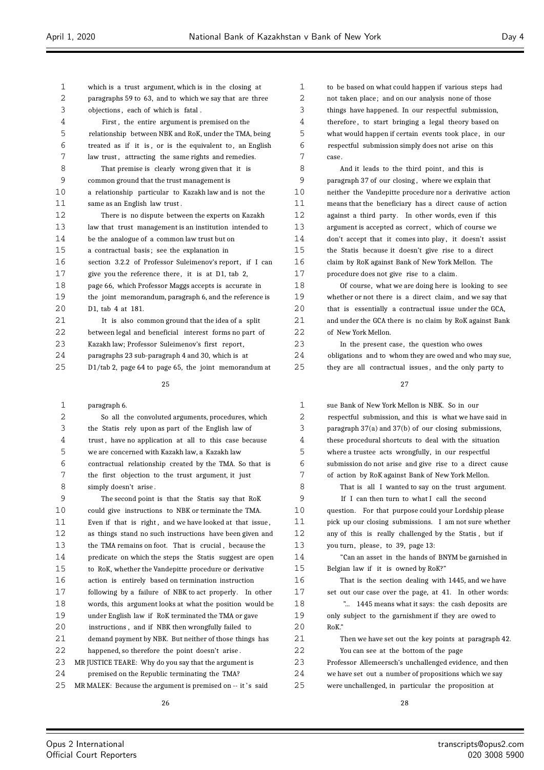| 1  | which is a trust argument, which is in the closing at    |
|----|----------------------------------------------------------|
| 2  | paragraphs 59 to 63, and to which we say that are three  |
| 3  | objections, each of which is fatal.                      |
| 4  | First, the entire argument is premised on the            |
| 5  | relationship between NBK and RoK, under the TMA, being   |
| 6  | treated as if it is, or is the equivalent to, an English |
| 7  | law trust, attracting the same rights and remedies.      |
| 8  | That premise is clearly wrong given that it is           |
| 9  | common ground that the trust management is               |
| 10 | a relationship particular to Kazakh law and is not the   |
| 11 | same as an English law trust.                            |
| 12 | There is no dispute between the experts on Kazakh        |
| 13 | law that trust management is an institution intended to  |
| 14 | be the analogue of a common law trust but on             |
| 15 | a contractual basis; see the explanation in              |
| 16 | section 3.2.2 of Professor Suleimenov's report, if I can |
| 17 | give you the reference there, it is at D1, tab 2,        |
| 18 | page 66, which Professor Maggs accepts is accurate in    |
| 19 | the joint memorandum, paragraph 6, and the reference is  |
| 20 | D1, tab 4 at 181.                                        |
| 21 | It is also common ground that the idea of a split        |
| 22 | between legal and beneficial interest forms no part of   |
| 23 | Kazakh law; Professor Suleimenov's first report,         |
| 24 | paragraphs 23 sub-paragraph 4 and 30, which is at        |

D1/tab 2, page 64 to page 65, the joint memorandum at

#### 

| 1   | paragraph 6.                                               |
|-----|------------------------------------------------------------|
| 2   | So all the convoluted arguments, procedures, which         |
| 3   | the Statis rely upon as part of the English law of         |
| 4   | trust, have no application at all to this case because     |
| 5   | we are concerned with Kazakh law, a Kazakh law             |
| 6   | contractual relationship created by the TMA. So that is    |
| 7   | the first objection to the trust argument, it just         |
| 8   | simply doesn't arise.                                      |
| 9   | The second point is that the Statis say that RoK           |
| 10  | could give instructions to NBK or terminate the TMA.       |
| 11  | Even if that is right, and we have looked at that issue,   |
| 12  | as things stand no such instructions have been given and   |
| 13  | the TMA remains on foot. That is crucial, because the      |
| 14  | predicate on which the steps the Statis suggest are open   |
| 15  | to RoK, whether the Vandepitte procedure or derivative     |
| 16  | action is entirely based on termination instruction        |
| 17  | following by a failure of NBK to act properly. In other    |
| 18  | words, this argument looks at what the position would be   |
| 19  | under English law if RoK terminated the TMA or gave        |
| 20  | instructions, and if NBK then wrongfully failed to         |
| 21  | demand payment by NBK. But neither of those things has     |
| 22  | happened, so therefore the point doesn't arise.            |
| 23  | MR JUSTICE TEARE: Why do you say that the argument is      |
| 2.4 | premised on the Republic terminating the TMA?              |
| 25  | MR MALEK: Because the argument is premised on -- it's said |

 to be based on what could happen if various steps had not taken place; and on our analysis none of those things have happened. In our respectful submission, therefore , to start bringing a legal theory based on what would happen if certain events took place , in our respectful submission simply does not arise on this case.

8 And it leads to the third point, and this is paragraph 37 of our closing , where we explain that neither the Vandepitte procedure nor a derivative action means that the beneficiary has a direct cause of action against a third party. In other words, even if this 13 argument is accepted as correct, which of course we 14 don't accept that it comes into play, it doesn't assist the Statis because it doesn't give rise to a direct claim by RoK against Bank of New York Mellon. The procedure does not give rise to a claim.

 Of course, what we are doing here is looking to see whether or not there is a direct claim, and we say that that is essentially a contractual issue under the GCA, and under the GCA there is no claim by RoK against Bank of New York Mellon.

 In the present case, the question who owes obligations and to whom they are owed and who may sue, they are all contractual issues , and the only party to

 sue Bank of New York Mellon is NBK. So in our respectful submission, and this is what we have said in paragraph 37(a) and 37(b) of our closing submissions, these procedural shortcuts to deal with the situation where a trustee acts wrongfully, in our respectful submission do not arise and give rise to a direct cause of action by RoK against Bank of New York Mellon.

 That is all I wanted to say on the trust argument. If I can then turn to what I call the second

 question. For that purpose could your Lordship please pick up our closing submissions. I am not sure whether any of this is really challenged by the Statis , but if 13 you turn, please, to 39, page 13:

 "Can an asset in the hands of BNYM be garnished in Belgian law if it is owned by RoK?"

 That is the section dealing with 1445, and we have set out our case over the page, at 41. In other words:

 "... 1445 means what it says: the cash deposits are only subject to the garnishment if they are owed to RoK."

| 21   | Then we have set out the key points at paragraph 42.    |
|------|---------------------------------------------------------|
| 2.2. | You can see at the bottom of the page                   |
| 23   | Professor Allemeersch's unchallenged evidence, and then |
| 24   | we have set out a number of propositions which we say   |

were unchallenged, in particular the proposition at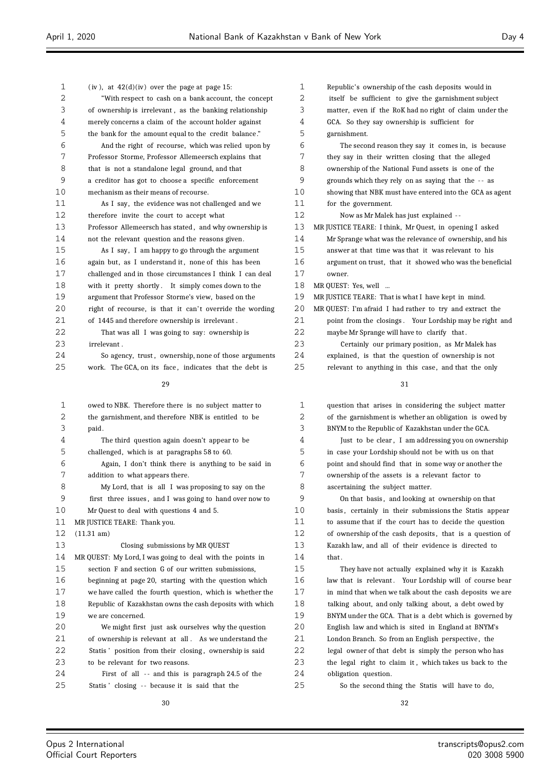$\equiv$ 

| 1  | $(iv)$ , at $42(d)(iv)$ over the page at page 15:                       | 1  | Republic's ownership of the cash deposits would in       |
|----|-------------------------------------------------------------------------|----|----------------------------------------------------------|
| 2  | "With respect to cash on a bank account, the concept                    | 2  | itself be sufficient to give the garnishment subject     |
| 3  | of ownership is irrelevant, as the banking relationship                 | 3  | matter, even if the RoK had no right of claim under the  |
| 4  | merely concerns a claim of the account holder against                   | 4  | GCA. So they say ownership is sufficient for             |
| 5  | the bank for the amount equal to the credit balance."                   | 5  | garnishment.                                             |
| 6  | And the right of recourse, which was relied upon by                     | 6  | The second reason they say it comes in, is because       |
| 7  | Professor Storme, Professor Allemeersch explains that                   | 7  | they say in their written closing that the alleged       |
| 8  | that is not a standalone legal ground, and that                         | 8  | ownership of the National Fund assets is one of the      |
| 9  | a creditor has got to choose a specific enforcement                     | 9  | grounds which they rely on as saying that the -- as      |
| 10 | mechanism as their means of recourse.                                   | 10 | showing that NBK must have entered into the GCA as agent |
| 11 | As I say, the evidence was not challenged and we                        | 11 | for the government.                                      |
| 12 | therefore invite the court to accept what                               | 12 | Now as Mr Malek has just explained --                    |
| 13 | Professor Allemeersch has stated, and why ownership is                  | 13 | MR JUSTICE TEARE: I think, Mr Quest, in opening I asked  |
| 14 | not the relevant question and the reasons given.                        | 14 | Mr Sprange what was the relevance of ownership, and his  |
| 15 | As I say, I am happy to go through the argument                         | 15 | answer at that time was that it was relevant to his      |
| 16 | again but, as I understand it, none of this has been                    | 16 | argument on trust, that it showed who was the beneficial |
| 17 | challenged and in those circumstances I think I can deal                | 17 | owner.                                                   |
| 18 | with it pretty shortly. It simply comes down to the                     | 18 | MR QUEST: Yes, well                                      |
| 19 | argument that Professor Storme's view, based on the                     | 19 | MR JUSTICE TEARE: That is what I have kept in mind.      |
| 20 | right of recourse, is that it can't override the wording                | 20 | MR QUEST: I'm afraid I had rather to try and extract the |
| 21 | of 1445 and therefore ownership is irrelevant.                          | 21 | point from the closings. Your Lordship may be right and  |
| 22 | That was all I was going to say: ownership is                           | 22 | maybe Mr Sprange will have to clarify that.              |
| 23 | irrelevant.                                                             | 23 | Certainly our primary position, as Mr Malek has          |
| 24 | So agency, trust, ownership, none of those arguments                    | 24 | explained, is that the question of ownership is not      |
| 25 | work. The GCA, on its face, indicates that the debt is                  | 25 | relevant to anything in this case, and that the only     |
|    |                                                                         |    |                                                          |
|    | 29                                                                      |    | 31                                                       |
| 1  | owed to NBK. Therefore there is no subject matter to                    | 1  | question that arises in considering the subject matter   |
| 2  | the garnishment, and therefore NBK is entitled to be                    | 2  | of the garnishment is whether an obligation is owed by   |
| 3  | paid.                                                                   | 3  | BNYM to the Republic of Kazakhstan under the GCA.        |
| 4  | The third question again doesn't appear to be                           | 4  | Just to be clear, I am addressing you on ownership       |
| 5  | challenged, which is at paragraphs 58 to 60.                            | 5  | in case your Lordship should not be with us on that      |
| 6  | Again, I don't think there is anything to be said in                    | 6  | point and should find that in some way or another the    |
| 7  | addition to what appears there.                                         | 7  | ownership of the assets is a relevant factor to          |
| 8  | My Lord, that is all I was proposing to say on the                      | 8  | ascertaining the subject matter.                         |
| 9  | first three issues, and I was going to hand over now to                 | 9  | On that basis, and looking at ownership on that          |
| 10 | Mr Quest to deal with questions 4 and 5.                                | 10 | basis, certainly in their submissions the Statis appear  |
| 11 | MR JUSTICE TEARE: Thank you.                                            | 11 | to assume that if the court has to decide the question   |
| 12 | $(11.31 \text{ am})$                                                    | 12 | of ownership of the cash deposits, that is a question of |
| 13 | Closing submissions by MR QUEST                                         | 13 | Kazakh law, and all of their evidence is directed to     |
| 14 | MR QUEST: My Lord, I was going to deal with the points in               | 14 | that.                                                    |
| 15 | section F and section G of our written submissions,                     | 15 | They have not actually explained why it is Kazakh        |
| 16 | beginning at page 20, starting with the question which                  | 16 | law that is relevant. Your Lordship will of course bear  |
| 17 | we have called the fourth question, which is whether the                | 17 | in mind that when we talk about the cash deposits we are |
| 18 | Republic of Kazakhstan owns the cash deposits with which                | 18 | talking about, and only talking about, a debt owed by    |
| 19 |                                                                         | 19 |                                                          |
| 20 | we are concerned.<br>We might first just ask ourselves why the question | 20 | BNYM under the GCA. That is a debt which is governed by  |
| 21 |                                                                         | 21 | English law and which is sited in England at BNYM's      |
| 22 | of ownership is relevant at all. As we understand the                   | 22 | London Branch. So from an English perspective, the       |
| 23 | Statis' position from their closing, ownership is said                  | 23 | legal owner of that debt is simply the person who has    |
| 24 | to be relevant for two reasons.                                         | 24 | the legal right to claim it, which takes us back to the  |
| 25 | First of all -- and this is paragraph 24.5 of the                       | 25 | obligation question.                                     |
|    | Statis' closing -- because it is said that the                          |    | So the second thing the Statis will have to do,          |
|    | 30                                                                      |    | 32                                                       |

Ξ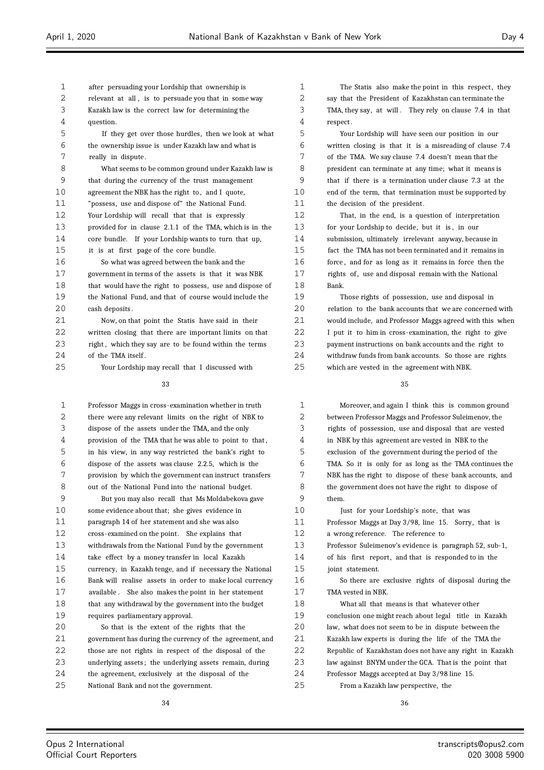after persuading your Lordship that ownership is 2 relevant at all, is to persuade you that in some way Kazakh law is the correct law for determining the question. If they get over those hurdles, then we look at what the ownership issue is under Kazakh law and what is really in dispute. What seems to be common ground under Kazakh law is that during the currency of the trust management agreement the NBK has the right to , and I quote, "possess, use and dispose of" the National Fund. Your Lordship will recall that that is expressly provided for in clause 2.1.1 of the TMA, which is in the core bundle. If your Lordship wants to turn that up, it is at first page of the core bundle. So what was agreed between the bank and the government in terms of the assets is that it was NBK that would have the right to possess, use and dispose of the National Fund, and that of course would include the cash deposits . Now, on that point the Statis have said in their written closing that there are important limits on that 23 right, which they say are to be found within the terms 24 of the TMA itself. Your Lordship may recall that I discussed with Professor Maggs in cross-examination whether in truth

 there were any relevant limits on the right of NBK to dispose of the assets under the TMA, and the only provision of the TMA that he was able to point to that , in his view, in any way restricted the bank's right to dispose of the assets was clause 2.2.5, which is the provision by which the government can instruct transfers out of the National Fund into the national budget. But you may also recall that Ms Moldabekova gave some evidence about that; she gives evidence in paragraph 14 of her statement and she was also cross-examined on the point. She explains that withdrawals from the National Fund by the government take effect by a money transfer in local Kazakh currency, in Kazakh tenge, and if necessary the National Bank will realise assets in order to make local currency available . She also makes the point in her statement that any withdrawal by the government into the budget requires parliamentary approval. So that is the extent of the rights that the government has during the currency of the agreement, and those are not rights in respect of the disposal of the

 underlying assets ; the underlying assets remain, during the agreement, exclusively at the disposal of the National Bank and not the government.

1 The Statis also make the point in this respect, they say that the President of Kazakhstan can terminate the TMA, they say, at will . They rely on clause 7.4 in that respect .

 Your Lordship will have seen our position in our written closing is that it is a misreading of clause 7.4 of the TMA. We say clause 7.4 doesn't mean that the president can terminate at any time; what it means is that if there is a termination under clause 7.3 at the end of the term, that termination must be supported by the decision of the president.

 That, in the end, is a question of interpretation for your Lordship to decide, but it is , in our submission, ultimately irrelevant anyway, because in fact the TMA has not been terminated and it remains in force , and for as long as it remains in force then the 17 rights of, use and disposal remain with the National Bank.

 Those rights of possession, use and disposal in 20 relation to the bank accounts that we are concerned with would include, and Professor Maggs agreed with this when I put it to him in cross-examination, the right to give payment instructions on bank accounts and the right to withdraw funds from bank accounts. So those are rights which are vested in the agreement with NBK.

 Moreover, and again I think this is common ground between Professor Maggs and Professor Suleimenov, the rights of possession, use and disposal that are vested in NBK by this agreement are vested in NBK to the exclusion of the government during the period of the TMA. So it is only for as long as the TMA continues the NBK has the right to dispose of these bank accounts, and the government does not have the right to dispose of them. Just for your Lordship's note, that was Professor Maggs at Day 3/98, line 15. Sorry, that is a wrong reference. The reference to Professor Suleimenov's evidence is paragraph 52, sub-1, of his first report , and that is responded to in the 15 joint statement. So there are exclusive rights of disposal during the TMA vested in NBK. What all that means is that whatever other conclusion one might reach about legal title in Kazakh law, what does not seem to be in dispute between the Kazakh law experts is during the life of the TMA the Republic of Kazakhstan does not have any right in Kazakh law against BNYM under the GCA. That is the point that Professor Maggs accepted at Day 3/98 line 15. From a Kazakh law perspective, the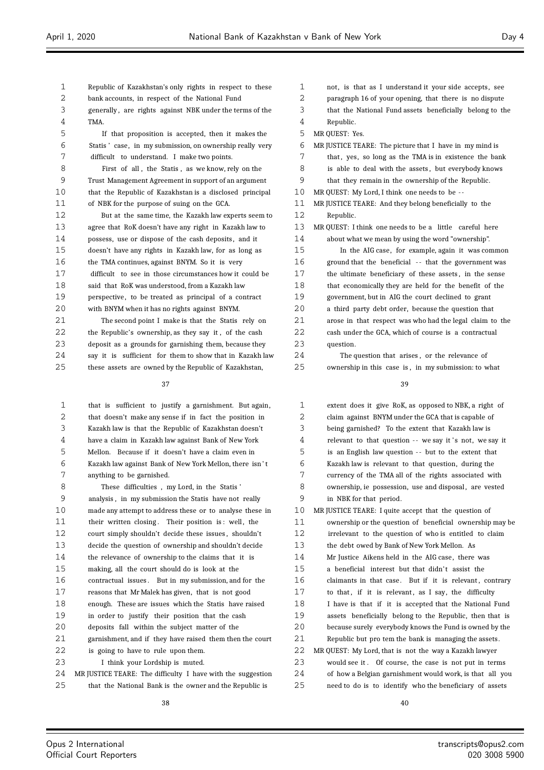- Republic of Kazakhstan's only rights in respect to these
- bank accounts, in respect of the National Fund
- generally , are rights against NBK under the terms of the TMA.
- If that proposition is accepted, then it makes the Statis ' case, in my submission, on ownership really very difficult to understand. I make two points.
- First of all , the Statis , as we know, rely on the Trust Management Agreement in support of an argument that the Republic of Kazakhstan is a disclosed principal of NBK for the purpose of suing on the GCA.
- But at the same time, the Kazakh law experts seem to agree that RoK doesn't have any right in Kazakh law to 14 possess, use or dispose of the cash deposits, and it doesn't have any rights in Kazakh law, for as long as the TMA continues, against BNYM. So it is very difficult to see in those circumstances how it could be said that RoK was understood, from a Kazakh law 19 perspective, to be treated as principal of a contract with BNYM when it has no rights against BNYM.
- The second point I make is that the Statis rely on the Republic's ownership, as they say it , of the cash deposit as a grounds for garnishing them, because they say it is sufficient for them to show that in Kazakh law these assets are owned by the Republic of Kazakhstan,

 that is sufficient to justify a garnishment. But again, that doesn't make any sense if in fact the position in Kazakh law is that the Republic of Kazakhstan doesn't have a claim in Kazakh law against Bank of New York Mellon. Because if it doesn't have a claim even in Kazakh law against Bank of New York Mellon, there isn ' t anything to be garnished. These difficulties , my Lord, in the Statis ' analysis , in my submission the Statis have not really made any attempt to address these or to analyse these in 11 their written closing. Their position is: well, the court simply shouldn't decide these issues , shouldn't decide the question of ownership and shouldn't decide the relevance of ownership to the claims that it is making, all the court should do is look at the contractual issues . But in my submission, and for the reasons that Mr Malek has given, that is not good enough. These are issues which the Statis have raised in order to justify their position that the cash deposits fall within the subject matter of the 21 garnishment, and if they have raised them then the court is going to have to rule upon them. I think your Lordship is muted. MR JUSTICE TEARE: The difficulty I have with the suggestion that the National Bank is the owner and the Republic is

- not, is that as I understand it your side accepts , see
- paragraph 16 of your opening, that there is no dispute
- that the National Fund assets beneficially belong to the
- Republic.
- MR QUEST: Yes.
- MR JUSTICE TEARE: The picture that I have in my mind is
- 7 that, yes, so long as the TMA is in existence the bank
- 8 is able to deal with the assets, but everybody knows
- that they remain in the ownership of the Republic.
- MR QUEST: My Lord, I think one needs to be -
- MR JUSTICE TEARE: And they belong beneficially to the Republic.
- MR QUEST: I think one needs to be a little careful here about what we mean by using the word "ownership".
- In the AIG case, for example, again it was common ground that the beneficial - - that the government was the ultimate beneficiary of these assets , in the sense that economically they are held for the benefit of the government, but in AIG the court declined to grant a third party debt order, because the question that arose in that respect was who had the legal claim to the cash under the GCA, which of course is a contractual 23 question.

 The question that arises , or the relevance of ownership in this case is , in my submission: to what

| 1  | extent does it give RoK, as opposed to NBK, a right of   |
|----|----------------------------------------------------------|
| 2  | claim against BNYM under the GCA that is capable of      |
| 3  | being garnished? To the extent that Kazakh law is        |
| 4  | relevant to that question -- we say it's not, we say it  |
| 5  | is an English law question -- but to the extent that     |
| 6  | Kazakh law is relevant to that question, during the      |
| 7  | currency of the TMA all of the rights associated with    |
| 8  | ownership, ie possession, use and disposal, are vested   |
| 9  | in NBK for that period.                                  |
| 10 | MR JUSTICE TEARE: I quite accept that the question of    |
| 11 | ownership or the question of beneficial ownership may be |
| 12 | irrelevant to the question of who is entitled to claim   |
| 13 | the debt owed by Bank of New York Mellon. As             |
| 14 | Mr Justice Aikens held in the AIG case, there was        |
| 15 | a beneficial interest but that didn't assist the         |
| 16 | claimants in that case. But if it is relevant, contrary  |
| 17 | to that, if it is relevant, as I say, the difficulty     |
| 18 | I have is that if it is accepted that the National Fund  |
| 19 | assets beneficially belong to the Republic, then that is |
| 20 | because surely everybody knows the Fund is owned by the  |
| 21 | Republic but pro tem the bank is managing the assets.    |
| 22 | MR QUEST: My Lord, that is not the way a Kazakh lawyer   |
| 23 | would see it. Of course, the case is not put in terms    |
| 24 | of how a Belgian garnishment would work, is that all you |
| 25 | need to do is to identify who the beneficiary of assets  |
|    |                                                          |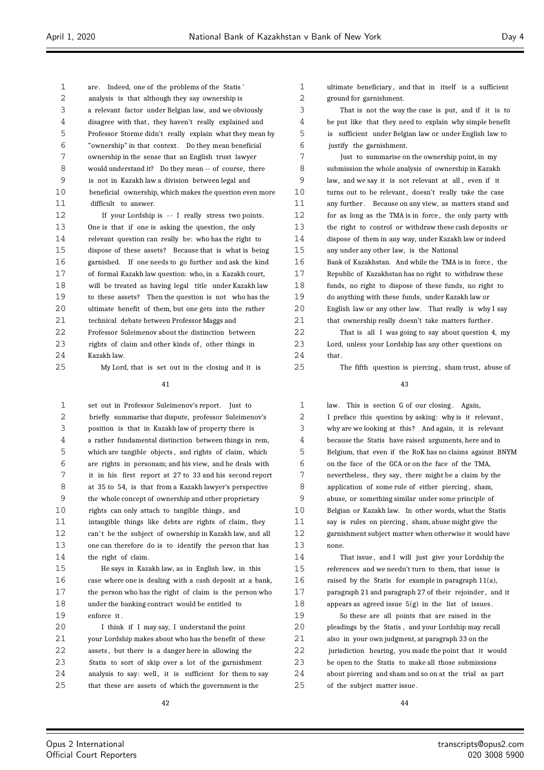are . Indeed, one of the problems of the Statis ' analysis is that although they say ownership is a relevant factor under Belgian law, and we obviously disagree with that , they haven't really explained and Professor Storme didn't really explain what they mean by "ownership" in that context . Do they mean beneficial ownership in the sense that an English trust lawyer would understand it? Do they mean -- of course, there is not in Kazakh law a division between legal and beneficial ownership, which makes the question even more difficult to answer.

12 If your Lordship is -- I really stress two points. One is that if one is asking the question, the only relevant question can really be: who has the right to dispose of these assets? Because that is what is being garnished. If one needs to go further and ask the kind of formal Kazakh law question: who, in a Kazakh court, will be treated as having legal title under Kazakh law to these assets? Then the question is not who has the ultimate benefit of them, but one gets into the rather technical debate between Professor Maggs and Professor Suleimenov about the distinction between rights of claim and other kinds of , other things in

Kazakh law.

My Lord, that is set out in the closing and it is

#### 

1 set out in Professor Suleimenov's report. Just to briefly summarise that dispute, professor Suleimenov's position is that in Kazakh law of property there is a rather fundamental distinction between things in rem, which are tangible objects , and rights of claim, which are rights in personam; and his view, and he deals with it in his first report at 27 to 33 and his second report at 35 to 54, is that from a Kazakh lawyer's perspective the whole concept of ownership and other proprietary 10 rights can only attach to tangible things, and intangible things like debts are rights of claim, they 12 can't be the subject of ownership in Kazakh law, and all one can therefore do is to identify the person that has the right of claim.

 He says in Kazakh law, as in English law, in this case where one is dealing with a cash deposit at a bank, the person who has the right of claim is the person who under the banking contract would be entitled to enforce it .

 I think if I may say, I understand the point 21 vour Lordship makes about who has the benefit of these assets , but there is a danger here in allowing the Statis to sort of skip over a lot of the garnishment 24 analysis to say: well, it is sufficient for them to say that these are assets of which the government is the

 ultimate beneficiary , and that in itself is a sufficient ground for garnishment.

 That is not the way the case is put, and if it is to be put like that they need to explain why simple benefit is sufficient under Belgian law or under English law to justify the garnishment.

 Just to summarise on the ownership point, in my submission the whole analysis of ownership in Kazakh law, and we say it is not relevant at all , even if it 10 turns out to be relevant, doesn't really take the case any further . Because on any view, as matters stand and for as long as the TMA is in force , the only party with the right to control or withdraw these cash deposits or dispose of them in any way, under Kazakh law or indeed any under any other law, is the National

 Bank of Kazakhstan. And while the TMA is in force , the Republic of Kazakhstan has no right to withdraw these funds, no right to dispose of these funds, no right to do anything with these funds, under Kazakh law or English law or any other law. That really is why I say 21 that ownership really doesn't take matters further.

 That is all I was going to say about question 4, my Lord, unless your Lordship has any other questions on that.

The fifth question is piercing , sham trust, abuse of

#### 

 law. This is section G of our closing . Again, I preface this question by asking: why is it relevant , 3 why are we looking at this? And again, it is relevant because the Statis have raised arguments, here and in Belgium, that even if the RoK has no claims against BNYM on the face of the GCA or on the face of the TMA, 7 nevertheless, they say, there might be a claim by the 8 application of some rule of either piercing, sham, abuse, or something similar under some principle of Belgian or Kazakh law. In other words, what the Statis say is rules on piercing , sham, abuse might give the garnishment subject matter when otherwise it would have none.

 That issue , and I will just give your Lordship the references and we needn't turn to them, that issue is 16 raised by the Statis for example in paragraph  $11(a)$ , paragraph 21 and paragraph 27 of their rejoinder , and it 18 appears as agreed issue  $5(g)$  in the list of issues.

 So these are all points that are raised in the pleadings by the Statis , and your Lordship may recall also in your own judgment, at paragraph 33 on the jurisdiction hearing, you made the point that it would be open to the Statis to make all those submissions about piercing and sham and so on at the trial as part of the subject matter issue .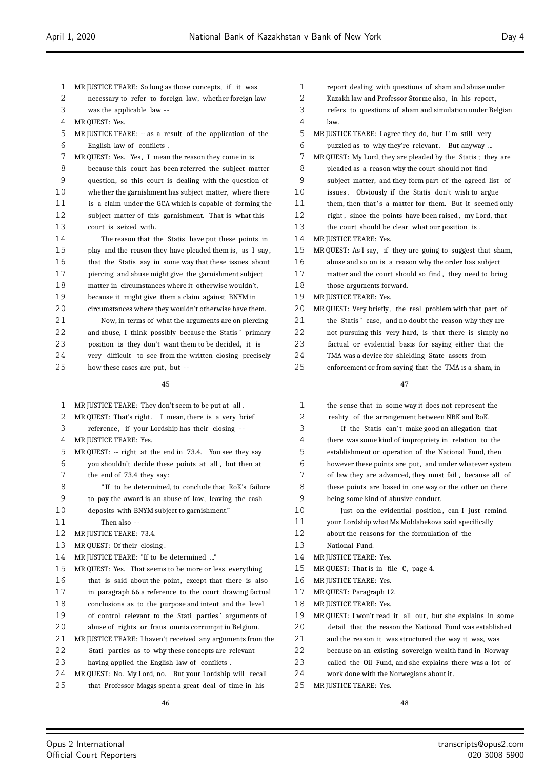- MR JUSTICE TEARE: So long as those concepts, if it was
- necessary to refer to foreign law, whether foreign law
- was the applicable law -
- MR QUEST: Yes.
- MR JUSTICE TEARE: -- as a result of the application of the English law of conflicts .
- MR QUEST: Yes. Yes, I mean the reason they come in is
- because this court has been referred the subject matter question, so this court is dealing with the question of whether the garnishment has subject matter, where there is a claim under the GCA which is capable of forming the subject matter of this garnishment. That is what this court is seized with.
- The reason that the Statis have put these points in play and the reason they have pleaded them is , as I say, that the Statis say in some way that these issues about piercing and abuse might give the garnishment subject matter in circumstances where it otherwise wouldn't,
- because it might give them a claim against BNYM in
- circumstances where they wouldn't otherwise have them. Now, in terms of what the arguments are on piercing and abuse, I think possibly because the Statis ' primary
- position is they don't want them to be decided, it is
- very difficult to see from the written closing precisely
- how these cases are put, but -

 MR JUSTICE TEARE: They don't seem to be put at all . 2 MR QUEST: That's right. I mean, there is a very brief reference , if your Lordship has their closing - - MR JUSTICE TEARE: Yes. MR QUEST: -- right at the end in 73.4. You see they say you shouldn't decide these points at all , but then at the end of 73.4 they say: " If to be determined, to conclude that RoK's failure to pay the award is an abuse of law, leaving the cash deposits with BNYM subject to garnishment." Then also - - MR JUSTICE TEARE: 73.4. MR QUEST: Of their closing . MR JUSTICE TEARE: "If to be determined ..." MR QUEST: Yes. That seems to be more or less everything 16 that is said about the point, except that there is also in paragraph 66 a reference to the court drawing factual conclusions as to the purpose and intent and the level 19 of control relevant to the Stati parties' arguments of abuse of rights or fraus omnia corrumpit in Belgium. MR JUSTICE TEARE: I haven't received any arguments from the Stati parties as to why these concepts are relevant having applied the English law of conflicts . MR QUEST: No. My Lord, no. But your Lordship will recall that Professor Maggs spent a great deal of time in his

- report dealing with questions of sham and abuse under Kazakh law and Professor Storme also, in his report , refers to questions of sham and simulation under Belgian law. MR JUSTICE TEARE: I agree they do, but I 'm still very puzzled as to why they're relevant . But anyway ... MR QUEST: My Lord, they are pleaded by the Statis ; they are pleaded as a reason why the court should not find subject matter, and they form part of the agreed list of issues . Obviously if the Statis don't wish to argue 11 them, then that's a matter for them. But it seemed only 12 right, since the points have been raised, my Lord, that the court should be clear what our position is . MR JUSTICE TEARE: Yes. MR QUEST: As I say, if they are going to suggest that sham, abuse and so on is a reason why the order has subject matter and the court should so find , they need to bring those arguments forward. MR JUSTICE TEARE: Yes. MR QUEST: Very briefly , the real problem with that part of the Statis ' case, and no doubt the reason why they are not pursuing this very hard, is that there is simply no factual or evidential basis for saying either that the TMA was a device for shielding State assets from
	- enforcement or from saying that the TMA is a sham, in

#### 

| $\mathbf{1}$ | the sense that in some way it does not represent the        |
|--------------|-------------------------------------------------------------|
| 2            | reality of the arrangement between NBK and RoK.             |
| 3            | If the Statis can't make good an allegation that            |
| 4            | there was some kind of impropriety in relation to the       |
| 5            | establishment or operation of the National Fund, then       |
| 6            | however these points are put, and under whatever system     |
| 7            | of law they are advanced, they must fail, because all of    |
| 8            | these points are based in one way or the other on there     |
| 9            | being some kind of abusive conduct.                         |
| 10           | Just on the evidential position, can I just remind          |
| 11           | your Lordship what Ms Moldabekova said specifically         |
| 12           | about the reasons for the formulation of the                |
| 13           | National Fund.                                              |
| 14           | MR JUSTICE TEARE: Yes.                                      |
| 15           | MR QUEST: That is in file C, page 4.                        |
| 16           | MR JUSTICE TEARE: Yes.                                      |
| 17           | MR QUEST: Paragraph 12.                                     |
| 18           | MR JUSTICE TEARE: Yes.                                      |
| 19           | MR QUEST: I won't read it all out, but she explains in some |
| 20           | detail that the reason the National Fund was established    |
| 21           | and the reason it was structured the way it was, was        |
| 22           | because on an existing sovereign wealth fund in Norway      |
| 23           | called the Oil Fund, and she explains there was a lot of    |
| 24           | work done with the Norwegians about it.                     |

MR JUSTICE TEARE: Yes.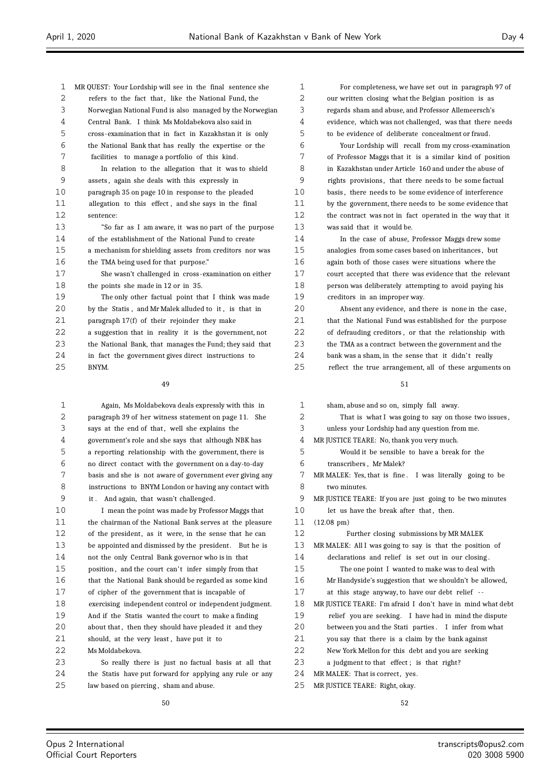| $\mathbf{1}$ | MR QUEST: Your Lordship will see in the final sentence she |
|--------------|------------------------------------------------------------|
| 2            | refers to the fact that, like the National Fund, the       |
| 3            | Norwegian National Fund is also managed by the Norwegian   |
| 4            | Central Bank. I think Ms Moldabekova also said in          |
| 5            | cross-examination that in fact in Kazakhstan it is only    |
| 6            | the National Bank that has really the expertise or the     |
| 7            | facilities to manage a portfolio of this kind.             |
| 8            | In relation to the allegation that it was to shield        |
| 9            | assets, again she deals with this expressly in             |
| 10           | paragraph 35 on page 10 in response to the pleaded         |
| 11           | allegation to this effect, and she says in the final       |
| 12           | sentence:                                                  |
| 13           | "So far as I am aware, it was no part of the purpose       |
| 14           | of the establishment of the National Fund to create        |
| 15           | a mechanism for shielding assets from creditors nor was    |
| 16           | the TMA being used for that purpose."                      |
| 17           | She wasn't challenged in cross-examination on either       |
| 18           | the points she made in 12 or in 35.                        |
| 19           | The only other factual point that I think was made         |
| 20           | by the Statis, and Mr Malek alluded to it, is that in      |
| 2.1          | paragraph 17(f) of their rejoinder they make               |
| 22           | a suggestion that in reality it is the government, not     |
| 23           | the National Bank, that manages the Fund; they said that   |
| 24           | in fact the government gives direct instructions to        |
| 25           | BNYM.                                                      |
|              |                                                            |

| 1  | Again, Ms Moldabekova deals expressly with this in       |
|----|----------------------------------------------------------|
| 2  | paragraph 39 of her witness statement on page 11. She    |
| 3  | says at the end of that, well she explains the           |
| 4  | government's role and she says that although NBK has     |
| 5  | a reporting relationship with the government, there is   |
| 6  | no direct contact with the government on a day-to-day    |
| 7  | basis and she is not aware of government ever giving any |
| 8  | instructions to BNYM London or having any contact with   |
| 9  | it. And again, that wasn't challenged.                   |
| 10 | I mean the point was made by Professor Maggs that        |
| 11 | the chairman of the National Bank serves at the pleasure |
| 12 | of the president, as it were, in the sense that he can   |
| 13 | be appointed and dismissed by the president. But he is   |
| 14 | not the only Central Bank governor who is in that        |
| 15 | position, and the court can't infer simply from that     |
| 16 | that the National Bank should be regarded as some kind   |
| 17 | of cipher of the government that is incapable of         |
| 18 | exercising independent control or independent judgment.  |
| 19 | And if the Statis wanted the court to make a finding     |
| 20 | about that, then they should have pleaded it and they    |
| 21 | should, at the very least, have put it to                |
| 22 | Ms Moldabekova.                                          |
| 23 | So really there is just no factual basis at all that     |
| 24 | the Statis have put forward for applying any rule or any |
| 25 | law based on piercing, sham and abuse.                   |

 For completeness, we have set out in paragraph 97 of our written closing what the Belgian position is as regards sham and abuse, and Professor Allemeersch's evidence, which was not challenged, was that there needs to be evidence of deliberate concealment or fraud.

 Your Lordship will recall from my cross-examination of Professor Maggs that it is a similar kind of position in Kazakhstan under Article 160 and under the abuse of rights provisions , that there needs to be some factual basis , there needs to be some evidence of interference by the government, there needs to be some evidence that the contract was not in fact operated in the way that it was said that it would be.

 In the case of abuse, Professor Maggs drew some analogies from some cases based on inheritances , but again both of those cases were situations where the court accepted that there was evidence that the relevant person was deliberately attempting to avoid paying his creditors in an improper way.

 Absent any evidence, and there is none in the case, 21 that the National Fund was established for the purpose of defrauding creditors , or that the relationship with the TMA as a contract between the government and the 24 bank was a sham, in the sense that it didn't really reflect the true arrangement, all of these arguments on

| 1              | sham, abuse and so on, simply fall away.                    |
|----------------|-------------------------------------------------------------|
| 2              | That is what I was going to say on those two issues,        |
| 3              | unless your Lordship had any question from me.              |
| 4              | MR JUSTICE TEARE: No, thank you very much.                  |
| 5              | Would it be sensible to have a break for the                |
| 6              | transcribers. Mr Malek?                                     |
| 7              | MR MALEK: Yes, that is fine. I was literally going to be    |
| 8              | two minutes.                                                |
| 9              | MR JUSTICE TEARE: If you are just going to be two minutes   |
| 1 <sub>0</sub> | let us have the break after that, then.                     |
| 11             | $(12.08 \text{ pm})$                                        |
| 12             | Further closing submissions by MR MALEK                     |
| 13             | MR MALEK: All I was going to say is that the position of    |
| 14             | declarations and relief is set out in our closing.          |
| 15             | The one point I wanted to make was to deal with             |
| 16             | Mr Handyside's suggestion that we shouldn't be allowed,     |
| 17             | at this stage anyway, to have our debt relief --            |
| 18             | MR JUSTICE TEARE: I'm afraid I don't have in mind what debt |
| 19             | relief you are seeking. I have had in mind the dispute      |
| 20             | between you and the Stati parties. I infer from what        |
| 21             | you say that there is a claim by the bank against           |
| 22             | New York Mellon for this debt and you are seeking           |
| 23             | a judgment to that effect; is that right?                   |
| 24             | MR MALEK: That is correct, yes.                             |
| 25             | MR JUSTICE TEARE: Right, okay.                              |
|                |                                                             |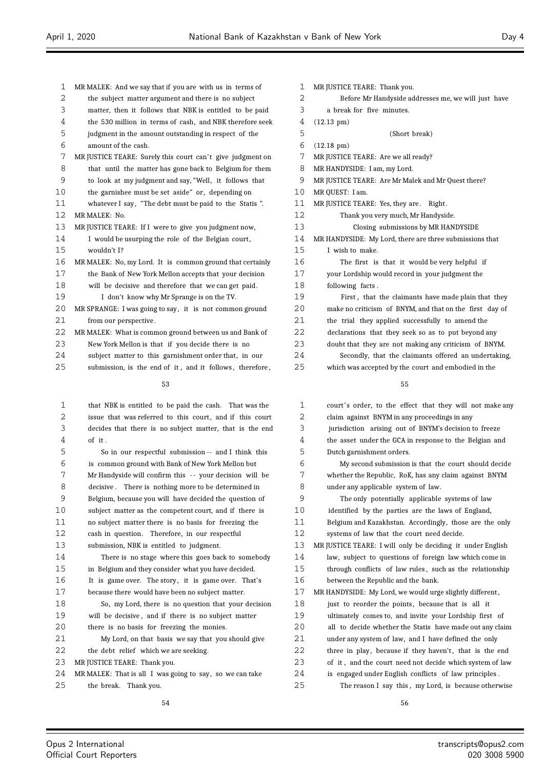| 1  | MR MALEK: And we say that if you are with us in terms of   |
|----|------------------------------------------------------------|
| 2  | the subject matter argument and there is no subject        |
| 3  | matter, then it follows that NBK is entitled to be paid    |
| 4  | the 530 million in terms of cash, and NBK therefore seek   |
| 5  | judgment in the amount outstanding in respect of the       |
| 6  | amount of the cash.                                        |
| 7  | MR JUSTICE TEARE: Surely this court can't give judgment on |
| 8  | that until the matter has gone back to Belgium for them    |
| 9  | to look at my judgment and say, "Well, it follows that     |
| 10 | the garnishee must be set aside" or, depending on          |
| 11 | whatever I say, "The debt must be paid to the Statis".     |
| 12 | MR MALEK: No.                                              |
| 13 | MR JUSTICE TEARE: If I were to give you judgment now,      |
| 14 | I would be usurping the role of the Belgian court,         |
| 15 | wouldn't I?                                                |
| 16 | MR MALEK: No, my Lord. It is common ground that certainly  |
| 17 | the Bank of New York Mellon accepts that your decision     |
| 18 | will be decisive and therefore that we can get paid.       |
| 19 | I don't know why Mr Sprange is on the TV.                  |
| 20 | MR SPRANGE: I was going to say, it is not common ground    |
| 21 | from our perspective.                                      |
| 22 | MR MALEK: What is common ground between us and Bank of     |
| 23 | New York Mellon is that if you decide there is no          |
| 24 | subject matter to this garnishment order that, in our      |
| 25 | submission, is the end of it, and it follows, therefore,   |
|    | 53                                                         |
|    |                                                            |
| 1  | that NBK is entitled to be paid the cash. That was the     |
| 2  | issue that was referred to this court, and if this court   |
| 3  | decides that there is no subject matter, that is the end   |
| 4  | of it.                                                     |
| 5  | So in our respectful submission -- and I think this        |
| 6  | is common ground with Bank of New York Mellon but          |
| 7  | Mr Handyside will confirm this -- your decision will be    |
| 8  | decisive. There is nothing more to be determined in        |
| 9  | Belgium, because you will have decided the question of     |
| 10 | subject matter as the competent court, and if there is     |

| O  | decisive. There is nothing more to be determined in      |
|----|----------------------------------------------------------|
| 9  | Belgium, because you will have decided the question of   |
| 10 | subject matter as the competent court, and if there is   |
| 11 | no subject matter there is no basis for freezing the     |
| 12 | cash in question. Therefore, in our respectful           |
| 13 | submission, NBK is entitled to judgment.                 |
| 14 | There is no stage where this goes back to somebody       |
| 15 | in Belgium and they consider what you have decided.      |
| 16 | It is game over. The story, it is game over. That's      |
| 17 | because there would have been no subject matter.         |
| 18 | So, my Lord, there is no question that your decision     |
| 19 | will be decisive, and if there is no subject matter      |
| 20 | there is no basis for freezing the monies.               |
| 21 | My Lord, on that basis we say that you should give       |
| 22 | the debt relief which we are seeking.                    |
| 23 | MR JUSTICE TEARE: Thank you.                             |
| 24 | MR MALEK: That is all I was going to say, so we can take |
| 25 | the break. Thank you.                                    |
|    |                                                          |

| 1            | MR JUSTICE TEARE: Thank you.                            |
|--------------|---------------------------------------------------------|
| 2            | Before Mr Handyside addresses me, we will just have     |
| 3            | a break for five minutes.                               |
| 4            | $(12.13 \text{ pm})$                                    |
| 5            | (Short break)                                           |
| 6            | $(12.18 \text{ pm})$                                    |
| 7            | MR JUSTICE TEARE: Are we all ready?                     |
| 8            | MR HANDYSIDE: I am, my Lord.                            |
| 9            | MR JUSTICE TEARE: Are Mr Malek and Mr Quest there?      |
| $10^{\circ}$ | MR QUEST: I am.                                         |
| 11           | MR JUSTICE TEARE: Yes, they are. Right.                 |
| 12           | Thank you very much, Mr Handyside.                      |
| 13           | Closing submissions by MR HANDYSIDE                     |
| 14           | MR HANDYSIDE: My Lord, there are three submissions that |
| 15           | I wish to make.                                         |
| 16           | The first is that it would be very helpful if           |
| 17           | your Lordship would record in your judgment the         |
| 18           | following facts.                                        |
| 19           | First, that the claimants have made plain that they     |
| 20           | make no criticism of BNYM, and that on the first day of |
| 21           | the trial they applied successfully to amend the        |
| 22           | declarations that they seek so as to put beyond any     |
| 23           | doubt that they are not making any criticism of BNYM.   |
| 24           | Secondly, that the claimants offered an undertaking,    |
| 25           | which was accepted by the court and embodied in the     |
|              |                                                         |

| $\mathbf{1}$ | court's order, to the effect that they will not make any   |
|--------------|------------------------------------------------------------|
| 2            | claim against BNYM in any proceedings in any               |
| 3            | jurisdiction arising out of BNYM's decision to freeze      |
| 4            | the asset under the GCA in response to the Belgian and     |
| 5            | Dutch garnishment orders.                                  |
| 6            | My second submission is that the court should decide       |
| 7            | whether the Republic, RoK, has any claim against BNYM      |
| 8            | under any applicable system of law.                        |
| 9            | The only potentially applicable systems of law             |
| 10           | identified by the parties are the laws of England,         |
| 11           | Belgium and Kazakhstan. Accordingly, those are the only    |
| 12           | systems of law that the court need decide.                 |
| 13           | MR JUSTICE TEARE: I will only be deciding it under English |
| 14           | law, subject to questions of foreign law which come in     |
| 15           | through conflicts of law rules, such as the relationship   |
| 16           | between the Republic and the bank.                         |
| 17           | MR HANDYSIDE: My Lord, we would urge slightly different,   |
| 18           | just to reorder the points, because that is all it         |
| 19           | ultimately comes to, and invite your Lordship first of     |
| 20           | all to decide whether the Statis have made out any claim   |
| 21           | under any system of law, and I have defined the only       |
| 22           | three in play, because if they haven't, that is the end    |
| 23           | of it, and the court need not decide which system of law   |
| 24           | is engaged under English conflicts of law principles.      |
| 25           | The reason I say this, my Lord, is because otherwise       |
|              |                                                            |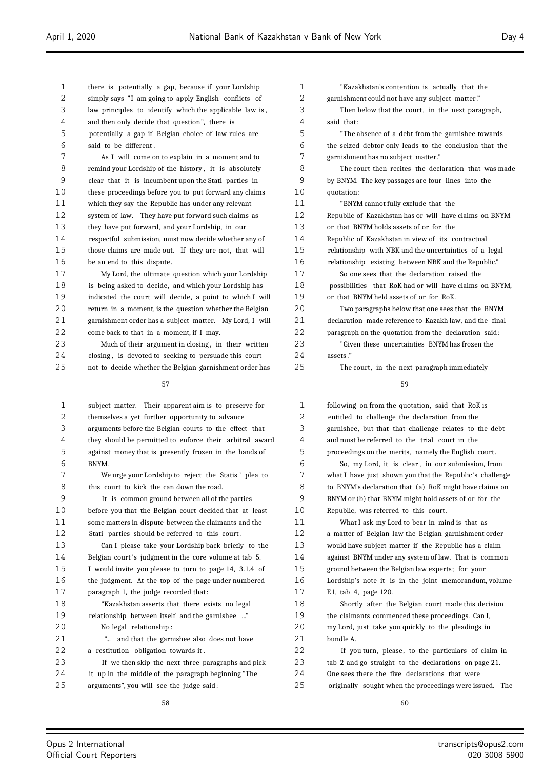| 1  | there is potentially a gap, because if your Lordship     | 1              |                |
|----|----------------------------------------------------------|----------------|----------------|
| 2  | simply says "I am going to apply English conflicts of    | $\overline{2}$ | gar            |
| 3  | law principles to identify which the applicable law is,  | 3              |                |
| 4  | and then only decide that question", there is            | 4              | saio           |
| 5  | potentially a gap if Belgian choice of law rules are     | 5              |                |
| 6  | said to be different.                                    | 6              | the            |
| 7  | As I will come on to explain in a moment and to          | 7              | gar            |
| 8  | remind your Lordship of the history, it is absolutely    | 8              |                |
| 9  | clear that it is incumbent upon the Stati parties in     | 9              | by             |
| 10 | these proceedings before you to put forward any claims   | 10             | quo            |
| 11 | which they say the Republic has under any relevant       | 11             |                |
| 12 | system of law. They have put forward such claims as      | 12             | Rep            |
| 13 | they have put forward, and your Lordship, in our         | 13             | or :           |
| 14 | respectful submission, must now decide whether any of    | 14             | Rep            |
| 15 | those claims are made out. If they are not, that will    | 15             | rel            |
| 16 | be an end to this dispute.                               | 16             | rel            |
| 17 | My Lord, the ultimate question which your Lordship       | 17             |                |
| 18 | is being asked to decide, and which your Lordship has    | 18             | po             |
| 19 | indicated the court will decide, a point to which I will | 19             | or :           |
| 20 | return in a moment, is the question whether the Belgian  | 20             |                |
| 21 | garnishment order has a subject matter. My Lord, I will  | 21             | dec            |
| 22 | come back to that in a moment, if I may.                 | 22             | par            |
| 23 | Much of their argument in closing, in their written      | 23             |                |
| 24 | closing, is devoted to seeking to persuade this court    | 24             | ass            |
| 25 | not to decide whether the Belgian garnishment order has  | 25             |                |
|    | 57                                                       |                |                |
|    |                                                          |                |                |
| 1  | subject matter. Their apparent aim is to preserve for    | 1              | foll           |
| 2  | themselves a yet further opportunity to advance          | 2              | ent            |
| 3  | arguments before the Belgian courts to the effect that   | 3              | gar            |
| 4  | they should be permitted to enforce their arbitral award | 4              | and            |
| 5  | against money that is presently frozen in the hands of   | 5              | pro            |
| 6  | BNYM.                                                    | 6              |                |
| 7  | We urge your Lordship to reject the Statis' plea to      | 7              | wh:            |
| 8  | this court to kick the can down the road.                | 8              | to             |
| 9  | It is common ground between all of the parties           | 9              | <b>BN</b>      |
| 10 | before you that the Belgian court decided that at least  | 10             | Rep            |
| 11 | some matters in dispute between the claimants and the    | 11             |                |
| 12 | Stati parties should be referred to this court.          | 12             | a n            |
| 13 | Can I please take your Lordship back briefly to the      | 13             | W <sub>0</sub> |
| 14 | Belgian court's judgment in the core volume at tab 5.    | 14             | aga            |
| 15 | I would invite you please to turn to page 14, 3.1.4 of   | 15             | gro            |
| 16 | the judgment. At the top of the page under numbered      | 16             | Lor            |
| 17 | paragraph 1, the judge recorded that:                    | 17             | Ε1,            |
| 18 | "Kazakhstan asserts that there exists no legal           | 18             |                |
| 19 | relationship between itself and the garnishee "          | 19             | the            |
| 20 | No legal relationship:                                   | 20             | my             |
| 21 | " and that the garnishee also does not have              | 21             | bur            |
| 22 | a restitution obligation towards it.                     | 22             |                |
| 23 | If we then skip the next three paragraphs and pick       | 23             | tab            |
| 24 | it up in the middle of the paragraph beginning "The      | 24             | One            |
| 25 | arguments", you will see the judge said:                 | 25             | ori            |
|    |                                                          |                |                |

"Kazakhstan's contention is actually that the nishment could not have any subject matter." Then below that the court, in the next paragraph, d that: "The absence of a debt from the garnishee towards seized debtor only leads to the conclusion that the mishment has no subject matter." The court then recites the declaration that was made BNYM. The key passages are four lines into the otation: "BNYM cannot fully exclude that the Republic of Kazakhstan has or will have claims on BNYM that BNYM holds assets of or for the oublic of Kazakhstan in view of its contractual ationship with NBK and the uncertainties of a legal ationship existing between NBK and the Republic." So one sees that the declaration raised the possibilities that RoK had or will have claims on BNYM, that BNYM held assets of or for RoK. Two paragraphs below that one sees that the BNYM claration made reference to Kazakh law, and the final ragraph on the quotation from the declaration said: "Given these uncertainties BNYM has frozen the ets ." The court, in the next paragraph immediately

| $\mathbf{1}$ | following on from the quotation, said that RoK is        |
|--------------|----------------------------------------------------------|
| 2            | entitled to challenge the declaration from the           |
| 3            | garnishee, but that that challenge relates to the debt   |
| 4            | and must be referred to the trial court in the           |
| 5            | proceedings on the merits, namely the English court.     |
| 6            | So, my Lord, it is clear, in our submission, from        |
| 7            | what I have just shown you that the Republic's challenge |
| 8            | to BNYM's declaration that (a) RoK might have claims on  |
| 9            | BNYM or (b) that BNYM might hold assets of or for the    |
| 10           | Republic, was referred to this court.                    |
| 11           | What I ask my Lord to bear in mind is that as            |
| 12           | a matter of Belgian law the Belgian garnishment order    |
| 13           | would have subject matter if the Republic has a claim    |
| 14           | against BNYM under any system of law. That is common     |
| 15           | ground between the Belgian law experts; for your         |
| 16           | Lordship's note it is in the joint memorandum, volume    |
| 17           | E1, tab 4, page 120.                                     |
| 18           | Shortly after the Belgian court made this decision       |
| 19           | the claimants commenced these proceedings. Can I,        |
| 20           | my Lord, just take you quickly to the pleadings in       |
| 21           | bundle A.                                                |
| 22           | If you turn, please, to the particulars of claim in      |
| 23           | tab 2 and go straight to the declarations on page 21.    |
| 24           | One sees there the five declarations that were           |
| 25           | originally sought when the proceedings were issued. The  |
|              |                                                          |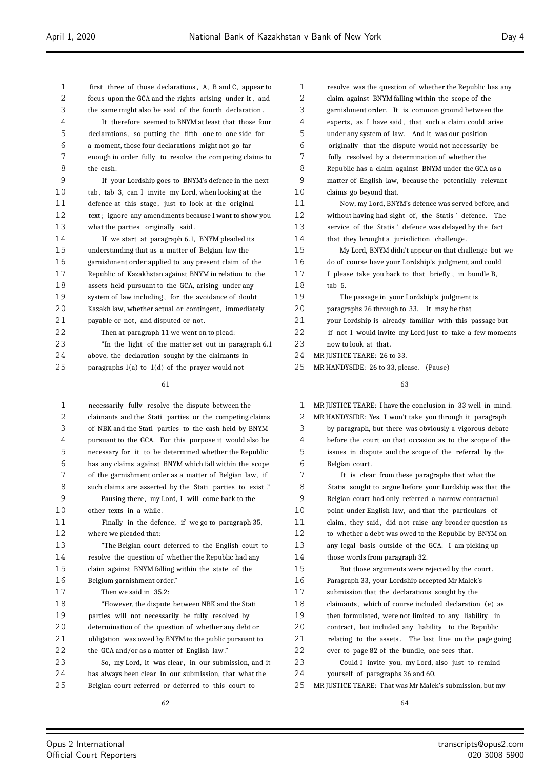first three of those declarations , A, B and C, appear to focus upon the GCA and the rights arising under it , and the same might also be said of the fourth declaration . It therefore seemed to BNYM at least that those four declarations , so putting the fifth one to one side for a moment, those four declarations might not go far enough in order fully to resolve the competing claims to the cash. If your Lordship goes to BNYM's defence in the next 10 tab, tab 3, can I invite my Lord, when looking at the 11 defence at this stage, just to look at the original text ; ignore any amendments because I want to show you what the parties originally said . If we start at paragraph 6.1, BNYM pleaded its understanding that as a matter of Belgian law the garnishment order applied to any present claim of the Republic of Kazakhstan against BNYM in relation to the assets held pursuant to the GCA, arising under any 19 system of law including, for the avoidance of doubt Kazakh law, whether actual or contingent, immediately payable or not, and disputed or not. Then at paragraph 11 we went on to plead: "In the light of the matter set out in paragraph 6.1 above, the declaration sought by the claimants in paragraphs 1(a) to 1(d) of the prayer would not necessarily fully resolve the dispute between the

 claimants and the Stati parties or the competing claims of NBK and the Stati parties to the cash held by BNYM pursuant to the GCA. For this purpose it would also be necessary for it to be determined whether the Republic has any claims against BNYM which fall within the scope of the garnishment order as a matter of Belgian law, if such claims are asserted by the Stati parties to exist ." Pausing there , my Lord, I will come back to the other texts in a while. Finally in the defence, if we go to paragraph 35, where we pleaded that: "The Belgian court deferred to the English court to resolve the question of whether the Republic had any claim against BNYM falling within the state of the Belgium garnishment order." Then we said in 35.2: "However, the dispute between NBK and the Stati parties will not necessarily be fully resolved by determination of the question of whether any debt or obligation was owed by BNYM to the public pursuant to the GCA and/or as a matter of English law ." So, my Lord, it was clear , in our submission, and it has always been clear in our submission, that what the Belgian court referred or deferred to this court to

 resolve was the question of whether the Republic has any claim against BNYM falling within the scope of the garnishment order. It is common ground between the 4 experts, as I have said, that such a claim could arise under any system of law. And it was our position originally that the dispute would not necessarily be fully resolved by a determination of whether the Republic has a claim against BNYM under the GCA as a matter of English law, because the potentially relevant claims go beyond that. Now, my Lord, BNYM's defence was served before, and 12 without having had sight of, the Statis' defence. The service of the Statis ' defence was delayed by the fact that they brought a jurisdiction challenge . My Lord, BNYM didn't appear on that challenge but we do of course have your Lordship's judgment, and could I please take you back to that briefly , in bundle B, tab 5. The passage in your Lordship's judgment is paragraphs 26 through to 33. It may be that your Lordship is already familiar with this passage but 22 if not I would invite my Lord just to take a few moments 23 now to look at that.

24 MR JUSTICE TEARE: 26 to 33.

MR HANDYSIDE: 26 to 33, please. (Pause)

| $\mathbf{1}$ | MR JUSTICE TEARE: I have the conclusion in 33 well in mind. |  |  |  |
|--------------|-------------------------------------------------------------|--|--|--|
| 2            | MR HANDYSIDE: Yes. I won't take you through it paragraph    |  |  |  |
| 3            | by paragraph, but there was obviously a vigorous debate     |  |  |  |
| 4            | before the court on that occasion as to the scope of the    |  |  |  |
| 5            | issues in dispute and the scope of the referral by the      |  |  |  |
| 6            | Belgian court.                                              |  |  |  |
| 7            | It is clear from these paragraphs that what the             |  |  |  |
| 8            | Statis sought to argue before your Lordship was that the    |  |  |  |
| 9            | Belgian court had only referred a narrow contractual        |  |  |  |
| 10           | point under English law, and that the particulars of        |  |  |  |
| 11           | claim, they said, did not raise any broader question as     |  |  |  |
| 12           | to whether a debt was owed to the Republic by BNYM on       |  |  |  |
| 13           | any legal basis outside of the GCA. I am picking up         |  |  |  |
| 14           | those words from paragraph 32.                              |  |  |  |
| 15           | But those arguments were rejected by the court.             |  |  |  |
| 16           | Paragraph 33, your Lordship accepted Mr Malek's             |  |  |  |
| 17           | submission that the declarations sought by the              |  |  |  |
| 18           | claimants, which of course included declaration (e) as      |  |  |  |
| 19           | then formulated, were not limited to any liability in       |  |  |  |
| 20           | contract, but included any liability to the Republic        |  |  |  |
| 21           | relating to the assets. The last line on the page going     |  |  |  |
| 22           | over to page 82 of the bundle, one sees that.               |  |  |  |
| 23           | Could I invite you, my Lord, also just to remind            |  |  |  |
| 24           | yourself of paragraphs 36 and 60.                           |  |  |  |
| 25           | MR JUSTICE TEARE: That was Mr Malek's submission, but my    |  |  |  |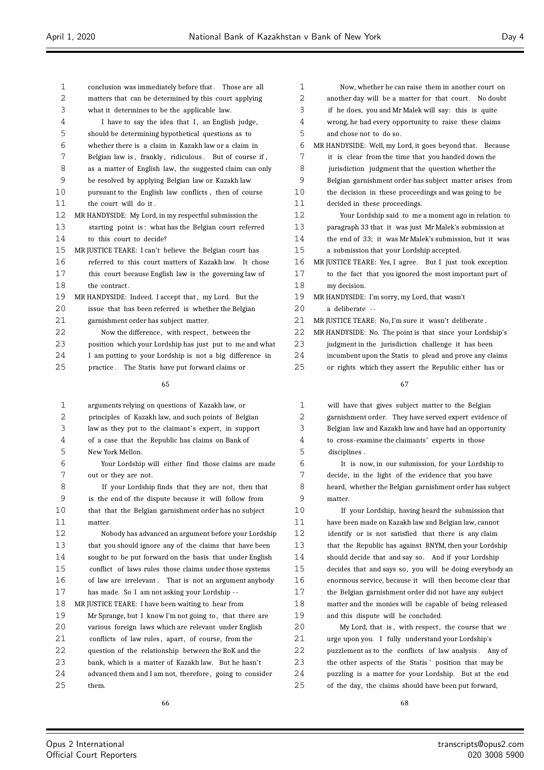| $\mathbf{1}$ | conclusion was immediately before that. Those are all    | 1  |
|--------------|----------------------------------------------------------|----|
| 2            | matters that can be determined by this court applying    |    |
| 3            | what it determines to be the applicable law.             |    |
| 4            | I have to say the idea that I, an English judge,         |    |
| 5            | should be determining hypothetical questions as to       |    |
| 6            | whether there is a claim in Kazakh law or a claim in     |    |
| 7            | Belgian law is, frankly, ridiculous. But of course if,   |    |
| 8            | as a matter of English law, the suggested claim can only |    |
| 9            | be resolved by applying Belgian law or Kazakh law        | 9  |
| 10           | pursuant to the English law conflicts, then of course    | 10 |
| 11           | the court will do it.                                    | 11 |
| 12           | MR HANDYSIDE: My Lord, in my respectful submission the   | 12 |
| 13           | starting point is: what has the Belgian court referred   | 13 |
| 14           | to this court to decide?                                 |    |
| 15           | MR JUSTICE TEARE: I can't believe the Belgian court has  | 15 |
| 16           | referred to this court matters of Kazakhlaw. It chose    | 16 |
| 17           | this court because English law is the governing law of   | 17 |
| 18           | the contract.                                            | 18 |
| 19           | MR HANDYSIDE: Indeed. I accept that, my Lord. But the    | 19 |
| 20           | issue that has been referred is whether the Belgian      | 20 |
| 21           | garnishment order has subject matter.                    | 21 |
| 22           | Now the difference, with respect, between the            | 22 |
| 23           | position which your Lordship has just put to me and what | 23 |
| 24           | I am putting to your Lordship is not a big difference in | 24 |
| 25           | practice. The Statis have put forward claims or          | 25 |
|              | 65                                                       |    |
|              |                                                          |    |
|              |                                                          |    |

| $\mathbf 1$ | arguments relying on questions of Kazakh law, or         |
|-------------|----------------------------------------------------------|
| 2           | principles of Kazakh law, and such points of Belgian     |
| 3           | law as they put to the claimant's expert, in support     |
| 4           | of a case that the Republic has claims on Bank of        |
| 5           | New York Mellon.                                         |
| 6           | Your Lordship will either find those claims are made     |
| 7           | out or they are not.                                     |
| 8           | If your Lordship finds that they are not, then that      |
| 9           | is the end of the dispute because it will follow from    |
| 10          | that that the Belgian garnishment order has no subject   |
| 11          | matter.                                                  |
| 12          | Nobody has advanced an argument before your Lordship     |
| 13          | that you should ignore any of the claims that have been  |
| 14          | sought to be put forward on the basis that under English |
| 15          | conflict of laws rules those claims under those systems  |
| 16          | of law are irrelevant. That is not an argument anybody   |
| 17          | has made. So I am not asking your Lordship --            |
| 18          | MR JUSTICE TEARE: I have been waiting to hear from       |
| 19          | Mr Sprange, but I know I'm not going to, that there are  |
| 20          | various foreign laws which are relevant under English    |
| 21          | conflicts of law rules, apart, of course, from the       |
| 22          | question of the relationship between the RoK and the     |
| 23          | bank, which is a matter of Kazakh law. But he hasn't     |
| 24          | advanced them and I am not, therefore, going to consider |
| 25          | them.                                                    |
|             |                                                          |

| 1              | Now, whether he can raise them in another court on        |  |  |  |
|----------------|-----------------------------------------------------------|--|--|--|
| 2              | another day will be a matter for that court. No doubt     |  |  |  |
| 3              | if he does, you and Mr Malek will say: this is quite      |  |  |  |
| 4              | wrong, he had every opportunity to raise these claims     |  |  |  |
| 5              | and chose not to do so.                                   |  |  |  |
| 6              | MR HANDYSIDE: Well, my Lord, it goes beyond that. Because |  |  |  |
| 7              | it is clear from the time that you handed down the        |  |  |  |
| 8              | jurisdiction judgment that the question whether the       |  |  |  |
| 9              | Belgian garnishment order has subject matter arises from  |  |  |  |
| 1 <sub>0</sub> | the decision in these proceedings and was going to be     |  |  |  |
| 11             | decided in these proceedings.                             |  |  |  |
| 12             | Your Lordship said to me a moment ago in relation to      |  |  |  |
| 13             | paragraph 33 that it was just Mr Malek's submission at    |  |  |  |
| 14             | the end of 33; it was Mr Malek's submission, but it was   |  |  |  |
| 15             | a submission that your Lordship accepted.                 |  |  |  |
| 16             | MR JUSTICE TEARE: Yes, I agree. But I just took exception |  |  |  |
| 17             | to the fact that you ignored the most important part of   |  |  |  |
| 18             | my decision.                                              |  |  |  |
| 19             | MR HANDYSIDE: I'm sorry, my Lord, that wasn't             |  |  |  |
| 20             | a deliberate --                                           |  |  |  |
| 21             | MR JUSTICE TEARE: No, I'm sure it wasn't deliberate.      |  |  |  |
| 22             | MR HANDYSIDE: No. The point is that since your Lordship's |  |  |  |
| 23             | judgment in the jurisdiction challenge it has been        |  |  |  |
| 24             | incumbent upon the Statis to plead and prove any claims   |  |  |  |

or rights which they assert the Republic either has or

 will have that gives subject matter to the Belgian garnishment order. They have served expert evidence of Belgian law and Kazakh law and have had an opportunity to cross-examine the claimants' experts in those disciplines .

 It is now, in our submission, for your Lordship to decide, in the light of the evidence that you have heard, whether the Belgian garnishment order has subject matter.

 If your Lordship, having heard the submission that have been made on Kazakh law and Belgian law, cannot identify or is not satisfied that there is any claim that the Republic has against BNYM, then your Lordship should decide that and say so. And if your Lordship decides that and says so, you will be doing everybody an enormous service, because it will then become clear that the Belgian garnishment order did not have any subject matter and the monies will be capable of being released and this dispute will be concluded.

20 My Lord, that is, with respect, the course that we urge upon you. I fully understand your Lordship's puzzlement as to the conflicts of law analysis . Any of the other aspects of the Statis ' position that may be puzzling is a matter for your Lordship. But at the end of the day, the claims should have been put forward,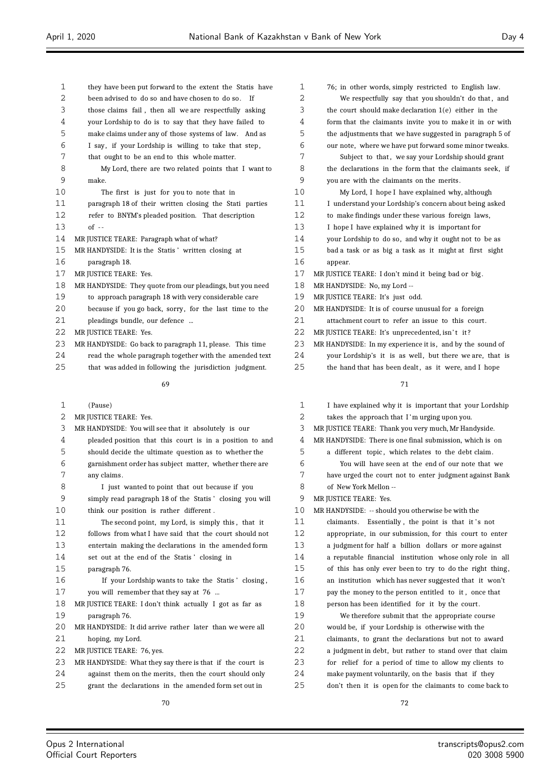| 1  | they have been put forward to the extent the Statis have  |
|----|-----------------------------------------------------------|
| 2  | been advised to do so and have chosen to do so.<br>Ιf     |
| 3  | those claims fail, then all we are respectfully asking    |
| 4  | your Lordship to do is to say that they have failed to    |
| 5  | make claims under any of those systems of law. And as     |
| 6  | I say, if your Lordship is willing to take that step,     |
| 7  | that ought to be an end to this whole matter.             |
| 8  | My Lord, there are two related points that I want to      |
| 9  | make.                                                     |
| 10 | The first is just for you to note that in                 |
| 11 | paragraph 18 of their written closing the Stati parties   |
| 12 | refer to BNYM's pleaded position. That description        |
| 13 | $of -$                                                    |
| 14 | MR JUSTICE TEARE: Paragraph what of what?                 |
| 15 | MR HANDYSIDE: It is the Statis' written closing at        |
| 16 | paragraph 18.                                             |
| 17 | MR JUSTICE TEARE: Yes.                                    |
| 18 | MR HANDYSIDE: They quote from our pleadings, but you need |
| 19 | to approach paragraph 18 with very considerable care      |
| 20 | because if you go back, sorry, for the last time to the   |
| 21 | pleadings bundle, our defence                             |
| 22 | MR JUSTICE TEARE: Yes.                                    |
| 23 | MR HANDYSIDE: Go back to paragraph 11, please. This time  |
| 24 | read the whole paragraph together with the amended text   |
| 25 | that was added in following the jurisdiction judgment.    |
|    | 69                                                        |

| (Pause) |  |  |
|---------|--|--|
|         |  |  |

- 2 MR JUSTICE TEARE: Yes.
- MR HANDYSIDE: You will see that it absolutely is our
- pleaded position that this court is in a position to and
- should decide the ultimate question as to whether the
- garnishment order has subject matter, whether there are any claims .
- I just wanted to point that out because if you simply read paragraph 18 of the Statis ' closing you will think our position is rather different .
- The second point, my Lord, is simply this , that it
- follows from what I have said that the court should not
- entertain making the declarations in the amended form
- set out at the end of the Statis ' closing in
- paragraph 76. If your Lordship wants to take the Statis ' closing , you will remember that they say at 76 ...
- MR JUSTICE TEARE: I don't think actually I got as far as
- paragraph 76.
- MR HANDYSIDE: It did arrive rather later than we were all hoping, my Lord.
- MR JUSTICE TEARE: 76, yes.
- MR HANDYSIDE: What they say there is that if the court is
- against them on the merits, then the court should only
- grant the declarations in the amended form set out in

| $\mathbf 1$ | 76; in other words, simply restricted to English law.     |  |  |  |
|-------------|-----------------------------------------------------------|--|--|--|
| 2           | We respectfully say that you shouldn't do that, and       |  |  |  |
| 3           | the court should make declaration $1(e)$ either in the    |  |  |  |
| 4           | form that the claimants invite you to make it in or with  |  |  |  |
| 5           | the adjustments that we have suggested in paragraph 5 of  |  |  |  |
| 6           | our note, where we have put forward some minor tweaks.    |  |  |  |
| 7           | Subject to that, we say your Lordship should grant        |  |  |  |
| 8           | the declarations in the form that the claimants seek, if  |  |  |  |
| 9           | you are with the claimants on the merits.                 |  |  |  |
| 10          | My Lord, I hope I have explained why, although            |  |  |  |
| 11          | I understand your Lordship's concern about being asked    |  |  |  |
| 12          | to make findings under these various foreign laws,        |  |  |  |
| 13          | I hope I have explained why it is important for           |  |  |  |
| 14          | your Lordship to do so, and why it ought not to be as     |  |  |  |
| 15          | bad a task or as big a task as it might at first sight    |  |  |  |
| 16          | appear.                                                   |  |  |  |
| 17          | MR JUSTICE TEARE: I don't mind it being bad or big.       |  |  |  |
| 18          | MR HANDYSIDE: No, my Lord --                              |  |  |  |
| 19          | MR JUSTICE TEARE: It's just odd.                          |  |  |  |
| 20          | MR HANDYSIDE: It is of course unusual for a foreign       |  |  |  |
| 21          | attachment court to refer an issue to this court.         |  |  |  |
| 22          | MR JUSTICE TEARE: It's unprecedented, isn't it?           |  |  |  |
| 23          | MR HANDYSIDE: In my experience it is, and by the sound of |  |  |  |
| 24          | your Lordship's it is as well, but there we are, that is  |  |  |  |
| 25          | the hand that has been dealt, as it were, and I hope      |  |  |  |
|             | 71                                                        |  |  |  |
|             |                                                           |  |  |  |

| 1  | I have explained why it is important that your Lordship  |  |  |  |
|----|----------------------------------------------------------|--|--|--|
| 2  | takes the approach that I'm urging upon you.             |  |  |  |
| 3  | MR JUSTICE TEARE: Thank you very much, Mr Handyside.     |  |  |  |
| 4  | MR HANDYSIDE: There is one final submission, which is on |  |  |  |
| 5  | a different topic, which relates to the debt claim.      |  |  |  |
| 6  | You will have seen at the end of our note that we        |  |  |  |
| 7  | have urged the court not to enter judgment against Bank  |  |  |  |
| 8  | of New York Mellon --                                    |  |  |  |
| 9  | MR JUSTICE TEARE: Yes.                                   |  |  |  |
| 10 | MR HANDYSIDE: -- should you otherwise be with the        |  |  |  |
| 11 | claimants. Essentially, the point is that it's not       |  |  |  |
| 12 | appropriate, in our submission, for this court to enter  |  |  |  |
| 13 | a judgment for half a billion dollars or more against    |  |  |  |
| 14 | a reputable financial institution whose only role in all |  |  |  |
| 15 | of this has only ever been to try to do the right thing, |  |  |  |
| 16 | an institution which has never suggested that it won't   |  |  |  |
| 17 | pay the money to the person entitled to it, once that    |  |  |  |
| 18 | person has been identified for it by the court.          |  |  |  |
| 19 | We therefore submit that the appropriate course          |  |  |  |
| 20 | would be, if your Lordship is otherwise with the         |  |  |  |
| 21 | claimants, to grant the declarations but not to award    |  |  |  |
| 22 | a judgment in debt, but rather to stand over that claim  |  |  |  |
| 23 | for relief for a period of time to allow my clients to   |  |  |  |
| 24 | make payment voluntarily, on the basis that if they      |  |  |  |
| 25 | don't then it is open for the claimants to come back to  |  |  |  |
|    |                                                          |  |  |  |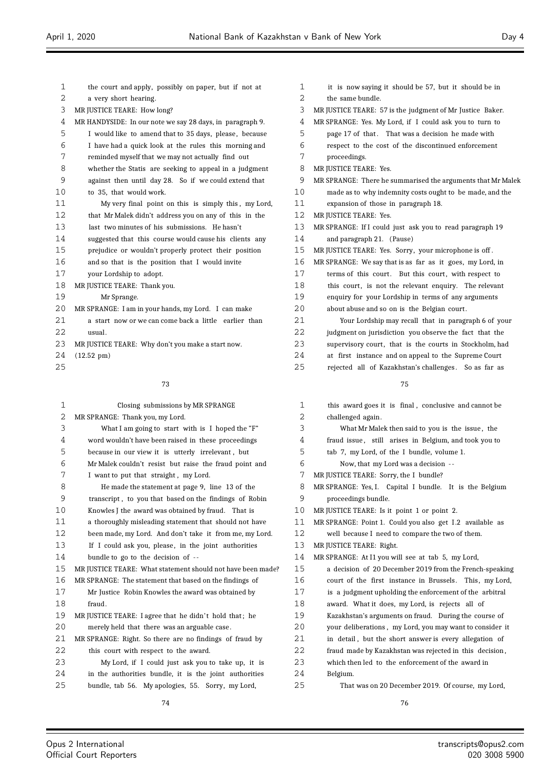| $\mathbf{1}$ | the court and apply, possibly on paper, but if not at     |
|--------------|-----------------------------------------------------------|
| 2            | a very short hearing.                                     |
| 3            | MR JUSTICE TEARE: How long?                               |
| 4            | MR HANDYSIDE: In our note we say 28 days, in paragraph 9. |
| 5            | I would like to amend that to 35 days, please, because    |
| 6            | I have had a quick look at the rules this morning and     |
| 7            | reminded myself that we may not actually find out         |
| 8            | whether the Statis are seeking to appeal in a judgment    |
| 9            | against then until day 28. So if we could extend that     |
| 10           | to 35, that would work.                                   |
| 11           | My very final point on this is simply this, my Lord,      |
| 12           | that Mr Malek didn't address you on any of this in the    |
| 13           | last two minutes of his submissions. He hasn't            |
| 14           | suggested that this course would cause his clients any    |
| 15           | prejudice or wouldn't properly protect their position     |
| 16           | and so that is the position that I would invite           |
| 17           | your Lordship to adopt.                                   |
| 18           | MR JUSTICE TEARE: Thank you.                              |
| 19           | Mr Sprange.                                               |
| 20           | MR SPRANGE: I am in your hands, my Lord. I can make       |
| 21           | a start now or we can come back a little earlier than     |
| 22           | usual.                                                    |
| 23           | MR JUSTICE TEARE: Why don't you make a start now.         |
| 24           | $(12.52 \text{ pm})$                                      |
| 25           |                                                           |

# Closing submissions by MR SPRANGE MR SPRANGE: Thank you, my Lord. What I am going to start with is I hoped the "F" word wouldn't have been raised in these proceedings because in our view it is utterly irrelevant , but Mr Malek couldn't resist but raise the fraud point and 7 I want to put that straight, my Lord. He made the statement at page 9, line 13 of the transcript , to you that based on the findings of Robin Knowles J the award was obtained by fraud. That is a thoroughly misleading statement that should not have been made, my Lord. And don't take it from me, my Lord. 13 If I could ask you, please, in the joint authorities bundle to go to the decision of - - MR JUSTICE TEARE: What statement should not have been made? MR SPRANGE: The statement that based on the findings of Mr Justice Robin Knowles the award was obtained by fraud. 19 MR JUSTICE TEARE: I agree that he didn't hold that; he merely held that there was an arguable case. MR SPRANGE: Right. So there are no findings of fraud by 22 this court with respect to the award. My Lord, if I could just ask you to take up, it is in the authorities bundle, it is the joint authorities bundle, tab 56. My apologies, 55. Sorry, my Lord,

| $\mathbf 1$  | it is now saying it should be 57, but it should be in       |
|--------------|-------------------------------------------------------------|
| 2            | the same bundle.                                            |
| 3            | MR JUSTICE TEARE: 57 is the judgment of Mr Justice Baker.   |
| 4            | MR SPRANGE: Yes. My Lord, if I could ask you to turn to     |
| 5            | page 17 of that. That was a decision he made with           |
| 6            | respect to the cost of the discontinued enforcement         |
| 7            | proceedings.                                                |
| 8            | MR JUSTICE TEARE: Yes.                                      |
| 9            | MR SPRANGE: There he summarised the arguments that Mr Malek |
| 10           | made as to why indemnity costs ought to be made, and the    |
| 11           | expansion of those in paragraph 18.                         |
| 12           | MR JUSTICE TEARE: Yes.                                      |
| 13           | MR SPRANGE: If I could just ask you to read paragraph 19    |
| 14           | and paragraph 21. (Pause)                                   |
| 15           | MR JUSTICE TEARE: Yes. Sorry, your microphone is off.       |
| 16           | MR SPRANGE: We say that is as far as it goes, my Lord, in   |
| 17           | terms of this court. But this court, with respect to        |
| 18           | this court, is not the relevant enquiry. The relevant       |
| 19           | enquiry for your Lordship in terms of any arguments         |
| 20           | about abuse and so on is the Belgian court.                 |
| 21           | Your Lordship may recall that in paragraph 6 of your        |
| 22           | judgment on jurisdiction you observe the fact that the      |
| 23           | supervisory court, that is the courts in Stockholm, had     |
| 24           | at first instance and on appeal to the Supreme Court        |
| 25           | rejected all of Kazakhstan's challenges. So as far as       |
|              | 75                                                          |
| $\mathbf{1}$ | this award goes it is final, conclusive and cannot be       |
| 2            | challenged again.                                           |
| 3            | What Mr Malek then said to you is the issue, the            |
|              |                                                             |

- fraud issue , still arises in Belgium, and took you to
- tab 7, my Lord, of the I bundle, volume 1.
- Now, that my Lord was a decision -
- MR JUSTICE TEARE: Sorry, the I bundle?
- MR SPRANGE: Yes, I. Capital I bundle. It is the Belgium proceedings bundle.
- MR JUSTICE TEARE: Is it point 1 or point 2.

- well because I need to compare the two of them.
- MR JUSTICE TEARE: Right.

| 14   | MR SPRANGE: At I1 you will see at tab 5, my Lord,        |  |  |  |
|------|----------------------------------------------------------|--|--|--|
| 15   | a decision of 20 December 2019 from the French-speaking  |  |  |  |
| 16   | court of the first instance in Brussels. This, my Lord,  |  |  |  |
| 17   | is a judgment upholding the enforcement of the arbitral  |  |  |  |
| 18   | award. What it does, my Lord, is rejects all of          |  |  |  |
| 19   | Kazakhstan's arguments on fraud. During the course of    |  |  |  |
| 20   | your deliberations, my Lord, you may want to consider it |  |  |  |
| 21   | in detail, but the short answer is every allegation of   |  |  |  |
| 2.2. | fraud made by Kazakhstan was rejected in this decision,  |  |  |  |
| 23   | which then led to the enforcement of the award in        |  |  |  |
| 24   | Belgium.                                                 |  |  |  |
| 25   | That was on 20 December 2019. Of course, my Lord,        |  |  |  |

MR SPRANGE: Point 1. Could you also get I .2 available as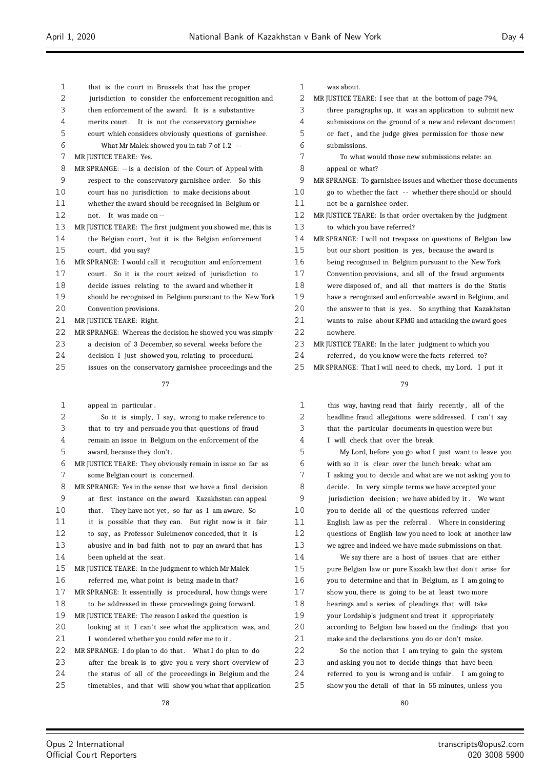| $\mathbf{1}$ | that is the court in Brussels that has the proper           | $\mathbf{1}$ | was about.    |
|--------------|-------------------------------------------------------------|--------------|---------------|
| $\mathbf{2}$ | jurisdiction to consider the enforcement recognition and    | 2            | MR JUSTICE TE |
| 3            | then enforcement of the award. It is a substantive          | 3            | three para    |
| 4            | merits court. It is not the conservatory garnishee          | 4            | submissior    |
| 5            | court which considers obviously questions of garnishee.     | 5            | or fact, a    |
| 6            | What Mr Malek showed you in tab 7 of I.2 --                 | 6            | submissior    |
| 7            | MR JUSTICE TEARE: Yes.                                      | 7            | To wh:        |
| 8            | MR SPRANGE: -- is a decision of the Court of Appeal with    | 8            | appeal or     |
| 9            | respect to the conservatory garnishee order. So this        | 9            | MR SPRANGE:   |
| 10           | court has no jurisdiction to make decisions about           | 10           | go to whe     |
| 11           | whether the award should be recognised in Belgium or        | 11           | not be a g    |
| 12           | not. It was made on --                                      | 12           | MR JUSTICE TE |
| 13           | MR JUSTICE TEARE: The first judgment you showed me, this is | 13           | to which y    |
| 14           | the Belgian court, but it is the Belgian enforcement        | 14           | MR SPRANGE:   |
| 15           | court, did you say?                                         | 15           | but our sh    |
| 16           | MR SPRANGE: I would call it recognition and enforcement     | 16           | being reco    |
| 17           | court. So it is the court seized of jurisdiction to         | 17           | Convention    |
| 18           | decide issues relating to the award and whether it          | 18           | were dispo    |
| 19           | should be recognised in Belgium pursuant to the New York    | 19           | have a rec    |
| 20           | Convention provisions.                                      | 20           | the answe     |
| 21           | MR JUSTICE TEARE: Right.                                    | 21           | wants to r    |
| 22           | MR SPRANGE: Whereas the decision he showed you was simply   | 22           | nowhere.      |
| 23           | a decision of 3 December, so several weeks before the       | 23           | MR JUSTICE TE |
| 24           | decision I just showed you, relating to procedural          | 24           | referred,     |
|              |                                                             |              |               |

issues on the conservatory garnishee proceedings and the

## 

| appeal in particular.                                      |
|------------------------------------------------------------|
| So it is simply, I say, wrong to make reference to         |
| that to try and persuade you that questions of fraud       |
| remain an issue in Belgium on the enforcement of the       |
| award, because they don't.                                 |
| MR JUSTICE TEARE: They obviously remain in issue so far as |
| some Belgian court is concerned.                           |
| MR SPRANGE: Yes in the sense that we have a final decision |
| at first instance on the award. Kazakhstan can appeal      |
| that. They have not yet, so far as I am aware. So          |
| it is possible that they can. But right now is it fair     |
| to say, as Professor Suleimenov conceded, that it is       |
| abusive and in bad faith not to pay an award that has      |
| been upheld at the seat.                                   |
| MR JUSTICE TEARE: In the judgment to which Mr Malek        |
| referred me, what point is being made in that?             |
| MR SPRANGE: It essentially is procedural, how things were  |
| to be addressed in these proceedings going forward.        |
| MR JUSTICE TEARE: The reason I asked the question is       |
| looking at it I can't see what the application was, and    |
| I wondered whether you could refer me to it.               |
| MR SPRANGE: I do plan to do that. What I do plan to do     |
| after the break is to give you a very short overview of    |
| the status of all of the proceedings in Belgium and the    |
| timetables, and that will show you what that application   |
|                                                            |

| 1  | was about.                                                  |
|----|-------------------------------------------------------------|
| 2  | MR JUSTICE TEARE: I see that at the bottom of page 794,     |
| 3  | three paragraphs up, it was an application to submit new    |
| 4  | submissions on the ground of a new and relevant document    |
| 5  | or fact, and the judge gives permission for those new       |
| 6  | submissions.                                                |
| 7  | To what would those new submissions relate: an              |
| 8  | appeal or what?                                             |
| 9  | MR SPRANGE: To garnishee issues and whether those documents |
| 10 | go to whether the fact -- whether there should or should    |
| 11 | not be a garnishee order.                                   |
| 12 | MR JUSTICE TEARE: Is that order overtaken by the judgment   |
| 13 | to which you have referred?                                 |
| 14 | MR SPRANGE: I will not trespass on questions of Belgian law |
| 15 | but our short position is yes, because the award is         |
| 16 | being recognised in Belgium pursuant to the New York        |
| 17 | Convention provisions, and all of the fraud arguments       |
| 18 | were disposed of, and all that matters is do the Statis     |
| 19 | have a recognised and enforceable award in Belgium, and     |
| 20 | the answer to that is yes. So anything that Kazakhstan      |
| 21 | wants to raise about KPMG and attacking the award goes      |
| 22 | nowhere.                                                    |
| 23 | MR JUSTICE TEARE: In the later judgment to which you        |
| 24 | referred, do you know were the facts referred to?           |
| 25 | MR SPRANGE: That I will need to check, my Lord. I put it    |

#### 

| $\mathbf{1}$ | this way, having read that fairly recently, all of the   |
|--------------|----------------------------------------------------------|
| 2            | headline fraud allegations were addressed. I can't say   |
| 3            | that the particular documents in question were but       |
| 4            | I will check that over the break.                        |
| 5            | My Lord, before you go what I just want to leave you     |
| 6            | with so it is clear over the lunch break: what am        |
| 7            | I asking you to decide and what are we not asking you to |
| 8            | decide. In very simple terms we have accepted your       |
| 9            | jurisdiction decision; we have abided by it. We want     |
| 10           | you to decide all of the questions referred under        |
| 11           | English law as per the referral. Where in considering    |
| 12           | questions of English law you need to look at another law |
| 13           | we agree and indeed we have made submissions on that.    |
| 14           | We say there are a host of issues that are either        |
| 15           | pure Belgian law or pure Kazakh law that don't arise for |
| 16           | you to determine and that in Belgium, as I am going to   |
| 17           | show you, there is going to be at least two more         |
| 18           | hearings and a series of pleadings that will take        |
| 19           | your Lordship's judgment and treat it appropriately      |
| 20           | according to Belgian law based on the findings that you  |
| 21           | make and the declarations you do or don't make.          |
| 22           | So the notion that I am trying to gain the system        |
| 23           | and asking you not to decide things that have been       |

 and asking you not to decide things that have been referred to you is wrong and is unfair . I am going to show you the detail of that in 55 minutes, unless you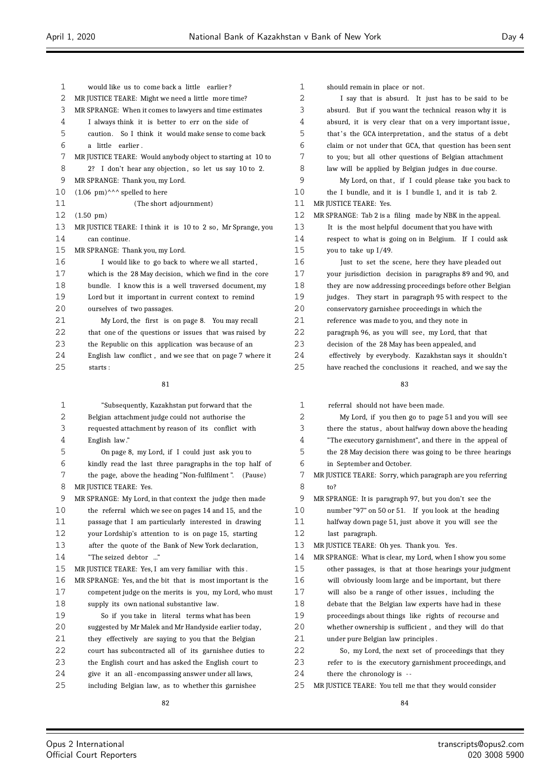| 1       | would like us to come back a little earlier?                                                                      | 1              |
|---------|-------------------------------------------------------------------------------------------------------------------|----------------|
| 2       | MR JUSTICE TEARE: Might we need a little more time?                                                               | $\mathbf{2}$   |
| 3       | MR SPRANGE: When it comes to lawyers and time estimates                                                           | 3              |
| 4       | I always think it is better to err on the side of                                                                 | $\overline{4}$ |
| 5       | So I think it would make sense to come back<br>caution.                                                           | 5              |
| 6       | a little earlier.                                                                                                 | 6              |
| 7       | MR JUSTICE TEARE: Would anybody object to starting at 10 to                                                       | 7              |
| 8       | 2? I don't hear any objection, so let us say 10 to 2.                                                             | 8              |
| 9       | MR SPRANGE: Thank you, my Lord.                                                                                   | 9              |
| 10      | $(1.06 \text{ pm})^{\wedge \wedge \wedge}$ spelled to here                                                        | 10             |
| 11      | (The short adjournment)                                                                                           | 11             |
| 12      | $(1.50 \text{ pm})$                                                                                               | 12             |
| 13      | MR JUSTICE TEARE: I think it is 10 to 2 so, Mr Sprange, you                                                       | 13             |
| 14      | can continue.                                                                                                     | 14             |
| 15      | MR SPRANGE: Thank you, my Lord.                                                                                   | 15             |
| 16      | I would like to go back to where we all started,                                                                  | 16             |
| 17      | which is the 28 May decision, which we find in the core                                                           | 17             |
| 18      | bundle. I know this is a well traversed document, my                                                              | 18             |
| 19      | Lord but it important in current context to remind                                                                | 19             |
| 20      | ourselves of two passages.                                                                                        | 20             |
| 21      | My Lord, the first is on page 8. You may recall                                                                   | 21             |
| 22      | that one of the questions or issues that was raised by                                                            | 22             |
| 23      | the Republic on this application was because of an                                                                | 23             |
| 24      | English law conflict, and we see that on page 7 where it                                                          | 24             |
| 25      | starts:                                                                                                           | 25             |
|         |                                                                                                                   |                |
|         | 81                                                                                                                |                |
|         |                                                                                                                   |                |
| 1       |                                                                                                                   | 1              |
| 2       | "Subsequently, Kazakhstan put forward that  the                                                                   |                |
| 3       | Belgian attachment judge could not authorise the                                                                  | 2              |
| 4       | requested attachment by reason of its conflict with                                                               | 3<br>4         |
|         | English law."                                                                                                     |                |
| 5<br>6  | On page 8, my Lord, if I could just ask you to                                                                    | 5<br>6         |
| 7       | kindly read the last three paragraphs in the top half of                                                          |                |
| 8       | the page, above the heading "Non-fulfilment". (Pause)                                                             | 7<br>8         |
|         | MR JUSTICE TEARE: Yes.                                                                                            | 9              |
| 9<br>10 | MR SPRANGE: My Lord, in that context the judge then made<br>the referral which we see on pages 14 and 15, and the | 10             |
| 11      |                                                                                                                   | 11             |
| 12      | passage that I am particularly interested in drawing<br>your Lordship's attention to is on page 15, starting      | 12             |
| 13      | after the quote of the Bank of New York declaration,                                                              | 13             |
| 14      | "The seized debtor "                                                                                              | 14             |
| 15      | MR JUSTICE TEARE: Yes, I am very familiar with this.                                                              | 15             |
| 16      |                                                                                                                   | 16             |
| 17      | MR SPRANGE: Yes, and the bit that is most important is the                                                        | 17             |
| 18      | competent judge on the merits is you, my Lord, who must<br>supply its own national substantive law.               | 18             |
| 19      | So if you take in literal terms what has been                                                                     | 19             |
| 20      | suggested by Mr Malek and Mr Handyside earlier today,                                                             | 20             |
| 21      | they effectively are saying to you that the Belgian                                                               | 21             |
| 22      | court has subcontracted all of its garnishee duties to                                                            | 22             |
| 23      | the English court and has asked the English court to                                                              | 23             |
| 24      | give it an all-encompassing answer under all laws,                                                                | 24             |

| 1  | should remain in place or not.                           |
|----|----------------------------------------------------------|
| 2  | I say that is absurd. It just has to be said to be       |
| 3  | absurd. But if you want the technical reason why it is   |
| 4  | absurd, it is very clear that on a very important issue, |
| 5  | that's the GCA interpretation, and the status of a debt  |
| 6  | claim or not under that GCA, that question has been sent |
| 7  | to you; but all other questions of Belgian attachment    |
| 8  | law will be applied by Belgian judges in due course.     |
| 9  | My Lord, on that, if I could please take you back to     |
| 10 | the I bundle, and it is I bundle 1, and it is tab 2.     |
| 11 | MR JUSTICE TEARE: Yes.                                   |
| 12 | MR SPRANGE: Tab 2 is a filing made by NBK in the appeal. |
| 13 | It is the most helpful document that you have with       |
| 14 | respect to what is going on in Belgium. If I could ask   |
| 15 | you to take up I/49.                                     |
| 16 | Just to set the scene, here they have pleaded out        |
| 17 | your jurisdiction decision in paragraphs 89 and 90, and  |
| 18 | they are now addressing proceedings before other Belgian |
| 19 | judges. They start in paragraph 95 with respect to the   |
| 20 | conservatory garnishee proceedings in which the          |
| 21 | reference was made to you, and they note in              |
| 22 | paragraph 96, as you will see, my Lord, that that        |
| 23 | decision of the 28 May has been appealed, and            |
| 24 | effectively by everybody. Kazakhstan says it shouldn't   |
| 25 | have reached the conclusions it reached, and we say the  |
|    | 83                                                       |

| $\mathbf{1}$ | referral should not have been made.                        |
|--------------|------------------------------------------------------------|
| 2            | My Lord, if you then go to page 51 and you will see        |
| 3            | there the status, about halfway down above the heading     |
| 4            | "The executory garnishment", and there in the appeal of    |
| 5            | the 28 May decision there was going to be three hearings   |
| 6            | in September and October.                                  |
| 7            | MR JUSTICE TEARE: Sorry, which paragraph are you referring |
| 8            | to?                                                        |
| 9            | MR SPRANGE: It is paragraph 97, but you don't see the      |
| 10           | number "97" on 50 or 51. If you look at the heading        |
| 11           | halfway down page 51, just above it you will see the       |
| 12           | last paragraph.                                            |
| 13           | MR JUSTICE TEARE: Oh yes. Thank you. Yes.                  |
| 14           | MR SPRANGE: What is clear, my Lord, when I show you some   |
| 15           | other passages, is that at those hearings your judgment    |
| 16           | will obviously loom large and be important, but there      |
| 17           | will also be a range of other issues, including the        |
| 18           | debate that the Belgian law experts have had in these      |
| 19           | proceedings about things like rights of recourse and       |
| 20           | whether ownership is sufficient, and they will do that     |
| 21           | under pure Belgian law principles.                         |
| 22           | So, my Lord, the next set of proceedings that they         |
| 23           | refer to is the executory garnishment proceedings, and     |
| 24           | there the chronology is --                                 |
| 25           | MR JUSTICE TEARE: You tell me that they would consider     |

 $\equiv$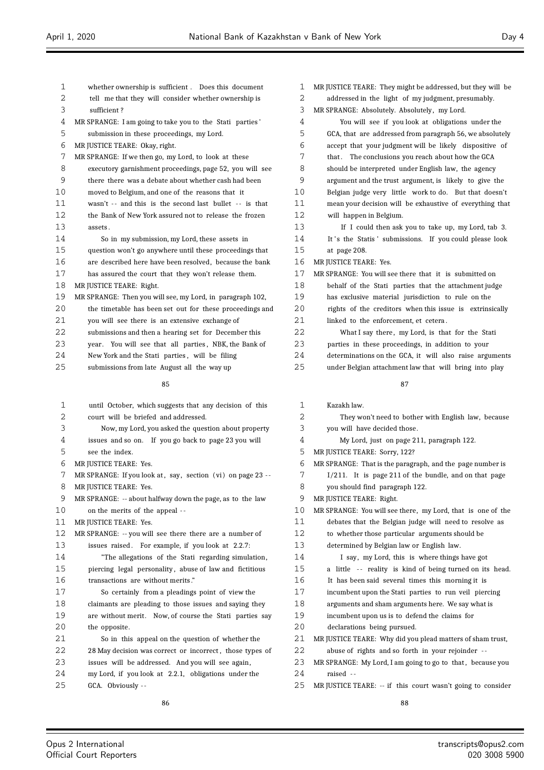| 1  | whether ownership is sufficient. Does this document         | 1  | MR JUSTICE TEARE: They might be addressed, but they will be |
|----|-------------------------------------------------------------|----|-------------------------------------------------------------|
| 2  | tell me that they will consider whether ownership is        | 2  | addressed in the light of my judgment, presumably.          |
| 3  | sufficient?                                                 | 3  | MR SPRANGE: Absolutely. Absolutely, my Lord.                |
| 4  | MR SPRANGE: I am going to take you to the Stati parties'    | 4  | You will see if you look at obligations under the           |
| 5  | submission in these proceedings, my Lord.                   | 5  | GCA, that are addressed from paragraph 56, we absolutely    |
| 6  | MR JUSTICE TEARE: Okay, right.                              | 6  | accept that your judgment will be likely dispositive of     |
| 7  | MR SPRANGE: If we then go, my Lord, to look at these        | 7  | that. The conclusions you reach about how the GCA           |
| 8  | executory garnishment proceedings, page 52, you will see    | 8  | should be interpreted under English law, the agency         |
| 9  | there there was a debate about whether cash had been        | 9  | argument and the trust argument, is likely to give the      |
| 10 | moved to Belgium, and one of the reasons that it            | 10 | Belgian judge very little work to do. But that doesn't      |
| 11 | wasn't -- and this is the second last bullet -- is that     | 11 | mean your decision will be exhaustive of everything that    |
| 12 | the Bank of New York assured not to release the frozen      | 12 | will happen in Belgium.                                     |
| 13 | assets.                                                     | 13 | If I could then ask you to take up, my Lord, tab 3.         |
| 14 | So in my submission, my Lord, these assets in               | 14 | It's the Statis' submissions. If you could please look      |
| 15 | question won't go anywhere until these proceedings that     | 15 | at page 208.                                                |
| 16 | are described here have been resolved, because the bank     | 16 | MR JUSTICE TEARE: Yes.                                      |
| 17 | has assured the court that they won't release them.         | 17 | MR SPRANGE: You will see there that it is submitted on      |
| 18 | MR JUSTICE TEARE: Right.                                    | 18 | behalf of the Stati parties that the attachment judge       |
| 19 | MR SPRANGE: Then you will see, my Lord, in paragraph 102,   | 19 | has exclusive material jurisdiction to rule on the          |
| 20 | the timetable has been set out for these proceedings and    | 20 | rights of the creditors when this issue is extrinsically    |
| 21 | you will see there is an extensive exchange of              | 21 | linked to the enforcement, et cetera.                       |
| 22 | submissions and then a hearing set for December this        | 22 | What I say there, my Lord, is that for the Stati            |
| 23 | year. You will see that all parties, NBK, the Bank of       | 23 | parties in these proceedings, in addition to your           |
| 24 | New York and the Stati parties, will be filing              | 24 | determinations on the GCA, it will also raise arguments     |
| 25 | submissions from late August all the way up                 | 25 | under Belgian attachment law that will bring into play      |
|    |                                                             |    |                                                             |
|    | 85                                                          |    | 87                                                          |
|    |                                                             |    |                                                             |
| 1  | until October, which suggests that any decision of this     | 1  | Kazakh law.                                                 |
| 2  | court will be briefed and addressed.                        | 2  | They won't need to bother with English law, because         |
| 3  | Now, my Lord, you asked the question about property         | 3  | you will have decided those.                                |
| 4  | issues and so on. If you go back to page 23 you will        | 4  | My Lord, just on page 211, paragraph 122.                   |
| 5  | see the index.                                              | 5  | MR JUSTICE TEARE: Sorry, 122?                               |
| 6  | MR JUSTICE TEARE: Yes.                                      | 6  | MR SPRANGE: That is the paragraph, and the page number is   |
| 7  | MR SPRANGE: If you look at, say, section (vi) on page 23 -- | 7  | I/211. It is page 211 of the bundle, and on that page       |
| 8  | MR JUSTICE TEARE: Yes.                                      | 8  | you should find paragraph 122.                              |
| 9  | MR SPRANGE: -- about halfway down the page, as to the law   | 9  | MR JUSTICE TEARE: Right.                                    |
| 10 | on the merits of the appeal --                              | 10 | MR SPRANGE: You will see there, my Lord, that is one of the |
| 11 | MR JUSTICE TEARE: Yes.                                      | 11 | debates that the Belgian judge will need to resolve as      |
| 12 | MR SPRANGE: -- you will see there there are a number of     | 12 | to whether those particular arguments should be             |
| 13 | issues raised. For example, if you look at 2.2.7:           | 13 | determined by Belgian law or English law.                   |
| 14 | "The allegations of the Stati regarding simulation,         | 14 | I say, my Lord, this is where things have got               |
| 15 | piercing legal personality, abuse of law and fictitious     | 15 | a little -- reality is kind of being turned on its head.    |
| 16 | transactions are without merits."                           | 16 | It has been said several times this morning it is           |
| 17 | So certainly from a pleadings point of view the             | 17 | incumbent upon the Stati parties to run veil piercing       |
| 18 | claimants are pleading to those issues and saying they      | 18 | arguments and sham arguments here. We say what is           |
| 19 | are without merit. Now, of course the Stati parties say     | 19 | incumbent upon us is to defend the claims for               |
| 20 | the opposite.                                               | 20 | declarations being pursued.                                 |
| 21 | So in this appeal on the question of whether the            | 21 | MR JUSTICE TEARE: Why did you plead matters of sham trust,  |
| 22 | 28 May decision was correct or incorrect, those types of    | 22 | abuse of rights and so forth in your rejoinder --           |
| 23 | issues will be addressed. And you will see again,           | 23 | MR SPRANGE: My Lord, I am going to go to that, because you  |

MR JUSTICE TEARE: -- if this court wasn't going to consider

 $\equiv$ 

GCA. Obviously - -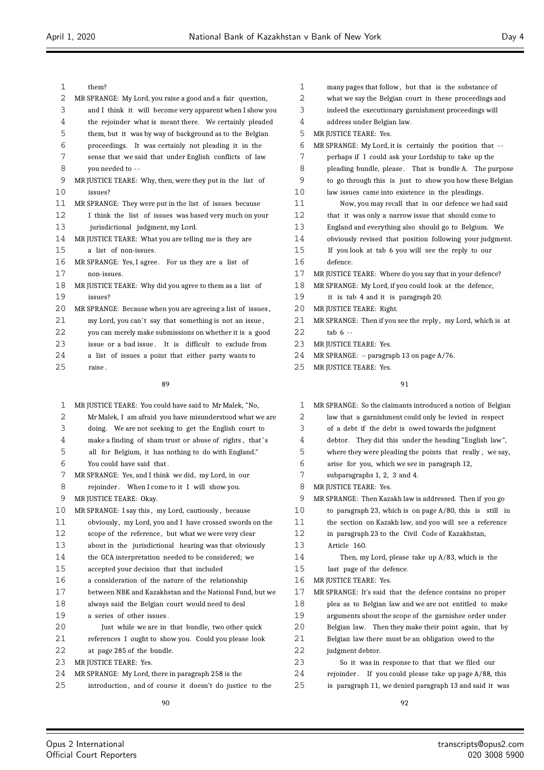| 1  | them?                                                       |
|----|-------------------------------------------------------------|
| 2  | MR SPRANGE: My Lord, you raise a good and a fair question,  |
| 3  | and I think it will become very apparent when I show you    |
| 4  | the rejoinder what is meant there. We certainly pleaded     |
| 5  | them, but it was by way of background as to the Belgian     |
| 6  | proceedings. It was certainly not pleading it in the        |
| 7  | sense that we said that under English conflicts of law      |
| 8  | you needed to --                                            |
| 9  | MR JUSTICE TEARE: Why, then, were they put in the list of   |
| 10 | issues?                                                     |
| 11 | MR SPRANGE: They were put in the list of issues because     |
| 12 | I think the list of issues was based very much on your      |
| 13 | jurisdictional judgment, my Lord.                           |
| 14 | MR JUSTICE TEARE: What you are telling me is they are       |
| 15 | a list of non-issues.                                       |
| 16 | MR SPRANGE: Yes, I agree. For us they are a list of         |
| 17 | non-issues.                                                 |
| 18 | MR JUSTICE TEARE: Why did you agree to them as a list of    |
| 19 | issues?                                                     |
| 20 | MR SPRANGE: Because when you are agreeing a list of issues, |
| 21 | my Lord, you can't say that something is not an issue,      |
| 22 | you can merely make submissions on whether it is a good     |
| 23 | issue or a bad issue. It is difficult to exclude from       |
| 24 | a list of issues a point that either party wants to         |
| 25 | raise.                                                      |
|    |                                                             |

| $\mathbf{1}$      | MR JUSTICE TEARE: You could have said to Mr Malek, "No,  |
|-------------------|----------------------------------------------------------|
| 2                 | Mr Malek, I am afraid you have misunderstood what we are |
| 3                 | doing. We are not seeking to get the English court to    |
| 4                 | make a finding of sham trust or abuse of rights, that's  |
| 5                 | all for Belgium, it has nothing to do with England."     |
| 6                 | You could have said that.                                |
| 7                 | MR SPRANGE: Yes, and I think we did, my Lord, in our     |
| 8                 | rejoinder. When I come to it I will show you.            |
| 9                 | MR JUSTICE TEARE: Okay.                                  |
| 10                | MR SPRANGE: I say this, my Lord, cautiously, because     |
| 11                | obviously, my Lord, you and I have crossed swords on the |
| $12 \overline{ }$ | scope of the reference, but what we were very clear      |
| 13                | about in the jurisdictional hearing was that obviously   |
| 14                | the GCA interpretation needed to be considered; we       |
| 15                | accepted your decision that that included                |
| 16                | a consideration of the nature of the relationship        |
| 17                | between NBK and Kazakhstan and the National Fund, but we |
| 18                | always said the Belgian court would need to deal         |
| 19                | a series of other issues.                                |
| 20                | Just while we are in that bundle, two other quick        |
| 21                | references I ought to show you. Could you please look    |
| 22                | at page 285 of the bundle.                               |
| 23                | MR JUSTICE TEARE: Yes.                                   |
| 24                | MR SPRANGE: My Lord, there in paragraph 258 is the       |
| 25                | introduction, and of course it doesn't do justice to the |
|                   | 90                                                       |

| $\mathbf{1}$ | many pages that follow, but that is the substance of        |
|--------------|-------------------------------------------------------------|
| 2            | what we say the Belgian court in these proceedings and      |
| 3            | indeed the executionary garnishment proceedings will        |
| 4            | address under Belgian law.                                  |
| 5            | MR JUSTICE TEARE: Yes.                                      |
| 6            | MR SPRANGE: My Lord, it is certainly the position that --   |
| 7            | perhaps if I could ask your Lordship to take up the         |
| 8            | pleading bundle, please. That is bundle A. The purpose      |
| 9            | to go through this is just to show you how these Belgian    |
| 10           | law issues came into existence in the pleadings.            |
| 11           | Now, you may recall that in our defence we had said         |
| 12           | that it was only a narrow issue that should come to         |
| 13           | England and everything also should go to Belgium. We        |
| 14           | obviously revised that position following your judgment.    |
| 15           | If you look at tab 6 you will see the reply to our          |
| 16           | defence.                                                    |
| 17           | MR JUSTICE TEARE: Where do you say that in your defence?    |
| 18           | MR SPRANGE: My Lord, if you could look at the defence,      |
| 19           | it is tab 4 and it is paragraph 20.                         |
| 20           | MR JUSTICE TEARE: Right.                                    |
| 21           | MR SPRANGE: Then if you see the reply, my Lord, which is at |
| 22           | $tab6 -$                                                    |
| 23           | MR JUSTICE TEARE: Yes.                                      |
| 24           | MR SPRANGE: -- paragraph 13 on page A/76.                   |

MR JUSTICE TEARE: Yes.

| 1  | MR SPRANGE: So the claimants introduced a notion of Belgian |
|----|-------------------------------------------------------------|
| 2  | law that a garnishment could only be levied in respect      |
| 3  | of a debt if the debt is owed towards the judgment          |
| 4  | debtor. They did this under the heading "English law",      |
| 5  | where they were pleading the points that really, we say,    |
| 6  | arise for you, which we see in paragraph 12,                |
| 7  | subparagraphs 1, 2, 3 and 4.                                |
| 8  | MR JUSTICE TEARE: Yes.                                      |
| 9  | MR SPRANGE: Then Kazakh law is addressed. Then if you go    |
| 10 | to paragraph 23, which is on page $A/80$ , this is still in |
| 11 | the section on Kazakh law, and you will see a reference     |
| 12 | in paragraph 23 to the Civil Code of Kazakhstan,            |
| 13 | Article 160.                                                |
| 14 | Then, my Lord, please take up $A/83$ , which is the         |
| 15 | last page of the defence.                                   |
| 16 | MR JUSTICE TEARE: Yes.                                      |
| 17 | MR SPRANGE: It's said that the defence contains no proper   |
| 18 | plea as to Belgian law and we are not entitled to make      |
| 19 | arguments about the scope of the garnishee order under      |
| 20 | Belgian law. Then they make their point again, that by      |
| 21 | Belgian law there must be an obligation owed to the         |
| 22 | judgment debtor.                                            |
| 23 | So it was in response to that that we filed our             |
| 24 | rejoinder. If you could please take up page $A/88$ , this   |
| 25 | is paragraph 11, we denied paragraph 13 and said it was     |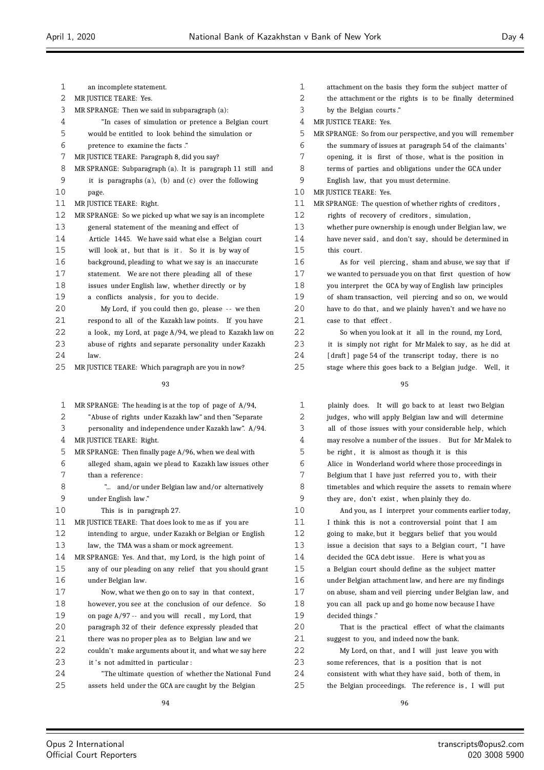| 1              | an incomplete statement.                                    |
|----------------|-------------------------------------------------------------|
| $\overline{2}$ | MR JUSTICE TEARE: Yes.                                      |
| 3              | MR SPRANGE: Then we said in subparagraph (a):               |
| 4              | "In cases of simulation or pretence a Belgian court         |
| 5              | would be entitled to look behind the simulation or          |
| 6              | pretence to examine the facts."                             |
| 7              | MR JUSTICE TEARE: Paragraph 8, did you say?                 |
| 8              | MR SPRANGE: Subparagraph (a). It is paragraph 11 still and  |
| 9              | it is paragraphs $(a)$ , $(b)$ and $(c)$ over the following |
| 10             | page.                                                       |
| 11             | MR JUSTICE TEARE: Right.                                    |
| 12             | MR SPRANGE: So we picked up what we say is an incomplete    |
| 13             | general statement of the meaning and effect of              |
| 14             | Article 1445. We have said what else a Belgian court        |
| 15             | will look at, but that is it. So it is by way of            |
| 16             | background, pleading to what we say is an inaccurate        |
| 17             | statement. We are not there pleading all of these           |
| 18             | issues under English law, whether directly or by            |
| 19             | a conflicts analysis, for you to decide.                    |
| 20             | My Lord, if you could then go, please -- we then            |
| 21             | respond to all of the Kazakh law points. If you have        |
| 22             | a look, my Lord, at page A/94, we plead to Kazakh law on    |
| 23             | abuse of rights and separate personality under Kazakh       |
| 24             | law.                                                        |
| 25             | MR JUSTICE TEARE: Which paragraph are you in now?           |
|                | 93                                                          |

| 1  | MR SPRANGE: The heading is at the top of page of $A/94$ , |  |
|----|-----------------------------------------------------------|--|
| 2  | "Abuse of rights under Kazakh law" and then "Separate     |  |
| 3  | personality and independence under Kazakh law". A/94.     |  |
| 4  | MR JUSTICE TEARE: Right.                                  |  |
| 5  | MR SPRANGE: Then finally page A/96, when we deal with     |  |
| 6  | alleged sham, again we plead to Kazakh law issues other   |  |
| 7  | than a reference:                                         |  |
| 8  | " and/or under Belgian law and/or alternatively           |  |
| 9  | under English law."                                       |  |
| 10 | This is in paragraph 27.                                  |  |
| 11 | MR JUSTICE TEARE: That does look to me as if you are      |  |
| 12 | intending to argue, under Kazakh or Belgian or English    |  |
| 13 | law, the TMA was a sham or mock agreement.                |  |
| 14 | MR SPRANGE: Yes. And that, my Lord, is the high point of  |  |
| 15 | any of our pleading on any relief that you should grant   |  |
| 16 | under Belgian law.                                        |  |
| 17 | Now, what we then go on to say in that context,           |  |
| 18 | however, you see at the conclusion of our defence. So     |  |
| 19 | on page $A/97$ -- and you will recall, my Lord, that      |  |
| 20 | paragraph 32 of their defence expressly pleaded that      |  |
| 21 | there was no proper plea as to Belgian law and we         |  |
| 22 | couldn't make arguments about it, and what we say here    |  |
| 23 | it's not admitted in particular:                          |  |
| 24 | "The ultimate question of whether the National Fund       |  |
| 25 | assets held under the GCA are caught by the Belgian       |  |
|    |                                                           |  |

| 1  | attachment on the basis they form the subject matter of    |
|----|------------------------------------------------------------|
| 2  | the attachment or the rights is to be finally determined   |
| 3  | by the Belgian courts."                                    |
| 4  | MR JUSTICE TEARE: Yes.                                     |
| 5  | MR SPRANGE: So from our perspective, and you will remember |
| 6  | the summary of issues at paragraph 54 of the claimants'    |
| 7  | opening, it is first of those, what is the position in     |
| 8  | terms of parties and obligations under the GCA under       |
| 9  | English law, that you must determine.                      |
| 10 | MR JUSTICE TEARE: Yes.                                     |
| 11 | MR SPRANGE: The question of whether rights of creditors,   |
| 12 | rights of recovery of creditors, simulation,               |
| 13 | whether pure ownership is enough under Belgian law, we     |
| 14 | have never said, and don't say, should be determined in    |
| 15 | this court.                                                |
| 16 | As for yeil piercing, sham and abuse, we say that if       |
| 17 | we wanted to persuade you on that first question of how    |
| 18 | you interpret the GCA by way of English law principles     |
| 19 | of sham transaction, veil piercing and so on, we would     |
| 20 | have to do that, and we plainly haven't and we have no     |
| 21 | case to that effect.                                       |
| 22 | So when you look at it all in the round, my Lord,          |
| 23 | it is simply not right for Mr Malek to say, as he did at   |
| 24 | [draft] page 54 of the transcript today, there is no       |
| 25 | stage where this goes back to a Belgian judge. Well, it    |

| $\mathbf{1}$ | plainly does. It will go back to at least two Belgian   |
|--------------|---------------------------------------------------------|
| 2            | judges, who will apply Belgian law and will determine   |
| 3            | all of those issues with your considerable help, which  |
| 4            | may resolve a number of the issues. But for Mr Malek to |
| 5            | be right, it is almost as though it is this             |
| 6            | Alice in Wonderland world where those proceedings in    |
| 7            | Belgium that I have just referred you to, with their    |
| 8            | timetables and which require the assets to remain where |
| 9            | they are, don't exist, when plainly they do.            |
| 10           | And you, as I interpret your comments earlier today,    |
| 11           | I think this is not a controversial point that I am     |
| 12           | going to make, but it beggars belief that you would     |
| 13           | issue a decision that says to a Belgian court, "I have  |
| 14           | decided the GCA debt issue. Here is what you as         |
| 15           | a Belgian court should define as the subject matter     |
| 16           | under Belgian attachment law, and here are my findings  |
| 17           | on abuse, sham and veil piercing under Belgian law, and |
| 18           | you can all pack up and go home now because I have      |
| 19           | decided things."                                        |
| 20           | That is the practical effect of what the claimants      |
| 21           | suggest to you, and indeed now the bank.                |
| 22           | My Lord, on that, and I will just leave you with        |
| 23           | some references, that is a position that is not         |
| 24           | consistent with what they have said, both of them, in   |
| 25           | the Belgian proceedings. The reference is, I will put   |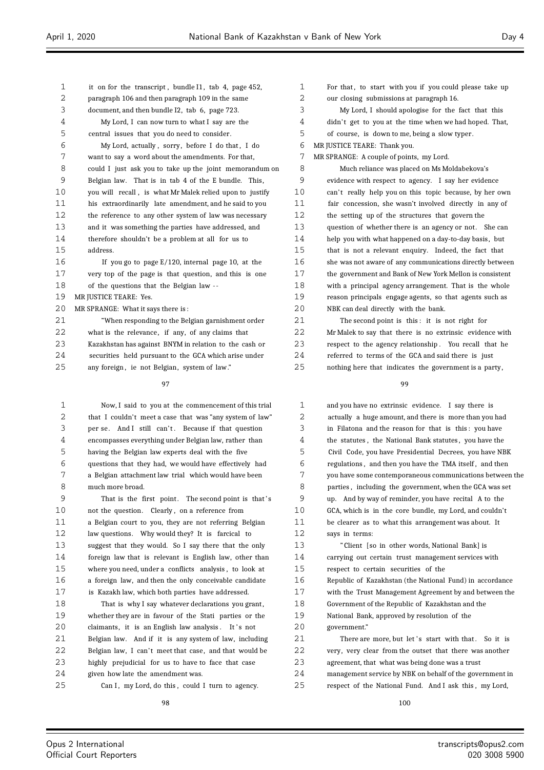| $\mathbf{1}$ | it on for the transcript, bundle I1, tab 4, page 452,    |
|--------------|----------------------------------------------------------|
| 2            | paragraph 106 and then paragraph 109 in the same         |
| 3            | document, and then bundle I2, tab 6, page 723.           |
| 4            | My Lord, I can now turn to what I say are the            |
| 5            | central issues that you do need to consider.             |
| 6            | My Lord, actually, sorry, before I do that, I do         |
| 7            | want to say a word about the amendments. For that,       |
| 8            | could I just ask you to take up the joint memorandum on  |
| 9            | Belgian law. That is in tab 4 of the E bundle. This,     |
| 10           | you will recall, is what Mr Malek relied upon to justify |
| 11           | his extraordinarily late amendment, and he said to you   |
| 12           | the reference to any other system of law was necessary   |
| 13           | and it was something the parties have addressed, and     |
| 14           | therefore shouldn't be a problem at all for us to        |
| 15           | address.                                                 |
| 16           | If you go to page $E/120$ , internal page 10, at the     |
| 17           | very top of the page is that question, and this is one   |
| 18           | of the questions that the Belgian law --                 |
| 19           | MR JUSTICE TEARE: Yes.                                   |
| 20           | MR SPRANGE: What it says there is:                       |
| 21           | "When responding to the Belgian garnishment order        |
| 22           | what is the relevance, if any, of any claims that        |
| 23           | Kazakhstan has against BNYM in relation to the cash or   |
| 24           | securities held pursuant to the GCA which arise under    |
| 25           | any foreign, ie not Belgian, system of law."             |

 Now, I said to you at the commencement of this trial that I couldn't meet a case that was "any system of law" 3 per se. And I still can't. Because if that question encompasses everything under Belgian law, rather than having the Belgian law experts deal with the five questions that they had, we would have effectively had a Belgian attachment law trial which would have been much more broad.

9 That is the first point. The second point is that's 10 not the question. Clearly, on a reference from a Belgian court to you, they are not referring Belgian law questions. Why would they? It is farcical to suggest that they would. So I say there that the only foreign law that is relevant is English law, other than where you need, under a conflicts analysis , to look at a foreign law, and then the only conceivable candidate is Kazakh law, which both parties have addressed.

18 That is why I say whatever declarations you grant, whether they are in favour of the Stati parties or the 20 claimants, it is an English law analysis. It's not Belgian law. And if it is any system of law, including 22 Belgian law, I can't meet that case, and that would be highly prejudicial for us to have to face that case given how late the amendment was.

25 Can I, my Lord, do this, could I turn to agency.

1 For that, to start with you if you could please take up our closing submissions at paragraph 16. My Lord, I should apologise for the fact that this 4 didn't get to you at the time when we had hoped. That, of course, is down to me, being a slow typer. MR JUSTICE TEARE: Thank you. MR SPRANGE: A couple of points, my Lord. Much reliance was placed on Ms Moldabekova's evidence with respect to agency. I say her evidence 10 can't really help you on this topic because, by her own fair concession, she wasn't involved directly in any of the setting up of the structures that govern the question of whether there is an agency or not. She can help you with what happened on a day-to-day basis, but that is not a relevant enquiry. Indeed, the fact that she was not aware of any communications directly between the government and Bank of New York Mellon is consistent with a principal agency arrangement. That is the whole reason principals engage agents, so that agents such as NBK can deal directly with the bank. The second point is this : it is not right for Mr Malek to say that there is no extrinsic evidence with respect to the agency relationship . You recall that he referred to terms of the GCA and said there is just

nothing here that indicates the government is a party,

| $\mathbf{1}$ | and you have no extrinsic evidence. I say there is       |
|--------------|----------------------------------------------------------|
| 2            | actually a huge amount, and there is more than you had   |
| 3            | in Filatona and the reason for that is this: you have    |
| 4            | the statutes, the National Bank statutes, you have the   |
| 5            | Civil Code, you have Presidential Decrees, you have NBK  |
| 6            | regulations, and then you have the TMA itself, and then  |
| 7            | you have some contemporaneous communications between the |
| 8            | parties, including the government, when the GCA was set  |
| 9            | up. And by way of reminder, you have recital A to the    |
| 10           | GCA, which is in the core bundle, my Lord, and couldn't  |
| 11           | be clearer as to what this arrangement was about. It     |
| 12           | says in terms:                                           |
| 13           | "Client [so in other words, National Bank] is            |
| 14           | carrying out certain trust management services with      |
| 15           | respect to certain securities of the                     |
| 16           | Republic of Kazakhstan (the National Fund) in accordance |
| 17           | with the Trust Management Agreement by and between the   |
| 18           | Government of the Republic of Kazakhstan and the         |
| 19           | National Bank, approved by resolution of the             |
| 20           | government."                                             |
| 21           | There are more, but let's start with that. So it is      |
| 22           | very, very clear from the outset that there was another  |
| 23           | agreement, that what was being done was a trust          |
| 24           | management service by NBK on behalf of the government in |
| 25           | respect of the National Fund. And I ask this, my Lord,   |
|              |                                                          |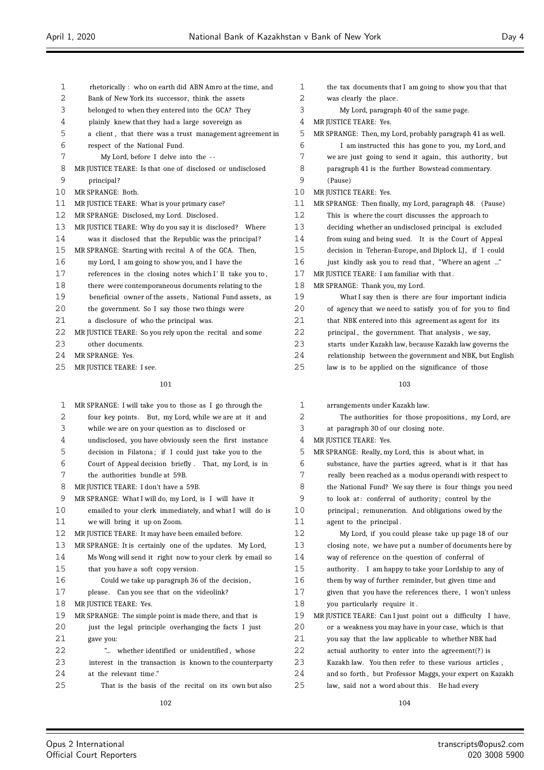- rhetorically : who on earth did ABN Amro at the time, and
- Bank of New York its successor, think the assets
- belonged to when they entered into the GCA? They
- plainly knew that they had a large sovereign as
- a client , that there was a trust management agreement in
- respect of the National Fund.
- My Lord, before I delve into the -
- MR JUSTICE TEARE: Is that one of disclosed or undisclosed
- principal ?
- MR SPRANGE: Both.
- MR JUSTICE TEARE: What is your primary case?
- MR SPRANGE: Disclosed, my Lord. Disclosed .
- MR JUSTICE TEARE: Why do you say it is disclosed? Where
- 14 was it disclosed that the Republic was the principal?
- MR SPRANGE: Starting with recital A of the GCA. Then, my Lord, I am going to show you, and I have the
- 17 references in the closing notes which I'll take you to,
- there were contemporaneous documents relating to the
- beneficial owner of the assets , National Fund assets, as
- the government. So I say those two things were
- a disclosure of who the principal was.
- MR JUSTICE TEARE: So you rely upon the recital and some other documents.
- MR SPRANGE: Yes.
- 25 MR JUSTICE TEARE: I see.

- MR SPRANGE: I will take you to those as I go through the 2 four key points. But, my Lord, while we are at it and while we are on your question as to disclosed or undisclosed, you have obviously seen the first instance decision in Filatona ; if I could just take you to the Court of Appeal decision briefly . That, my Lord, is in the authorities bundle at 59B. MR JUSTICE TEARE: I don't have a 59B. MR SPRANGE: What I will do, my Lord, is I will have it emailed to your clerk immediately, and what I will do is we will bring it up on Zoom. MR JUSTICE TEARE: It may have been emailed before. MR SPRANGE: It is certainly one of the updates. My Lord, Ms Wong will send it right now to your clerk by email so that you have a soft copy version . Could we take up paragraph 36 of the decision , 17 please. Can you see that on the videolink? 18 MR JUSTICE TEARE: Yes. MR SPRANGE: The simple point is made there, and that is just the legal principle overhanging the facts I just gave you: "... whether identified or unidentified , whose interest in the transaction is known to the counterparty 2.4 at the relevant time.' That is the basis of the recital on its own but also
	-
- the tax documents that I am going to show you that that was clearly the place . My Lord, paragraph 40 of the same page. MR JUSTICE TEARE: Yes. MR SPRANGE: Then, my Lord, probably paragraph 41 as well. I am instructed this has gone to you, my Lord, and 7 we are just going to send it again, this authority, but paragraph 41 is the further Bowstead commentary. (Pause) MR JUSTICE TEARE: Yes. MR SPRANGE: Then finally, my Lord, paragraph 48. (Pause) This is where the court discusses the approach to deciding whether an undisclosed principal is excluded from suing and being sued. It is the Court of Appeal decision in Teheran-Europe, and Diplock LJ , if I could 16 just kindly ask you to read that, "Where an agent ..." MR JUSTICE TEARE: I am familiar with that . MR SPRANGE: Thank you, my Lord. What I say then is there are four important indicia of agency that we need to satisfy you of for you to find 21 that NBK entered into this agreement as agent for its principal , the government. That analysis , we say,
	- starts under Kazakh law, because Kazakh law governs the
	- relationship between the government and NBK, but English
	- law is to be applied on the significance of those

# 

| $\mathbf{1}$ | arrangements under Kazakh law.                              |
|--------------|-------------------------------------------------------------|
| 2            | The authorities for those propositions, my Lord, are        |
| 3            | at paragraph 30 of our closing note.                        |
| 4            | MR JUSTICE TEARE: Yes.                                      |
| 5            | MR SPRANGE: Really, my Lord, this is about what, in         |
| 6            | substance, have the parties agreed, what is it that has     |
| 7            | really been reached as a modus operandi with respect to     |
| 8            | the National Fund? We say there is four things you need     |
| 9            | to look at: conferral of authority; control by the          |
| 10           | principal; remuneration. And obligations owed by the        |
| 11           | agent to the principal.                                     |
| 12           | My Lord, if you could please take up page 18 of our         |
| 13           | closing note, we have put a number of documents here by     |
| 14           | way of reference on the question of conferral of            |
| 15           | authority. I am happy to take your Lordship to any of       |
| 16           | them by way of further reminder, but given time and         |
| 17           | given that you have the references there, I won't unless    |
| 18           | you particularly require it.                                |
| 19           | MR JUSTICE TEARE: Can I just point out a difficulty I have, |
| 20           | or a weakness you may have in your case, which is that      |
| 21           | you say that the law applicable to whether NBK had          |
| 22           | actual authority to enter into the agreement(?) is          |
| 23           | Kazakh law. You then refer to these various articles,       |
| 24           | and so forth, but Professor Maggs, your expert on Kazakh    |
| 25           | law, said not a word about this. He had every               |
|              |                                                             |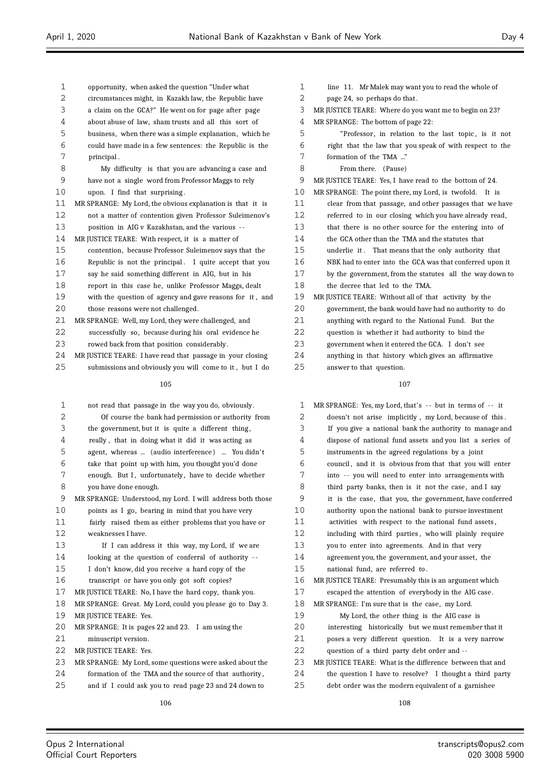- opportunity, when asked the question "Under what circumstances might, in Kazakh law, the Republic have a claim on the GCA?" He went on for page after page about abuse of law, sham trusts and all this sort of business, when there was a simple explanation, which he could have made in a few sentences: the Republic is the principal . My difficulty is that you are advancing a case and have not a single word from Professor Maggs to rely upon. I find that surprising . MR SPRANGE: My Lord, the obvious explanation is that it is not a matter of contention given Professor Suleimenov's position in AIG v Kazakhstan, and the various - - MR JUSTICE TEARE: With respect, it is a matter of contention, because Professor Suleimenov says that the Republic is not the principal . I quite accept that you say he said something different in AIG, but in his report in this case he, unlike Professor Maggs, dealt with the question of agency and gave reasons for it , and 20 those reasons were not challenged. MR SPRANGE: Well, my Lord, they were challenged, and successfully so, because during his oral evidence he rowed back from that position considerably. MR JUSTICE TEARE: I have read that passage in your closing submissions and obviously you will come to it , but I do not read that passage in the way you do, obviously.
- Of course the bank had permission or authority from the government, but it is quite a different thing , really , that in doing what it did it was acting as agent, whereas ... (audio interference ) ... You didn' t take that point up with him, you thought you'd done 7 enough. But I, unfortunately, have to decide whether you have done enough. MR SPRANGE: Understood, my Lord. I will address both those points as I go, bearing in mind that you have very fairly raised them as either problems that you have or weaknesses I have. 13 If I can address it this way, my Lord, if we are looking at the question of conferral of authority - - I don't know, did you receive a hard copy of the transcript or have you only got soft copies? MR JUSTICE TEARE: No, I have the hard copy, thank you. MR SPRANGE: Great. My Lord, could you please go to Day 3. MR JUSTICE TEARE: Yes. MR SPRANGE: It is pages 22 and 23. I am using the 21 minuscript version. 22 MR JUSTICE TEARE: Yes. MR SPRANGE: My Lord, some questions were asked about the formation of the TMA and the source of that authority , and if I could ask you to read page 23 and 24 down to

1 line 11. Mr Malek may want you to read the whole of page 24, so perhaps do that . MR JUSTICE TEARE: Where do you want me to begin on 23? MR SPRANGE: The bottom of page 22: "Professor , in relation to the last topic , is it not right that the law that you speak of with respect to the formation of the TMA ..." From there. (Pause) MR JUSTICE TEARE: Yes, I have read to the bottom of 24. MR SPRANGE: The point there, my Lord, is twofold. It is clear from that passage, and other passages that we have referred to in our closing which you have already read, that there is no other source for the entering into of the GCA other than the TMA and the statutes that underlie it . That means that the only authority that NBK had to enter into the GCA was that conferred upon it by the government, from the statutes all the way down to the decree that led to the TMA. MR JUSTICE TEARE: Without all of that activity by the government, the bank would have had no authority to do anything with regard to the National Fund. But the question is whether it had authority to bind the government when it entered the GCA. I don't see anything in that history which gives an affirmative answer to that question.

| 1  | MR SPRANGE: Yes, my Lord, that's -- but in terms of -- it |
|----|-----------------------------------------------------------|
| 2  | doesn't not arise implicitly, my Lord, because of this.   |
| 3  | If you give a national bank the authority to manage and   |
| 4  | dispose of national fund assets and you list a series of  |
| 5  | instruments in the agreed regulations by a joint          |
| 6  | council, and it is obvious from that that you will enter  |
| 7  | into -- you will need to enter into arrangements with     |
| 8  | third party banks, then is it not the case, and I say     |
| 9  | it is the case, that you, the government, have conferred  |
| 10 | authority upon the national bank to pursue investment     |
| 11 | activities with respect to the national fund assets,      |
| 12 | including with third parties, who will plainly require    |
| 13 | you to enter into agreements. And in that very            |
| 14 | agreement you, the government, and your asset, the        |
| 15 | national fund, are referred to.                           |
| 16 | MR JUSTICE TEARE: Presumably this is an argument which    |
| 17 | escaped the attention of everybody in the AIG case.       |
| 18 | MR SPRANGE: I'm sure that is the case, my Lord.           |
| 19 | My Lord, the other thing is the AIG case is               |
| 20 | interesting historically but we must remember that it     |
| 21 | poses a very different question. It is a very narrow      |
| 22 | question of a third party debt order and --               |
| 23 | MR JUSTICE TEARE: What is the difference between that and |
| 24 | the question I have to resolve? I thought a third party   |
| 25 | debt order was the modern equivalent of a garnishee       |
|    |                                                           |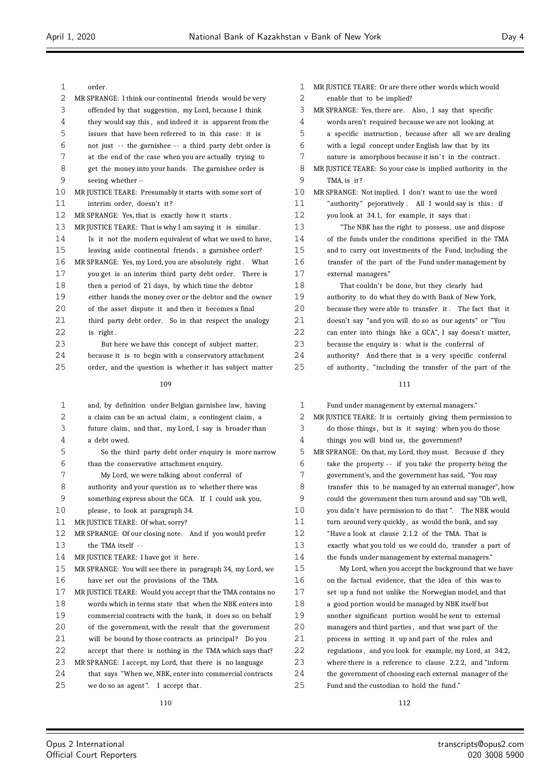| 1      | order.                                                                                                      |
|--------|-------------------------------------------------------------------------------------------------------------|
| 2      | MR SPRANGE: I think our continental friends would be very                                                   |
| 3      | offended by that suggestion, my Lord, because I think                                                       |
| 4      | they would say this, and indeed it is apparent from the                                                     |
| 5      | issues that have been referred to in this case: it is                                                       |
| 6      | not just -- the garnishee -- a third party debt order is                                                    |
| 7      | at the end of the case when you are actually trying to                                                      |
| 8      | get the money into your hands. The garnishee order is                                                       |
| 9      | seeing whether --                                                                                           |
| 10     | MR JUSTICE TEARE: Presumably it starts with some sort of                                                    |
| 11     | interim order, doesn't it?                                                                                  |
| 12     | MR SPRANGE: Yes, that is exactly how it starts.                                                             |
| 13     | MR JUSTICE TEARE: That is why I am saying it is similar.                                                    |
| 14     | Is it not the modern equivalent of what we used to have,                                                    |
| 15     | leaving aside continental friends, a garnishee order?                                                       |
| 16     | MR SPRANGE: Yes, my Lord, you are absolutely right. What                                                    |
| 17     | you get is an interim third party debt order. There is                                                      |
| 18     | then a period of 21 days, by which time the debtor                                                          |
| 19     | either hands the money over or the debtor and the owner                                                     |
| 20     | of the asset dispute it and then it becomes a final                                                         |
| 21     | third party debt order. So in that respect the analogy                                                      |
| 22     | is right.                                                                                                   |
| 23     | But here we have this concept of subject matter,                                                            |
| 24     | because it is to begin with a conservatory attachment                                                       |
| 25     | order, and the question is whether it has subject matter                                                    |
|        |                                                                                                             |
|        | 109                                                                                                         |
|        |                                                                                                             |
| 1      | and, by definition under Belgian garnishee law, having                                                      |
| 2      | a claim can be an actual claim, a contingent claim, a                                                       |
| 3<br>4 | future claim, and that, my Lord, I say is broader than<br>a debt owed.                                      |
|        |                                                                                                             |
| 5<br>6 | So the third party debt order enquiry is more narrow                                                        |
| 7      | than the conservative attachment enquiry.                                                                   |
| 8      | My Lord, we were talking about conferral of                                                                 |
| 9      | authority and your question as to whether there was<br>something express about the GCA. If I could ask you, |
| 10     | please, to look at paragraph 34.                                                                            |
| 11     | MR JUSTICE TEARE: Of what, sorry?                                                                           |
| 12     | MR SPRANGE: Of our closing note. And if you would prefer                                                    |
| 13     | the TMA itself --                                                                                           |
| 14     | MR JUSTICE TEARE: I have got it here.                                                                       |
| 15     | MR SPRANGE: You will see there in paragraph 34, my Lord, we                                                 |
| 16     | have set out the provisions of the TMA.                                                                     |
| 17     | MR JUSTICE TEARE: Would you accept that the TMA contains no                                                 |
| 18     | words which in terms state that when the NBK enters into                                                    |
| 19     | commercial contracts with the bank, it does so on behalf                                                    |
| 20     | of the government, with the result that the government                                                      |
| 21     | will be bound by those contracts as principal?<br>Do you                                                    |
| 22     | accept that there is nothing in the TMA which says that?                                                    |
| 23     | MR SPRANGE: I accept, my Lord, that there is no language                                                    |
| 24     | that says "When we, NBK, enter into commercial contracts                                                    |

| $\mathbf{1}$ | MR JUSTICE TEARE: Or are there other words which would     |
|--------------|------------------------------------------------------------|
| 2            | enable that to be implied?                                 |
| 3            | MR SPRANGE: Yes, there are. Also, I say that specific      |
| 4            | words aren't required because we are not looking at        |
| 5            | a specific instruction, because after all we are dealing   |
| 6            | with a legal concept under English law that by its         |
| 7            | nature is amorphous because it isn't in the contract.      |
| 8            | MR JUSTICE TEARE: So your case is implied authority in the |
| 9            | TMA. is it?                                                |
| 10           | MR SPRANGE: Not implied. I don't want to use the word      |
| 11           | "authority" pejoratively. All I would say is this: if      |
| 12           | you look at 34.1, for example, it says that:               |
| 13           | "The NBK has the right to possess, use and dispose         |
| 14           | of the funds under the conditions specified in the TMA     |
| 15           | and to carry out investments of the Fund, including the    |
| 16           | transfer of the part of the Fund under management by       |
| 17           | external managers."                                        |
| 18           | That couldn't be done, but they clearly had                |
| 19           | authority to do what they do with Bank of New York,        |
| 20           | because they were able to transfer it. The fact that it    |
| 21           | doesn't say "and you will do so as our agents" or "You     |
| 22           | can enter into things like a GCA", I say doesn't matter,   |

 because the enquiry is : what is the conferral of authority? And there that is a very specific conferral 25 of authority, "including the transfer of the part of the

| $\mathbf{1}$ | Fund under management by external managers."                |
|--------------|-------------------------------------------------------------|
| 2            | MR JUSTICE TEARE: It is certainly giving them permission to |
| 3            | do those things, but is it saying: when you do those        |
| 4            | things you will bind us, the government?                    |
| 5            | MR SPRANGE: On that, my Lord, they must. Because if they    |
| 6            | take the property -- if you take the property being the     |
| 7            | government's, and the government has said, "You may         |
| 8            | transfer this to be managed by an external manager", how    |
| 9            | could the government then turn around and say "Oh well,     |
| 10           | you didn't have permission to do that". The NBK would       |
| 11           | turn around very quickly, as would the bank, and say        |
| 12           | "Have a look at clause 2.1.2 of the TMA. That is            |
| 13           | exactly what you told us we could do, transfer a part of    |
| 14           | the funds under management by external managers."           |
| 15           | My Lord, when you accept the background that we have        |
| 16           | on the factual evidence, that the idea of this was to       |
| 17           | set up a fund not unlike the Norwegian model, and that      |
| 18           | a good portion would be managed by NBK itself but           |
| 19           | another significant portion would be sent to external       |
| 20           | managers and third parties, and that was part of the        |
| 21           | process in setting it up and part of the rules and          |
| 22           | regulations, and you look for example, my Lord, at 34.2,    |
| 23           | where there is a reference to clause 2.2.2, and "inform     |
| 24           | the government of choosing each external manager of the     |
| 25           | Fund and the custodian to hold the fund."                   |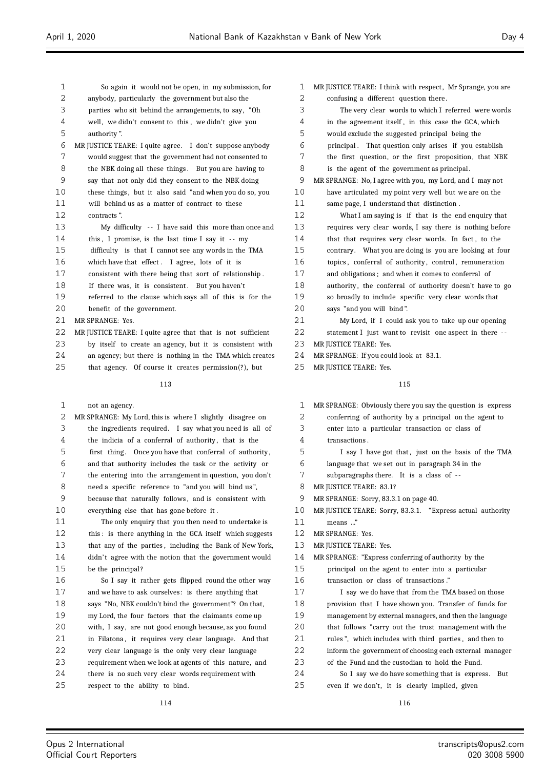| $\mathbf{1}$ | So again it would not be open, in my submission, for        |                |
|--------------|-------------------------------------------------------------|----------------|
| 2            | anybody, particularly the government but also the           |                |
| 3            | parties who sit behind the arrangements, to say, "Oh        |                |
| 4            | well, we didn't consent to this, we didn't give you         |                |
| 5            | authority".                                                 |                |
| 6            | MR JUSTICE TEARE: I quite agree. I don't suppose anybody    |                |
| 7            | would suggest that the government had not consented to      |                |
| 8            | the NBK doing all these things. But you are having to       |                |
| 9            | say that not only did they consent to the NBK doing         |                |
| 10           | these things, but it also said "and when you do so, you     | $\mathbf{1}$   |
| 11           | will behind us as a matter of contract to these             | $\mathbf{1}$   |
| 12           | contracts".                                                 | $\mathbf{1}$   |
| 13           | My difficulty $-$ - I have said this more than once and     | $\mathbf{1}$   |
| 14           | this, I promise, is the last time I say it -- my            | $\mathbf{1}$   |
| 15           | difficulty is that I cannot see any words in the TMA        | $\mathbf{1}$   |
| 16           | which have that effect. I agree, lots of it is              | $\mathbf{1}$   |
| 17           | consistent with there being that sort of relationship.      | $\mathbf{1}$   |
| 18           | If there was, it is consistent. But you haven't             | $\mathbf{1}$   |
| 19           | referred to the clause which says all of this is for the    | $\mathbf{1}$   |
| 20           | benefit of the government.                                  | $\overline{c}$ |
| 21           | MR SPRANGE: Yes.                                            | 2              |
| 22           | MR JUSTICE TEARE: I quite agree that that is not sufficient | $\overline{c}$ |
| 23           | by itself to create an agency, but it is consistent with    | 2              |
| 24           | an agency; but there is nothing in the TMA which creates    | 2              |
| 25           | that agency. Of course it creates permission(?), but        | 2              |
|              | 113                                                         |                |
|              |                                                             |                |

| not an agency. |  |
|----------------|--|
|----------------|--|

| $\overline{2}$ | MR SPRANGE: My Lord, this is where I slightly disagree on |
|----------------|-----------------------------------------------------------|
| 3              | the ingredients required. I say what you need is all of   |
| 4              | the indicia of a conferral of authority, that is the      |
| 5              | first thing. Once you have that conferral of authority,   |
| 6              | and that authority includes the task or the activity or   |
| 7              | the entering into the arrangement in question, you don't  |
| 8              | need a specific reference to "and you will bind us",      |
| 9              | because that naturally follows, and is consistent with    |
| 10             | everything else that has gone before it.                  |
| 11             | The only enquiry that you then need to undertake is       |
| 12             | this: is there anything in the GCA itself which suggests  |
| 13             | that any of the parties, including the Bank of New York,  |
| 14             | didn't agree with the notion that the government would    |
| 15             | be the principal?                                         |
| 16             | So I say it rather gets flipped round the other way       |
| 17             | and we have to ask ourselves: is there anything that      |
| 18             | says "No, NBK couldn't bind the government"? On that,     |
| 19             | my Lord, the four factors that the claimants come up      |
| 20             | with, I say, are not good enough because, as you found    |
| 21             | in Filatona, it requires very clear language. And that    |
| 22             | very clear language is the only very clear language       |
| 23             | requirement when we look at agents of this nature, and    |
| 24             | there is no such very clear words requirement with        |
| 25             | respect to the ability to bind.                           |
|                |                                                           |

| $\mathbf{1}$      | MR JUSTICE TEARE: I think with respect, Mr Sprange, you are |
|-------------------|-------------------------------------------------------------|
| 2                 | confusing a different question there.                       |
| 3                 | The very clear words to which I referred were words         |
| 4                 | in the agreement itself, in this case the GCA, which        |
| 5                 | would exclude the suggested principal being the             |
| 6                 | principal. That question only arises if you establish       |
| 7                 | the first question, or the first proposition, that NBK      |
| 8                 | is the agent of the government as principal.                |
| 9                 | MR SPRANGE: No, I agree with you, my Lord, and I may not    |
| 10                | have articulated my point very well but we are on the       |
| 11                | same page, I understand that distinction.                   |
| $12 \overline{ }$ | What I am saying is if that is the end enquiry that         |
| 13                | requires very clear words, I say there is nothing before    |
| 14                | that that requires very clear words. In fact, to the        |
| 15                | contrary. What you are doing is you are looking at four     |
| 16                | topics, conferral of authority, control, remuneration       |
| 17                | and obligations; and when it comes to conferral of          |
| 18                | authority, the conferral of authority doesn't have to go    |
| 19                | so broadly to include specific very clear words that        |
| 20                | says "and you will bind".                                   |
| 21                | My Lord, if I could ask you to take up our opening          |
| 22                | statement I just want to revisit one aspect in there --     |
| 23                | MR JUSTICE TEARE: Yes.                                      |
| 24                | MR SPRANGE: If you could look at 83.1.                      |
| $\sim$ $-$        |                                                             |

MR JUSTICE TEARE: Yes.

# 

| $\mathbf{1}$ | MR SPRANGE: Obviously there you say the question is express |
|--------------|-------------------------------------------------------------|
| 2            | conferring of authority by a principal on the agent to      |
| 3            | enter into a particular transaction or class of             |
| 4            | transactions.                                               |
| 5            | I say I have got that, just on the basis of the TMA         |
| 6            | language that we set out in paragraph 34 in the             |
| 7            | subparagraphs there. It is a class of --                    |
| 8            | MR JUSTICE TEARE: 83.1?                                     |
| 9            | MR SPRANGE: Sorry, 83.3.1 on page 40.                       |
| 10           | MR JUSTICE TEARE: Sorry, 83.3.1. "Express actual authority  |
| 11           | means "                                                     |
| 12           | MR SPRANGE: Yes.                                            |
| 13           | MR JUSTICE TEARE: Yes.                                      |
| 14           | MR SPRANGE: "Express conferring of authority by the         |
| 15           | principal on the agent to enter into a particular           |
| 16           | transaction or class of transactions."                      |
| 17           | I say we do have that from the TMA based on those           |
| 18           | provision that I have shown you. Transfer of funds for      |
| 19           | management by external managers, and then the language      |
| 20           | that follows "carry out the trust management with the       |
| 21           | rules", which includes with third parties, and then to      |
| 22           | inform the government of choosing each external manager     |
| 23           | of the Fund and the custodian to hold the Fund.             |
| 24           | So I say we do have something that is express.<br>But       |
| 25           | even if we don't, it is clearly implied, given              |

Ξ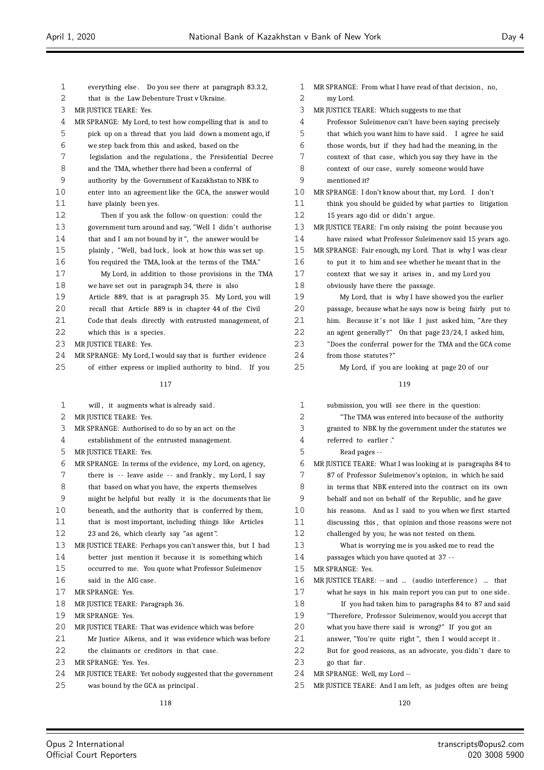| 1  | everything else. Do you see there at paragraph 83.3.2,     | 1  |
|----|------------------------------------------------------------|----|
| 2  | that is the Law Debenture Trust v Ukraine.                 | 2  |
| 3  | MR JUSTICE TEARE: Yes.                                     | 3  |
| 4  | MR SPRANGE: My Lord, to test how compelling that is and to | 4  |
| 5  | pick up on a thread that you laid down a moment ago, if    | 5  |
| 6  | we step back from this and asked, based on the             | 6  |
| 7  | legislation and the regulations, the Presidential Decree   | 7  |
| 8  | and the TMA, whether there had been a conferral of         | 8  |
| 9  | authority by the Government of Kazakhstan to NBK to        | 9  |
| 10 | enter into an agreement like the GCA, the answer would     | 10 |
| 11 | have plainly been yes.                                     | 11 |
| 12 | Then if you ask the follow-on question: could the          | 12 |
| 13 | government turn around and say, "Well I didn't authorise   | 13 |
| 14 | that and I am not bound by it", the answer would be        | 14 |
| 15 | plainly, "Well, bad luck, look at how this was set up.     | 15 |
| 16 | You required the TMA, look at the terms of the TMA."       | 16 |
| 17 | My Lord, in addition to those provisions in the TMA        | 17 |
| 18 | we have set out in paragraph 34, there is also             | 18 |
| 19 | Article 889, that is at paragraph 35. My Lord, you will    | 19 |
| 20 | recall that Article 889 is in chapter 44 of the Civil      | 20 |
| 21 | Code that deals directly with entrusted management, of     | 21 |
| 22 | which this is a species.                                   | 22 |
| 23 | MR JUSTICE TEARE: Yes.                                     | 23 |
| 24 | MR SPRANGE: My Lord, I would say that is further evidence  | 24 |
| 25 | of either express or implied authority to bind.<br>If you  | 25 |
|    | 117                                                        |    |
|    |                                                            |    |
| 1  | will, it augments what is already said.                    |    |
|    |                                                            | 1  |
| 2  | MR JUSTICE TEARE: Yes.                                     | 2  |
| 3  | MR SPRANGE: Authorised to do so by an act on the           | 3  |
| 4  | establishment of the entrusted management.                 | 4  |
| 5  | MR JUSTICE TEARE: Yes.                                     | 5  |
| 6  | MR SPRANGE: In terms of the evidence, my Lord, on agency,  | 6  |
| 7  | there is -- leave aside -- and frankly, my Lord, I say     | 7  |
| 8  | that based on what you have, the experts themselves        | 8  |
| 9  | might be helpful but really it is the documents that lie   | 9  |
| 10 | beneath, and the authority that is conferred by them,      | 10 |
| 11 | that is most important, including things like Articles     | 11 |
| 12 | 23 and 26, which clearly say "as agent".                   | 12 |
| 13 | MR JUSTICE TEARE: Perhaps you can't answer this, but I had | 13 |
| 14 | better just mention it because it is something which       | 14 |
| 15 | occurred to me. You quote what Professor Suleimenov        | 15 |
| 16 | said in the AIG case.                                      | 16 |
| 17 | MR SPRANGE: Yes.                                           | 17 |
| 18 | MR JUSTICE TEARE: Paragraph 36.                            | 18 |
| 19 | MR SPRANGE: Yes.                                           | 19 |
| 20 | MR JUSTICE TEARE: That was evidence which was before       | 20 |
| 21 | Mr Justice Aikens, and it was evidence which was before    | 21 |
| 22 | the claimants or creditors in that case.                   | 22 |
| 23 | MR SPRANGE: Yes. Yes.                                      | 23 |
| 24 | MR JUSTICE TEARE: Yet nobody suggested that the government | 24 |
| 25 | was bound by the GCA as principal.                         | 25 |

MR SPRANGE: From what I have read of that decision, no, my Lord. MR JUSTICE TEARE: Which suggests to me that Professor Suleimenov can't have been saying precisely that which you want him to have said. I agree he said those words, but if they had had the meaning, in the context of that case, which you say they have in the context of our case, surely someone would have mentioned it? MR SPRANGE: I don't know about that, my Lord. I don't think you should be guided by what parties to litigation 15 years ago did or didn't argue. MR JUSTICE TEARE: I'm only raising the point because you have raised what Professor Suleimenov said 15 years ago. MR SPRANGE: Fair enough, my Lord. That is why I was clear to put it to him and see whether he meant that in the context that we say it arises in, and my Lord you obviously have there the passage. My Lord, that is why I have showed you the earlier passage, because what he says now is being fairly put to him. Because it's not like I just asked him, "Are they an agent generally?" On that page 23/24, I asked him, "Does the conferral power for the TMA and the GCA come from those statutes?' My Lord, if you are looking at page 20 of our

| $\mathbf{1}$ | submission, you will see there in the question:             |
|--------------|-------------------------------------------------------------|
| 2            | "The TMA was entered into because of the authority"         |
| 3            | granted to NBK by the government under the statutes we      |
| 4            | referred to earlier."                                       |
| 5            | Read pages --                                               |
| 6            | MR JUSTICE TEARE: What I was looking at is paragraphs 84 to |
| 7            | 87 of Professor Suleimenov's opinion, in which he said      |
| 8            | in terms that NBK entered into the contract on its own      |
| 9            | behalf and not on behalf of the Republic, and he gave       |
| 10           | his reasons. And as I said to you when we first started     |
| 11           | discussing this, that opinion and those reasons were not    |
| 12           | challenged by you; he was not tested on them.               |
| 13           | What is worrying me is you asked me to read the             |
| 14           | passages which you have quoted at 37 --                     |
| 15           | MR SPRANGE: Yes.                                            |
| 16           | MR JUSTICE TEARE: -- and  (audio interference)  that        |
| 17           | what he says in his main report you can put to one side.    |
| 18           | If you had taken him to paragraphs 84 to 87 and said        |
| 19           | "Therefore, Professor Suleimenov, would you accept that     |
| 20           | what you have there said is wrong?" If you got an           |
| 21           | answer, "You're quite right", then I would accept it.       |
| 22           | But for good reasons, as an advocate, you didn't dare to    |
| 23           | go that far.                                                |
| 24           | MR SPRANGE: Well, my Lord --                                |
| 25           | MR JUSTICE TEARE: And I am left, as judges often are being  |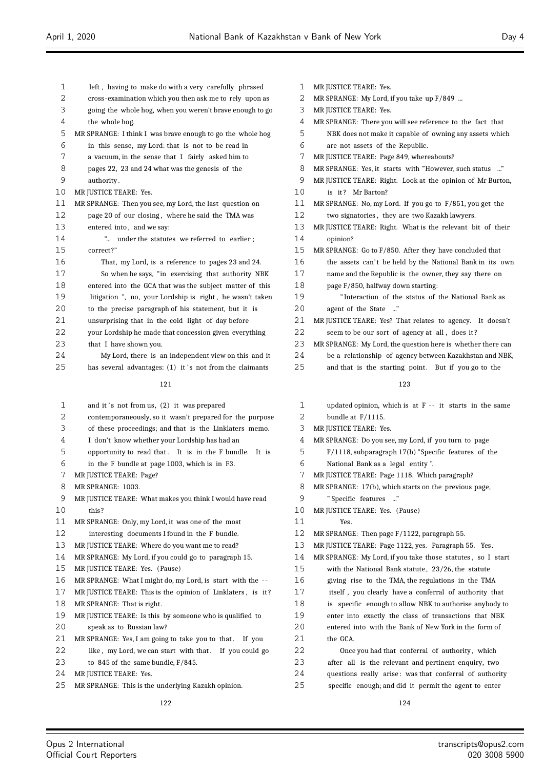| 1  | left, having to make do with a very carefully phrased       | 1      | N |
|----|-------------------------------------------------------------|--------|---|
| 2  | cross-examination which you then ask me to rely upon as     | 2      | Ν |
| 3  | going the whole hog, when you weren't brave enough to go    | 3      | Ν |
| 4  | the whole hog.                                              | 4      | Ν |
| 5  | MR SPRANGE: I think I was brave enough to go the whole hog  | 5      |   |
| 6  | in this sense, my Lord: that is not to be read in           | 6      |   |
| 7  | a vacuum, in the sense that I fairly asked him to           | 7      | N |
| 8  | pages 22, 23 and 24 what was the genesis of the             | 8      | N |
| 9  | authority.                                                  | 9      | Ν |
| 10 | MR JUSTICE TEARE: Yes.                                      | 10     |   |
| 11 | MR SPRANGE: Then you see, my Lord, the last question on     | 11     | Ν |
| 12 | page 20 of our closing, where he said the TMA was           | 12     |   |
| 13 | entered into, and we say:                                   | 13     | Ν |
| 14 | " under the statutes we referred to earlier;                | 14     |   |
| 15 | correct?"                                                   | 15     | Ν |
| 16 | That, my Lord, is a reference to pages 23 and 24.           | 16     |   |
| 17 | So when he says, "in exercising that authority NBK          | 17     |   |
| 18 | entered into the GCA that was the subject matter of this    | 18     |   |
| 19 | litigation ", no, your Lordship is right, he wasn't taken   | 19     |   |
| 20 | to the precise paragraph of his statement, but it is        | 20     |   |
| 21 | unsurprising that in the cold light of day before           | 21     | Ν |
| 22 | your Lordship he made that concession given everything      | 22     |   |
| 23 | that I have shown you.                                      | 23     | Ν |
| 24 | My Lord, there is an independent view on this and it        | 24     |   |
| 25 | has several advantages: (1) it's not from the claimants     | 25     |   |
|    | 121                                                         |        |   |
| 1  | and it's not from us, (2) it was prepared                   | 1      |   |
| 2  |                                                             | 2      |   |
| 3  | contemporaneously, so it wasn't prepared for the purpose    |        |   |
| 4  | of these proceedings; and that is the Linklaters memo.      | 3      | Ν |
| 5  | I don't know whether your Lordship has had an               | 4<br>5 | N |
| 6  | opportunity to read that. It is in the F bundle.<br>It is   | 6      |   |
|    | in the F bundle at page 1003, which is in F3.               |        |   |
| 7  | MR JUSTICE TEARE: Page?                                     | 7      | N |
| 8  | MR SPRANGE: 1003.                                           | 8      | N |
| 9  | MR JUSTICE TEARE: What makes you think I would have read    | 9      |   |
| 10 | this?                                                       | 10     | Ν |
| 11 | MR SPRANGE: Only, my Lord, it was one of the most           | 11     |   |
| 12 | interesting documents I found in the F bundle.              | 12     | N |
| 13 | MR JUSTICE TEARE: Where do you want me to read?             | 13     | Ν |
| 14 | MR SPRANGE: My Lord, if you could go to paragraph 15.       | 14     | N |
| 15 | MR JUSTICE TEARE: Yes. (Pause)                              | 15     |   |
| 16 | MR SPRANGE: What I might do, my Lord, is start with the --  | 16     |   |
| 17 | MR JUSTICE TEARE: This is the opinion of Linklaters, is it? | 17     |   |
| 18 | MR SPRANGE: That is right.                                  | 18     |   |
| 19 | MR JUSTICE TEARE: Is this by someone who is qualified to    | 19     |   |
| 20 | speak as to Russian law?                                    | 20     |   |
| 21 | MR SPRANGE: Yes, I am going to take you to that.<br>If you  | 21     |   |
| 22 | like, my Lord, we can start with that. If you could go      | 22     |   |
| 23 | to $845$ of the same bundle, $F/845$ .                      | 23     |   |
| 24 | MR JUSTICE TEARE: Yes.                                      | 24     |   |
| 25 | MR SPRANGE: This is the underlying Kazakh opinion.          | 25     |   |
|    |                                                             |        |   |

|   | MR JUSTICE TEARE: Yes. |
|---|------------------------|
| 2 | MR SPRANGE My Lord if  |

- MR SPRANGE: My Lord, if you take up F/849 ...
- MR JUSTICE TEARE: Yes.
- MR SPRANGE: There you will see reference to the fact that
- NBK does not make it capable of owning any assets which are not assets of the Republic.
- MR JUSTICE TEARE: Page 849, whereabouts?
- MR SPRANGE: Yes, it starts with "However, such status ..."
- MR JUSTICE TEARE: Right. Look at the opinion of Mr Burton,
- is it? Mr Barton?
- MR SPRANGE: No, my Lord. If you go to F/851, you get the two signatories, they are two Kazakh lawyers.
- MR JUSTICE TEARE: Right. What is the relevant bit of their opinion?
- AR SPRANGE: Go to F/850. After they have concluded that
- the assets can't be held by the National Bank in its own
- name and the Republic is the owner, they say there on
- page F/850, halfway down starting:
	- " Interaction of the status of the National Bank as
- agent of the State ..."
- MR JUSTICE TEARE: Yes? That relates to agency. It doesn't seem to be our sort of agency at all, does it?
- IR SPRANGE: My Lord, the question here is whether there can
- be a relationship of agency between Kazakhstan and NBK,
- and that is the starting point. But if you go to the

- updated opinion, which is at  $F i$ t starts in the same bundle at  $F/1115$ . MR JUSTICE TEARE: Yes. MR SPRANGE: Do you see, my Lord, if you turn to page F/1118, subparagraph 17(b) "Specific features of the
- National Bank as a legal entity ".
- MR JUSTICE TEARE: Page 1118. Which paragraph?
- MR SPRANGE: 17(b), which starts on the previous page,
- " Specific features ..."
- MR JUSTICE TEARE: Yes. (Pause)
- $Y_{PS}$
- MR SPRANGE: Then page F/1122, paragraph 55.
	- MR JUSTICE TEARE: Page 1122, yes. Paragraph 55. Yes.
	- MR SPRANGE: My Lord, if you take those statutes , so I start
	- with the National Bank statute, 23/26, the statute giving rise to the TMA, the regulations in the TMA itself, you clearly have a conferral of authority that is specific enough to allow NBK to authorise anybody to enter into exactly the class of transactions that NBK
		- entered into with the Bank of New York in the form of the GCA.
	- Once you had that conferral of authority, which after all is the relevant and pertinent enquiry, two questions really arise: was that conferral of authority specific enough; and did it permit the agent to enter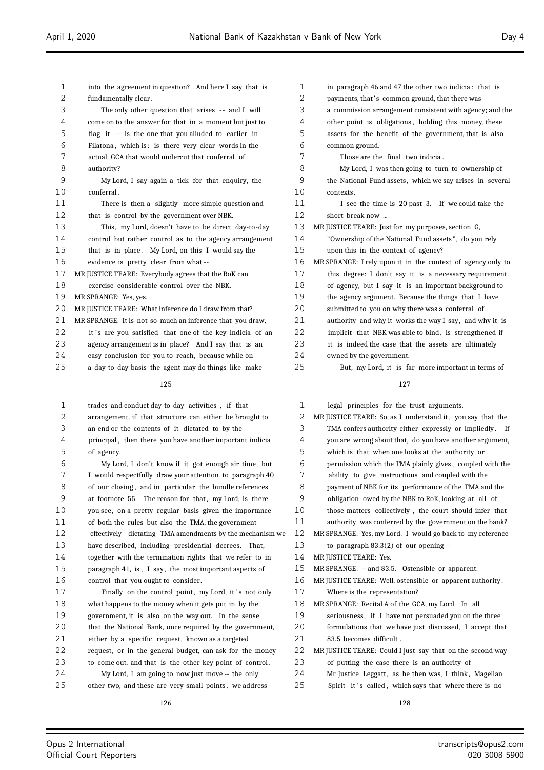| into the agreement in question? And here I say that is<br>The only other question that arises -- and I will<br>come on to the answer for that in a moment but just to<br>flag it -- is the one that you alluded to earlier in<br>Filatona, which is: is there very clear words in the<br>My Lord, I say again a tick for that enguiry, the |
|--------------------------------------------------------------------------------------------------------------------------------------------------------------------------------------------------------------------------------------------------------------------------------------------------------------------------------------------|
|                                                                                                                                                                                                                                                                                                                                            |
|                                                                                                                                                                                                                                                                                                                                            |
|                                                                                                                                                                                                                                                                                                                                            |
|                                                                                                                                                                                                                                                                                                                                            |
|                                                                                                                                                                                                                                                                                                                                            |
|                                                                                                                                                                                                                                                                                                                                            |
|                                                                                                                                                                                                                                                                                                                                            |
|                                                                                                                                                                                                                                                                                                                                            |
|                                                                                                                                                                                                                                                                                                                                            |
|                                                                                                                                                                                                                                                                                                                                            |
| There is then a slightly more simple question and                                                                                                                                                                                                                                                                                          |
|                                                                                                                                                                                                                                                                                                                                            |
| This, my Lord, doesn't have to be direct day-to-day                                                                                                                                                                                                                                                                                        |
| control but rather control as to the agency arrangement                                                                                                                                                                                                                                                                                    |
| that is in place. My Lord, on this I would say the                                                                                                                                                                                                                                                                                         |
|                                                                                                                                                                                                                                                                                                                                            |
|                                                                                                                                                                                                                                                                                                                                            |
|                                                                                                                                                                                                                                                                                                                                            |
|                                                                                                                                                                                                                                                                                                                                            |
|                                                                                                                                                                                                                                                                                                                                            |
| MR SPRANGE: It is not so much an inference that you draw,                                                                                                                                                                                                                                                                                  |
| it's are you satisfied that one of the key indicia of an                                                                                                                                                                                                                                                                                   |
| agency arrangement is in place? And I say that is an                                                                                                                                                                                                                                                                                       |
|                                                                                                                                                                                                                                                                                                                                            |
| a day-to-day basis the agent may do things like make                                                                                                                                                                                                                                                                                       |
|                                                                                                                                                                                                                                                                                                                                            |

| $\mathbf 1$ | trades and conduct day-to-day activities, if that         | $\mathbf{1}$ | 16                     |
|-------------|-----------------------------------------------------------|--------------|------------------------|
| 2           | arrangement, if that structure can either be brought to   | 2            | <b>MR<sub>IU</sub></b> |
| 3           | an end or the contents of it dictated to by the           | 3            | T                      |
| 4           | principal, then there you have another important indicial | 4            | y <sub>(</sub>         |
| 5           | of agency.                                                | 5            | W                      |
| 6           | My Lord, I don't know if it got enough air time, but      | 6            | p <sub>t</sub>         |
| 7           | I would respectfully draw your attention to paragraph 40  | 7            | a                      |
| 8           | of our closing, and in particular the bundle references   | 8            | p                      |
| 9           | at footnote 55. The reason for that, my Lord, is there    | 9            | $\mathbf{o}$           |
| 10          | you see, on a pretty regular basis given the importance   | 10           | th                     |
| 11          | of both the rules but also the TMA, the government        | 11           | a <sub>1</sub>         |
| 12          | effectively dictating TMA amendments by the mechanism we  | 12           | MR <sub>SI</sub>       |
| 13          | have described, including presidential decrees. That,     | 13           | to                     |
| 14          | together with the termination rights that we refer to in  | 14           | <b>MR JU</b>           |
| 15          | paragraph 41, is, I say, the most important aspects of    | 15           | MR <sub>SI</sub>       |
| 16          | control that you ought to consider.                       | 16           | MR JU                  |
| 17          | Finally on the control point, my Lord, it's not only      | 17           | W                      |
| 18          | what happens to the money when it gets put in by the      | 18           | MR <sub>SI</sub>       |
| 19          | government, it is also on the way out. In the sense       | 19           | S6                     |
| 20          | that the National Bank, once required by the government,  | 20           | fo                     |
| 21          | either by a specific request, known as a targeted         | 21           | 8                      |
| 22          | request, or in the general budget, can ask for the money  | 22           | MR JU                  |
| 23          | to come out, and that is the other key point of control.  | 23           | O                      |
| 24          | My Lord, I am going to now just move -- the only          | 24           | M                      |

25 other two, and these are very small points, we address

| 1  | in paragraph 46 and 47 the other two indicia: that is       |
|----|-------------------------------------------------------------|
| 2  | payments, that's common ground, that there was              |
| 3  | a commission arrangement consistent with agency; and the    |
| 4  | other point is obligations, holding this money, these       |
| 5  | assets for the benefit of the government, that is also      |
| 6  | common ground.                                              |
| 7  | Those are the final two indicia.                            |
| 8  | My Lord, I was then going to turn to ownership of           |
| 9  | the National Fund assets, which we say arises in several    |
| 10 | contexts.                                                   |
| 11 | I see the time is 20 past 3. If we could take the           |
| 12 | short break now                                             |
| 13 | MR JUSTICE TEARE: Just for my purposes, section G,          |
| 14 | "Ownership of the National Fund assets", do you rely        |
| 15 | upon this in the context of agency?                         |
| 16 | MR SPRANGE: I rely upon it in the context of agency only to |
| 17 | this degree: I don't say it is a necessary requirement      |
| 18 | of agency, but I say it is an important background to       |
| 19 | the agency argument. Because the things that I have         |
| 20 | submitted to you on why there was a conferral of            |
| 21 | authority and why it works the way I say, and why it is     |
| 22 | implicit that NBK was able to bind, is strengthened if      |
| 23 | it is indeed the case that the assets are ultimately        |
| 24 | owned by the government.                                    |
| 25 | But, my Lord, it is far more important in terms of          |

# 

| 1  | legal principles for the trust arguments.                  |
|----|------------------------------------------------------------|
| 2  | MR JUSTICE TEARE: So, as I understand it, you say that the |
| 3  | TMA confers authority either expressly or impliedly.<br>Ιf |
| 4  | you are wrong about that, do you have another argument,    |
| 5  | which is that when one looks at the authority or           |
| 6  | permission which the TMA plainly gives, coupled with the   |
| 7  | ability to give instructions and coupled with the          |
| 8  | payment of NBK for its performance of the TMA and the      |
| 9  | obligation owed by the NBK to RoK, looking at all of       |
| 10 | those matters collectively, the court should infer that    |
| 11 | authority was conferred by the government on the bank?     |
| 12 | MR SPRANGE: Yes, my Lord. I would go back to my reference  |
| 13 | to paragraph $83.3(2)$ of our opening $-$                  |
| 14 | MR JUSTICE TEARE: Yes.                                     |
| 15 | MR SPRANGE: -- and 83.5. Ostensible or apparent.           |
| 16 | MR JUSTICE TEARE: Well, ostensible or apparent authority.  |
| 17 | Where is the representation?                               |
| 18 | MR SPRANGE: Recital A of the GCA, my Lord. In all          |
| 19 | seriousness, if I have not persuaded you on the three      |
| 20 | formulations that we have just discussed, I accept that    |
| 21 | 83.5 becomes difficult.                                    |
| 22 | MR JUSTICE TEARE: Could I just say that on the second way  |
| 23 | of putting the case there is an authority of               |
| 24 | Mr Justice Leggatt, as he then was, I think, Magellan      |
| 25 | Spirit it's called, which says that where there is no      |
|    |                                                            |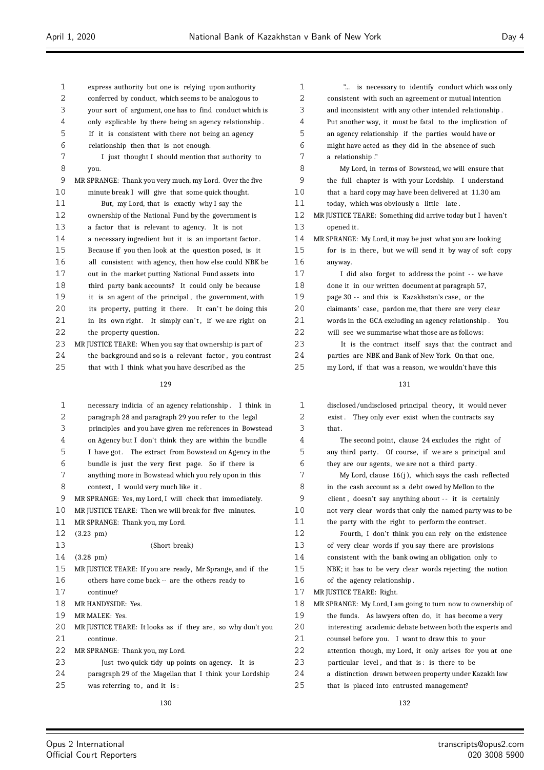| 1  | express authority but one is relying upon authority         | 1  |   |
|----|-------------------------------------------------------------|----|---|
| 2  | conferred by conduct, which seems to be analogous to        | 2  |   |
| 3  | your sort of argument, one has to find conduct which is     | 3  |   |
| 4  | only explicable by there being an agency relationship.      | 4  |   |
| 5  | If it is consistent with there not being an agency          | 5  |   |
| 6  | relationship then that is not enough.                       | 6  |   |
| 7  | I just thought I should mention that authority to           | 7  |   |
| 8  | you.                                                        | 8  |   |
| 9  | MR SPRANGE: Thank you very much, my Lord. Over the five     | 9  |   |
| 10 | minute break I will give that some quick thought.           | 10 |   |
| 11 | But, my Lord, that is exactly why I say the                 | 11 |   |
| 12 | ownership of the National Fund by the government is         | 12 | M |
| 13 | a factor that is relevant to agency. It is not              | 13 |   |
| 14 | a necessary ingredient but it is an important factor.       | 14 | M |
| 15 | Because if you then look at the question posed, is it       | 15 |   |
| 16 | all consistent with agency, then how else could NBK be      | 16 |   |
| 17 | out in the market putting National Fund assets into         | 17 |   |
| 18 | third party bank accounts? It could only be because         | 18 |   |
| 19 | it is an agent of the principal, the government, with       | 19 |   |
| 20 | its property, putting it there. It can't be doing this      | 20 |   |
| 21 | in its own right. It simply can't, if we are right on       | 21 |   |
| 22 | the property question.                                      | 22 |   |
| 23 | MR JUSTICE TEARE: When you say that ownership is part of    | 23 |   |
| 24 | the background and so is a relevant factor, you contrast    | 24 |   |
| 25 | that with I think what you have described as the            | 25 |   |
|    | 129                                                         |    |   |
| 1  | necessary indicia of an agency relationship.<br>I think in  | 1  |   |
| 2  | paragraph 28 and paragraph 29 you refer to the legal        | 2  |   |
| 3  | principles and you have given me references in Bowstead     | 3  |   |
| 4  | on Agency but I don't think they are within the bundle      | 4  |   |
| 5  | I have got. The extract from Bowstead on Agency in the      | 5  |   |
| 6  | bundle is just the very first page. So if there is          | 6  |   |
| 7  | anything more in Bowstead which you rely upon in this       | 7  |   |
| 8  | context, I would very much like it.                         | 8  |   |
| 9  | MR SPRANGE: Yes, my Lord, I will check that immediately.    | 9  |   |
| 10 | MR JUSTICE TEARE: Then we will break for five minutes.      | 10 |   |
| 11 | MR SPRANGE: Thank you, my Lord.                             | 11 |   |
| 12 | $(3.23 \text{ pm})$                                         | 12 |   |
| 13 | (Short break)                                               | 13 |   |
| 14 | $(3.28 \text{ pm})$                                         | 14 |   |
| 15 | MR JUSTICE TEARE: If you are ready, Mr Sprange, and if the  | 15 |   |
| 16 | others have come back -- are the others ready to            | 16 |   |
| 17 | continue?                                                   | 17 | M |
| 18 | MR HANDYSIDE: Yes.                                          | 18 | M |
| 19 | MR MALEK: Yes.                                              | 19 |   |
| 20 | MR JUSTICE TEARE: It looks as if they are, so why don't you | 20 |   |
| 21 | continue.                                                   | 21 |   |
| 22 | MR SPRANGE: Thank you, my Lord.                             | 22 |   |
| 23 | Just two quick tidy up points on agency. It is              | 23 |   |
| 24 | paragraph 29 of the Magellan that I think your Lordship     | 24 |   |
| 25 | was referring to, and it is:                                | 25 |   |
|    |                                                             |    |   |

| 1            | is necessary to identify conduct which was only            |
|--------------|------------------------------------------------------------|
| 2            | consistent with such an agreement or mutual intention      |
| 3            | and inconsistent with any other intended relationship.     |
| 4            | Put another way, it must be fatal to the implication of    |
| 5            | an agency relationship if the parties would have or        |
| 6            | might have acted as they did in the absence of such        |
| 7            | a relationship."                                           |
| 8            | My Lord, in terms of Bowstead, we will ensure that         |
| 9            | the full chapter is with your Lordship. I understand       |
| 10           | that a hard copy may have been delivered at 11.30 am       |
| 11           | today, which was obviously a little late.                  |
| 12           | MR JUSTICE TEARE: Something did arrive today but I haven't |
| 13           | opened it.                                                 |
| 14           | MR SPRANGE: My Lord, it may be just what you are looking   |
| 15           | for is in there, but we will send it by way of soft copy   |
| 16           | anyway.                                                    |
| 17           | I did also forget to address the point -- we have          |
| 18           | done it in our written document at paragraph 57,           |
| 19           | page 30 -- and this is Kazakhstan's case, or the           |
| 20           | claimants' case, pardon me, that there are very clear      |
| 21           | words in the GCA excluding an agency relationship. You     |
| 22           | will see we summarise what those are as follows:           |
| 23           | It is the contract itself says that the contract and       |
| 24           | parties are NBK and Bank of New York. On that one,         |
| 25           | my Lord, if that was a reason, we wouldn't have this       |
|              | 131                                                        |
|              |                                                            |
| 1            | disclosed/undisclosed principal theory, it would never     |
| 2            | They only ever exist when the contracts say<br>exist .     |
| 3            | that.                                                      |
| 4            | The second point, clause 24 excludes the right of          |
| 5            | any third party. Of course, if we are a principal and      |
| 6            | they are our agents, we are not a third party.             |
| $\mathbf{r}$ |                                                            |

My Lord, clause  $16(j)$ , which says the cash reflected in the cash account as a debt owed by Mellon to the client, doesn't say anything about -- it is certainly not very clear words that only the named party was to be the party with the right to perform the contract.

Fourth, I don't think you can rely on the existence of very clear words if you say there are provisions consistent with the bank owing an obligation only to NBK; it has to be very clear words rejecting the notion

of the agency relationship.

IR JUSTICE TEARE: Right.

IR SPRANGE: My Lord, I am going to turn now to ownership of

the funds. As lawyers often do, it has become a very interesting academic debate between both the experts and

counsel before you. I want to draw this to your

attention though, my Lord, it only arises for you at one

- particular level, and that is: is there to be
- a distinction drawn between property under Kazakh law
	- that is placed into entrusted management?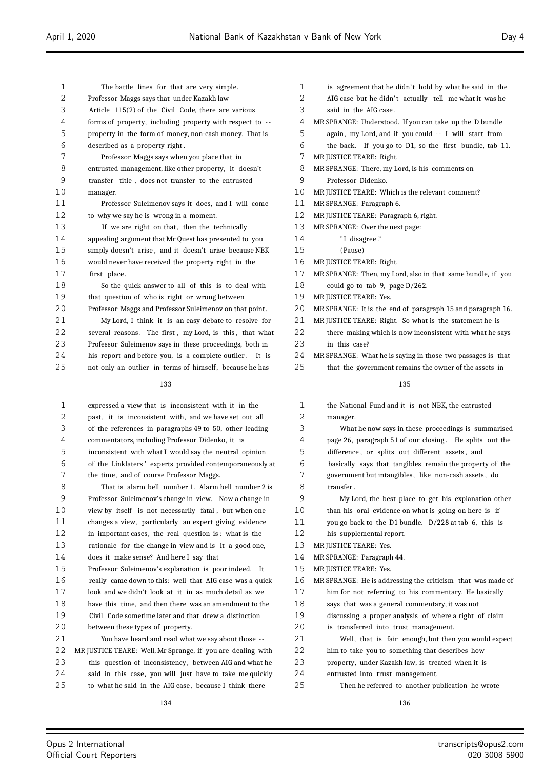| 1  | The battle lines for that are very simple.                  | 1  |
|----|-------------------------------------------------------------|----|
| 2  | Professor Maggs says that under Kazakh law                  | 2  |
| 3  | Article 115(2) of the Civil Code, there are various         | 3  |
| 4  | forms of property, including property with respect to --    | 4  |
| 5  | property in the form of money, non-cash money. That is      | 5  |
| 6  | described as a property right.                              | 6  |
| 7  | Professor Maggs says when you place that in                 | 7  |
| 8  | entrusted management, like other property, it doesn't       | 8  |
| 9  | transfer title, does not transfer to the entrusted          | 9  |
| 10 | manager.                                                    | 10 |
| 11 | Professor Suleimenov says it does, and I will come          | 11 |
| 12 | to why we say he is wrong in a moment.                      | 12 |
| 13 | If we are right on that, then the technically               | 13 |
| 14 | appealing argument that Mr Quest has presented to you       | 14 |
| 15 | simply doesn't arise, and it doesn't arise because NBK      | 15 |
| 16 | would never have received the property right in the         | 16 |
| 17 | first place.                                                | 17 |
| 18 | So the quick answer to all of this is to deal with          | 18 |
| 19 | that question of who is right or wrong between              | 19 |
| 20 | Professor Maggs and Professor Suleimenov on that point.     | 20 |
| 21 | My Lord, I think it is an easy debate to resolve for        | 21 |
| 22 | several reasons. The first, my Lord, is this, that what     | 22 |
| 23 | Professor Suleimenov says in these proceedings, both in     | 23 |
| 24 | his report and before you, is a complete outlier. It is     | 24 |
| 25 | not only an outlier in terms of himself, because he has     | 25 |
|    | 133                                                         |    |
|    |                                                             |    |
| 1  | expressed a view that is inconsistent with it in the        | 1  |
| 2  | past, it is inconsistent with, and we have set out all      | 2  |
| 3  | of the references in paragraphs 49 to 50, other leading     | 3  |
| 4  | commentators, including Professor Didenko, it is            | 4  |
| 5  | inconsistent with what I would say the neutral opinion      | 5  |
| 6  | of the Linklaters' experts provided contemporaneously at    | 6  |
| 7  | the time, and of course Professor Maggs.                    | 7  |
| 8  | That is alarm bell number 1. Alarm bell number 2 is         | 8  |
| 9  | Professor Suleimenov's change in view. Now a change in      | 9  |
| 10 | view by itself is not necessarily fatal, but when one       | 10 |
| 11 | changes a view, particularly an expert giving evidence      | 11 |
| 12 | in important cases, the real question is: what is the       | 12 |
| 13 | rationale for the change in view and is it a good one,      | 13 |
| 14 | does it make sense? And here I say that                     | 14 |
| 15 | Professor Suleimenov's explanation is poor indeed.<br>It    | 15 |
| 16 | really came down to this: well that AIG case was a quick    | 16 |
| 17 | look and we didn't look at it in as much detail as we       | 17 |
| 18 | have this time, and then there was an amendment to the      | 18 |
| 19 | Civil Code sometime later and that drew a distinction       | 19 |
| 20 | between these types of property.                            | 20 |
| 21 | You have heard and read what we say about those --          | 21 |
| 22 | MR JUSTICE TEARE: Well, Mr Sprange, if you are dealing with | 22 |
| 23 | this question of inconsistency, between AIG and what he     | 23 |

- is agreement that he didn't hold by what he said in the
- AIG case but he didn't actually tell me what it was he
- said in the AIG case.
- MR SPRANGE: Understood. If you can take up the D bundle
- again, my Lord, and if you could -- I will start from
- the back. If you go to D1, so the first bundle, tab 11.
- MR JUSTICE TEARE: Right.
- MR SPRANGE: There, my Lord, is his comments on
- 9 Professor Didenko.
- MR JUSTICE TEARE: Which is the relevant comment?
- MR SPRANGE: Paragraph 6.
- MR JUSTICE TEARE: Paragraph 6, right.
- MR SPRANGE: Over the next page:
	- "I disagree."
- (Pause)
- MR JUSTICE TEARE: Right.
- MR SPRANGE: Then, my Lord, also in that same bundle, if you
- could go to tab 9, page  $D/262$ .
- MR JUSTICE TEARE: Yes.
- MR SPRANGE: It is the end of paragraph 15 and paragraph 16.
- MR JUSTICE TEARE: Right. So what is the statement he is there making which is now inconsistent with what he says in this case?
- MR SPRANGE: What he is saying in those two passages is that
- that the government remains the owner of the assets in

the National Fund and it is not NBK, the entrusted manager. What he now says in these proceedings is summarised page 26, paragraph 51 of our closing. He splits out the difference, or splits out different assets, and 6 basically says that tangibles remain the property of the 7 government but intangibles, like non-cash assets , do transfer. My Lord, the best place to get his explanation other than his oral evidence on what is going on here is if you go back to the D1 bundle. D/228 at tab 6, this is his supplemental report. MR JUSTICE TEARE: Yes. MR SPRANGE: Paragraph 44. MR JUSTICE TEARE: Yes. MR SPRANGE: He is addressing the criticism that was made of him for not referring to his commentary. He basically says that was a general commentary, it was not discussing a proper analysis of where a right of claim is transferred into trust management. Well, that is fair enough, but then you would expect him to take you to something that describes how 23 property, under Kazakh law, is treated when it is 24 entrusted into trust management. 25 Then he referred to another publication he wrote

24 said in this case, you will just have to take me quickly 25 to what he said in the AIG case, because I think there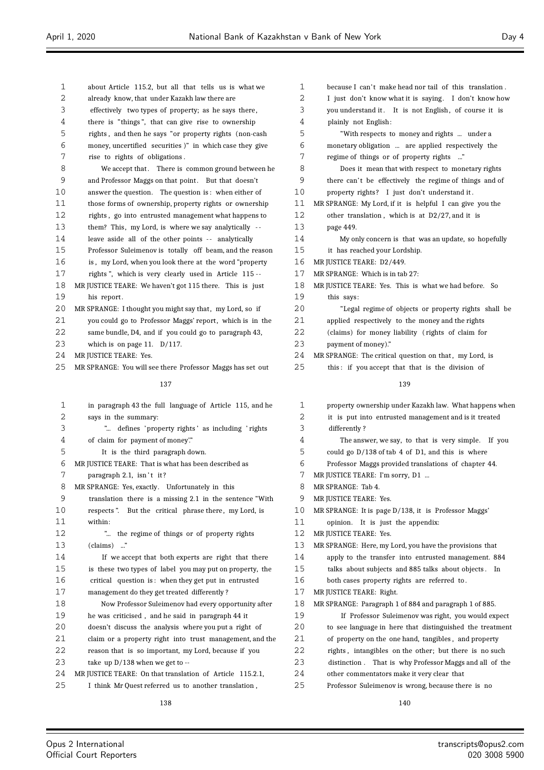| 1        |                                                                                                        | 1  | because I can't make head nor tail of this translation.  |
|----------|--------------------------------------------------------------------------------------------------------|----|----------------------------------------------------------|
| 2        | about Article 115.2, but all that tells us is what we<br>already know, that under Kazakh law there are | 2  | I just don't know what it is saying. I don't know how    |
| 3        | effectively two types of property; as he says there,                                                   | 3  | you understand it. It is not English, of course it is    |
| 4        | there is "things", that can give rise to ownership                                                     | 4  | plainly not English:                                     |
| 5        | rights, and then he says "or property rights (non-cash                                                 | 5  | "With respects to money and rights  under a              |
| 6        | money, uncertified securities )" in which case they give                                               | 6  | monetary obligation  are applied respectively the        |
| 7        | rise to rights of obligations.                                                                         | 7  | regime of things or of property rights "                 |
| 8        | We accept that. There is common ground between he                                                      | 8  | Does it mean that with respect to monetary rights        |
| 9        | and Professor Maggs on that point. But that doesn't                                                    | 9  | there can't be effectively the regime of things and of   |
|          |                                                                                                        |    |                                                          |
| 10<br>11 | answer the question. The question is: when either of                                                   | 10 | property rights? I just don't understand it.             |
|          | those forms of ownership, property rights or ownership                                                 | 11 | MR SPRANGE: My Lord, if it is helpful I can give you the |
| 12       | rights, go into entrusted management what happens to                                                   | 12 | other translation, which is at D2/27, and it is          |
| 13       | them? This, my Lord, is where we say analytically --                                                   | 13 | page 449.                                                |
| 14       | leave aside all of the other points -- analytically                                                    | 14 | My only concern is that was an update, so hopefully      |
| 15       | Professor Suleimenov is totally off beam, and the reason                                               | 15 | it has reached your Lordship.                            |
| 16       | is, my Lord, when you look there at the word "property                                                 | 16 | MR JUSTICE TEARE: D2/449.                                |
| 17       | rights", which is very clearly used in Article 115 --                                                  | 17 | MR SPRANGE: Which is in tab 27:                          |
| 18       | MR JUSTICE TEARE: We haven't got 115 there. This is just                                               | 18 | MR JUSTICE TEARE: Yes. This is what we had before. So    |
| 19       | his report.                                                                                            | 19 | this says:                                               |
| 20       | MR SPRANGE: I thought you might say that, my Lord, so if                                               | 20 | "Legal regime of objects or property rights shall be     |
| 21       | you could go to Professor Maggs' report, which is in the                                               | 21 | applied respectively to the money and the rights         |
| 22       | same bundle, D4, and if you could go to paragraph 43,                                                  | 22 | (claims) for money liability (rights of claim for        |
| 23       | which is on page 11. $D/117$ .                                                                         | 23 | payment of money)."                                      |
| 24       | MR JUSTICE TEARE: Yes.                                                                                 | 24 | MR SPRANGE: The critical question on that, my Lord, is   |
| 25       | MR SPRANGE: You will see there Professor Maggs has set out                                             | 25 | this: if you accept that that is the division of         |
|          | 137                                                                                                    |    | 139                                                      |
| 1        | in paragraph 43 the full language of Article 115, and he                                               | 1  | property ownership under Kazakh law. What happens when   |
| 2        | says in the summary:                                                                                   | 2  | it is put into entrusted management and is it treated    |
| 3        | " defines 'property rights' as including 'rights'                                                      | 3  | differently?                                             |
| 4        | of claim for payment of money".                                                                        | 4  | The answer, we say, to that is very simple. If you       |
| 5        | It is the third paragraph down.                                                                        | 5  | could go D/138 of tab 4 of D1, and this is where         |
| 6        | MR JUSTICE TEARE: That is what has been described as                                                   | 6  | Professor Maggs provided translations of chapter 44.     |
| 7        | paragraph 2.1, isn't it?                                                                               | 7  | MR JUSTICE TEARE: I'm sorry, D1                          |
| 8        | MR SPRANGE: Yes, exactly. Unfortunately in this                                                        | 8  | MR SPRANGE: Tab 4.                                       |
| 9        | translation there is a missing 2.1 in the sentence "With                                               | 9  | MR JUSTICE TEARE: Yes.                                   |
| 10       | respects". But the critical phrase there, my Lord, is                                                  | 10 | MR SPRANGE: It is page D/138, it is Professor Maggs'     |
| 11       | within:                                                                                                | 11 | opinion. It is just the appendix:                        |
| 12       | " the regime of things or of property rights                                                           | 12 | MR JUSTICE TEARE: Yes.                                   |
| 13       | $(clains)$ "                                                                                           | 13 |                                                          |
| 14       |                                                                                                        | 14 | MR SPRANGE: Here, my Lord, you have the provisions that  |
| 15       | If we accept that both experts are right that there                                                    | 15 | apply to the transfer into entrusted management. 884     |
|          | is these two types of label you may put on property, the                                               |    | talks about subjects and 885 talks about objects. In     |
| 16<br>17 | critical question is: when they get put in entrusted                                                   | 16 | both cases property rights are referred to.              |
|          | management do they get treated differently?                                                            | 17 | MR JUSTICE TEARE: Right.                                 |
| 18       | Now Professor Suleimenov had every opportunity after                                                   | 18 | MR SPRANGE: Paragraph 1 of 884 and paragraph 1 of 885.   |
| 19       | he was criticised, and he said in paragraph 44 it                                                      | 19 | If Professor Suleimenov was right, you would expect      |
| 20       | doesn't discuss the analysis where you put a right of                                                  | 20 | to see language in here that distinguished the treatment |
| 21       | claim or a property right into trust management, and the                                               | 21 | of property on the one hand, tangibles, and property     |
| 22       | reason that is so important, my Lord, because if you                                                   | 22 | rights, intangibles on the other; but there is no such   |
| 23       | take up $D/138$ when we get to $-$                                                                     | 23 | distinction. That is why Professor Maggs and all of the  |
| 24       | MR JUSTICE TEARE: On that translation of Article 115.2.1,                                              | 24 | other commentators make it very clear that               |
| 25       | I think Mr Quest referred us to another translation,                                                   | 25 | Professor Suleimenov is wrong, because there is no       |
|          | 138                                                                                                    |    | 140                                                      |

Ξ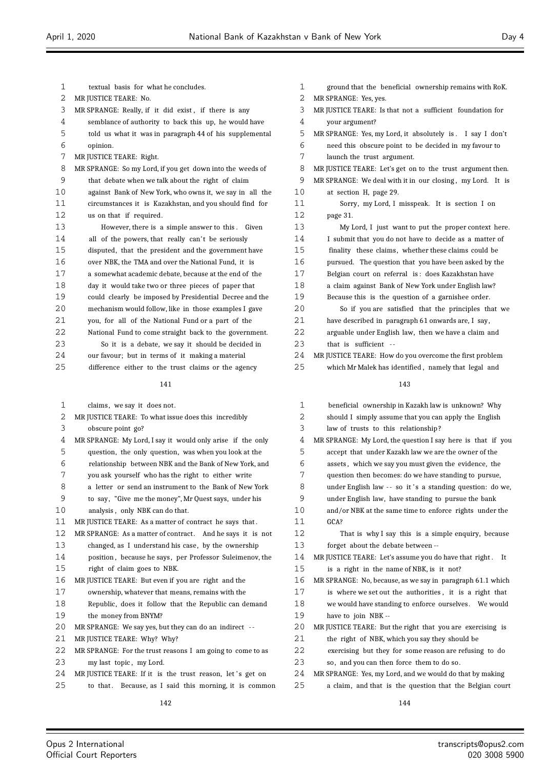| 1          | textual basis for what he concludes.                                                  | 1  |   |
|------------|---------------------------------------------------------------------------------------|----|---|
| 2          | MR JUSTICE TEARE: No.                                                                 | 2  | M |
| 3          | MR SPRANGE: Really, if it did exist, if there is any                                  | 3  | M |
| 4          | semblance of authority to back this up, he would have                                 | 4  |   |
| 5          | told us what it was in paragraph 44 of his supplemental                               | 5  | M |
| 6          | opinion.                                                                              | 6  |   |
| 7          | MR JUSTICE TEARE: Right.                                                              | 7  |   |
| 8          | MR SPRANGE: So my Lord, if you get down into the weeds of                             | 8  | M |
| 9          | that debate when we talk about the right of claim                                     | 9  | M |
| 10         | against Bank of New York, who owns it, we say in all the                              | 10 |   |
| 11         | circumstances it is Kazakhstan, and you should find for                               | 11 |   |
| 12         | us on that if required.                                                               | 12 |   |
| 13         | However, there is a simple answer to this.<br>Given                                   | 13 |   |
| 14         | all of the powers, that really can't be seriously                                     | 14 |   |
| 15         | disputed, that the president and the government have                                  | 15 |   |
| 16         | over NBK, the TMA and over the National Fund, it is                                   | 16 |   |
| 17         | a somewhat academic debate, because at the end of the                                 | 17 |   |
| 18         | day it would take two or three pieces of paper that                                   | 18 |   |
| 19         | could clearly be imposed by Presidential Decree and the                               | 19 |   |
| 20         | mechanism would follow, like in those examples I gave                                 | 20 |   |
| 21         | you, for all of the National Fund or a part of the                                    | 21 |   |
| 22         | National Fund to come straight back to the government.                                | 22 |   |
| 23         | So it is a debate, we say it should be decided in                                     | 23 |   |
| 24         | our favour; but in terms of it making a material                                      | 24 | M |
| 25         | difference either to the trust claims or the agency                                   | 25 |   |
|            | 141                                                                                   |    |   |
| 1          | claims, we say it does not.                                                           | 1  |   |
| $\sqrt{2}$ | MR JUSTICE TEARE: To what issue does this incredibly                                  | 2  |   |
| 3          | obscure point go?                                                                     | 3  |   |
| 4          | MR SPRANGE: My Lord, I say it would only arise if the only                            | 4  | M |
| 5          | question, the only question, was when you look at the                                 | 5  |   |
| 6          | relationship between NBK and the Bank of New York, and                                | 6  |   |
| 7          | you ask yourself who has the right to either write                                    | 7  |   |
| 8          | a letter or send an instrument to the Bank of New York                                | 8  |   |
| 9          | to say, "Give me the money", Mr Quest says, under his                                 | 9  |   |
| 10         | analysis, only NBK can do that.                                                       | 10 |   |
| 11         | MR JUSTICE TEARE: As a matter of contract he says that.                               | 11 |   |
| 12         | MR SPRANGE:  As a matter of contract.<br>And he says it is not                        | 12 |   |
| 13         | changed, as I understand his case, by the ownership                                   | 13 |   |
| 14         | position, because he says, per Professor Suleimenov, the                              | 14 | M |
| 15         | right of claim goes to NBK.                                                           | 15 |   |
| 16         | MR JUSTICE TEARE: But even if you are right and the                                   | 16 | M |
| 17         | ownership, whatever that means, remains with the                                      | 17 |   |
| 18         | Republic, does it follow that the Republic can demand                                 | 18 |   |
| 19         | the money from BNYM?                                                                  | 19 |   |
| 20         | MR SPRANGE: We say yes, but they can do an indirect --                                | 20 | M |
| 21         | MR JUSTICE TEARE: Why? Why?                                                           | 21 |   |
| 22         |                                                                                       | 22 |   |
| 23         | MR SPRANGE: For the trust reasons I am going to come to as<br>my last topic, my Lord. | 23 |   |

- 24 MR JUSTICE TEARE: If it is the trust reason, let's get on
- 25 to that. Because, as I said this morning, it is common

| 1                 | ground that the beneficial ownership remains with RoK.     |
|-------------------|------------------------------------------------------------|
| 2                 | MR SPRANGE: Yes, yes.                                      |
| 3                 | MR JUSTICE TEARE: Is that not a sufficient foundation for  |
| 4                 | your argument?                                             |
| 5                 | MR SPRANGE: Yes, my Lord, it absolutely is. I say I don't  |
| 6                 | need this obscure point to be decided in my favour to      |
| 7                 | launch the trust argument.                                 |
| 8                 | MR JUSTICE TEARE: Let's get on to the trust argument then. |
| 9                 | MR SPRANGE: We deal with it in our closing, my Lord. It is |
| 10                | at section H, page 29.                                     |
| 11                | Sorry, my Lord, I misspeak. It is section I on             |
| $12 \overline{ }$ | page 31.                                                   |
| 13                | My Lord, I just want to put the proper context here.       |
| 14                | I submit that you do not have to decide as a matter of     |
| 15                | finality these claims, whether these claims could be       |
| 16                | pursued. The question that you have been asked by the      |
| 17                | Belgian court on referral is: does Kazakhstan have         |
| 18                | a claim against Bank of New York under English law?        |
| 19                | Because this is the question of a garnishee order.         |
| 20                | So if you are satisfied that the principles that we        |
| 21                | have described in paragraph 61 onwards are, I say,         |
| 22                | arguable under English law, then we have a claim and       |
| 23                | that is sufficient --                                      |
| 24                | MR JUSTICE TEARE: How do you overcome the first problem    |
| 25                | which Mr Malek has identified, namely that legal and       |
|                   |                                                            |

| 1  | beneficial ownership in Kazakh law is unknown? Why           |
|----|--------------------------------------------------------------|
| 2  | should I simply assume that you can apply the English        |
| 3  | law of trusts to this relationship?                          |
| 4  | MR SPRANGE: My Lord, the question I say here is that if you  |
| 5  | accept that under Kazakh law we are the owner of the         |
| 6  | assets, which we say you must given the evidence, the        |
| 7  | question then becomes: do we have standing to pursue,        |
| 8  | under English law -- so it's a standing question: do we,     |
| 9  | under English law, have standing to pursue the bank          |
| 10 | and/or NBK at the same time to enforce rights under the      |
| 11 | GCA?                                                         |
| 12 | That is why I say this is a simple enquiry, because          |
| 13 | forget about the debate between --                           |
| 14 | MR JUSTICE TEARE: Let's assume you do have that right.<br>It |
| 15 | is a right in the name of NBK, is it not?                    |
| 16 | MR SPRANGE: No, because, as we say in paragraph 61.1 which   |
| 17 | is where we set out the authorities, it is a right that      |
| 18 | we would have standing to enforce ourselves. We would        |
| 19 | have to join NBK --                                          |
| 20 | MR JUSTICE TEARE: But the right that you are exercising is   |
| 21 | the right of NBK, which you say they should be               |
| 22 | exercising but they for some reason are refusing to do       |
| 23 | so, and you can then force them to do so.                    |
| 24 | MR SPRANGE: Yes, my Lord, and we would do that by making     |
| 25 | a claim, and that is the question that the Belgian court     |
|    |                                                              |

 $\equiv$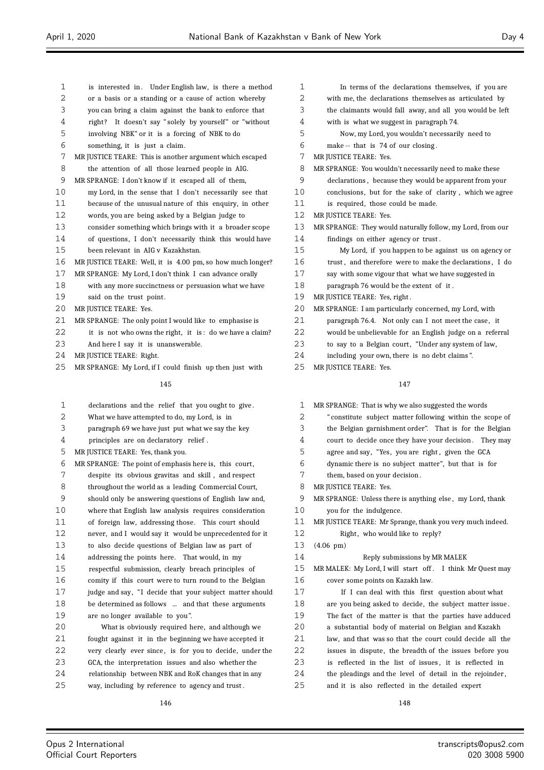is interested in . Under English law, is there a method or a basis or a standing or a cause of action whereby you can bring a claim against the bank to enforce that 4 right? It doesn't say " solely by yourself" or "without involving NBK" or it is a forcing of NBK to do something, it is just a claim. MR JUSTICE TEARE: This is another argument which escaped the attention of all those learned people in AIG. MR SPRANGE: I don't know if it escaped all of them, my Lord, in the sense that I don't necessarily see that because of the unusual nature of this enquiry, in other words, you are being asked by a Belgian judge to consider something which brings with it a broader scope of questions, I don't necessarily think this would have been relevant in AIG v Kazakhstan. MR JUSTICE TEARE: Well, it is 4.00 pm, so how much longer? MR SPRANGE: My Lord, I don't think I can advance orally with any more succinctness or persuasion what we have 19 said on the trust point. 20 MR JUSTICE TEARE: Yes. MR SPRANGE: The only point I would like to emphasise is 22 it is not who owns the right, it is: do we have a claim? And here I say it is unanswerable. MR JUSTICE TEARE: Right. MR SPRANGE: My Lord, if I could finish up then just with In terms of the declarations themselves, if you are MR JUSTICE TEARE: Yes. MR JUSTICE TEARE: Yes. 25 MR JUSTICE TEARE: Yes.

### 

- declarations and the relief that you ought to give . What we have attempted to do, my Lord, is in
- 
- paragraph 69 we have just put what we say the key
- principles are on declaratory relief .

MR JUSTICE TEARE: Yes, thank you.

- MR SPRANGE: The point of emphasis here is, this court ,
- despite its obvious gravitas and skill , and respect
- throughout the world as a leading Commercial Court,
- should only be answering questions of English law and,
- where that English law analysis requires consideration of foreign law, addressing those. This court should
- never, and I would say it would be unprecedented for it
- to also decide questions of Belgian law as part of
- addressing the points here. That would, in my
- respectful submission, clearly breach principles of
- comity if this court were to turn round to the Belgian
- 17 judge and say, "I decide that your subject matter should be determined as follows ... and that these arguments are no longer available to you ".
- What is obviously required here, and although we fought against it in the beginning we have accepted it very clearly ever since , is for you to decide, under the GCA, the interpretation issues and also whether the relationship between NBK and RoK changes that in any way, including by reference to agency and trust .
	-

| 2  | with me, the declarations themselves as articulated by     |
|----|------------------------------------------------------------|
| 3  | the claimants would fall away, and all you would be left   |
| 4  | with is what we suggest in paragraph 74.                   |
| 5  | Now, my Lord, you wouldn't necessarily need to             |
| 6  | make -- that is 74 of our closing.                         |
| 7  | MR JUSTICE TEARE: Yes.                                     |
| 8  | MR SPRANGE: You wouldn't necessarily need to make these    |
| 9  | declarations, because they would be apparent from your     |
| 10 | conclusions, but for the sake of clarity, which we agree   |
| 11 | is required, those could be made.                          |
| 12 | MR JUSTICE TEARE: Yes.                                     |
| 13 | MR SPRANGE: They would naturally follow, my Lord, from our |
| 14 | findings on either agency or trust.                        |
| 15 | My Lord, if you happen to be against us on agency or       |
| 16 | trust, and therefore were to make the declarations, I do   |
| 17 | say with some vigour that what we have suggested in        |
| 18 | paragraph 76 would be the extent of it.                    |
| 19 | MR JUSTICE TEARE: Yes, right.                              |
| 20 | MR SPRANGE: I am particularly concerned, my Lord, with     |
| 21 | paragraph 76.4. Not only can I not meet the case, it       |
| 22 | would be unbelievable for an English judge on a referral   |

- 23 to say to a Belgian court, "Under any system of law,
- including your own, there is no debt claims ".

## 

| $\mathbf{1}$ | MR SPRANGE: That is why we also suggested the words       |
|--------------|-----------------------------------------------------------|
| 2            | "constitute subject matter following within the scope of  |
| 3            | the Belgian garnishment order". That is for the Belgian   |
| 4            | court to decide once they have your decision. They may    |
| 5            | agree and say, "Yes, you are right, given the GCA         |
| 6            | dynamic there is no subject matter", but that is for      |
| 7            | them, based on your decision.                             |
| 8            | MR JUSTICE TEARE: Yes.                                    |
| 9            | MR SPRANGE: Unless there is anything else, my Lord, thank |
| 10           | you for the indulgence.                                   |
| 11           | MR JUSTICE TEARE: Mr Sprange, thank you very much indeed. |
| 12           | Right, who would like to reply?                           |
| 13           | $(4.06 \text{ pm})$                                       |
| 14           | Reply submissions by MR MALEK                             |
| 15           | MR MALEK: My Lord, I will start off. I think Mr Quest may |
| 16           | cover some points on Kazakh law.                          |
| 17           | If I can deal with this first question about what         |
| 18           |                                                           |
|              | are you being asked to decide, the subject matter issue.  |
| 19           | The fact of the matter is that the parties have adduced   |
| 20           | a substantial body of material on Belgian and Kazakh      |
| 21           | law, and that was so that the court could decide all the  |
| 22           | issues in dispute, the breadth of the issues before you   |
| 23           | is reflected in the list of issues, it is reflected in    |
| 24           | the pleadings and the level of detail in the rejoinder,   |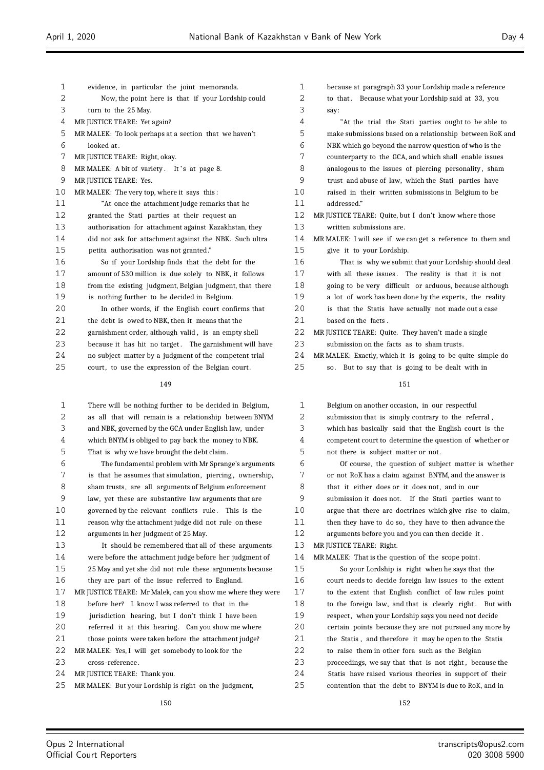| 1  | evidence, in particular the joint memoranda.             |
|----|----------------------------------------------------------|
| 2  | Now, the point here is that if your Lordship could       |
| 3  | turn to the 25 May.                                      |
| 4  | MR JUSTICE TEARE: Yet again?                             |
| 5  | MR MALEK: To look perhaps at a section that we haven't   |
| 6  | looked at.                                               |
| 7  | MR JUSTICE TEARE: Right, okay.                           |
| 8  | MR MALEK: A bit of variety. It's at page 8.              |
| 9  | MR JUSTICE TEARE: Yes.                                   |
| 10 | MR MALEK: The very top, where it says this:              |
| 11 | "At once the attachment judge remarks that he            |
| 12 | granted the Stati parties at their request an            |
| 13 | authorisation for attachment against Kazakhstan, they    |
| 14 | did not ask for attachment against the NBK. Such ultra   |
| 15 | petita authorisation was not granted."                   |
| 16 | So if your Lordship finds that the debt for the          |
| 17 | amount of 530 million is due solely to NBK, it follows   |
| 18 | from the existing judgment, Belgian judgment, that there |
| 19 | is nothing further to be decided in Belgium.             |
| 20 | In other words, if the English court confirms that       |
| 21 | the debt is owed to NBK, then it means that the          |
| 22 | garnishment order, although valid, is an empty shell     |
| 23 | because it has hit no target. The garnishment will have  |
| 24 | no subject matter by a judgment of the competent trial   |
| 25 | court, to use the expression of the Belgian court.       |
|    | 149                                                      |

| 1                 | There will be nothing further to be decided in Belgium,     |
|-------------------|-------------------------------------------------------------|
| 2                 | as all that will remain is a relationship between BNYM      |
| 3                 | and NBK, governed by the GCA under English law, under       |
| 4                 | which BNYM is obliged to pay back the money to NBK.         |
| 5                 | That is why we have brought the debt claim.                 |
| 6                 | The fundamental problem with Mr Sprange's arguments         |
| 7                 | is that he assumes that simulation, piercing, ownership,    |
| 8                 | sham trusts, are all arguments of Belgium enforcement       |
| 9                 | law, yet these are substantive law arguments that are       |
| 10                | governed by the relevant conflicts rule. This is the        |
| 11                | reason why the attachment judge did not rule on these       |
| $12 \overline{ }$ | arguments in her judgment of 25 May.                        |
| 13                | It should be remembered that all of these arguments         |
| 14                | were before the attachment judge before her judgment of     |
| 15                | 25 May and yet she did not rule these arguments because     |
| 16                | they are part of the issue referred to England.             |
| 17                | MR JUSTICE TEARE: Mr Malek, can you show me where they were |
| 18                | before her? I know I was referred to that in the            |
| 19                | jurisdiction hearing, but I don't think I have been         |
| 20                | referred it at this hearing. Can you show me where          |
| 21                | those points were taken before the attachment judge?        |
| 22                | MR MALEK: Yes, I will get somebody to look for the          |
| 23                | cross-reference.                                            |
| 24                | MR JUSTICE TEARE: Thank you.                                |
| 25                | MR MALEK: But your Lordship is right on the judgment,       |
|                   | 150                                                         |

| $\mathbf{1}$   | because at paragraph 33 your Lordship made a reference     |
|----------------|------------------------------------------------------------|
| 2              | to that. Because what your Lordship said at 33, you        |
| 3              | say:                                                       |
| 4              | "At the trial the Stati parties ought to be able to        |
| 5              | make submissions based on a relationship between RoK and   |
| 6              | NBK which go beyond the narrow question of who is the      |
| 7              | counterparty to the GCA, and which shall enable issues     |
| 8              | analogous to the issues of piercing personality, sham      |
| 9              | trust and abuse of law, which the Stati parties have       |
| 1 <sub>0</sub> | raised in their written submissions in Belgium to be       |
| 11             | addressed."                                                |
| 12             | MR JUSTICE TEARE: Quite, but I don't know where those      |
| 13             | written submissions are.                                   |
| 14             | MRMALEK: I will see if we can get a reference to them and  |
| 15             | give it to your Lordship.                                  |
| 16             | That is why we submit that your Lordship should deal       |
| 17             | with all these issues. The reality is that it is not       |
| 18             | going to be very difficult or arduous, because although    |
| 19             | a lot of work has been done by the experts, the reality    |
| 20             | is that the Statis have actually not made out a case       |
| 2.1            | based on the facts.                                        |
| 22             | MR JUSTICE TEARE: Quite. They haven't made a single        |
| 23             | submission on the facts as to sham trusts.                 |
| 2.4            | MR MALEK: Exactly, which it is going to be quite simple do |
| 25             | But to say that is going to be dealt with in<br>SO.        |
|                | 151                                                        |

| $\mathbf{1}$ | Belgium on another occasion, in our respectful           |
|--------------|----------------------------------------------------------|
| 2            | submission that is simply contrary to the referral,      |
| 3            | which has basically said that the English court is the   |
| 4            | competent court to determine the question of whether or  |
| 5            | not there is subject matter or not.                      |
| 6            | Of course, the question of subject matter is whether     |
| 7            | or not RoK has a claim against BNYM, and the answer is   |
| 8            | that it either does or it does not, and in our           |
| 9            | submission it does not. If the Stati parties want to     |
| 10           | argue that there are doctrines which give rise to claim, |
| 11           | then they have to do so, they have to then advance the   |
| 12           | arguments before you and you can then decide it.         |
| 13           | MR JUSTICE TEARE: Right.                                 |
| 14           | MR MALEK: That is the question of the scope point.       |
| 15           | So your Lordship is right when he says that the          |
| 16           | court needs to decide foreign law issues to the extent   |
| 17           | to the extent that English conflict of law rules point   |
| 18           | to the foreign law, and that is clearly right. But with  |
| 19           | respect, when your Lordship says you need not decide     |
| 20           | certain points because they are not pursued any more by  |
| 21           | the Statis, and therefore it may be open to the Statis   |
| 22           | to raise them in other fora such as the Belgian          |
| 23           | proceedings, we say that that is not right, because the  |
| 24           | Statis have raised various theories in support of their  |
| 25           | contention that the debt to BNYM is due to RoK, and in   |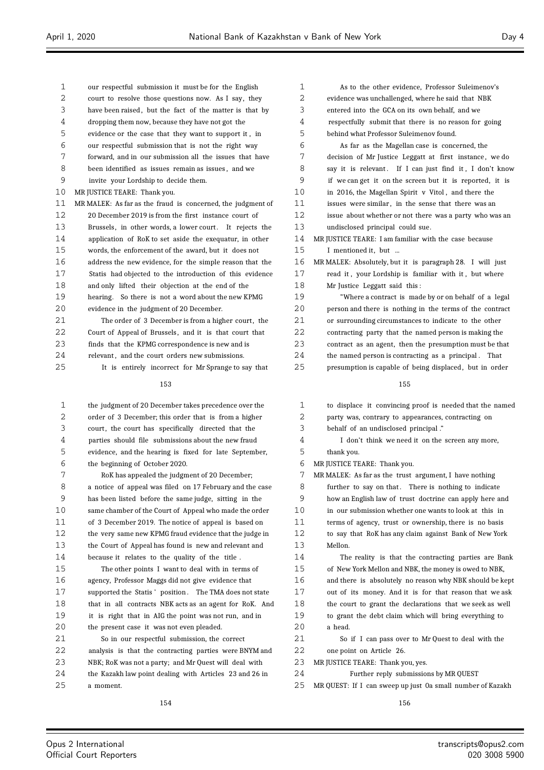| 1  | our respectful submission it must be for the English        | 1  | As to the other evidence, Professor Suleimenov's           |
|----|-------------------------------------------------------------|----|------------------------------------------------------------|
| 2  | court to resolve those questions now. As I say, they        | 2  | evidence was unchallenged, where he said that NBK          |
| 3  | have been raised, but the fact of the matter is that by     | 3  | entered into the GCA on its own behalf, and we             |
| 4  | dropping them now, because they have not got the            | 4  | respectfully submit that there is no reason for going      |
| 5  | evidence or the case that they want to support it, in       | 5  | behind what Professor Suleimenov found.                    |
| 6  | our respectful submission that is not the right way         | 6  | As far as the Magellan case is concerned, the              |
| 7  | forward, and in our submission all the issues that have     | 7  | decision of Mr Justice Leggatt at first instance, we do    |
| 8  | been identified as issues remain as issues, and we          | 8  | say it is relevant. If I can just find it, I don't know    |
| 9  | invite your Lordship to decide them.                        | 9  | if we can get it on the screen but it is reported, it is   |
| 10 | MR JUSTICE TEARE: Thank you.                                | 10 | in 2016, the Magellan Spirit v Vitol, and there the        |
| 11 | MR MALEK: As far as the fraud is concerned, the judgment of | 11 | issues were similar, in the sense that there was an        |
| 12 | 20 December 2019 is from the first instance court of        | 12 | issue about whether or not there was a party who was an    |
| 13 | Brussels, in other words, a lower court. It rejects the     | 13 | undisclosed principal could sue.                           |
| 14 | application of RoK to set aside the exequatur, in other     | 14 | MR JUSTICE TEARE: I am familiar with the case because      |
| 15 | words, the enforcement of the award, but it does not        | 15 | I mentioned it, but                                        |
| 16 | address the new evidence, for the simple reason that the    | 16 | MR MALEK: Absolutely, but it is paragraph 28. I will just  |
| 17 | Statis had objected to the introduction of this evidence    | 17 | read it, your Lordship is familiar with it, but where      |
| 18 | and only lifted their objection at the end of the           | 18 | Mr Justice Leggatt said this:                              |
| 19 | hearing. So there is not a word about the new KPMG          | 19 | "Where a contract is made by or on behalf of a legal       |
| 20 | evidence in the judgment of 20 December.                    | 20 | person and there is nothing in the terms of the contract   |
| 21 | The order of 3 December is from a higher court, the         | 21 | or surrounding circumstances to indicate to the other      |
| 22 | Court of Appeal of Brussels, and it is that court that      | 22 | contracting party that the named person is making the      |
| 23 | finds that the KPMG correspondence is new and is            | 23 | contract as an agent, then the presumption must be that    |
| 24 | relevant, and the court orders new submissions.             | 24 | the named person is contracting as a principal. That       |
| 25 | It is entirely incorrect for Mr Sprange to say that         | 25 | presumption is capable of being displaced, but in order    |
|    | 153                                                         |    | 155                                                        |
| 1  | the judgment of 20 December takes precedence over the       | 1  | to displace it convincing proof is needed that the named   |
| 2  | order of 3 December; this order that is from a higher       | 2  | party was, contrary to appearances, contracting on         |
| 3  | court, the court has specifically directed that the         | 3  | behalf of an undisclosed principal."                       |
| 4  | parties should file submissions about the new fraud         | 4  | I don't think we need it on the screen any more,           |
| 5  | evidence, and the hearing is fixed for late September,      | 5  | thank you.                                                 |
| 6  | the beginning of October 2020.                              | 6  | MR JUSTICE TEARE: Thank you.                               |
| 7  | RoK has appealed the judgment of 20 December;               | 7  | MR MALEK: As far as the trust argument, I have nothing     |
| 8  | a notice of appeal was filed on 17 February and the case    | 8  | further to say on that. There is nothing to indicate       |
| 9  | has been listed before the same judge, sitting in the       | 9  | how an English law of trust doctrine can apply here and    |
| 10 | same chamber of the Court of Appeal who made the order      | 10 | in our submission whether one wants to look at this in     |
| 11 | of 3 December 2019. The notice of appeal is based on        | 11 | terms of agency, trust or ownership, there is no basis     |
| 12 | the very same new KPMG fraud evidence that the judge in     | 12 | to say that RoK has any claim against Bank of New York     |
| 13 | the Court of Appeal has found is new and relevant and       | 13 | Mellon.                                                    |
| 14 | because it relates to the quality of the title.             | 14 | The reality is that the contracting parties are Bank       |
| 15 | The other points I want to deal with in terms of            | 15 | of New York Mellon and NBK, the money is owed to NBK,      |
| 16 | agency, Professor Maggs did not give evidence that          | 16 | and there is absolutely no reason why NBK should be kept   |
| 17 | supported the Statis' position. The TMA does not state      | 17 | out of its money. And it is for that reason that we ask    |
| 18 | that in all contracts NBK acts as an agent for RoK. And     | 18 | the court to grant the declarations that we seek as well   |
| 19 | it is right that in AIG the point was not run, and in       | 19 | to grant the debt claim which will bring everything to     |
| 20 | the present case it was not even pleaded.                   | 20 | a head.                                                    |
| 21 | So in our respectful submission, the correct                | 21 | So if I can pass over to Mr Quest to deal with the         |
| 22 | analysis is that the contracting parties were BNYM and      | 22 | one point on Article 26.                                   |
| 23 | NBK; RoK was not a party; and Mr Quest will deal with       | 23 | MR JUSTICE TEARE: Thank you, yes.                          |
| 24 | the Kazakh law point dealing with Articles 23 and 26 in     | 24 | Further reply submissions by MR QUEST                      |
| 25 | a moment.                                                   | 25 | MR QUEST: If I can sweep up just Oa small number of Kazakh |

154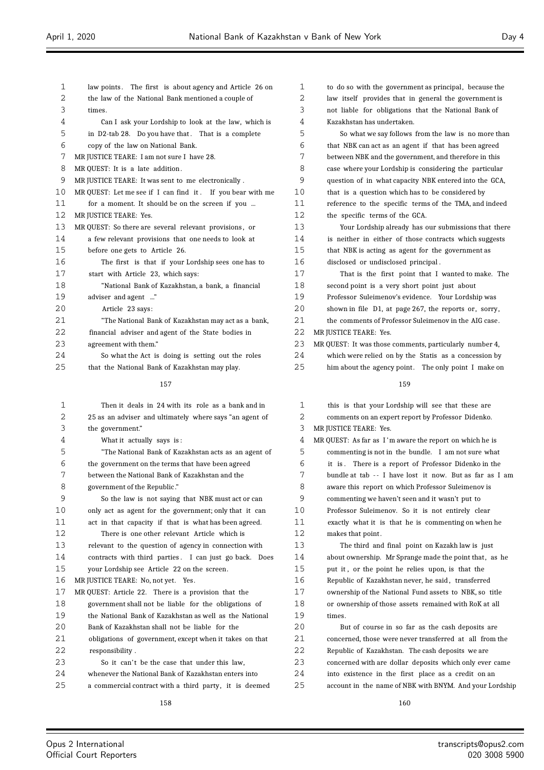| 1        | law points. The first is about agency and Article 26 on                                                        | 1        | to do so with the government as principal, because the                                                         |
|----------|----------------------------------------------------------------------------------------------------------------|----------|----------------------------------------------------------------------------------------------------------------|
| 2        | the law of the National Bank mentioned a couple of                                                             | 2        | law itself provides that in general the government is                                                          |
| 3        | times.                                                                                                         | 3        | not liable for obligations that the National Bank of                                                           |
| 4        | Can I ask your Lordship to look at the law, which is                                                           | 4        | Kazakhstan has undertaken.                                                                                     |
| 5        | in D2-tab 28. Do you have that. That is a complete                                                             | 5        | So what we say follows from the law is no more than                                                            |
| 6        | copy of the law on National Bank.                                                                              | 6        | that NBK can act as an agent if that has been agreed                                                           |
| 7        | MR JUSTICE TEARE: I am not sure I have 28.                                                                     | 7        | between NBK and the government, and therefore in this                                                          |
| 8        | MR QUEST: It is a late addition.                                                                               | 8        | case where your Lordship is considering the particular                                                         |
| 9        | MR JUSTICE TEARE: It was sent to me electronically.                                                            | 9        | question of in what capacity NBK entered into the GCA,                                                         |
| 10       | MR QUEST: Let me see if I can find it. If you bear with me                                                     | 10       | that is a question which has to be considered by                                                               |
| 11       | for a moment. It should be on the screen if you                                                                | 11       | reference to the specific terms of the TMA, and indeed                                                         |
| 12       | MR JUSTICE TEARE: Yes.                                                                                         | 12       | the specific terms of the GCA.                                                                                 |
| 13       | MR QUEST: So there are several relevant provisions, or                                                         | 13       | Your Lordship already has our submissions that there                                                           |
| 14       | a few relevant provisions that one needs to look at                                                            | 14       | is neither in either of those contracts which suggests                                                         |
| 15       | before one gets to Article 26.                                                                                 | 15       | that NBK is acting as agent for the government as                                                              |
| 16       | The first is that if your Lordship sees one has to                                                             | 16       | disclosed or undisclosed principal.                                                                            |
| 17       | start with Article 23, which says:                                                                             | 17       | That is the first point that I wanted to make. The                                                             |
| 18       | "National Bank of Kazakhstan, a bank, a financial                                                              | 18       | second point is a very short point just about                                                                  |
| 19       | adviser and agent "                                                                                            | 19       | Professor Suleimenov's evidence. Your Lordship was                                                             |
| 20       | Article 23 says:                                                                                               | 20       | shown in file D1, at page 267, the reports or, sorry,                                                          |
| 21       | "The National Bank of Kazakhstan may act as a bank,                                                            | 21       | the comments of Professor Suleimenov in the AIG case.                                                          |
| 22       | financial adviser and agent of the State bodies in                                                             | 22       | MR JUSTICE TEARE: Yes.                                                                                         |
| 23       | agreement with them."                                                                                          | 23       | MR QUEST: It was those comments, particularly number 4,                                                        |
| 24       | So what the Act is doing is setting out the roles                                                              | 24       | which were relied on by the Statis as a concession by                                                          |
| 25       | that the National Bank of Kazakhstan may play.                                                                 | 25       | him about the agency point. The only point I make on                                                           |
|          | 157                                                                                                            |          | 159                                                                                                            |
|          |                                                                                                                |          |                                                                                                                |
| 1        | Then it deals in 24 with its role as a bank and in                                                             | 1        | this is that your Lordship will see that these are                                                             |
| 2        | 25 as an adviser and ultimately where says "an agent of                                                        | 2        | comments on an expert report by Professor Didenko.                                                             |
| 3        | the government."                                                                                               | 3        | MR JUSTICE TEARE: Yes.                                                                                         |
| 4        | What it actually says is:                                                                                      | 4        | MR QUEST: As far as I'm aware the report on which he is                                                        |
| 5        | "The National Bank of Kazakhstan acts as an agent of                                                           | 5        | commenting is not in the bundle. I am not sure what                                                            |
| 6        | the government on the terms that have been agreed                                                              | 6        | it is. There is a report of Professor Didenko in the                                                           |
| 7        | between the National Bank of Kazakhstan and the                                                                | 7        | bundle at tab -- I have lost it now. But as far as I am                                                        |
| 8        | government of the Republic."                                                                                   | 8        | aware this report on which Professor Suleimenov is                                                             |
| 9        | So the law is not saying that NBK must act or can                                                              | 9        | commenting we haven't seen and it wasn't put to                                                                |
| 10       | only act as agent for the government; only that it can                                                         | 10       | Professor Suleimenov. So it is not entirely clear                                                              |
| 11       | act in that capacity if that is what has been agreed.                                                          | 11       | exactly what it is that he is commenting on when he                                                            |
| 12       | There is one other relevant Article which is                                                                   | 12       | makes that point.                                                                                              |
| 13       | relevant to the question of agency in connection with                                                          | 13       | The third and final point on Kazakh law is just                                                                |
| 14       | contracts with third parties. I can just go back. Does                                                         | 14       | about ownership. Mr Sprange made the point that, as he                                                         |
| 15       | your Lordship see Article 22 on the screen.                                                                    | 15       | put it, or the point he relies upon, is that the                                                               |
| 16       | MR JUSTICE TEARE: No, not yet. Yes.                                                                            | 16       | Republic of Kazakhstan never, he said, transferred                                                             |
| 17       | MR QUEST: Article 22. There is a provision that the                                                            | 17       | ownership of the National Fund assets to NBK, so title                                                         |
| 18       | government shall not be liable for the obligations of                                                          | 18       | or ownership of those assets remained with RoK at all                                                          |
| 19       | the National Bank of Kazakhstan as well as the National                                                        | 19       | times.                                                                                                         |
| 20       | Bank of Kazakhstan shall not be liable for the                                                                 | 20       | But of course in so far as the cash deposits are                                                               |
| 21       | obligations of government, except when it takes on that                                                        | 21       | concerned, those were never transferred at all from the                                                        |
| 22       | responsibility.                                                                                                | 22       | Republic of Kazakhstan. The cash deposits we are                                                               |
| 23       | So it can't be the case that under this law,                                                                   | 23       | concerned with are dollar deposits which only ever came                                                        |
| 24<br>25 | whenever the National Bank of Kazakhstan enters into<br>a commercial contract with a third party, it is deemed | 24<br>25 | into existence in the first place as a credit on an<br>account in the name of NBK with BNYM. And your Lordship |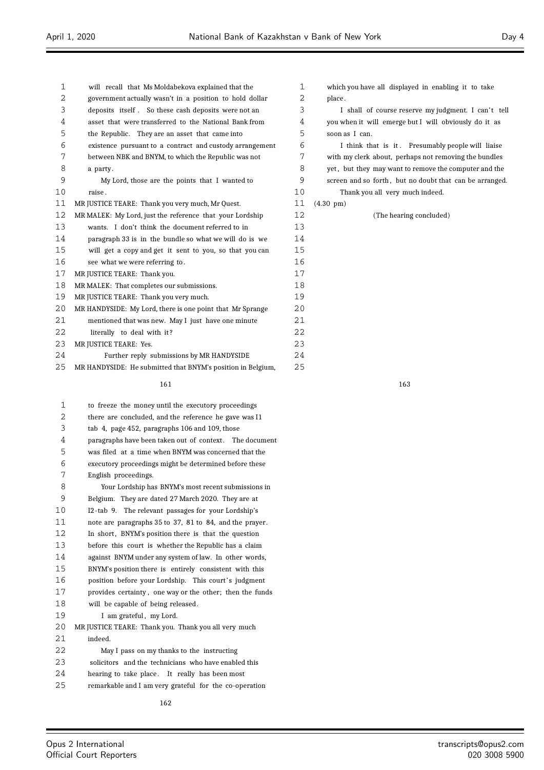| 1  | will recall that Ms Moldabekova explained that the          | $\mathbf{1}$   |
|----|-------------------------------------------------------------|----------------|
| 2  | government actually wasn't in a position to hold dollar     | $\overline{2}$ |
| 3  | deposits itself. So these cash deposits were not an         | $\mathsf 3$    |
| 4  | asset that were transferred to the National Bank from       | 4              |
| 5  | the Republic. They are an asset that came into              | 5              |
| 6  | existence pursuant to a contract and custody arrangement    | 6              |
| 7  | between NBK and BNYM, to which the Republic was not         | 7              |
| 8  | a party.                                                    | 8              |
| 9  | My Lord, those are the points that I wanted to              | 9              |
| 10 | raise.                                                      | 10             |
| 11 | MR JUSTICE TEARE: Thank you very much, Mr Quest.            | 11             |
| 12 | MR MALEK: My Lord, just the reference that your Lordship    | 12             |
| 13 | wants. I don't think the document referred to in            | 13             |
| 14 | paragraph 33 is in the bundle so what we will do is we      | 14             |
| 15 | will get a copy and get it sent to you, so that you can     | 15             |
| 16 | see what we were referring to.                              | 16             |
| 17 | MR JUSTICE TEARE: Thank you.                                | 17             |
| 18 | MR MALEK: That completes our submissions.                   | 18             |
| 19 | MR JUSTICE TEARE: Thank you very much.                      | 19             |
| 20 | MR HANDYSIDE: My Lord, there is one point that Mr Sprange   | 20             |
| 21 | mentioned that was new. May I just have one minute          | 21             |
| 22 | literally to deal with it?                                  | 22             |
| 23 | MR JUSTICE TEARE: Yes.                                      | 23             |
| 24 | Further reply submissions by MR HANDYSIDE                   | 24             |
| 25 | MR HANDYSIDE: He submitted that BNYM's position in Belgium, | 25             |
|    |                                                             |                |

| 1                 | to freeze the money until the executory proceedings      |
|-------------------|----------------------------------------------------------|
| 2                 | there are concluded, and the reference he gave was I1    |
| 3                 | tab 4, page 452, paragraphs 106 and 109, those           |
| 4                 | paragraphs have been taken out of context. The document  |
| 5                 | was filed at a time when BNYM was concerned that the     |
| 6                 | executory proceedings might be determined before these   |
| 7                 | English proceedings.                                     |
| 8                 | Your Lordship has BNYM's most recent submissions in      |
| 9                 | Belgium. They are dated 27 March 2020. They are at       |
| 10                | I2-tab 9. The relevant passages for your Lordship's      |
| 11                | note are paragraphs 35 to 37, 81 to 84, and the prayer.  |
| $12 \overline{ }$ | In short, BNYM's position there is that the question     |
| 13                | before this court is whether the Republic has a claim    |
| 14                | against BNYM under any system of law. In other words,    |
| 15                | BNYM's position there is entirely consistent with this   |
| 16                | position before your Lordship. This court's judgment     |
| 17                | provides certainty, one way or the other; then the funds |
| 18                | will be capable of being released.                       |
| 19                | I am grateful, my Lord.                                  |
| 20                | MR JUSTICE TEARE: Thank you. Thank you all very much     |
| 21                | indeed.                                                  |
| 22                | May I pass on my thanks to the instructing               |
| 23                | solicitors and the technicians who have enabled this     |
| 24                | hearing to take place. It really has been most           |
| 25                | remarkable and I am very grateful for the co-operation   |
|                   |                                                          |

3 I shall of course reserve my judgment. I can't tell you when it will emerge but I will obviously do it as soon as I can.

 I think that is it . Presumably people will liaise with my clerk about, perhaps not removing the bundles 8 yet, but they may want to remove the computer and the screen and so forth , but no doubt that can be arranged.

 Thank you all very much indeed. (4.30 pm)

(The hearing concluded)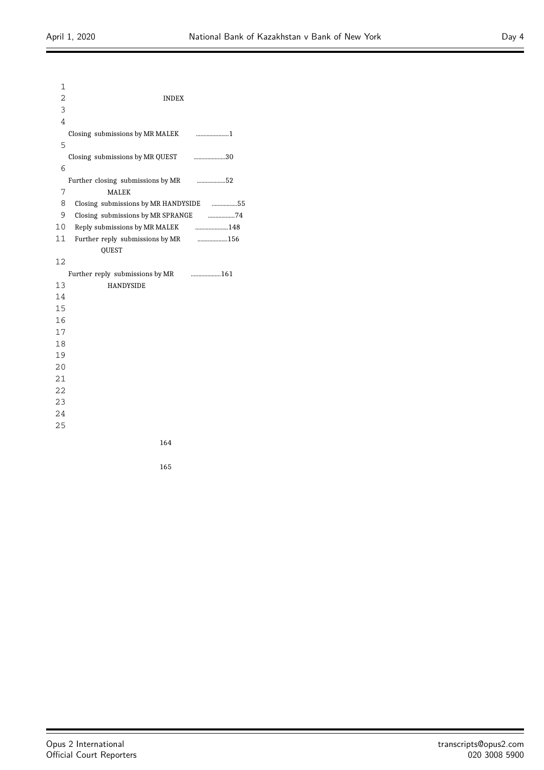| $\mathbf{1}$    |                                                    |  |
|-----------------|----------------------------------------------------|--|
| 2               | <b>INDEX</b>                                       |  |
| 3               |                                                    |  |
| 4               |                                                    |  |
|                 |                                                    |  |
| 5               |                                                    |  |
|                 | Closing submissions by MR QUEST 30                 |  |
| 6               |                                                    |  |
|                 | Further closing submissions by MR 52               |  |
| 7               | <b>MALEK</b>                                       |  |
| 8               | Closing submissions by MR HANDYSIDE 55             |  |
| 9               |                                                    |  |
| 10 <sub>1</sub> | Reply submissions by MR MALEK <b>CONFIDENT</b> 248 |  |
| 11              |                                                    |  |
|                 | <b>OUEST</b>                                       |  |
| 12              |                                                    |  |
|                 |                                                    |  |
| 13              | <b>HANDYSIDE</b>                                   |  |
| 14              |                                                    |  |
| 15              |                                                    |  |
| 16              |                                                    |  |
| 17              |                                                    |  |
| 18              |                                                    |  |
| 19              |                                                    |  |
| 20              |                                                    |  |
| 21              |                                                    |  |
| 22              |                                                    |  |
| 23              |                                                    |  |
| 24              |                                                    |  |
| 25              |                                                    |  |
|                 |                                                    |  |

 $\equiv$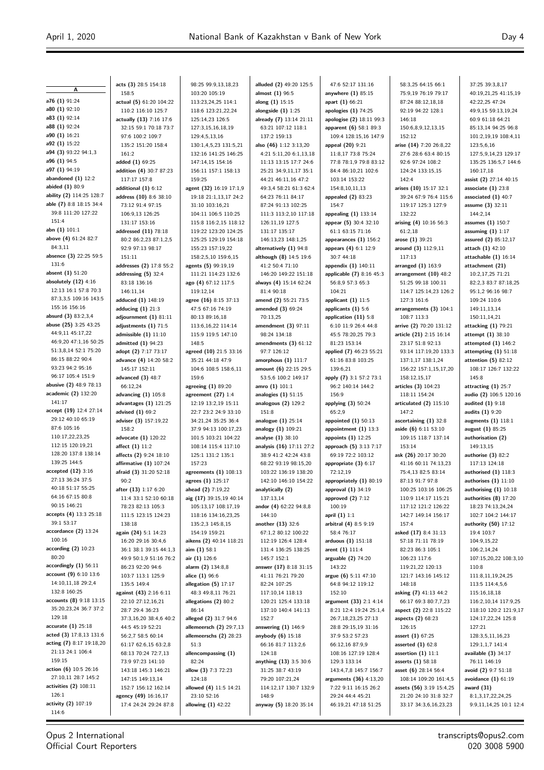**A**

37:25 39:3,8,17

**a76 (1)** 91:24 **a80 (1)** 92:10 **a83 (1)** 92:14 **a88 (1)** 92:24 **a90 (1)** 16:21 **a92 (1)** 15:22 **a94 (3)** 93:22 94:1,3 **a96 (1)** 94:5 **a97 (1)** 94:19 **abandoned (1)** 12:2 **abided (1)** 80:9 **ability (2)** 114:25 128:7 **able (7)** 8:8 18:15 34:4 39:8 111:20 127:22 151:4 **abn (1)** 101:1 **above (4)** 61:24 82:7 84:3,11 **absence (3)** 22:25 59:5 131:6 **absent (1)** 51:20 **absolutely (12)** 4:16 12:13 16:1 57:8 70:3 87:3,3,5 109:16 143:5 155:16 156:16 **absurd (3)** 83:2,3,4 **abuse (25)** 3:25 43:25 44:9,11 45:17,22 46:9,20 47:1,16 50:25 51:3,8,14 52:1 75:20 86:15 88:22 90:4 93:23 94:2 95:16 96:17 105:4 151:9 **abusive (2)** 48:9 78:13 **academic (2)** 132:20 141:17 **accept (19)** 12:4 27:14 29:12 40:10 65:19 87:6 105:16 110:17,22,23,25 112:15 120:19,21 128:20 137:8 138:14 139:25 144:5 **accepted (12)** 3:16 27:13 36:24 37:5 40:18 51:17 55:25 64:16 67:15 80:8 90:15 146:21 **accepts (4)** 13:3 25:18 39:1 53:17 **accordance (2)** 13:24 100:16 **according (2)** 10:23 80:20 **accordingly (1)** 56:11 **account (9)** 6:10 13:6 14:10,11,18 29:2,4 132:8 160:25 **accounts (8)** 9:18 13:15 35:20,23,24 36:7 37:2 129:18 **accurate (1)** 25:18 **acted (3)** 17:8,13 131:6 **acting (7)** 8:17 19:18,20 21:13 24:1 106:4 159:15 **action (6)** 10:5 26:16 27:10,11 28:7 145:2 **activities (2)** 108:11 126:1 **activity (2)** 107:19 114:6

**acts (3)** 28:5 154:18 158:5 **actual (5)** 61:20 104:22 110:2 116:10 125:7 **actually (13)** 7:16 17:6 32:15 59:1 70:18 73:7 97:6 100:2 109:7 135:2 151:20 158:4 161:2 **added (1)** 69:25 **addition (4)** 30:7 87:23 117:17 157:8 **additional (1)** 6:12 **address (10)** 8:6 38:10 73:12 91:4 97:15 106:9,13 126:25 131:17 153:16 **addressed (11)** 78:18 80:2,26:2,23,87:1,2,5 92:9 97:13 98:17 151:11 **addresses (2)** 17:8 55:2 **addressing (5)** 32:4 83:18 136:16 146:11,14 **adduced (1)** 148:19 **adducing (1)** 21:3 **adjournment (1)** 81:11 **adjustments (1)** 71:5 **admissible (1)** 11:10 **admitted (1)** 94:23 **adopt (2)** 7:17 73:17 **advance (4)** 14:20 58:2 145:17 152:11 **advanced (3)** 48:7 66:12,24 **advancing (1)** 105:8 **advantages (1)** 121:25 **advised (1)** 69:2 **adviser (3)** 157:19,22 158:2 **advocate (1)** 120:22 **affect (1)** 11:2 **affects (2)** 9:24 18:10 **affirmative (1)** 107:24 **afraid (3)** 31:20 52:18  $90.2$ **after (13)** 1:17 6:20 11:4 33:1 52:10 60:18 78:23 82:13 105:3 111:5 123:15 124:23 138:18 **again (24)** 5:1 14:23 16:20 29:16 30:4,6 36:1 38:1 39:15 44:1,3 49:9 50:1,9 51:16 76:2 86:23 92:20 94:6 103:7 113:1 125:9 135:5 149:4 **against (43)** 2:16 6:11 22:10 27:12,16,21 28:7 29:4 36:23 37:3,16,20 38:4,6 40:2 44:5 45:19 52:21 56:2,7 58:5 60:14 61:17 62:6,15 63:2,8 68:13 70:24 72:7,13 73:9 97:23 141:10 143:18 145:3 146:21 147:15 149:13,14 152:7 156:12 162:14 **agency (49)** 16:16,17 17:4 24:24 29:24 87:8

98:25 99:9,13,18,23 103:20 105:19 113:23,24,25 114:1 118:6 123:21,22,24 125:14,23 126:5 127:3,15,16,18,19 129:4,5,13,16 130:1,4,5,23 131:5,21 132:16 141:25 146:25 147:14,15 154:16 156:11 157:1 158:13 159:25 **agent (32)** 16:19 17:1,9 19:18 21:1,13,17 24:2 31:10 103:16,21 104:11 106:5 110:25 115:8 116:2,15 118:12 119:22 123:20 124:25 125:25 129:19 154:18 155:23 157:19,22 158:2,5,10 159:6,15 **agents (5)** 99:19,19 111:21 114:23 132:6 **ago (4)** 67:12 117:5 119:12,14 **agree (16)** 8:15 37:13 47:5 67:16 74:19 80:13 89:16,18 113:6,16,22 114:14 115:9 119:5 147:10 148:5 **agreed (10)** 21:5 33:16 35:21 44:18 47:9 104:6 108:5 158:6,11 159:6 **agreeing (1)** 89:20 **agreement (27)** 1:4 12:19 13:2,19 15:11 22:7 23:2 24:9 33:10 34:21,24 35:25 36:4 37:9 94:13 100:17,23 101:5 103:21 104:22 108:14 115:4 117:10 125:1 131:2 135:1 157:23 **agreements (1)** 108:13 **agrees (1)** 125:17 **ahead (2)** 7:19,22 **aig (17)** 39:15,19 40:14 105:13,17 108:17,19 118:16 134:16,23,25 135:2,3 145:8,15 154:19 159:21 **aikens (2)** 40:14 118:21 **aim (1)** 58:1 **air (1)** 126:6 **alarm (2)** 134:8,8 **alice (1)** 96:6 **allegation (5)** 17:17 48:3 49:8,11 76:21 **allegations (2)** 80:2 86:14 **alleged (2)** 31:7 94:6 **allemeersch (2)** 29:7,13 **allemeerschs (2)** 28:23 51:3 **allencompassing (1)** 82:24 **allow (3)** 7:3 72:23 124:18 **allowed (4)** 11:5 14:21 23:10 52:16 **allowing (1)** 42:22

**alluded (2)** 49:20 125:5 **almost (1)** 96:5 **along (1)** 15:15 **alongside (1)** 1:25 **already (7)** 13:14 21:11 63:21 107:12 118:1 137:2 159:13 **also (46)** 1:12 3:13,20 4:21 5:11,20 6:1,13,18 11:13 13:15 17:7 24:6 25:21 34:9,11,17 35:1 44:21 46:11,16 47:2 49:3,4 58:21 61:3 62:4 64:23 76:11 84:17 87:24 91:13 102:25 111:3 113:2,10 117:18 126:11,19 127:5 131:17 135:17 146:13,23 148:1,25 **alternatively (1)** 94:8 **although (8)** 14:5 19:6 41:2 50:4 71:10 146:20 149:22 151:18 **always (4)** 15:14 62:24 81:4 90:18 **amend (2)** 55:21 73:5 **amended (3)** 69:24 70:13,25 **amendment (3)** 97:11 98:24 134:18 **amendments (3)** 61:12 97:7 126:12 **amorphous (1)** 111:7 **amount (6)** 22:15 29:5 53:5,6 100:2 149:17 **amro (1)** 101:1 **analogies (1)** 51:15 **analogous (2)** 129:2 151:8 **analogue (1)** 25:14 **analogy (1)** 109:21 **analyse (1)** 38:10 **analysis (16)** 17:11 27:2 38:9 41:2 42:24 43:8 68:22 93:19 98:15,20 103:22 136:19 138:20 142:10 146:10 154:22 **analytically (2)** 137:13,14 **andor (4)** 62:22 94:8,8 144:10 **another (13)** 32:6 67:1,2 80:12 100:22 112:19 126:4 128:4 131:4 136:25 138:25 145:7 152:1 **answer (17)** 8:18 31:15 41:11 76:21 79:20 82:24 107:25 117:10,14 118:13 120:21 125:4 133:18 137:10 140:4 141:13 152:7 **answering (1)** 146:9 **anybody (6)** 15:18 66:16 81:7 113:2,6 124:18 **anything (13)** 3:5 30:6 31:25 38:7 43:19 79:20 107:21,24 114:12,17 130:7 132:9 148:9 **anyway (5)** 18:20 35:14

47:6 52:17 131:16 **anywhere (1)** 85:15 **apart (1)** 66:21 **apologies (1)** 74:25 **apologise (2)** 18:11 99:3 **apparent (6)** 58:1 89:3 109:4 128:15,16 147:9 **appeal (20)** 9:21 11:8,17 73:8 75:24 77:8 78:1,9 79:8 83:12 84:4 86:10,21 102:6 103:14 153:22 154:8,10,11,13 **appealed (2)** 83:23 154:7 **appealing (1)** 133:14 **appear (5)** 30:4 32:10 61:1 63:15 71:16 **appearances (1)** 156:2 **appears (4)** 6:1 12:9 30:7 44:18 **appendix (1)** 140:11 **applicable (7)** 8:16 45:3 56:8,9 57:3 65:3 104:21 **applicant (1)** 11:5 **applicants (1)** 5:6 **application (11)** 5:8 6:10 11:9 26:4 44:8 45:5 78:20,25 79:3 81:23 153:14 **applied (7)** 46:23 55:21 61:16 83:8 103:25 139:6,21 **apply (7)** 3:1 57:2 73:1 96:2 140:14 144:2 156:9 **applying (3)** 50:24 65:2,9 **appointed (1)** 50:13 **appointment (1)** 13:3 **appoints (1)** 12:25 **approach (5)** 3:13 7:17  $69.1972.2103.12$ **appropriate (3)** 6:17 72:12,19 **appropriately (1)** 80:19 **approval (1)** 34:19 **approved (2)** 7:12 100:19 **april (1)** 1:1 **arbitral (4)** 8:5 9:19 58:4 76:17 **arduous (1)** 151:18 **arent (1)** 111:4 **arguable (2)** 74:20 143:22 **argue (6)** 5:11 47:10 64:8 94:12 119:12 152:10 **argument (33)** 2:1 4:14 8:21 12:4 19:24 25:1,4 26:7,18,23,25 27:13 28:8 29:15,19 31:16 37:9 53:2 57:23 66:12,16 87:9,9 108:16 127:19 128:4 129:3 133:14 143:4,7,8 145:7 156:7 **arguments (36)** 4:13,20 7:22 9:11 16:15 26:2 29:24 44:4 45:21 46:19,21 47:18 51:25

58:3,25 64:15 66:1 75:9,19 76:19 79:17 87:24 88:12,18,18 92:19 94:22 128:1 146:18 150:6,8,9,12,13,15 152:12 **arise (14)** 7:20 26:8,22 27:6 28:6 63:4 80:15 92:6 97:24 108:2 124:24 133:15,15 142:4 **arises (10)** 15:17 32:1 39:24 67:9 76:4 115:6 119:17 125:3 127:9 132:22 **arising (4)** 10:16 56:3 61:2,18 **arose (1)** 39:21 **around (3)** 112:9,11 117:13 **arranged (1)** 163:9 **arrangement (10)** 48:2 51:25 99:18 100:11 114:7 125:14,23 126:2 127:3 161:6 **arrangements (3)** 104:1 108:7 113:3 **arrive (2)** 70:20 131:12 **article (21)** 2:15 16:14 23:17 51:8 92:13 93:14 117:19,20 133:3 137:1,17 138:1,24 156:22 157:1,15,17,20 158:12,15,17 **articles (3)** 104:23 118:11 154:24 **articulated (2)** 115:10 147:2 **ascertaining (1)** 32:8 **aside (6)** 6:11 53:10 109:15 118:7 137:14 153:14 **ask (26)** 20:17 30:20 41:16 60:11 74:13,23 75:4,13 82:5 83:14 87:13 91:7 97:8 100:25 103:16 106:25 110:9 114:17 115:21 117:12 121:2 126:22 142:7 149:14 156:17 157:4 **asked (17)** 8:4 31:13 57:18 71:11 78:19 82:23 86:3 105:1 106:23 117:6 119:21,22 120:13 121:7 143:16 145:12 148:18 **asking (7)** 41:13 44:2 66:17 69:3 80:7,7,23 **aspect (2)** 22:8 115:22 **aspects (2)** 68:23 126:15 **assert (1)** 67:25 **asserted (1)** 62:8 **assertion (1)** 11:1 **asserts (1)** 58:18 **asset (6)** 28:14 56:4 108:14 109:20 161:4,5 **assets (56)** 3:19 15:4,25 21:20 24:10 31:8 32:7 33:17 34:3,6,16,23,23

40:19,21,25 41:15,19 42:22,25 47:24 49:9,15 59:13,19,24 60:9 61:18 64:21 85:13,14 94:25 96:8 101:2,19,19 108:4,11 123:5,6,16 127:5,9,14,23 129:17 135:25 136:5,7 144:6 160:17,18 **assist (2)** 27:14 40:15 **associate (1)** 23:8 **associated (1)** 40:7 **assume (3)** 32:11 144:2,14 **assumes (1)** 150:7 **assuming (1)** 1:17 **assured (2)** 85:12,17 **attach (1)** 42:10 **attachable (1)** 16:14 **attachment (21)** 10:2,17,25 71:21 82:2,3 83:7 87:18,25 95:1,2 96:16 98:7 109:24 110:6 149:11,13,14 150:11,14,21 **attacking (1)** 79:21 **attempt (1)** 38:10 **attempted (1)** 146:2 **attempting (1)** 51:18 **attention (5)** 82:12 108:17 126:7 132:22 145:8 **attracting (1)** 25:7 **audio (2)** 106:5 120:16 **audited (1)** 9:18 **audits (1)** 9:20 **augments (1)** 118:1 **august (1)** 85:25 **authorisation (2)** 149:13,15 **authorise (3)** 82:2 117:13 124:18 **authorised (1)** 118:3 **authorises (1)** 11:10 **authorising (1)** 10:18 **authorities (8)** 17:20 18:23 74:13,24,24 102:7 104:2 144:17 **authority (50)** 17:12 19:4 103:7 104:9,15,22  $106.2, 14.24$ 107:15,20,22 108:3,10 110:8 111:8,11,19,24,25 113:5 114:4,5,6 115:16,18,18 116:2,10,14 117:9,25 118:10 120:2 121:9,17 124:17,22,24 125:8 127:21 128:3,5,11,16,23 129:1,1,7 141:4 **available (3)** 34:17 76:11 146:19 **avoid (2)** 9:7 51:18 **avoidance (1)** 61:19 **award (31)** 8:1,3,17,22,24,25 9:9,11,14,25 10:1 12:4

Opus 2 International Official Court Reporters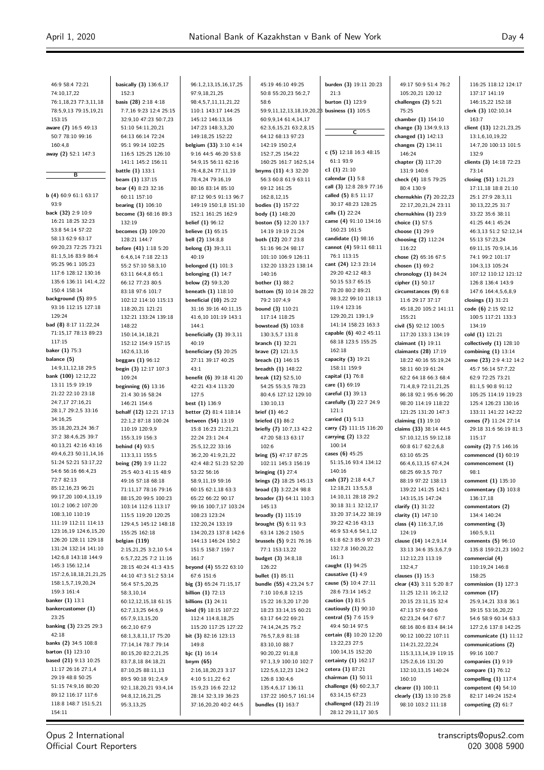| 46:9 58:4 72:21                                  | basically (3) 136:6,17                         | 96:1,2,13,15,16,17,25                          | 45:19 46:10 49:25                                        | burden (3) 19:11 20:23                       | 49:17 50:9 51:4 76:2                            | 116:25 118:12 124:17                             |
|--------------------------------------------------|------------------------------------------------|------------------------------------------------|----------------------------------------------------------|----------------------------------------------|-------------------------------------------------|--------------------------------------------------|
| 74:10,17,22<br>76:1,18,23 77:3,11,18             | 152:3<br>basis (28) 2:18 4:18                  | 97:9,18,21,25<br>98:4,5,7,11,11,21,22          | 50:8 55:20,23 56:2,7<br>58:6                             | 21:3<br>burton $(1)$ 123:9                   | 105:20,21 120:12<br>challenges $(2)$ 5:21       | 137:17 141:19<br>146:15,22 152:18                |
| 78:5,9,13 79:15,19,21                            | 7:7,16 9:23 12:4 25:15                         | 110:1 143:17 144:25                            | 59:9,11,12,13,18,19,20,2 <sup>8</sup> business (1) 105:5 |                                              | 75:25                                           | clerk (3) 102:10,14                              |
| 153:15                                           | 32:9,10 47:23 50:7,23                          | 145:12 146:13,16                               | 60:9,9,14 61:4,14,17                                     |                                              | chamber (1) 154:10                              | 163:7                                            |
| aware (7) 16:5 49:13                             | 51:10 54:11,20,21                              | 147:23 148:3,3,20                              | 62:3,6,15,21 63:2,8,15                                   | $\overline{\mathsf{c}}$                      | change (3) 134:9,9,13                           | client (13) 12:21,23,25                          |
| 50:7 78:10 99:16                                 | 64:13 66:14 72:24                              | 149:18,25 152:22                               | 64:12 68:13 97:23                                        |                                              | changed (1) 142:13                              | 13:1,6,10,19,22                                  |
| 160:4,8                                          | 95:1 99:14 102:25                              | belgium (33) 3:10 4:14                         | 142:19 150:2,4                                           |                                              | changes (2) 134:11                              | 14:7,20 100:13 101:5                             |
| away (2) 52:1 147:3                              | 116:5 125:25 126:10<br>141:1 145:2 156:11      | 9:16 44:5 46:20 53:8                           | 152:7,25 154:22                                          | c (5) $12:18$ 16:3 48:15<br>61:1 93:9        | 146:24                                          | 132:9                                            |
|                                                  | battle (1) 133:1                               | 54:9,15 56:11 62:16<br>76:4,8,24 77:11,19      | 160:25 161:7 162:5,14<br>bnyms (11) 4:3 32:20            | c1 $(1)$ 21:10                               | chapter (3) 117:20<br>131:9 140:6               | clients (3) 14:18 72:23<br>73:14                 |
| в                                                | beam (1) 137:15                                | 78:4,24 79:16,19                               | 56:3 60:8 61:9 63:11                                     | calendar $(1)$ 5:8                           | check (4) 18:5 79:25                            | closing (51) 1:21,23                             |
|                                                  | bear (4) 8:23 32:16                            | 80:16 83:14 85:10                              | 69:12 161:25                                             | call (3) 12:8 28:9 77:16                     | 80:4 130:9                                      | 17:11,18 18:8 21:10                              |
| b(4)60:961:163:17                                | 60:11 157:10                                   | 87:12 90:5 91:13 96:7                          | 162:8,12,15                                              | called (5) 8:5 11:17                         | chernukhin (7) 20:22,23                         | 25:1 27:9 28:3,11                                |
| 93:9                                             | bearing $(1)$ 106:10                           | 149:19 150:1,8 151:10                          | bodies (1) 157:22                                        | 30:17 48:23 128:25                           | 22:17,20,21,24 23:11                            | 30:13,22,25 31:7                                 |
| back (32) 2:9 10:9<br>16:21 18:25 32:23          | become (3) 68:16 89:3                          | 152:1 161:25 162:9                             | body (1) 148:20                                          | calls (1) 22:24<br>came (4) 91:10 134:16     | chernukhins (1) 23:9                            | 33:22 35:6 38:11                                 |
| 53:8 54:14 57:22                                 | 132:19<br>becomes (3) 109:20                   | <b>belief</b> (1) 96:12<br>believe $(1)$ 65:15 | boston (5) 12:20 13:7<br>14:19 19:19 21:24               | 160:23 161:5                                 | choice (1) 57:5<br>choose (1) 29:9              | 41:25 44:1 45:24<br>46:3,13 51:2 52:12,14        |
| 58:13 62:9 63:17                                 | 128:21 144:7                                   | <b>bell</b> (2) 134:8,8                        | both (12) 20:7 23:8                                      | candidate $(1)$ 98:16                        | choosing (2) 112:24                             | 55:13 57:23,24                                   |
| 69:20,23 72:25 73:21                             | before (41) 1:18 5:20                          | belong (3) 39:3,11                             | 51:16 96:24 98:17                                        | cannot (4) 59:11 68:11                       | 116:22                                          | 69:11,15 70:9,14,16                              |
| 81:1,5,16 83:9 86:4                              | 6:4,6,14 7:18 22:13                            | 40:19                                          | 101:10 106:9 126:11                                      | 76:1 113:15                                  | chose (2) 65:16 67:5                            | 74:1 99:2 101:17                                 |
| 95:25 96:1 105:23                                | 55:2 57:10 58:3,10                             | belonged $(1)$ 101:3                           | 132:20 133:23 138:14                                     | cant (24) 12:3 23:14                         | chosen $(1)$ 69:2                               | 104:3,13 105:24                                  |
| 117:6 128:12 130:16                              | 63:11 64:4,8 65:1                              | belonging $(1)$ 14:7                           | 140:16                                                   | 29:20 42:12 48:3                             | chronology $(1)$ 84:24                          | 107:12 110:12 121:12                             |
| 135:6 136:11 141:4,22<br>150:4 158:14            | 66:12 77:23 80:5<br>83:18 97:6 101:7           | below (2) 59:3,20<br>beneath (1) 118:10        | <b>bother (1) 88:2</b><br>bottom (5) 10:14 28:22         | 50:15 53:7 65:15<br>78:20 80:2 89:21         | cipher (1) 50:17<br>circumstances (9) 6:8       | 126:8 136:4 143:9<br>147:6 164:4,5,6,8,9         |
| background (5) 89:5                              | 102:12 114:10 115:13                           | beneficial $(10)$ 25:22                        | 79:2 107:4,9                                             | 98:3,22 99:10 118:13                         | 11:6 29:17 37:17                                | closings $(1)$ 31:21                             |
| 93:16 112:15 127:18                              | 118:20,21 121:21                               | 31:16 39:16 40:11,15                           | bound (3) 110:21                                         | 119:4 123:16                                 | 45:18,20 105:2 141:11                           | code $(6)$ 2:15 92:12                            |
| 129:24                                           | 132:21 133:24 139:18                           | 41:6,10 101:19 143:1                           | 117:14 118:25                                            | 129:20,21 139:1,9                            | 155:21                                          | 100:5 117:21 133:3                               |
| bad (8) 8:17 11:22,24                            | 148:22                                         | 144:1                                          | bowstead $(5)$ 103:8                                     | 141:14 158:23 163:3                          | civil (5) 92:12 100:5                           | 134:19                                           |
| 71:15,17 78:13 89:23                             | 150:14,14,18,21                                | beneficially $(3)$ 39:3,11                     | 130:3,5,7 131:8                                          | capable (6) 40:2 45:11                       | 117:20 133:3 134:19                             | cold (1) 121:21                                  |
| 117:15<br>baker (1) 75:3                         | 152:12 154:9 157:15                            | 40:19                                          | <b>branch <math>(1)</math></b> 32:21                     | 68:18 123:5 155:25<br>162:18                 | claimant (1) 19:11                              | collectively $(1)$ 128:10                        |
| balance (5)                                      | 162:6,13,16<br>beggars $(1)$ 96:12             | beneficiary (5) 20:25<br>27:11 39:17 40:25     | brave (2) 121:3,5<br>breach (1) 146:15                   | capacity $(3)$ 19:21                         | claimants (28) 17:19<br>18:22 40:16 55:19,24    | combining $(1)$ 13:14<br>come (23) 2:9 4:12 14:2 |
| 14:9,11,12,18 29:5                               | begin (3) 12:17 107:3                          | 43:1                                           | breadth $(1)$ 148:22                                     | 158:11 159:9                                 | 58:11 60:19 61:24                               | 45:7 56:14 57:7,22                               |
| bank (100) 12:12,22                              | 109:24                                         | benefit (6) 39:18 41:20                        | break (12) 52:5,10                                       | capital (1) 76:8                             | 62:2 64:18 66:3 68:4                            | 62:9 72:25 73:21                                 |
| 13:11 15:9 19:19                                 | beginning $(6)$ 13:16                          | 42:21 43:4 113:20                              | 54:25 55:3,5 78:23                                       | care (1) 69:19                               | 71:4,8,9 72:11,21,25                            | 81:1,5 90:8 91:12                                |
| 21:22 22:10 23:18                                | 21:4 30:16 58:24                               | 127:5                                          | 80:4,6 127:12 129:10                                     | careful (1) 39:13                            | 86:18 92:1 95:6 96:20                           | 105:25 114:19 119:23                             |
| 24:7,17 27:16,21<br>28:1,7 29:2,5 33:16          | 146:21 154:6                                   | best $(1)$ 136:9                               | 130:10,13                                                | carefully (3) 22:7 24:9<br>121:1             | 98:20 114:19 118:22                             | 125:4 126:23 130:16                              |
| 34:16,25                                         | behalf (12) 12:21 17:13<br>22:1,2 87:18 100:24 | better (2) 81:4 118:14<br>between (54) 13:19   | brief $(1)$ 46:2<br>briefed $(1)$ 86:2                   | carried (1) 5:13                             | 121:25 131:20 147:3<br>claiming $(1)$ 19:10     | 133:11 141:22 142:22<br>comes (7) 11:24 27:14    |
| 35:18,20,23,24 36:7                              | 110:19 120:9,9                                 | 15:8 16:23 21:21,21                            | briefly (7) 10:7,13 42:2                                 | carry (2) 111:15 116:20                      | claims (33) 38:14 44:5                          | 29:18 31:6 56:19 81:3                            |
| 37:2 38:4,6,25 39:7                              | 155:3,19 156:3                                 | 22:24 23:1 24:4                                | 47:20 58:13 63:17                                        | carrying (2) 13:22                           | 57:10,12,15 59:12,18                            | 115:17                                           |
| 40:13,21 42:16 43:16                             | <b>behind (4) 93:5</b>                         | 25:5,12,22 33:16                               | 102:6                                                    | 100:14                                       | 60:8 61:7 62:2,6,8                              | comity (2) 7:5 146:16                            |
| 49:4,6,23 50:11,14,16<br>51:24 52:21 53:17,22    | 113:3,11 155:5                                 | 36:2,20 41:9,21,22                             | bring (5) 47:17 87:25                                    | cases (6) 45:25                              | 63:10 65:25                                     | commenced $(1)$ 60:19                            |
| 54:6 56:16 66:4,23                               | being (29) 3:9 11:22<br>25:5 40:3 41:15 48:9   | 42:4 48:2 51:23 52:20<br>53:22 56:16           | 102:11 145:3 156:19                                      | 51:15,16 93:4 134:12<br>140:16               | 66:4,6,13,15 67:4,24<br>68:25 69:3,5 70:7       | commencement (1)<br>98:1                         |
| 72:7 82:13                                       | 49:16 57:18 68:18                              | 58:9,11,19 59:16                               | bringing $(1)$ 27:4<br>brings (2) 18:25 145:13           | cash (37) 2:18 4:4,7                         | 88:19 97:22 138:13                              | comment (1) 135:10                               |
| 85:12,16,23 96:21                                | 71:11,17 78:16 79:16                           | 60:15 62:1,18 63:3                             | broad (3) 3:22,24 98:8                                   | 12:18,21 13:5,5,8                            | 139:22 141:25 142:1                             | commentary $(3)$ 103:8                           |
| 99:17,20 100:4,13,19                             | 88:15,20 99:5 100:23                           | 65:22 66:22 90:17                              | broader (3) 64:11 110:3                                  | 14:10,11 28:18 29:2                          | 143:15,15 147:24                                | 136:17,18                                        |
| 101:2 106:2 107:20                               | 103:14 112:6 113:17                            | 99:16 100:7,17 103:24                          | 145:13                                                   | 30:18 31:1 32:12,17                          | clarify (1) 31:22                               | commentators (2)                                 |
| 108:3,10 110:19                                  | 115:5 119:20 120:25                            | 108:23 123:24                                  | broadly (1) 115:19                                       | 33:20 37:14,22 38:19                         | clarity (1) 147:10                              | 134:4 140:24                                     |
| 111:19 112:11 114:13<br>123:16,19 124:6,15,20    | 129:4,5 145:12 148:18<br>155:25 162:18         | 132:20,24 133:19<br>134:20,23 137:8 142:6      | brought $(5)$ 6:11 9:3<br>63:14 126:2 150:5              | 39:22 42:16 43:13<br>46:9 53:4,6 54:1,12     | class (4) 116:3,7,16<br>124:19                  | commenting (3)<br>160:5,9,11                     |
| 126:20 128:11 129:18                             | belgian (119)                                  | 144:13 146:24 150:2                            | brussels (5) 9:21 76:16                                  | 61:8 62:3 85:9 97:23                         | clause (14) 14:2,9,14                           | comments (5) 96:10                               |
| 131:24 132:14 141:10                             | 2:15,21,25 3:2,10 5:4                          | 151:5 158:7 159:7                              | 77:1 153:13,22                                           | 132:7,8 160:20,22                            | 33:13 34:6 35:3,6,7,9                           | 135:8 159:21,23 160:2                            |
| 142:6,8 143:18 144:9                             | 6:5,7,22,25 7:2 11:16                          | 161:7                                          | <b>budget</b> (3) 34:8,18                                | 161:3                                        | 112:12,23 113:19                                | commercial (4)                                   |
| 145:3 156:12,14                                  | 28:15 40:24 41:3 43:5                          | beyond (4) 55:22 63:10                         | 126:22                                                   | caught (1) 94:25                             | 132:4,7                                         | 110:19,24 146:8                                  |
| 157:2,6,18,18,21,21,25                           | 44:10 47:3 51:2 53:14                          | 67:6 151:6                                     | <b>bullet (1) 85:11</b>                                  | causative $(1)$ 4:9                          | clauses $(1)$ 15:3                              | 158:25                                           |
| 158:1,5,7,19,20,24<br>159:3 161:4                | 56:4 57:5,20,25                                | big (3) 65:24 71:15,17                         | bundle (55) 4:23,24 5:7<br>7:10 10:6,8 12:15             | cause (5) 10:4 27:11<br>28:6 73:14 145:2     | clear (43) 3:11 5:20 8:7<br>11:25 12:11 16:2,12 | commission $(1)$ 127:3                           |
| banker (1) 13:1                                  | 58:3,10,14<br>60:12,12,15,18 61:15             | billion $(1)$ 72:13<br>billions $(1)$ 24:11    | 15:22 16:3,20 17:20                                      | caution $(1)$ 81:5                           | 20:15 23:11,15 32:4                             | common (17)<br>25:9,14,21 33:8 36:1              |
| bankercustomer (1)                               | 62:7,13,25 64:6,9                              | bind (9) 18:15 107:22                          | 18:23 33:14,15 60:21                                     | cautiously $(1)$ 90:10                       | 47:13 57:9 60:6                                 | 39:15 53:16,20,22                                |
| 23:25                                            | 65:7,9,13,15,20                                | 112:4 114:8,18,25                              | 63:17 64:22 69:21                                        | central (5) 7:6 15:9                         | 62:23,24 64:7 67:7                              | 54:6 58:9 60:14 63:3                             |
| banking (3) 23:25 29:3                           | 66:2,10 67:9                                   | 115:20 117:25 127:22                           | 74:14,24,25 75:2                                         | 49:4 50:14 97:5                              | 68:16 80:6 83:4 84:14                           | 127:2,6 137:8 142:25                             |
| 42:18                                            | 68:1,3,8,11,17 75:20                           | bit (3) 82:16 123:13                           | 76:5,7,8,9 81:18                                         | certain (8) 10:20 12:20                      | 90:12 100:22 107:11                             | communicate $(1)$ 11:12                          |
| banks (2) 34:5 108:8<br><b>barton (1)</b> 123:10 | 77:14,14 78:7 79:14                            | 149:8                                          | 83:10,10 88:7                                            | 13:22,23 27:5<br>100:14,15 152:20            | 114:21,22,22,24                                 | communications (2)                               |
| based (21) 9:13 10:25                            | 80:15,20 82:2,21,25<br>83:7,8,18 84:18,21      | bjc $(1)$ 16:14<br>bnym (65)                   | 90:20,22 91:8,8<br>97:1,3,9 100:10 102:7                 | certainty $(1)$ 162:17                       | 115:3,13,14,19 119:15<br>125:2,6,16 131:20      | 99:16 100:7<br>companies $(1)$ 9:19              |
| 11:17 26:16 27:1,4                               | 87:10,25 88:11,13                              | 2:16,18,20,23 3:17                             | 122:5,6,12,23 124:2                                      | cetera (1) 87:21                             | 132:10,13,15 140:24                             | compare (1) 76:12                                |
| 29:19 48:8 50:25                                 | 89:5 90:18 91:2,4,9                            | 4:10 5:11,22 6:2                               | 126:8 130:4,6                                            | chairman (1) 50:11                           | 160:10                                          | compelling $(1)$ 117:4                           |
| 51:15 74:9,16 80:20                              | 92:1,18,20,21 93:4,14                          | 15:9,23 16:6 22:12                             | 135:4,6,17 136:11                                        | challenge (6) 60:2,3,7                       | clearer (1) 100:11                              | competent $(4)$ 54:10                            |
| 89:12 116:17 117:6                               | 94:8,12,16,21,25                               | 28:14 32:3,19 36:23                            | 137:22 160:5,7 161:14                                    | 63:14,15 67:23                               | clearly (13) 13:10 25:8                         | 82:17 149:24 152:4                               |
| 118:8 148:7 151:5,21<br>154:11                   | 95:3,13,25                                     | 37:16,20,20 40:2 44:5                          | bundles (1) 163:7                                        | challenged (12) 21:19<br>28:12 29:11,17 30:5 | 98:10 103:2 111:18                              | competing $(2)$ 61:7                             |
|                                                  |                                                |                                                |                                                          |                                              |                                                 |                                                  |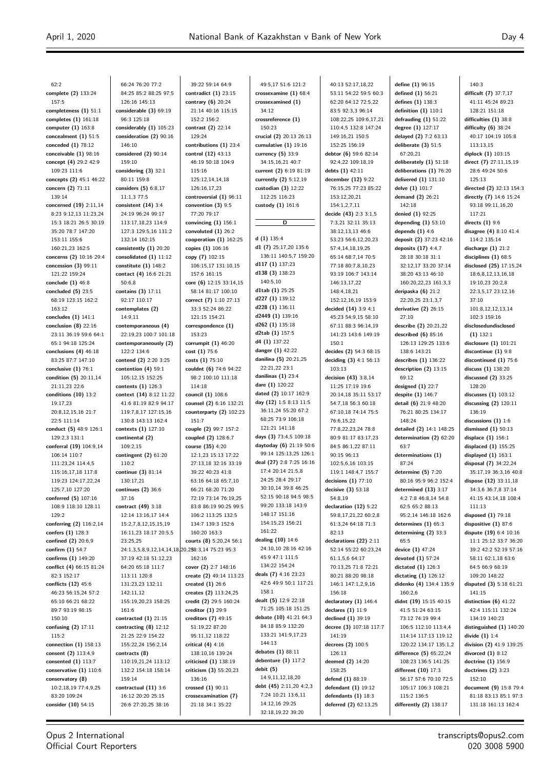| 62:2                                     | 66:24 76:20 77:2                                | 39:22 59:14 64:9                        | 49:5,17 51:6 121:2                    | 40:13 52:17,18,22                          | define (1) 96:15                              | 140:3                                           |
|------------------------------------------|-------------------------------------------------|-----------------------------------------|---------------------------------------|--------------------------------------------|-----------------------------------------------|-------------------------------------------------|
| complete (2) 133:24                      | 84:25 85:2 88:25 97:5                           | contradict $(1)$ 23:15                  | crossexamine $(1)$ 68:4               | 53:11 54:22 59:5 60:3                      | defined $(1)$ 56:21                           | difficult (7) 37:7,17                           |
| 157:5                                    | 126:16 145:13                                   | contrary (6) 20:24                      | crossexamined (1)                     | 62:20 64:12 72:5,22                        | defines (1) 138:3                             | 41:11 45:24 89:23                               |
| completeness $(1)$ 51:1                  | considerable (3) 69:19                          | 21:14 40:16 115:15                      | 34:12                                 | 83:5 92:3,3 96:14                          | definition $(1)$ 110:1                        | 128:21 151:18                                   |
| completes $(1)$ 161:18                   | 96:3 125:18                                     | 152:2 156:2                             | crossreference (1)                    | 108:22,25 109:6,17,21                      | defrauding $(1)$ 51:22                        | difficulties (1) 38:8                           |
| computer (1) 163:8                       | considerably (1) 105:23                         | contrast (2) 22:14                      | 150:23                                | 110:4,5 132:8 147:24                       | degree (1) 127:17                             | difficulty $(6)$ 38:24                          |
| concealment $(1)$ 51:5                   | consideration (2) 90:16                         | 129:24                                  | crucial (2) 20:13 26:13               | 149:16,21 150:5                            | delayed (2) 7:2 63:13                         | 40:17 104:19 105:8                              |
| conceded $(1)$ 78:12                     | 146:10                                          | contributions (1) 23:4                  | cumulative $(1)$ 19:16                | 152:25 156:19                              | deliberate $(3)$ 51:5                         | 113:13,15                                       |
| conceivable $(1)$ 98:16                  | considered $(2)$ 90:14                          | control (12) 43:13                      | currency $(5)$ 33:9                   | debtor (6) 59:6 82:14                      | 67:20,21                                      | diplock (1) 103:15                              |
| concept (4) 29:2 42:9                    | 159:10                                          | 46:19 50:18 104:9                       | 34:15,16,21 40:7                      | 92:4,22 109:18,19                          | deliberately (1) 51:18                        | direct (7) 27:11,15,19                          |
| 109:23 111:6                             | considering $(3)$ 32:1                          | 115:16                                  | current (2) 6:19 81:19                | debts (1) 42:11                            | deliberations (1) 76:20                       | 28:6 49:24 50:6                                 |
| concepts (2) 45:1 46:22                  | 80:11 159:8                                     | 125:12,14,14,18                         | currently (2) 5:12,19                 | december (12) 9:22                         | delivered (1) 131:10                          | 125:13                                          |
| concern (2) 71:11                        | considers $(5)$ 6:8,17                          | 126:16,17,23                            | custodian $(3)$ 12:22                 | 76:15,25 77:23 85:22                       | delve (1) 101:7                               | directed (2) 32:13 154:3                        |
| 139:14                                   | 11:1,3 77:5                                     | controversial (1) 96:11                 | 112:25 116:23                         | 153:12,20,21                               | demand $(2)$ 26:21                            | directly (7) 14:6 15:24                         |
| concerned (19) 2:11,14                   | consistent $(14)$ 3:4                           | convention $(3)$ 9:5                    | custody $(1)$ 161:6                   | 154:1,2,7,11                               | 142:18                                        | 93:18 99:11,16,20                               |
| 8:23 9:12,13 11:23,24                    | 24:19 96:24 99:17                               | 77:20 79:17                             |                                       | decide (43) 2:3 3:1,5                      | denied (1) 92:25                              | 117:21                                          |
| 15:3 18:21 26:5 30:19                    | 113:17,18,23 114:9                              | convincing $(1)$ 156:1                  | D                                     | 7:3,21 32:11 35:13                         | depending $(1)$ 53:10                         | directs $(1)$ 9:6                               |
| 35:20 78:7 147:20                        | 127:3 129:5,16 131:2                            | convoluted $(1)$ 26:2                   |                                       | 38:12,13,13 46:6                           | depends $(1)$ 4:6                             | disagree (4) 8:10 41:4                          |
| 153:11 155:6                             | 132:14 162:15                                   | cooperation $(1)$ 162:25                | d $(1)$ 135:4                         | 53:23 56:6,12,20,23                        | deposit (2) 37:23 42:16                       | 114:2 135:14                                    |
| 160:21,23 162:5                          | consistently $(1)$ 20:20                        | copies (1) 106:16                       | d1 (7) 25:17,20 135:6                 | 57:4,14,18,19,25                           | deposits $(17)$ 4:4,7                         | discharge $(1)$ 21:2                            |
| concerns (2) 10:16 29:4                  | consolidated $(1)$ 11:12                        | copy (7) 102:15                         | 136:11 140:5,7 159:20                 | 65:14 68:7,14 70:5                         | 28:18 30:18 31:1                              | disciplines (1) 68:5                            |
| concession $(3)$ 99:11                   | constitute $(1)$ 148:2                          | 106:15,17 131:10,15                     | d117 (1) 137:23                       | 77:18 80:7,8,10,23                         | 32:12,17 33:20 37:14                          | disclosed (25) 17:15,24                         |
| 121:22 159:24                            | contact (4) 16:6 21:21                          | 157:6 161:15                            | d138 (3) 138:23                       | 93:19 106:7 143:14                         | 38:20 43:13 46:10                             | 18:6,8,12,13,16,18                              |
| conclude $(1)$ 46:8                      | 50:6.8                                          | core (6) 12:15 33:14,15                 | 140:5,10                              | 146:13,17,22                               | 160:20,22,23 161:3,3                          | 19:10,23 20:2,8                                 |
| concluded $(5)$ 23:5                     | contains (3) 17:11                              | 58:14 81:17 100:10                      | d1tab $(1)$ 25:25                     | 148:4,18,21                                | deripaska (6) 21:2                            | 22:3,5,17 23:12,16                              |
| 68:19 123:15 162:2                       | 92:17 110:17                                    | correct (7) 1:10 27:13                  | d227 (1) 139:12                       | 152:12,16,19 153:9                         | 22:20,25 23:1,3,7                             | 37:10                                           |
| 163:12                                   | contemplates (2)                                | 33:3 52:24 86:22                        | d228 (1) 136:11                       | decided $(14)$ 3:9 4:1                     | derivative $(2)$ 26:15                        | 101:8,12,12,13,14                               |
| concludes $(1)$ 141:1                    | 14:9,11                                         | 121:15 154:21                           | d2449 (1) 139:16                      | 45:23 54:9,15 58:10                        | 27:10                                         | 102:3 159:16                                    |
| conclusion $(8)$ 22:16                   | contemporaneous (4)                             | correspondence (1)                      | d262 (1) 135:18                       | 67:11 88:3 96:14,19                        | describe (2) 20:21,22                         | disclosedundisclosed                            |
| 23:11 36:19 59:6 64:1                    | 22:19,23 100:7 101:18                           | 153:23                                  | d2tab (1) 157:5                       | 141:23 143:6 149:19                        | described $(6)$ 85:16                         | $(1)$ 132:1                                     |
| 65:1 94:18 125:24                        | contemporaneously (2)                           | corrumpit $(1)$ 46:20                   | $d4(1)$ 137:22                        | 150:1                                      | 126:13 129:25 133:6                           | disclosure $(1)$ 101:21                         |
| conclusions $(4)$ 46:18                  | 122:2 134:6                                     | cost(1) 75:6                            | danger $(1)$ 42:22                    | decides (2) 54:3 68:15                     | 138:6 143:21                                  | discontinue (1) 9:8                             |
| 83:25 87:7 147:10                        | contend (2) 2:20 3:25                           | costs (1) 75:10                         | danilina (5) 20:21,25                 | deciding $(3)$ 4:1 56:13                   | describes (1) 136:22                          | discontinued (1) 75:6                           |
| conclusive $(1)$ 76:1                    | contention $(4)$ 59:1                           | couldnt (6) 74:6 94:22                  | 22:21,22 23:1                         | 103:13                                     | description $(2)$ 13:15                       | discuss (1) 138:20                              |
| condition (5) 20:11,14                   | 105:12,15 152:25                                | 98:2 100:10 111:18                      | danilinas $(1)$ 23:4                  | decision (43) 3:8,14                       | 69:12                                         | discussed (2) 33:25                             |
| 21:11,23 22:6                            | contents $(1)$ 126:3                            | 114:18                                  | dare (1) 120:22                       | 11:25 17:19 19:6                           | designed $(1)$ 22:7                           | 128:20                                          |
| conditions $(10)$ 13:2                   | context (14) 8:12 11:22                         | council (1) 108:6                       | dated (2) 10:17 162:9                 | 20:14,18 35:11 53:17                       | despite $(1)$ 146:7                           | discusses $(1)$ 103:12                          |
| 19:17,23                                 | 41:6 81:19 82:9 94:17                           | counsel (2) 6:16 132:21                 | day (12) 1:5 8:13 11:5                | 54:7,18 56:3 60:18                         | detail (6) 21:9 48:20                         | discussing $(2)$ 120:11                         |
| 20:8,12,15,16 21:7                       | 119:7,8,17 127:15,16                            | counterparty $(2)$ 102:23               | 36:11,24 55:20 67:2                   | 67:10,18 74:14 75:5                        | 76:21 80:25 134:17                            | 136:19                                          |
| 22:5 111:14                              | 130:8 143:13 162:4                              | 151:7                                   | 68:25 73:9 106:18                     | 76:6,15,22                                 | 148:24                                        | discussions $(1)$ 1:6                           |
| conduct (5) 48:9 126:1                   | contexts (1) 127:10                             | couple (2) 99:7 157:2                   | 121:21 141:18                         | 77:8,22,23,24 78:8                         | detailed (2) 14:1 148:25                      | dismissed $(1)$ 50:13                           |
| 129:2,3 131:1                            | continental (2)                                 | coupled (2) 128:6,7                     | days (3) 73:4,5 109:18                | 80:9 81:17 83:17,23                        | determination (2) 62:20                       | displace (1) 156:1                              |
| conferral (19) 104:9,14                  | 109:2,15                                        | course (35) 4:20                        | daytoday (6) 21:19 50:6               | 84:5 86:1,22 87:11                         | 63:7                                          | displaced (1) 155:25                            |
| 106:14 110:7                             | contingent $(2)$ 61:20                          | 12:1,23 15:13 17:22                     | 99:14 125:13,25 126:1                 | 90:15 96:13                                | determinations (1)                            | displayed $(1)$ 163:1                           |
| 111:23,24 114:4,5                        | 110:2                                           | 27:13,18 32:16 33:19                    | deal (27) 2:8 7:25 16:16              | 102:5,6,16 103:15                          | 87:24                                         | disposal (7) 34:22,24                           |
| 115:16,17,18 117:8                       | continue (3) 81:14                              | 39:22 40:23 41:8                        | 17:4 20:14 21:5,8<br>24:25 28:4 29:17 | 119:1 148:4,7 155:7                        | determine $(5)$ 7:20                          | 35:17,19 36:3,16 40:8                           |
| 119:23 124:17,22,24                      | 130:17,21                                       | 63:16 64:18 65:7,10                     | 30:10,14 39:8 46:25                   | decisions $(1)$ 77:10                      | 80:16 95:9 96:2 152:4                         | dispose (12) 33:11,18                           |
| 125:7,10 127:20                          | continues $(2)$ 36:6                            | 66:21 68:20 71:20                       | 52:15 90:18 94:5 98:5                 | decisive $(3)$ 53:18                       | determined $(13)$ 3:17                        | 34:3,6 36:7,8 37:14                             |
| conferred (5) 107:16                     | 37:16                                           | 72:19 73:14 76:19,25                    | 99:20 133:18 143:9                    | 54:8,19                                    | 4:2 7:8 46:8,14 54:8                          | 41:15 43:14,18 108:4                            |
| 108:9 118:10 128:11                      | contract (49) 3:18                              | 83:8 86:19 90:25 99:5                   | 148:17 151:16                         | declaration (12) 5:22                      | 62:5 65:2 88:13                               | 111:13                                          |
| 129:2                                    | 12:14 13:16,17 14:4                             | 106:2 113:25 132:5<br>134:7 139:3 152:6 | 154:15,23 156:21                      | 59:8,17,21,22 60:2,8<br>61:3,24 64:18 71:3 | 95:2,14 146:18 162:6<br>determines $(1)$ 65:3 | disposed (1) 79:18<br>dispositive (1) 87:6      |
| conferring (2) 116:2,14                  | 15:2,7,8,12,15,15,19                            |                                         | 161:22                                | 82:13                                      |                                               |                                                 |
| confers (1) 128:3<br>confined (2) 20:6,9 | 16:11,23 18:17 20:5,5<br>23:25,25               | 160:20 163:3<br>courts (8) 5:20,24 56:1 | dealing (10) 14:6                     | declarations (22) 2:11                     | determining (2) 33:3<br>65:5                  | dispute (19) 6:4 10:16<br>11:1 25:12 33:7 36:20 |
| confirm $(1)$ 54:7                       | 24:1,3,5,8,9,12,14,14,18,20,258:3,14 75:23 95:3 |                                         | 24:10,10 28:16 42:16                  | 52:14 55:22 60:23,24                       | device (1) 47:24                              | 39:2 42:2 52:19 57:16                           |
| confirms (1) 149:20                      | 37:19 42:18 51:12,23                            | 162:16                                  | 45:9 47:1 111:5                       | 61:1,5,6 64:17                             | devoted (1) 57:24                             | 58:11 62:1,18 63:6                              |
| conflict (4) 66:15 81:24                 | 64:20 65:18 111:7                               | cover (2) 2:7 148:16                    | 134:22 154:24                         | 70:13,25 71:8 72:21                        | dictated $(1)$ 126:3                          | 64:5 66:9 68:19                                 |
| 82:3 152:17                              | 113:11 120:8                                    | create (2) 49:14 113:23                 | deals (7) 4:16 23:23                  | 80:21 88:20 98:18                          | dictating $(1)$ 126:12                        | 109:20 148:22                                   |
| conflicts (12) 45:6                      | 131:23,23 132:11                                | created $(1)$ 26:6                      | 42:6 49:9 50:1 117:21                 | 146:1 147:1,2,9,16                         | didenko (4) 134:4 135:9                       | disputed (3) 5:18 61:21                         |
| 46:23 56:15,24 57:2                      | 142:11,12                                       | creates (2) 113:24,25                   | 158:1                                 | 156:18                                     | 160:2,6                                       | 141:15                                          |
| 65:10 66:21 68:22                        | 155:19,20,23 158:25                             | credit (2) 29:5 160:24                  | dealt (5) 12:9 22:18                  | declaratory $(1)$ 146:4                    | didnt (19) 15:15 40:15                        | distinction $(6)$ 41:22                         |
| 89:7 93:19 98:15                         | 161:6                                           | creditor $(1)$ 29:9                     | 71:25 105:18 151:25                   | declares $(1)$ 11:9                        | 41:5 51:24 63:15                              | 42:4 115:11 132:24                              |
| 150:10                                   | contracted $(1)$ 21:15                          | creditors (7) 49:15                     | debate (10) 41:21 64:3                | declined (1) 39:19                         | 73:12 74:19 99:4                              | 134:19 140:23                                   |
| confusing $(2)$ 17:11                    | contracting $(8)$ 12:12                         | 51:19,22 87:20                          | 84:18 85:9 132:20                     | decree (3) 107:18 117:7                    | 106:5 112:10 113:4,4                          | distinguished (1) 140:20                        |
| 115:2                                    | 21:25 22:9 154:22                               | 95:11,12 118:22                         | 133:21 141:9,17,23                    | 141:19                                     | 114:14 117:13 119:12                          | divide $(1)$ 1:4                                |
| connection $(1)$ 158:13                  | 155:22,24 156:2,14                              | critical $(4)$ 4:16                     | 144:13                                | decrees (2) 100:5                          | 120:22 134:17 135:1,2                         | division (2) 41:9 139:25                        |
| consent (2) 113:4,9                      | contracts (8)                                   | 138:10,16 139:24                        | debates (1) 88:11                     | 126:13                                     | difference (5) 65:22,24                       | divorced (1) 8:12                               |
| consented $(1)$ 113:7                    | 110:19,21,24 113:12                             | criticised $(1)$ 138:19                 | debenture $(1)$ 117:2                 | deemed (2) 14:20                           | 108:23 136:5 141:25                           | doctrine (1) 156:9                              |
| conservative (1) 110:6                   | 132:2 154:18 158:14                             | criticism (3) 55:20,23                  | debit (5)                             | 158:25                                     | different (10) 17:3                           | doctrines $(2)$ 3:23                            |
| conservatory (8)                         | 159:14                                          | 136:16                                  | 14:9,11,12,18,20                      | defend (1) 88:19                           | 56:17 57:6 70:10 72:5                         | 152:10                                          |
| 10:2,18,19 77:4,9,25                     | contractual (11) 3:6                            | crossed $(1)$ 90:11                     | debt (45) 2:11,20 4:2,3               | defendant $(1)$ 19:12                      | 105:17 106:3 108:21                           | document (9) 15:8 79:4                          |
| 83:20 109:24                             | 16:12 20:20 25:15                               | crossexamination (7)                    | 7:24 10:21 13:6,11                    | defendants (1) 18:3                        | 115:2 136:5                                   | 81:18 83:13 85:1 97:3                           |
| consider (10) 54:15                      | 26:6 27:20,25 38:16                             | 21:18 34:1 35:22                        | 14:12,16 29:25                        | deferred (2) 62:13,25                      | differently $(2)$ 138:17                      | 131:18 161:13 162:4                             |
|                                          |                                                 |                                         | 32:18,19,22 39:20                     |                                            |                                               |                                                 |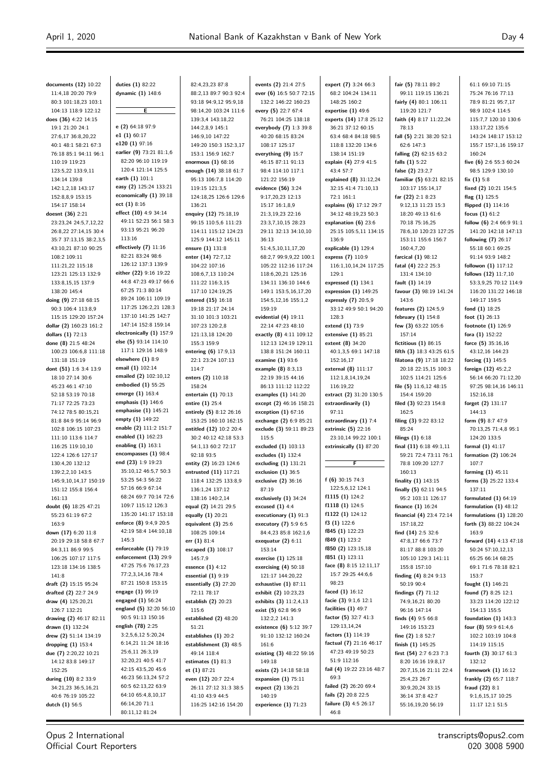**documents (12)** 10:22 11:4,18 20:20 79:9 80:3 101:18,23 103:1 104:13 118:9 122:12 **does (36)** 4:22 14:15 19:1 21:20 24:1 27:6,17 36:8,20,22 40:1 48:1 58:21 67:3 76:18 85:1 94:11 96:1 110:19 119:23 123:5,22 133:9,11 134:14 139:8 142:1,2,18 143:17 152:8,8,9 153:15 154:17 158:14 **doesnt (36)** 2:21 23:23,24 24:5,7,12,22 26:8,22 27:14,15 30:4 35:7 37:13,15 38:2,3,5 43:10,21 87:10 90:25 108:2 109:11 111:21,22 115:18 123:21 125:13 132:9 133:8,15,15 137:9 138:20 145:4 **doing (9)** 27:18 68:15 90:3 106:4 113:8,9 115:15 129:20 157:24 **dollar (2)** 160:23 161:2 **dollars (1)** 72:13 **done (8)** 21:5 48:24 100:23 106:6,8 111:18 131:18 151:19 **dont (51)** 1:6 3:4 13:9 18:10 27:14 30:6 45:23 46:1 47:10 52:18 53:19 70:18 71:17 72:25 73:23 74:12 78:5 80:15,21 81:8 84:9 95:14 96:9 102:8 106:15 107:23 111:10 113:6 114:7 116:25 119:10,10 122:4 126:6 127:17 130:4,20 132:12 139:2,2,10 143:5 145:9,10,14,17 150:19 151:12 155:8 156:4 161:13 **doubt (6)** 18:25 47:21 55:23 61:19 67:2 163:9 **down (17)** 6:20 11:8 20:19 29:18 58:8 67:7 84:3,11 86:9 99:5 106:25 107:17 117:5 123:18 134:16 138:5 141:8 **draft (2)** 15:15 95:24 **drafted (2)** 22:7 24:9 **draw (4)** 125:20,21 126:7 132:21 **drawing (2)** 46:17 82:11 **drawn (1)** 132:24 **drew (2)** 51:14 134:19 **dropping (1)** 153:4 **due (7)** 2:20,22 10:21 14:12 83:8 149:17 152:25 **during (10)** 8:2 33:9 34:21,23 36:5,16,21 40:6 76:19 105:22 **dutch (1)** 56:5

**duties (1)** 82:22 **dynamic (1)** 148:6 **E e (2)** 64:18 97:9 **e1 (1)** 60:17 **e120 (1)** 97:16 **earlier (9)** 73:21 81:1,6 82:20 96:10 119:19 120:4 121:14 125:5 **earth (1)** 101:1 **easy (2)** 125:24 133:21 **economically (1)** 39:18 **ect (1)** 8:16 **effect (10)** 4:9 34:14 49:11 52:23 56:1 58:3 93:13 95:21 96:20 113:16 **effectively (7)** 11:16 82:21 83:24 98:6 126:12 137:3 139:9 **either (22)** 9:16 19:22 44:8 47:23 49:17 66:6 67:25 71:3 80:14 89:24 106:11 109:19 117:25 126:2,21 128:3 137:10 141:25 142:7 147:14 152:8 159:14 **electronically (1)** 157:9 **else (5)** 93:14 114:10 117:1 129:16 148:9 **elsewhere (1)** 8:9 **email (1)** 102:14 **emailed (2)** 102:10,12 **embodied (1)** 55:25 **emerge (1)** 163:4 **emphasis (1)** 146:6 **emphasise (1)** 145:21 **empty (1)** 149:22 **enable (2)** 111:2 151:7 **enabled (1)** 162:23 **enabling (1)** 163:1 **encompasses (1)** 98:4 **end (23)** 1:9 19:23 35:10,12 46:5,7 50:3 53:25 54:3 56:22 57:16 66:9 67:14 68:24 69:7 70:14 72:6 109:7 115:12 126:3 135:20 141:17 153:18 **enforce (8)** 9:4,9 20:5 42:19 58:4 144:10,18 145:3 **enforceable (1)** 79:19 **enforcement (13)** 29:9 47:25 75:6 76:17,23 77:2,3,14,16 78:4 87:21 150:8 153:15 **engage (1)** 99:19 **engaged (1)** 56:24 **england (5)** 32:20 56:10 90:5 91:13 150:16 **english (78)** 2:25 3:2,5,6,12 5:20,24 6:14,21 11:24 18:16 25:6,11 26:3,19 32:20,21 40:5 41:7 42:15 43:5,20 45:6 46:23 56:13,24 57:2 60:5 62:13,22 63:9 64:10 65:4,8,10,17 66:14,20 71:1 80:11,12 81:24

82:4,23,23 87:8 88:2,13 89:7 90:3 92:4 93:18 94:9,12 95:9,18 98:14,20 103:24 111:6 139:3,4 143:18,22 144:2,8,9 145:1 146:9,10 147:22 149:20 150:3 152:3,17 153:1 156:9 162:7 **enormous (1)** 68:16 **enough (14)** 38:18 61:7 95:13 106:7,8 114:20 119:15 121:3,5 124:18,25 126:6 129:6 136:21 **enquiry (12)** 75:18,19 99:15 110:5,6 111:23 114:11 115:12 124:23 125:9 144:12 145:11 **ensure (1)** 131:8 **enter (14)** 72:7,12 104:22 107:16 108:6,7,13 110:24 111:22 116:3,15 117:10 124:19,25 **entered (15)** 16:18 19:18 21:17 24:14 31:10 101:3 103:21 107:23 120:2,8 121:13,18 124:20 155:3 159:9 **entering (6)** 17:9,13 22:1 23:24 107:13 114:7 **enters (2)** 110:18 158:24 **entertain (1)** 70:13 **entire (1)** 25:4 **entirely (5)** 8:12 26:16 153:25 160:10 162:15 **entitled (12)** 10:2 20:4 30:2 40:12 42:18 53:3 54:1,13 60:2 72:17 92:18 93:5 **entity (2)** 16:23 124:6 **entrusted (11)** 117:21 118:4 132:25 133:8,9 136:1,24 137:12 138:16 140:2,14 **equal (2)** 14:21 29:5 **equally (1)** 20:21 **equivalent (3)** 25:6 108:25 109:14 **err (1)** 81:4 **escaped (3)** 108:17 145.7.9 **essence (1)** 4:12 **essential (1)** 9:19 **essentially (3)** 27:20 72:11 78:17 **establish (2)** 20:23 115:6 **established (2)** 48:20 51:21 **establishes (1)** 20:2 **establishment (3)** 48:5 49:14 118:4 **estimates (1)** 81:3 **et (1)** 87:21 **even (12)** 20:7 22:4 26:11 27:12 31:3 38:5 41:10 43:9 44:5 116:25 142:16 154:20

**events (2)** 21:4 27:5 **ever (6)** 16:5 50:7 72:15 132:2 146:22 160:23 **every (5)** 22:7 67:4 76:21 104:25 138:18 **everybody (7)** 1:3 39:8 40:20 68:15 83:24 108:17 125:17 **everything (9)** 15:7 46:15 87:11 91:13 98:4 114:10 117:1 121:22 156:19 **evidence (56)** 3:24 9:17,20,23 12:13 15:17 16:1,8,9 21:3,19,23 22:16 23:3,7,10,15 28:23 29:11 32:13 34:10,10 36:13 51:4,5,10,11,17,20 68:2,7 99:9,9,22 100:1 105:22 112:16 117:24 118:6,20,21 125:16 134:11 136:10 144:6 149:1 153:5,16,17,20 154:5,12,16 155:1,2 159:19 **evidential (4)** 19:11 22:14 47:23 48:10 **exactly (8)** 4:11 109:12 112:13 124:19 129:11 138:8 151:24 160:11 **examine (1)** 93:6 **example (8)** 8:3,13 22:19 39:15 44:16 86:13 111:12 112:22 **examples (1)** 141:20 **except (2)** 46:16 158:21 **exception (1)** 67:16 **exchange (2)** 6:9 85:21 **exclude (3)** 59:11 89:23 115:5 **excluded (1)** 103:13 **excludes (1)** 132:4 **excluding (1)** 131:21 **exclusion (1)** 36:5 **exclusive (2)** 36:16 87:19 **exclusively (1)** 34:24 **excused (1)** 4:4 **executionary (1)** 91:3 **executory (7)** 5:9 6:5 84:4,23 85:8 162:1,6 **exequatur (2)** 6:11 153:14 **exercise (1)** 125:18 **exercising (4)** 50:18 121:17 144:20,22 **exhaustive (1)** 87:11 **exhibit (2)** 10:23,23 **exhibits (3)** 11:2,4,13 **exist (5)** 62:8 96:9 132:2,2 141:3 **existence (6)** 5:12 39:7 91:10 132:12 160:24 161:6 **existing (3)** 48:22 59:16 149:18 **exists (2)** 14:18 58:18 **expansion (1)** 75:11 **expect (2)** 136:21 140:19 **experience (1)** 71:23

**expert (7)** 3:24 66:3 68:2 104:24 134:11 148:25 160:2 **expertise (1)** 49:6 **experts (14)** 17:8 25:12 36:21 37:12 60:15 63:4 68:4 84:18 98:5 118:8 132:20 134:6 138:14 151:19 **explain (4)** 27:9 41:5 43:4 57:7 **explained (8)** 31:12,24 32:15 41:4 71:10,13 72:1 161:1 **explains (6)** 17:12 29:7 34:12 48:19,23 50:3 **explanation (6)** 23:6 25:15 105:5,11 134:15 136:9 **explicable (1)** 129:4 **express (7)** 110:9 116:1,10,14,24 117:25 129:1 **expressed (1)** 134:1 **expression (1)** 149:25 **expressly (7)** 20:5,9 33:12 49:9 50:1 94:20 128:3 **extend (1)** 73:9 **extensive (1)** 85:21 **extent (8)** 34:20 40:1,3,5 69:1 147:18 152:16,17 **external (8)** 111:17 112:1,8,14,19,24 116:19,22 **extract (2)** 31:20 130:5 **extraordinarily (1)** 97:11 **extraordinary (1)** 7:4 **extrinsic (5)** 22:16 23:10,14 99:22 100:1 **extrinsically (1)** 87:20 **F f (6)** 30:15 74:3 122:5,6,12 124:1 **f1115 (1)** 124:2 **f1118 (1)** 124:5 **f1122 (1)** 124:12 **f3 (1)** 122:6 **f845 (1)** 122:23 **f849 (1)** 123:2 **f850 (2)** 123:15,18 **f851 (1)** 123:11 **face (8)** 8:15 12:11,17 15:7 29:25 44:6,6 98:23 **faced (1)** 16:12 **facie (3)** 9:1,6 12:1 **facilities (1)** 49:7 **factor (5)** 32:7 41:3 129:13,14,24 **factors (1)** 114:19 **factual (7)** 21:16 46:17 47:23 49:19 50:23 51:9 112:16 **fail (4)** 19:22 23:16 48:7 69:3 **failed (2)** 26:20 69:4 **fails (2)** 20:8 22:5 **failure (3)** 4:5 26:17 46:8

**fair (5)** 78:11 89:2 99:11 119:15 136:21 **fairly (4)** 80:1 106:11 119:20 121:7 **faith (4)** 8:17 11:22,24 78:13 **fall (5)** 2:21 38:20 52:1 62:6 147:3 **falling (2)** 62:15 63:2 **falls (1)** 5:22 **false (2)** 23:2,7 **familiar (5)** 63:21 82:15 103:17 155:14,17 **far (22)** 2:1 8:23 9:12,13 11:23 15:3 18:20 49:13 61:6 70:18 75:16,25 78:6,10 120:23 127:25 153:11 155:6 156:7 160:4,7,20 **farcical (1)** 98:12 **fatal (4)** 22:2 25:3 131:4 134:10 **fault (1)** 14:19 **favour (3)** 98:19 141:24 143:6 **features (2)** 124:5,9 **february (1)** 154:8 **few (3)** 63:22 105:6 157:14 **fictitious (1)** 86:15 **fifth (3)** 18:3 43:25 61:5 **filatona (9)** 17:18 18:22 20:18 22:15,15 100:3 102:5 114:21 125:6 **file (5)** 11:6,12 48:15 154:4 159:20 **filed (3)** 92:23 154:8 162:5 **filing (3)** 9:22 83:12 85:24 **filings (1)** 6:18 **final (11)** 6:18 49:1,11 59:21 72:4 73:11 76:1 78:8 109:20 127:7 160:13 **finality (1)** 143:15 **finally (5)** 62:11 94:5 95:2 103:11 126:17 **finance (1)** 16:24 **financial (4)** 23:4 72:14 157:18,22 **find (14)** 2:5 32:6 47:8,17 66:6 73:7 81:17 88:8 103:20 105:10 129:3 141:11 155:8 157:10 **finding (4)** 8:24 9:13 50:19 90:4 **findings (7)** 71:12 74:9,16,21 80:20 96:16 147:14 **finds (4)** 9:5 66:8 149:16 153:23 **fine (2)** 1:8 52:7 **finish (1)** 145:25 **first (54)** 2:7 6:23 7:3 8:20 16:16 19:8,17 20:7,15,16 21:11 22:4 25:4,23 26:7 30:9,20,24 33:15 36:14 37:8 42:7 55:16,19,20 56:19

61:1 69:10 71:15 75:24 76:16 77:13 78:9 81:21 95:7,17 98:9 102:4 114:5 115:7,7 120:10 130:6 133:17,22 135:6 143:24 148:17 153:12 155:7 157:1,16 159:17 160:24 **five (6)** 2:6 55:3 60:24 98:5 129:9 130:10 **fix (1)** 5:8 **fixed (2)** 10:21 154:5 **flag (1)** 125:5 **flipped (1)** 114:16 **focus (1)** 61:2 **follow (6)** 2:4 66:9 91:1 141:20 142:18 147:13 **following (7)** 26:17 55:18 60:1 69:25 91:14 93:9 148:2 **followon (1)** 117:12 **follows (12)** 11:7,10 53:3,9,25 70:12 114:9 116:20 131:22 146:18 149:17 159:5 **fond (1)** 18:25 **foot (1)** 26:13 **footnote (1)** 126:9 **fora (1)** 152:22 **force (5)** 35:16,16 43:12,16 144:23 **forcing (1)** 145:5 **foreign (12)** 45:2,2 56:14 66:20 71:12,20 97:25 98:14,16 146:11 152:16,18 **forget (2)** 131:17 144:13 **form (9)** 8:7 47:9 70:13,25 71:4,8 95:1 124:20 133:5 **formal (1)** 41:17 **formation (2)** 106:24 107:7 **forming (1)** 45:11 **forms (3)** 25:22 133:4 137:11 **formulated (1)** 64:19 **formulation (1)** 48:12 **formulations (1)** 128:20 **forth (3)** 88:22 104:24 163:9 **forward (14)** 4:13 47:18 50:24 57:10,12,13 65:25 66:14 68:25 69:1 71:6 78:18 82:1 153:7 **fought (1)** 146:21 **found (7)** 8:25 12:1 33:23 114:20 122:12 154:13 155:5 **foundation (1)** 143:3 **four (8)** 59:9 61:4,6 102:2 103:19 104:8 114:19 115:15 **fourth (3)** 30:17 61:3 132:12 **framework (1)** 16:12 **frankly (2)** 65:7 118:7 **fraud (22)** 8:1 9:1,6,15,17 10:25 11:17 12:1 51:5

Opus 2 International Official Court Reporters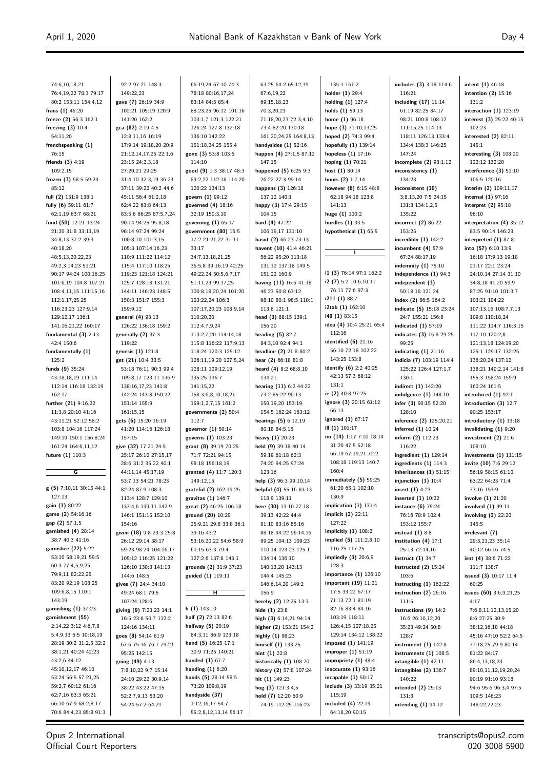| 74:6,10,18,21                                 | 92:2 97:21 148:3                              | 66:19,24 67:10 74:3                          | 63:25 64:2 65:12,19                                | 135:1 161:2                                 | includes (3) 3:18 114:6                            | intent $(1)$ 46:18                            |
|-----------------------------------------------|-----------------------------------------------|----------------------------------------------|----------------------------------------------------|---------------------------------------------|----------------------------------------------------|-----------------------------------------------|
| 76:4,19,22 78:3 79:17                         | 149:22,23                                     | 78:18 80:16,17,24                            | 67:6,19,22                                         | holder $(1)$ 29:4                           | 116:21                                             | intention $(2)$ 15:16                         |
| 80:2 153:11 154:4,12                          | gave (7) 26:19 34:9                           | 83:14 84:5 85:4                              | 69:15,18,23                                        | holding $(1)$ 127:4                         | including $(17)$ 11:14                             | 131:2                                         |
| fraus (1) 46:20                               | 102:21 105:19 120:9                           | 88:23,25 96:12 101:16                        | 70:3,20,23                                         | holds $(1)$ 59:13                           | 61:19 82:25 84:17                                  | interaction $(1)$ 123:19                      |
| freeze (2) 56:3 162:1                         | 141:20 162:2                                  | 103:1,7 121:3 122:21                         | 71:18,20,23 72:3,4,10                              | home $(1)$ 96:18                            | 98:21 100:8 108:12                                 | interest (3) 25:22 40:15                      |
| freezing $(3)$ 10:4                           | gca (82) 2:19 4:5                             | 126:24 127:8 132:18                          | 73:4 82:20 130:18                                  | hope (3) 71:10,13,25<br>hoped (2) 74:3 99:4 | 111:15,25 114:13                                   | 102:23                                        |
| 54:11,20<br>frenchspeaking (1)                | 12:8,11,16 16:19<br>17:9,14 19:18,20 20:9     | 136:10 142:22<br>151:18,24,25 155:4          | 161:20,24,25 164:8,13<br>handysides $(1)$ 52:16    | hopefully (1) 139:14                        | 118:11 126:13 133:4<br>134:4 138:3 146:25          | interested $(2)$ 82:11<br>145:1               |
| 76:15                                         | 21:12,14,17,25 22:1,6                         | gone (3) 53:8 103:6                          | happen (4) 27:1,5 87:12                            | hopeless $(1)$ 17:16                        | 147:24                                             | interesting $(3)$ 108:20                      |
| friends (3) 4:19                              | 23:15 24:2,3,18                               | 114:10                                       | 147:15                                             | hoping (1) 70:21                            | incomplete $(2)$ 93:1,12                           | 122:12 132:20                                 |
| 109:2,15                                      | 27:20,21 29:25                                | good (9) 1:3 38:17 48:3                      | happened (5) 6:25 9:3                              | host $(1)$ 80:14                            | inconsistency (1)                                  | interference (3) 51:10                        |
| frozen (3) 58:5 59:23                         | 31:4,10 32:3,19 36:23                         | 89:2,22 112:18 114:20                        | 26:22 27:3 99:14                                   | hours (2) 1:7,14                            | 134:23                                             | 106:5 120:16                                  |
| 85:12                                         | 37:11 39:22 40:2 44:6                         | 120:22 134:13                                | happens (3) 126:18                                 | however (6) 6:15 48:6                       | inconsistent (10)                                  | interim (2) 109:11,17                         |
| full (2) 131:9 138:1                          | 45:11 56:4 61:2,18                            | govern (1) 99:12                             | 137:12 140:1                                       | 62:18 94:18 123:8                           | 3:8,13,20 7:5 24:15                                | internal $(1)$ 97:16                          |
| fully (6) 59:11 61:7                          | 62:4,22 63:8 64:13                            | governed (4) 18:16                           | happy (3) 17:4 29:15                               | 141:13                                      | 131:3 134:1,2,5                                    | interpret (2) 95:18                           |
| 62:1,19 63:7 68:21                            | 83:5,6 86:25 87:5,7,24                        | 32:19 150:3,10                               | 104:15                                             | huge (1) 100:2                              | 135:22                                             | 96:10                                         |
| fund (50) 12:21 13:24                         | 90:14 94:25 95:8,18                           | governing $(1)$ 65:17                        | hard $(4)$ 47:22                                   | hurdles $(1)$ 33:5                          | incorrect $(2)$ 86:22                              | interpretation (4) 35:12                      |
| 21:20 31:8 33:11,19                           | 96:14 97:24 99:24                             | government (80) 16:5                         | 106:15,17 131:10<br>hasnt (2) 66:23 73:13          | hypothetical (1) 65:5                       | 153:25                                             | 83:5 90:14 146:23                             |
| 34:8,13 37:2 39:3<br>40:18,20                 | 100:8,10 101:3,15<br>105:3 107:14,16,23       | 17:2 21:21,22 31:11<br>33:17                 | havent (10) 41:4 46:21                             |                                             | incredibly $(1)$ 142:2<br>incumbent $(4)$ 57:9     | interpreted $(1)$ 87:8<br>into (57) 6:10 13:9 |
| 48:5,13,20,22,23                              | 110:9 111:22 114:12                           | 34:7,13,18,21,25                             | 56:22 95:20 113:18                                 | $\mathbf{I}$                                | 67:24 88:17,19                                     | 16:18 17:9,13 19:18                           |
| 49:2,3,14,23 51:21                            | 115:4 117:10 118:25                           | 36:5,8 39:16,19 42:25                        | 131:12 137:18 149:5                                |                                             | indemnity $(1)$ 75:10                              | 21:17 22:1 23:24                              |
| 90:17 94:24 100:16,25                         | 119:23 121:18 124:21                          | 49:22,24 50:5,6,7,17                         | 151:22 160:9                                       | i1 (3) 76:14 97:1 162:2                     | independence $(1)$ 94:3                            | 24:10,14 27:14 31:10                          |
| 101:6,19 104:8 107:21                         | 125:7 128:18 131:21                           | 51:11,23 99:17,25                            | having (11) 16:6 41:18                             | $i2(7)$ 5:2 10:6,10,11                      | independent (3)                                    | 34:8,18 41:20 59:9                            |
| 108:4,11,15 111:15,16                         | 144:11 146:23 148:5                           | 100:8,18,20,24 101:20                        | 46:23 50:8 63:12                                   | 76:11 77:6 97:3                             | 50:18,18 121:24                                    | 87:25 91:10 101:3,7                           |
| 112:1,17,25,25                                | 150:3 151:7 155:3                             | 103:22,24 106:3                              | 68:10 80:1 98:5 110:1                              | i211(1)88:7                                 | index $(2)$ 86:5 164:2                             | 103:21 104:22                                 |
| 116:23,23 127:9,14                            | 159:9,12                                      | 107:17,20,23 108:9,14                        | 113:8 121:1                                        | i2tab (1) 162:10                            | indicate (5) 15:18 23:24                           | 107:13,16 108:7,7,13                          |
| 129:12,17 136:1                               | general (4) 93:13                             | 110:20,20                                    | head (3) 88:15 139:1                               | i49 (1) 83:15                               | 24:7 155:21 156:8                                  | 109:8 110:18,24                               |
| 141:16,21,22 160:17                           | 126:22 136:18 159:2                           | 112:4,7,9,24                                 | 156:20                                             | idea (4) 10:4 25:21 65:4                    | indicated (1) 57:19                                | 111:22 114:7 116:3,15                         |
| fundamental (3) 2:13                          | generally (2) 37:3                            | 113:2,7,20 114:14,18                         | heading $(5)$ 82:7                                 | 112:16<br>identified $(6)$ 21:16            | indicates (3) 15:8 29:25                           | 117:10 120:2,8                                |
| 42:4 150:6                                    | 119:22                                        | 115:8 116:22 117:9,13                        | 84:3,10 92:4 94:1                                  | 56:10 72:18 102:22                          | 99:25                                              | 121:13,18 124:19,20                           |
| fundamentally (1)<br>125:2                    | genesis (1) 121:8<br>get (21) 10:4 33:5       | 118:24 120:3 125:12<br>126:11,19,20 127:5,24 | headline (2) 21:8 80:2<br>hear (2) 66:18 81:8      | 143:25 153:8                                | indicating $(1)$ 21:16<br>indicia (7) 103:19 114:4 | 125:1 129:17 132:25<br>136:20,24 137:12       |
| funds (9) 35:24                               | 53:18 76:11 90:3 99:4                         | 128:11 129:12,19                             | heard (4) 8:2 68:8,10                              | identify (6) 2:2 40:25                      | 125:22 126:4 127:1,7                               | 138:21 140:2,14 141:8                         |
| 43:18,18,19 111:14                            | 109:8,17 123:11 136:9                         | 135:25 136:7                                 | 134:21                                             | 42:13 57:3 68:12                            | 130:1                                              | 155:3 158:24 159:9                            |
| 112:14 116:18 132:19                          | 138:16,17,23 141:8                            | 141:15,22                                    | hearing (11) 6:2 44:22                             | 131:1                                       | indirect (1) 142:20                                | 160:24 161:5                                  |
| 162:17                                        | 142:24 143:8 150:22                           | 158:3,6,8,10,18,21                           | 73:2 85:22 90:13                                   | ie (2) 40:8 97:25                           | indulgence $(1)$ 148:10                            | introduced $(1)$ 92:1                         |
| further (21) 9:16,22                          | 151:14 155:9                                  | 159:1,2,7,15 161:2                           | 150:19,20 153:19                                   | ignore (3) 20:15 61:12                      | infer (3) 50:15 52:20                              | introduction $(3)$ 12:7                       |
| 11:3,8 20:10 41:16                            | 161:15,15                                     | governments (2) 50:4                         | 154:5 162:24 163:12                                | 66:13                                       | 128:10                                             | 90:25 153:17                                  |
| 43:11,21 52:12 58:2                           | gets (6) 15:20 16:19                          | 112:7                                        | hearings (5) 6:12,19                               | ignored $(1)$ 67:17                         | inference (2) 125:20,21                            | introductory $(1)$ 13:18                      |
| 103:8 104:16 117:24                           | 41:20 114:16 126:18                           | governor (1) 50:14                           | 80:18 84:5,15                                      | ill (1) 101:17                              | inferred (1) 10:24                                 | invalidating $(1)$ 9:20                       |
| 149:19 150:1 156:8,24                         | 157:15                                        | governs (1) 103:23                           | heavy (1) 20:23                                    | im (14) 1:17 7:10 18:14<br>31:20 47:5 52:18 | inform (2) 112:23                                  | investment $(2)$ 21:6                         |
| 161:24 164:6,11,12<br>future (1) 110:3        | give (32) 17:21 24:5<br>25:17 26:10 27:15,17  | grant (8) 39:19 70:25<br>71:7 72:21 94:15    | held (9) 39:18 40:14<br>59:19 61:18 62:3           | 66:19 67:19,21 72:2                         | 116:22<br>ingredient (1) 129:14                    | 108:10<br>investments $(1)$ 111:15            |
|                                               | 28:6 31:2 35:22 40:1                          | 98:18 156:18,19                              | 74:20 94:25 97:24                                  | 108:18 119:13 140:7                         | ingredients $(1)$ 114:3                            | invite (10) 7:6 29:12                         |
| G                                             | 44:11,14 45:17,19                             | granted (4) 11:7 120:3                       | 123:16                                             | 160:4                                       | inheritances $(1)$ 51:15                           | 56:19 58:15 61:10                             |
|                                               | 53:7,13 54:21 78:23                           | 149:12.15                                    | help (3) 96:3 99:10,14                             | immediately (5) 59:25                       | injunction $(1)$ 10:4                              | 63:22 64:23 71:4                              |
| g (5) 7:10,11 30:15 44:1                      | 82:24 87:9 108:3                              | grateful (2) 162:19,25                       | helpful (4) 55:16 83:13                            | 61:20 65:1 102:10                           | insert $(1)$ 4:23                                  | 73:16 153:9                                   |
| 127:13                                        | 113:4 128:7 129:10                            | gravitas (1) 146:7                           | 118:9 139:11                                       | 130:9                                       | inserted $(1)$ 10:22                               | involve $(1)$ 21:20                           |
| gain (1) 80:22                                | 137:4,6 139:11 142:9                          | great (2) 46:25 106:18                       | here (30) 13:10 27:18                              | implication $(1)$ 131:4                     | instance (6) 75:24                                 | involved (1) 99:11                            |
| game (2) 54:16,16                             | 146:1 151:15 152:10                           | ground (20) 10:20                            | 39:13 42:22 44:4                                   | implicit $(2)$ 22:11                        | 76:16 78:9 102:4                                   | involving $(2)$ 22:20                         |
| gap (2) 57:1,5                                | 154:16                                        | 25:9,21 29:8 33:8 36:1                       | 81:10 83:16 85:16                                  | 127:22                                      | 153:12 155:7                                       | 145:5                                         |
| garnished (4) 28:14<br>38:7 40:3 41:16        | given (18) 9:8 23:3 25:8                      | 39:16 43:2                                   | 88:18 94:22 96:14,16                               | implicitly $(1)$ 108:2                      | instead $(1)$ 8:8                                  | irrelevant (7)                                |
| garnishee (22) 5:22                           | 26:12 29:14 38:17                             | 53:16,20,22 54:6 58:9<br>60:15 63:3 79:4     | 99:25 104:13 109:23                                | implied (5) 111:2,8,10<br>116:25 117:25     | institution $(4)$ 17:1                             | 29:3,21,23 35:14                              |
| 53:10 58:19,21 59:5                           | 59:23 98:24 104:16,17<br>105:12 116:25 121:22 | 127:2,6 137:8 143:1                          | 110:14 123:23 125:1<br>134:14 136:10               | impliedly $(3)$ 20:6,9                      | 25:13 72:14,16<br>instruct $(1)$ 34:7              | 40:12 66:16 74:5<br>isnt $(4)$ 38:6 71:22     |
| 60:3 77:4,5,9,25                              | 126:10 130:3 141:13                           | grounds (2) 31:9 37:23                       | 140:13,20 143:13                                   | 128:3                                       | instructed $(2)$ 15:24                             | 111:7 138:7                                   |
| 79:9,11 82:22,25                              | 144:6 148:5                                   | guided (1) 119:11                            | 144:4 145:23                                       | importance (1) 126:10                       | 103:6                                              | issued $(3)$ 10:17 11:4                       |
| 83:20 92:19 108:25                            | gives (7) 24:4 34:10                          |                                              | 146:6,14,20 149:2                                  | important (19) 11:21                        | instructing $(1)$ 162:22                           | 60:25                                         |
| 109:6,8,15 110:1                              | 49:24 68:1 79:5                               | н                                            | 156:9                                              | 17:5 33:22 67:17                            | instruction $(2)$ 26:16                            | issues (60) 3:6,9,21,25                       |
| 143:19                                        | 107:24 128:6                                  |                                              | hereby (2) 12:25 13:3                              | 71:13 72:1 81:19                            | 111:5                                              | 4:17                                          |
| garnishing (1) 37:23                          | giving (9) 7:23,23 14:1                       | $h(1)$ 143:10                                | hide $(1)$ 23:8                                    | 82:16 83:4 84:16                            | instructions $(9)$ 14:2                            | 7:6,8,11,12,13,15,20                          |
| garnishment (55)                              | 16:5 23:6 50:7 112:2                          | half (2) 72:13 82:6                          | high (3) 6:14,21 94:14                             | 103:19 118:11                               | 16:6 26:10,12,20                                   | 8:6 27:25 30:9                                |
| 2:14,22 3:12 4:6,7,8                          | 124:16 134:11                                 | halfway $(5)$ 20:19                          | higher (2) 153:21 154:2                            | 126:4,15 127:18,25                          | 35:23 49:24 50:8                                   | 38:12,16,18 44:18                             |
| 5:4,9,13 6:5 10:18,19                         | goes (8) 54:14 61:9                           | 84:3,11 86:9 123:18                          | highly (1) 98:23                                   | 129:14 134:12 138:22                        | 128:7                                              | 45:16 47:10 52:2 64:5                         |
| 28:19 30:2 31:2,5 32:2<br>38:1,21 40:24 42:23 | 67:6 75:16 76:1 79:21                         | hand (5) 16:25 17:1<br>30:9 71:25 140:21     | himself $(1)$ 133:25                               | imposed (1) 141:19<br>improper (1) 51:19    | instrument $(1)$ 142:8                             | 77:18,25 79:9 80:14                           |
| 43:2,6 44:12                                  | 95:25 142:15                                  | handed $(1)$ 67:7                            | hint $(1)$ 22:8                                    | impropriety $(1)$ 48:4                      | instruments $(1)$ 108:5                            | 81:22 84:17                                   |
| 45:10,12,17 46:10                             | going (49) 4:13<br>7:8,10,22 9:7 15:14        | handing $(1)$ 6:20                           | historically (1) 108:20<br>history (2) 57:8 107:24 | inaccurate $(1)$ 93:16                      | intangible $(1)$ 42:11<br>intangibles $(2)$ 136:7  | 86:4,13,18,23<br>89:10,11,12,19,20,24         |
| 53:24 56:5 57:21,25                           | 24:10 29:22 30:9,14                           | hands (5) 28:14 58:5                         | hit $(1)$ 149:23                                   | incapable $(1)$ 50:17                       | 140:22                                             | 90:19 91:10 93:18                             |
| 59:2,7 60:12 61:16                            | 38:22 43:22 47:15                             | 73:20 109:8,19                               | hog $(3)$ 121:3,4,5                                | include (3) 33:19 35:21                     | intended (2) 25:13                                 | 94:6 95:6 96:3,4 97:5                         |
| 62:7,16 63:3 65:21                            | 52:2,7,9,13 53:20                             | handyside (37)                               | hold (7) 12:20 60:9                                | 115:19                                      | 131:3                                              | 109:5 146:23                                  |
| 66:10 67:9 68:2,8,17                          | 54:24 57:2 64:21                              | 1:12,16,17 54:7                              | 74:19 112:25 116:23                                | included $(4)$ 22:19                        | intending $(1)$ 94:12                              | 148:22,22,23                                  |
| 70:6 84:4,23 85:8 91:3                        |                                               | 55:2,8,12,13,14 56:17                        |                                                    | 64:18,20 90:15                              |                                                    |                                               |

Opus 2 International Official Court Reporters

 $\overline{a}$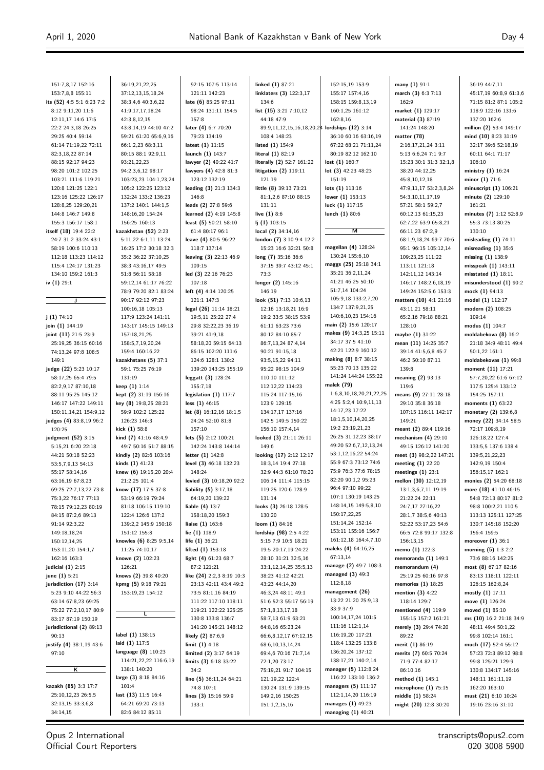| 151:7,8,17 152:16         | 36:19,21,22,25          | 92:15 107:5 113:14        | linked $(1)$ 87:21                            | 152:15,19 153:9         | many (1) 91:1           | 36:19 44:7,11           |
|---------------------------|-------------------------|---------------------------|-----------------------------------------------|-------------------------|-------------------------|-------------------------|
| 153:7,8,8 155:11          | 37:12,13,15,18,24       | 121:11 142:23             | linklaters (3) 122:3,17                       | 155:17 157:4,16         | march (3) 6:3 7:13      | 45:17,19 60:8,9 61:3,6  |
| its (52) 4:5 5:1 6:23 7:2 | 38:3,4,6 40:3,6,22      | late (6) 85:25 97:11      | 134:6                                         | 158:15 159:8,13,19      | 162:9                   | 71:15 81:2 87:1 105:2   |
| 8:12 9:11,20 11:6         | 41:9,17,17,18,24        | 98:24 131:11 154:5        | list (15) 3:21 7:10,12                        | 160:1,25 161:12         | market (1) 129:17       | 118:9 122:16 131:6      |
| 12:11,17 14:6 17:5        | 42:3,8,12,15            | 157:8                     | 44:18 47:9                                    | 162:8,16                | material (3) 87:19      | 137:20 162:6            |
| 22:2 24:3,18 26:25        | 43:8,14,19 44:10 47:2   | later (4) 6:7 70:20       | 89:9,11,12,15,16,18,20,24 lordships (12) 3:14 |                         | 141:24 148:20           | million (2) 53:4 149:17 |
| 29:25 40:4 59:14          | 59:21 61:20 65:6,9,16   | 79:23 134:19              | 108:4 148:23                                  | 36:10 60:16 63:16,19    | matter (78)             | mind (10) 8:23 31:19    |
| 61:14 71:19,22 72:11      | 66:1,2,23 68:3,11       | latest (1) 11:15          | listed $(1)$ 154:9                            | 67:22 68:21 71:11,24    | 2:16,17,21,24 3:11      | 32:17 39:6 52:18,19     |
| 82:3,18,22 87:14          | 80:15 88:1 92:9,11      | launch (1) 143:7          | literal (1) 82:19                             | 80:19 82:12 162:10      | 5:13 6:6,24 7:1 9:7     | 60:11 64:1 71:17        |
| 88:15 92:17 94:23         | 93:21,22,23             | lawyer (2) 40:22 41:7     | literally (2) 52:7 161:22                     | lost $(1)$ 160:7        | 15:23 30:1 31:3 32:1,8  | 106:10                  |
| 98:20 101:2 102:25        | 94:2,3,6,12 98:17       | lawyers (4) 42:8 81:3     | litigation (2) 119:11                         | lot $(3)$ 42:23 48:23   | 38:20 44:12,25          | ministry (1) 16:24      |
| 103:21 111:6 119:21       | 103:23,23 104:1,23,24   | 123:12 132:19             | 121:19                                        | 151:19                  | 45:8,10,12,18           | minor $(1)$ 71:6        |
| 120:8 121:25 122:1        | 105:2 122:25 123:12     | leading (3) 21:3 134:3    | little (8) 39:13 73:21                        | lots $(1)$ 113:16       | 47:9,11,17 53:2,3,8,24  | minuscript $(1)$ 106:21 |
| 123:16 125:22 126:17      | 132:24 133:2 136:23     | 146:8                     | 81:1,2,6 87:10 88:15                          | lower $(1)$ 153:13      | 54:3,10,11,17,19        | minute (2) 129:10       |
| 128:8,25 129:20,21        | 137:2 140:1 144:1,5     | leads (2) 27:8 59:6       | 131:11                                        | luck $(1)$ 117:15       | 57:21 58:1 59:2,7       | 161:21                  |
| 144:8 146:7 149:8         | 148:16,20 154:24        | learned (2) 4:19 145:8    | live $(1)$ 8:6                                | lunch (1) 80:6          | 60:12,13 61:15,23       | minutes (7) 1:12 52:8,9 |
| 155:3 156:17 158:1        | 156:25 160:13           | least (5) 50:21 58:10     | $1j(1)$ 103:15                                |                         | 62:7,22 63:9 65:8,21    | 55:3 73:13 80:25        |
| itself (18) 19:4 22:2     | kazakhstan (52) 2:23    | 61:4 80:17 96:1           | local $(2)$ 34:14,16                          | М                       | 66:11,23 67:2,9         | 130:10                  |
| 24:7 31:2 33:24 43:1      | 5:11,22 6:1,11 13:24    | leave (4) 80:5 96:22      | london (7) 3:10 9:4 12:2                      |                         | 68:1,9,18,24 69:7 70:6  | misleading $(1)$ 74:11  |
| 58:19 100:6 110:13        | 16:25 17:2 30:18 32:3   | 118:7 137:14              | 15:23 16:6 32:21 50:8                         | magellan (4) 128:24     | 95:1 96:15 105:12,14    | misreading $(1)$ 35:6   |
| 112:18 113:23 114:12      | 35:2 36:22 37:10,25     | leaving (3) 22:13 46:9    | long (7) 35:16 36:6                           | 130:24 155:6.10         | 109:23,25 111:22        | missing $(1)$ 138:9     |
| 115:4 124:17 131:23       | 38:3 43:16,17 49:5      | 109:15                    | 37:15 39:7 43:12 45:1                         | maggs (25) 25:18 34:1   | 113:11 121:18           | misspeak (1) 143:11     |
| 134:10 159:2 161:3        | 51:8 56:11 58:18        | led (3) 22:16 76:23       | 73:3                                          | 35:21 36:2,11,24        | 142:11,12 143:14        | misstated $(1)$ 18:11   |
| iv $(1)$ 29:1             | 59:12,14 61:17 76:22    | 107:18                    | longer (2) 145:16                             | 41:21 46:25 50:10       | 146:17 148:2,6,18,19    | misunderstood (1) 90:2  |
|                           | 78:9 79:20 82:1 83:24   | left (4) 4:14 120:25      | 146:19                                        | 51:7,14 104:24          | 149:24 152:5,6 153:3    | mock $(1)$ 94:13        |
| J                         | 90:17 92:12 97:23       | 121:1 147:3               | look (51) 7:13 10:6,13                        | 105:9,18 133:2,7,20     | matters (10) 4:1 21:16  | model (1) 112:17        |
|                           | 100:16,18 105:13        | legal (26) 11:14 18:21    | 12:16 13:18,21 16:9                           | 134:7 137:9,21,25       | 43:11,21 58:11          | modern (2) 108:25       |
| j(1) 74:10                | 117:9 123:24 141:11     | 19:5,11 25:22 27:4        | 19:2 33:5 38:15 53:9                          | 140:6,10,23 154:16      | 65:2,16 79:18 88:21     | 109:14                  |
| join (1) 144:19           | 143:17 145:15 149:13    | 29:8 32:22,23 36:19       | 61:11 63:23 73:6                              | main (2) 15:6 120:17    | 128:10                  | modus (1) 104:7         |
| joint (11) 21:5 23:9      | 157:18,21,25            | 39:21 41:9,18             | 80:12 84:10 85:7                              | makes (9) 14:3,25 15:11 | maybe (1) 31:22         | moldabekova (8) 16:2    |
| 25:19,25 36:15 60:16      | 158:5,7,19,20,24        | 58:18,20 59:15 64:13      | 86:7,13,24 87:4,14                            | 34:17 37:5 41:10        | mean (11) 14:25 35:7    | 21:18 34:9 48:11 49:4   |
| 74:13,24 97:8 108:5       | 159:4 160:16,22         | 86:15 102:20 111:6        | 90:21 91:15,18                                | 42:21 122:9 160:12      | 39:14 41:5,6,8 45:7     | 50:1,22 161:1           |
| 149:1                     | kazakhstans (5) 37:1    | 124:6 128:1 130:2         | 93:5,15,22 94:11                              | making (8) 8:7 38:15    | 46:2 50:10 87:11        | moldabekovas (1) 99:8   |
| judge (22) 5:23 10:17     | 59:1 75:25 76:19        | 139:20 143:25 155:19      | 95:22 98:15 104:9                             | 55:23 70:13 135:22      | 139:8                   | moment (11) 17:21       |
| 58:17,25 65:4 79:5        | 131:19                  | leggatt (3) 128:24        | 110:10 111:12                                 | 141:24 144:24 155:22    | meaning (2) 93:13       | 57:7,20,22 61:6 67:12   |
| 82:2,9,17 87:10,18        | keep (1) 1:14           | 155:7,18                  | 112:12,22 114:23                              | malek (79)              | 119:6                   | 117:5 125:4 133:12      |
| 88:11 95:25 145:12        | kept (2) 31:19 156:16   | legislation (1) 117:7     | 115:24 117:15,16                              | 1:6,8,10,18,20,21,22,25 | means (9) 27:11 28:18   | 154:25 157:11           |
| 146:17 147:22 149:11      | key (8) 19:8,25 28:21   | less $(1)$ 46:15          | 123:9 129:15                                  | 4:25 5:2,4 10:9,11,13   | 29:10 35:8 36:18        | moments $(1)$ 63:22     |
| 150:11,14,21 154:9,12     | 59:9 102:2 125:22       | let (8) 16:12,16 18:1,5   | 134:17,17 137:16                              | 14:17,23 17:22          | 107:15 116:11 142:17    | monetary (2) 139:6,8    |
| judges (4) 83:8,19 96:2   | 126:23 146:3            | 24:24 52:10 81:8          | 142:5 149:5 150:22                            | 18:1,5,10,14,20,25      | 149:21                  | money (22) 34:14 58:5   |
| 120:25                    | kick (1) 58:8           | 157:10                    | 156:10 157:4,14                               | 19:2 23:19,21,23        | meant (2) 89:4 119:16   | 72:17 109:8,19          |
| judgment (52) 3:15        | kind (7) 41:16 48:4,9   | lets (5) 2:12 100:21      | looked (3) 21:11 26:11                        | 26:25 31:12,23 38:17    | mechanism $(4)$ 29:10   | 126:18,22 127:4         |
| 5:15,21 6:20 22:18        | 49:7 50:16 51:7 88:15   | 142:24 143:8 144:14       | 149:6                                         | 49:20 52:6,7,12,13,24   | 49:15 126:12 141:20     | 133:5,5 137:6 138:4     |
| 44:21 50:18 52:23         | kindly (2) 82:6 103:16  | letter (1) 142:8          | looking (17) 2:12 12:17                       | 53:1,12,16,22 54:24     | meet (3) 98:2,22 147:21 | 139:5,21,22,23          |
| 53:5,7,9,13 54:13         | kinds $(1)$ 41:23       | level (3) 46:18 132:23    | 18:3,14 19:4 27:18                            | 55:9 67:3 73:12 74:6    | meeting (1) 22:20       | 142:9,19 150:4          |
| 55:17 58:14,16            | knew (6) 19:15,20 20:4  | 148:24                    | 32:9 44:3 61:10 78:20                         | 75:9 76:3 77:6 78:15    | meetings $(1)$ 23:1     | 156:15,17 162:1         |
| 63:16,19 67:8,23          | 21:2,25 101:4           | levied (3) 10:18,20 92:2  | 106:14 111:4 115:15                           | 82:20 90:1,2 95:23      | mellon (30) 12:12,19    | monies (2) 54:20 68:18  |
| 69:25 72:7,13,22 73:8     | know (17) 17:5 37:8     | liability $(5)$ 3:17,18   | 119:25 120:6 128:9                            | 96:4 97:10 99:22        | 13:1,3,6,7,11 19:19     | more (18) 41:10 46:15   |
| 75:3,22 76:17 77:13       | 53:19 66:19 79:24       | 64:19,20 139:22           | 131:14                                        | 107:1 130:19 143:25     | 21:22,24 22:11          | 54:8 72:13 80:17 81:2   |
| 78:15 79:12,23 80:19      | 81:18 106:15 119:10     | liable $(4)$ 13:7         | looks (3) 26:18 128:5                         | 148:14,15 149:5,8,10    | 24:7,17 27:16,22        | 98:8 100:2,21 110:5     |
| 84:15 87:2,6 89:13        | 122:4 126:6 137:2       | 158:18,20 159:3           | 130:20                                        | 150:17,22,25            | 28:1,7 38:5,6 40:13     | 113:13 125:11 127:25    |
| 91:14 92:3,22             | 139:2,2 145:9 150:18    | liaise $(1)$ 163:6        | loom $(1)$ 84:16                              | 151:14,24 152:14        | 52:22 53:17,23 54:6     | 130:7 145:18 152:20     |
| 149:18,18,24              | 151:12 155:8            | lie $(1)$ 118:9           | lordship (98) 2:5 4:22                        | 153:11 155:16 156:7     | 66:5 72:8 99:17 132:8   | 156:4 159:5             |
| 150:12,14,25              | knowles (6) 8:25 9:5,14 | life (1) 36:21            | 5:15 7:9 10:5 18:21                           | 161:12,18 164:4,7,10    | 156:13,15               | moreover $(1)$ 36:1     |
| 153:11,20 154:1,7         | 11:25 74:10,17          | lifted $(1)$ 153:18       | 19:5 20:17,19 24:22                           | maleks (4) 64:16,25     | memo (1) 122:3          | morning $(5)$ 1:3 2:2   |
| 162:16 163:3              | known (2) 102:23        | light (4) 61:23 68:7      | 28:10 31:21 32:5,16                           | 67:13.14                | memoranda $(1)$ 149:1   | 73:6 88:16 142:25       |
| judicial $(1)$ 2:15       | 126:21                  | 87:2 121:21               | 33:1,12,14,25 35:5,13                         | manage (2) 49:7 108:3   | memorandum (4)          | most $(8)$ 67:17 82:16  |
| june (1) 5:21             | knows (2) 39:8 40:20    | like (24) 2:2,3 8:19 10:3 | 38:23 41:12 42:21                             | managed $(3)$ 49:3      | 25:19,25 60:16 97:8     | 83:13 118:11 122:11     |
| jurisdiction (17) 3:14    | kpmg (5) 9:18 79:21     | 23:13 42:11 43:4 49:2     | 43:23 44:14,20                                | 112:8,18                | memories $(1)$ 18:25    | 126:15 162:8,24         |
| 5:23 9:10 44:22 56:3      | 153:19,23 154:12        | 73:5 81:1,16 84:19        | 46:3,24 48:11 49:1                            | management (26)         | mention $(3)$ 4:22      | mostly $(1)$ 17:11      |
| 63:14 67:8,23 69:25       |                         | 111:22 117:10 118:11      | 51:6 52:3 55:17 56:19                         | 13:22 21:20 25:9,13     | 118:14 129:7            | move (1) 126:24         |
| 75:22 77:2,10,17 80:9     |                         | 119:21 122:22 125:25      | 57:1,8,13,17,18                               | 33:9 37:9               | mentioned (4) 119:9     | moved $(1)$ 85:10       |
| 83:17 87:19 150:19        | L                       | 130:8 133:8 136:7         | 58:7,13 61:9 63:21                            | 100:14,17,24 101:5      | 155:15 157:2 161:21     | ms (10) 16:2 21:18 34:9 |
| jurisdictional (2) 89:13  |                         | 141:20 145:21 148:12      | 64:8,16 65:23,24                              | 111:16 112:1,14         | merely (3) 29:4 74:20   | 48:11 49:4 50:1,22      |
| 90:13                     | label (1) 138:15        | likely (2) 87:6,9         | 66:6,8,12,17 67:12,15                         | 116:19,20 117:21        | 89:22                   | 99:8 102:14 161:1       |
| justify (4) 38:1,19 43:6  | laid (1) 117:5          | limit $(1)$ 4:18          | 68:6,10,13,14,24                              | 118:4 132:25 133:8      | merit (1) 86:19         | much (17) 52:4 55:12    |
| 97:10                     | language (8) 110:23     | limited (2) 3:17 64:19    | 69:4,6 70:16 71:7,14                          | 136:20,24 137:12        | merits (7) 60:5 70:24   | 57:23 72:3 89:12 98:8   |
|                           | 114:21,22,22 116:6,19   | limits (3) 6:18 33:22     | 72:1,20 73:17                                 | 138:17,21 140:2,14      | 71:9 77:4 82:17         | 99:8 125:21 129:9       |
| κ                         | 138:1 140:20            | 34:2                      | 75:19,21 91:7 104:15                          | manager (5) 112:8,24    | 86:10,16                | 130:8 134:17 145:16     |
|                           | large (3) 8:18 84:16    | line (5) 36:11,24 64:21   | 121:19,22 122:4                               | 116:22 133:10 136:2     | method $(1)$ 145:1      | 148:11 161:11,19        |
| kazakh (85) 3:3 17:7      | 101:4                   | 74:8 107:1                | 130:24 131:9 139:15                           | managers (5) 111:17     | microphone $(1)$ 75:15  | 162:20 163:10           |
| 25:10,12,23 26:5,5        | last (13) 11:5 16:4     | lines (3) 15:16 59:9      | 149:2,16 150:25                               | 112:1,14,20 116:19      | middle (1) 58:24        | must (21) 6:10 10:24    |
| 32:13,15 33:3,6,8         | 64:21 69:20 73:13       | 133:1                     | 151:1,2,15,16                                 | manages (1) 49:23       | might (20) 12:8 30:20   | 19:16 23:16 31:10       |
| 34:14,15                  | 82:6 84:12 85:11        |                           |                                               | managing $(1)$ 40:21    |                         |                         |

Opus 2 International Official Court Reporters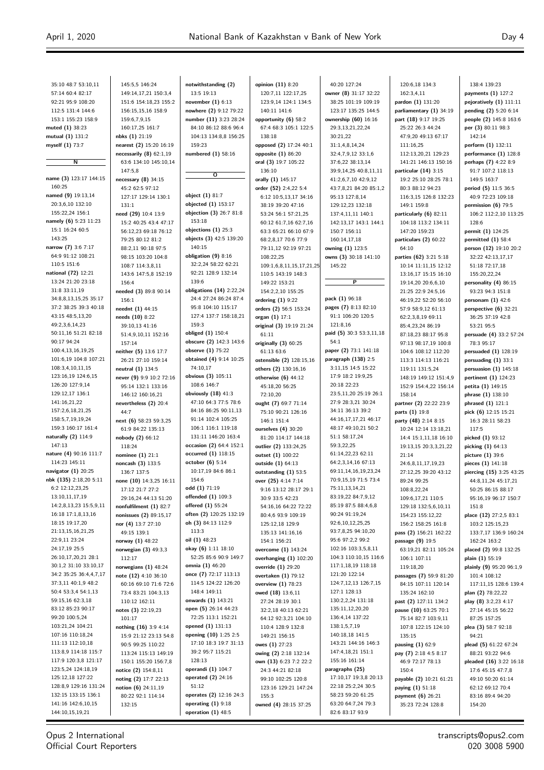| 35:10 48:7 53:10,11                          | 145:5,5 146:24                                | notwithstanding (2)                             | opinion (11) 8:20                          | 40:20 127:24                               | 120:6,18 134:3                                 | 138:4 139:23                                  |
|----------------------------------------------|-----------------------------------------------|-------------------------------------------------|--------------------------------------------|--------------------------------------------|------------------------------------------------|-----------------------------------------------|
| 57:14 60:4 82:17                             | 149:14,17,21 150:3,4                          | 13:5 19:13                                      | 120:7,11 122:17,25                         | owner (8) 31:17 32:22                      | 162:3,4,11<br>pardon (1) 131:20                | payments (1) 127:2<br>pejoratively (1) 111:11 |
| 92:21 95:9 108:20<br>112:5 131:4 144:6       | 151:6 154:18,23 155:2<br>156:15,15,16 158:9   | november $(1)$ 6:13<br>nowhere (2) 9:12 79:22   | 123:9,14 124:1 134:5<br>140:11 141:6       | 38:25 101:19 109:19<br>123:17 135:25 144:5 | parliamentary (1) 34:19                        | pending (2) 5:20 6:14                         |
| 153:1 155:23 158:9                           | 159:6,7,9,15                                  | number (11) 3:23 28:24                          | opportunity (6) 58:2                       | ownership $(60)$ 16:16                     | part (18) 9:17 19:25                           | people (2) 145:8 163:6                        |
| muted (1) 38:23                              | 160:17,25 161:7                               | 84:10 86:12 88:6 96:4                           | 67:4 68:3 105:1 122:5                      | 29:3,13,21,22,24                           | 25:22 26:3 44:24                               | per (3) 80:11 98:3                            |
| mutual (1) 131:2                             | nbks (1) 21:19                                | 104:13 134:8,8 156:25                           | 138:18                                     | 30:21,22                                   | 47:9,20 49:13 67:17                            | 142:14                                        |
| myself (1) 73:7                              | nearest (2) 15:20 16:19                       | 159:23                                          | opposed (2) 17:24 40:1                     | 31:1,4,8,14,24                             | 111:16,25                                      | perform (1) 132:11                            |
|                                              | necessarily $(8)$ 62:1,19                     | numbered (1) 58:16                              | opposite (1) 86:20                         | 32:4,7,9,12 33:1,6                         | 112:13,20,21 129:23                            | performance (1) 128:8                         |
| Ν                                            | 63:6 134:10 145:10.14                         |                                                 | oral (3) 19:7 105:22                       | 37:6,22 38:13,14                           | 141:21 146:13 150:16                           | perhaps (7) 4:22 8:9                          |
|                                              | 147:5.8                                       |                                                 | 136:10                                     | 39:9,14,25 40:8,11,11                      | particular (14) 3:15                           | 91:7 107:2 118:13                             |
| name (3) 123:17 144:15                       | necessary $(8)$ 34:15                         | $\overline{\mathbf{o}}$                         | orally (1) 145:17                          | 41:2,6,7,10 42:9,12                        | 19:2 25:10 28:25 78:1                          | 149:5 163:7                                   |
| 160:25                                       | 45:2 62:5 97:12                               |                                                 | order (52) 2:4,22 5:4                      | 43:7,8,21 84:20 85:1,2                     | 80:3 88:12 94:23                               | period (5) 11:5 36:5                          |
| named (9) 19:13,14                           | 127:17 129:14 130:1                           | object (1) 81:7                                 | 6:12 10:5,13,17 34:16                      | 95:13 127:8,14                             | 116:3,15 126:8 132:23                          | 40:9 72:23 109:18                             |
| 20:3,6,10 132:10                             | 131:1                                         | objected (1) 153:17                             | 38:19 39:20 47:16                          | 129:12,23 132:18                           | 149:1 159:8                                    | permission (6) 79:5                           |
| 155:22,24 156:1                              | need (29) 10:4 13:9                           | objection (3) 26:7 81:8                         | 53:24 56:1 57:21,25                        | 137:4,11,11 140:1                          | particularly (6) 82:11                         | 106:2 112:2,10 113:25                         |
| namely (6) 5:23 11:23                        | 15:2 40:25 43:4 47:17                         | 153:18                                          | 60:12 61:7,16 62:7,16                      | 142:13,17 143:1 144:1                      | 104:18 113:2 134:11                            | 128:6                                         |
| 15:1 16:24 60:5                              | 56:12,23 69:18 76:12                          | objections $(1)$ 25:3                           | 63:3 65:21 66:10 67:9                      | 150:7 156:11                               | 147:20 159:23                                  | permit (1) 124:25                             |
| 143:25                                       | 79:25 80:12 81:2                              | objects (3) 42:5 139:20                         | 68:2,8,17 70:6 77:9                        | 160:14,17,18                               | particulars (2) 60:22                          | permitted $(1)$ 58:4                          |
| narrow (7) 3:6 7:17<br>64:9 91:12 108:21     | 88:2,11 90:18 97:5                            | 140:15<br>obligation $(9)$ 8:16                 | 79:11,12 92:19 97:21                       | owning (1) 123:5                           | 64:10                                          | person (12) 19:10 20:2                        |
| 110:5 151:6                                  | 98:15 103:20 104:8                            | 32:2,24 58:22 62:21                             | 108:22,25                                  | owns (3) 30:18 141:10                      | parties (62) 3:21 5:18                         | 32:22 42:13,17,17                             |
| national (72) 12:21                          | 108:7 114:3,8,11                              | 92:21 128:9 132:14                              | 109:1,6,8,11,15,17,21,25                   | 145:22                                     | 10:14 11:11,15 12:12                           | 51:18 72:17,18<br>155:20,22,24                |
| 13:24 21:20 23:18                            | 143:6 147:5,8 152:19<br>156:4                 | 139:6                                           | 110:5 143:19 148:3<br>149:22 153:21        | $\overline{P}$                             | 13:16,17 15:15 16:10<br>19:14,20 20:6,6,10     | personality (4) 86:15                         |
| 31:8 33:11,19                                | needed (3) 89:8 90:14                         | obligations (14) 2:22,24                        | 154:2,2,10 155:25                          |                                            | 21:25 22:9 24:5,16                             | 93:23 94:3 151:8                              |
| 34:8,8,13,15,25 35:17                        | 156:1                                         | 24:4 27:24 86:24 87:4                           | ordering $(1)$ 9:22                        | pack (1) 96:18                             | 46:19,22 52:20 56:10                           | personam $(1)$ 42:6                           |
| 37:2 38:25 39:3 40:18                        | neednt (1) 44:15                              | 95:8 104:10 115:17                              | orders (2) 56:5 153:24                     | pages (7) 8:13 82:10                       | 57:9 58:9,12 61:13                             | perspective (6) 32:21                         |
| 43:15 48:5,13,20                             | needs (10) 8:22                               | 127:4 137:7 158:18,21                           | organ (1) 17:1                             | 91:1 106:20 120:5                          | 62:2,3,8,19 69:11                              | 36:25 37:19 42:8                              |
| 49:2,3,6,14,23                               | 39:10,13 41:16                                | 159:3                                           | original (3) 19:19 21:24                   | 121:8,16                                   | 85:4,23,24 86:19                               | 53:21 95:5                                    |
| 50:11,16 51:21 82:18                         | 51:4,9,10,11 152:16                           | obliged (1) 150:4                               | 61:11                                      | paid (5) 30:3 53:3,11,18                   | 87:18,23 88:17 95:8                            | persuade (4) 33:2 57:24                       |
| 90:17 94:24                                  | 157:14                                        | obscure (2) 142:3 143:6                         | originally (3) 60:25                       | 54:1                                       | 97:13 98:17,19 100:8                           | 78:3 95:17                                    |
| 100:4,13,16,19,25                            | neither (5) 13:6 17:7                         | observe (1) 75:22                               | 61:13 63:6                                 | paper (2) 73:1 141:18                      | 104:6 108:12 112:20                            | persuaded $(1)$ 128:19                        |
| 101:6,19 104:8 107:21                        | 26:21 27:10 159:14                            | obtained (4) 9:14 10:25                         | ostensible (2) 128:15,16                   | paragraph (138) 2:5                        | 113:3 114:13 116:21                            | persuading $(1)$ 33:1                         |
| 108:3,4,10,11,15                             | neutral (1) 134:5                             | 74:10,17                                        | others (2) 130:16,16                       | 3:11,15 14:5 15:22                         | 119:11 131:5,24                                | persuasion $(1)$ 145:18                       |
| 123:16,19 124:6,15                           | never (9) 9:9 10:2 72:16                      | obvious (3) 105:11                              | otherwise $(6)$ 44:12                      | 17:9 18:2 19:9,25                          | 148:19 149:12 151:4,9                          | pertinent (1) 124:23                          |
| 126:20 127:9,14                              | 95:14 132:1 133:16                            | 108:6 146:7                                     | 45:18,20 56:25                             | 20:18 22:23                                | 152:9 154:4,22 156:14                          | petita (1) 149:15                             |
| 129:12,17 136:1                              | 146:12 160:16,21                              | obviously $(18)$ 41:3                           | 72:10,20                                   | 23:5,11,20 25:19 26:1                      | 158:14                                         | phrase (1) 138:10                             |
| 141:16,21,22                                 | nevertheless (2) 20:4                         | 47:10 64:3 77:5 78:6                            | ought (7) 69:7 71:14                       | 27:9 28:3,21 30:24                         | partner (2) 22:22 23:9                         | phrased (1) 121:1                             |
| 157:2,6,18,21,25<br>158:5,7,19,19,24         | 44:7                                          | 84:16 86:25 90:11,13<br>91:14 102:4 105:25      | 75:10 90:21 126:16                         | 34:11 36:13 39:2<br>44:16,17,17,21 46:17   | parts (1) 19:8                                 | pick (6) 12:15 15:21                          |
| 159:3 160:17 161:4                           | next (6) 58:23 59:3,25                        | 106:1 116:1 119:18                              | 146:1 151:4                                | 48:17 49:10,21 50:2                        | party (48) 2:14 8:15                           | 16:3 28:11 58:23                              |
| naturally (2) 114:9                          | 61:9 84:22 135:13                             | 131:11 146:20 163:4                             | ourselves (4) 30:20<br>81:20 114:17 144:18 | 51:1 58:17,24                              | 10:24 12:14 13:18,21                           | 117:5                                         |
| 147:13                                       | nobody (2) 66:12<br>118:24                    | occasion (2) 64:4 152:1                         | outlier (2) 133:24,25                      | 59:3,22,25                                 | 14:4 15:1,11,18 16:10<br>19:13,15 20:3,3,21,22 | picked (1) 93:12<br>picking (1) 64:13         |
| nature (4) 90:16 111:7                       | nominee $(1)$ 21:1                            | occurred (1) 118:15                             | outset (1) 100:22                          | 61:14,22,23 62:11                          | 21:14                                          | picture (1) 39:6                              |
| 114:23 145:11                                | noncash (3) 133:5                             | october $(6)$ 5:14                              | outside (1) 64:13                          | 64:2,3,14,16 67:13                         | 24:6,8,11,17,19,23                             | pieces (1) 141:18                             |
| navigator (1) 20:25                          | 136:7 137:5                                   | 10:17,19 84:6 86:1                              | outstanding (1) 53:5                       | 69:11,14,16,19,23,24                       | 27:12,25 39:20 43:12                           | piercing (15) 3:25 43:25                      |
| nbk (135) 2:18,20 5:11                       | none (10) 14:3,25 16:11                       | 154:6                                           | over (25) 4:14 7:14                        | 70:9,15,19 71:5 73:4                       | 89:24 99:25                                    | 44:8,11,24 45:17,21                           |
| 6:2 12:12,23,25                              | 17:12 21:7 27:2                               | odd (1) 71:19                                   | 9:16 13:12 28:17 29:1                      | 75:11,13,14,21                             | 108:8,22,24                                    | 50:25 86:15 88:17                             |
| 13:10,11,17,19                               | 29:16,24 44:13 51:20                          | offended (1) 109:3                              | 30:9 33:5 42:23                            | 83:19,22 84:7,9,12                         | 109:6,17,21 110:5                              | 95:16,19 96:17 150:7                          |
| 14:2,8,13,23 15:5,9,11                       | nonfulfilment (1) 82:7                        | offered (1) 55:24                               | 54:16,16 64:22 72:22                       | 85:19 87:5 88:4,6,8                        | 129:18 132:5,6,10,11                           | 151:8                                         |
| 16:18 17:1,8,13,16                           | nonissues (2) 89:15,17                        | often (2) 120:25 132:19                         | 80:4,6 93:9 109:19                         | 90:24 91:19,24                             | 154:23 155:12,22                               | place (12) 27:2,5 83:1                        |
| 18:15 19:17,20                               | nor (4) 13:7 27:10                            | oh (3) 84:13 112:9                              | 125:12,18 129:9                            | 92:6,10,12,25,25                           | 156:2 158:25 161:8                             | 103:2 125:15,23                               |
| 21:13,15,16,21,25                            | 49:15 139:1                                   | 113:3                                           | 135:13 141:16,16                           | 93:7,8,25 94:10,20                         | pass (2) 156:21 162:22                         | 133:7,17 136:9 160:24                         |
| 22:9,11 23:24                                | norway (1) 48:22                              | oil $(1)$ 48:23                                 | 154:1 156:21                               | 95:6 97:2,2 99:2                           | passage (9) 19:5                               | 162:24 163:2                                  |
| 24:17,19 25:5                                | norwegian (3) 49:3,3                          | okay (6) 1:11 18:10                             | overcome (1) 143:24                        | 102:16 103:3,5,8,11                        | 63:19,21 82:11 105:24                          | placed (2) 99:8 132:25                        |
| 26:10,17,20,21 28:1<br>30:1,2 31:10 33:10,17 | 112:17                                        | 52:25 85:6 90:9 149:7                           | overhanging (1) 102:20                     | 104:3 110:10,15 116:6                      | 106:1 107:11                                   | plain (1) 55:19                               |
| 34:2 35:25 36:4,4,7,17                       | norwegians (1) 48:24                          | <b>omnia (1)</b> 46:20<br>once (7) 72:17 113:13 | override (1) 29:20                         | 117:1,18,19 118:18<br>121:20 122:14        | 119:18,20                                      | plainly (9) 95:20 96:1,9                      |
| 37:3,11 40:1,9 48:2                          | note (12) 4:10 36:10<br>60:16 69:10 71:6 72:6 | 114:5 124:22 126:20                             | overtaken (1) 79:12<br>overview (1) 78:23  | 124:7,12,13 126:7,15                       | passages (7) 59:9 81:20<br>84:15 107:11 120:14 | 101:4 108:12                                  |
| 50:4 53:3,4 54:1,13                          | 73:4 83:21 104:3,13                           | 148:4 149:11                                    | owed (18) 13:6,11                          | 127:1 128:13                               | 135:24 162:10                                  | 117:11,15 128:6 139:4<br>plan (2) 78:22,22    |
| 59:15,16 62:3,18                             | 110:12 162:11                                 | onwards $(1)$ 143:21                            | 27:24 28:19 30:1                           | 130:2,2,24 131:18                          | past (2) 127:11 134:2                          | play (8) 3:2,23 4:17                          |
| 83:12 85:23 90:17                            | notes (3) 22:19,23                            | open (5) 26:14 44:23                            | 32:2,18 40:13 62:21                        | 135:11,12,20,20                            | pause (10) 63:25 70:1                          | 27:14 45:15 56:22                             |
| 99:20 100:5,24                               | 101:17                                        | 72:25 113:1 152:21                              | 64:12 92:3,21 104:10                       | 136:4,14 137:22                            | 75:14 82:7 103:9,11                            | 87:25 157:25                                  |
| 103:21,24 104:21                             | nothing (16) 3:9 4:14                         | opened (1) 131:13                               | 110:4 128:9 132:8                          | 138:1,5,7,19                               | 107:8 122:15 124:10                            | plea (3) 58:7 92:18                           |
| 107:16 110:18,24                             | 15:9 21:12 23:13 54:8                         | opening (10) 1:25 2:5                           | 149:21 156:15                              | 140:18,18 141:5                            | 135:15                                         | 94:21                                         |
| 111:13 112:10,18                             | 90:5 99:25 110:22                             | 17:10 18:3 19:7 31:13                           | owes (1) 27:23                             | 143:21 144:16 146:3                        | pausing $(1)$ 62:9                             | plead (5) 61:22 67:24                         |
| 113:8,9 114:18 115:7                         | 113:24 115:13 149:19                          | 39:2 95:7 115:21                                | owing (2) 2:18 132:14                      | 147:4,18,21 151:1                          | pay (7) 2:18 4:5 8:17                          | 88:21 93:22 94:6                              |
| 117:9 120:3,8 121:17                         | 150:1 155:20 156:7,8                          | 128:13                                          | own (13) 6:23 7:2 22:2                     | 155:16 161:14                              | 46:9 72:17 78:13                               | pleaded (16) 3:22 16:18                       |
| 123:5,24 124:18,19                           | notice (2) 154:8,11                           | operandi (1) 104:7                              | 24:3 44:21 82:18                           | paragraphs (25)                            | 150:4                                          | 17:6 45:15 47:7,8                             |
| 125:12,18 127:22                             | noting (2) 17:7 22:13                         | operated (2) 24:16                              | 99:10 102:25 120:8                         | 17:10,17 19:3,8 20:13                      | payable (2) 10:21 61:21                        | 49:10 50:20 61:14                             |
| 128:8,9 129:16 131:24                        | notion $(6)$ 24:11,19                         | 51:12                                           | 123:16 129:21 147:24                       | 22:18 25:2,24 30:5                         | paying (1) 51:18                               | 62:12 69:12 70:4                              |
| 132:15 133:15 136:1                          | 80:22 92:1 114:14                             | operates (2) 12:16 24:3                         | 155:3                                      | 58:23 59:20 61:25                          | payment (6) 26:21                              | 83:16 89:4 94:20                              |
| 141:16 142:6,10,15                           | 132:15                                        | operating $(1)$ 9:18                            | owned (4) 28:15 37:25                      | 63:20 64:7,24 79:3                         | 35:23 72:24 128:8                              | 154:20                                        |

82:6 83:17 93:9

 $\overline{\phantom{a}}$ 

Opus 2 International Official Court Reporters **operation (1)** 48:5

144:10,15,19,21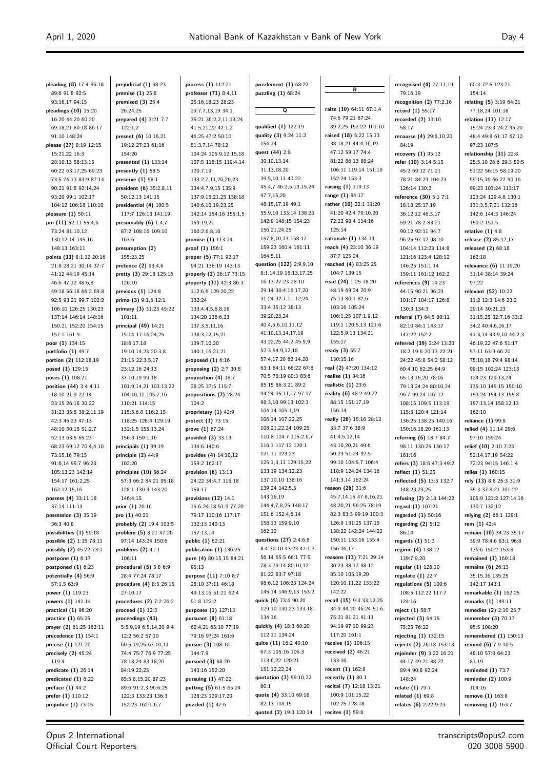| pleading (8) 17:4 86:18                           | prejudicial (1) 98:23                      | process $(1)$ 112:21                           | puzzlement $(1)$ 68:22                      |                                                 | recognised (4) 77:11,19                        | 60:3 72:5 123:21                           |
|---------------------------------------------------|--------------------------------------------|------------------------------------------------|---------------------------------------------|-------------------------------------------------|------------------------------------------------|--------------------------------------------|
| 89:6 91:8 92:5                                    | premise $(1)$ 25:8                         | professor (71) 8:4,11                          | puzzling (1) 68:24                          | R                                               | 79:16.19                                       | 154:14                                     |
| 93:16,17 94:15                                    | premised $(3)$ 25:4                        | 25:16,18,23 28:23                              |                                             |                                                 | recognition $(2)$ 77:2,16                      | relating (5) 3:19 64:21                    |
| pleadings (10) 15:20                              | 26:24,25                                   | 29:7,7,13,19 34:1                              | Q                                           | raise (10) 64:11 67:1,4                         | record (1) 55:17                               | 77:18,24 101:18                            |
| 16:20 44:20 60:20                                 | prepared (4) 3:21 7:7                      | 35:21 36:2,2,11,13,24                          |                                             | 74:6 79:21 87:24                                | recorded (2) 13:10                             | relation (11) 12:17                        |
| 69:18,21 80:18 86:17                              | 122:1,2                                    | 41:5,21,22 42:1,2                              | qualified (1) 122:19                        | 89:2.25 152:22 161:10<br>raised (18) 5:22 15:13 | 58:17                                          | 15:24 23:3 24:2 35:20                      |
| 91:10 148:24                                      | present (6) 10:16,21                       | 46:25 47:2 50:10                               | quality (3) 9:24 11:2<br>154:14             | 38:18,21 44:4,16,19                             | recourse (4) 29:6,10,20                        | 48:4 49:8 61:17 67:12                      |
| please (27) 8:19 12:15<br>15:21,22 16:3           | 19:12 27:23 61:16<br>154:20                | 51:3,7,14 78:12<br>104:24 105:9,12,15,18       | quest (44) 2:8                              | 47:12 59:17 74:4                                | 84:19<br>recovery $(1)$ 95:12                  | 97:23 107:5<br>relationship (31) 22:8      |
| 28:10,13 58:13,15                                 | presented $(1)$ 133:14                     | 107:5 118:15 119:4,14                          | 30:10,13,14                                 | 81:22 86:13 88:24                               | refer (10) 3:14 5:15                           | 25:5,10 26:6 29:3 50:5                     |
| 60:22 63:17,25 69:23                              | presently $(1)$ 58:5                       | 120:7,19                                       | 31:13,18,20                                 | 106:11 119:14 151:10                            | 45:2 69:12 71:21                               | 51:22 56:15 58:19,20                       |
| 73:5 74:13 83:9 87:14                             | preserve $(1)$ 58:1                        | 133:2,7,11,20,20,23                            | 39:5,10,13 40:22                            | 152:24 153:3                                    | 78:21 84:23 104:23                             | 59:15,16 66:22 90:16                       |
| 90:21 91:8 92:14,24                               | president (6) 35:2,8,11                    | 134:4,7,9,15 135:9                             | 45:4,7 46:2,5,13,15,24                      | raising (1) 119:13                              | 126:14 130:2                                   | 99:23 103:24 113:17                        |
| 93:20 99:1 102:17                                 | 50:12,13 141:15                            | 137:9,15,21,25 138:18                          | 47:7,15,20                                  | range (1) 84:17                                 | reference (30) 5:1 7:1                         | 123:24 129:4,6 130:1                       |
| 104:12 106:18 110:10                              | presidential (4) 100:5                     | 140:6,10,19,23,25                              | 48:15,17,19 49:1                            | rather (10) 22:1 31:20                          | 18:18 25:17,19                                 | 131:3,5,7,21 132:16                        |
| pleasure (1) 50:11                                | 117:7 126:13 141:19                        | 142:14 154:16 155:1,5                          | 55:9,10 133:14 138:25                       | 41:20 42:4 70:10,20                             | 36:12,12 46:3,17                               | 142:6 144:3 146:24                         |
| pm (11) 52:11 55:4,6                              | presumably $(6)$ 1:4,7                     | 159:19,21                                      | 142:9 148:15 154:23                         | 72:22 98:4 114:16                               | 59:21 78:2 83:21                               | 150:2 151:5                                |
| 73:24 81:10,12                                    | 87:2 108:16 109:10                         | 160:2,6,8,10                                   | 156:21,24,25                                | 125:14<br>rationale (1) 134:13                  | 90:12 92:11 94:7                               | relative $(1)$ 4:8                         |
| 130:12,14 145:16                                  | 163:6                                      | promise (1) 113:14                             | 157:8,10,13 158:17<br>159:23 160:4 161:11   | reach (4) 23:10 36:19                           | 96:25 97:12 98:10                              | release (2) 85:12,17                       |
| 148:13 163:11                                     | presumption (2)<br>155:23,25               | proof (1) 156:1<br>proper (5) 77:1 92:17       | 164:5,11                                    | 87:7 125:24                                     | 104:14 112:23 114:8<br>121:16 123:4 128:12     | released (2) 68:18<br>162:18               |
| points (33) 8:1,12 20:16<br>21:8 28:21 30:14 37:7 | pretence (2) 93:4,6                        | 94:21 136:19 143:13                            | question (122) 2:9,9,10                     | reached (4) 83:25,25                            | 146:25 151:1,14                                | relevance (6) 11:19,20                     |
| 41:12 44:19 45:14                                 | pretty (3) 29:18 125:16                    | properly (2) 26:17 73:15                       | 8:1,14,19 15:13,17,25                       | 104:7 139:15                                    | 159:11 161:12 162:2                            | 31:14 38:14 39:24                          |
| 46:6 47:12 48:6,8                                 | 126:10                                     | property (31) 42:3 86:3                        | 16:13 27:23 28:10                           | read (24) 1:25 18:20                            | references $(9)$ 14:23                         | 97:22                                      |
| 49:18 56:18 66:2 69:8                             | previous $(1)$ 124:8                       | 112:6,6 129:20,22                              | 29:14 30:4,16,17,20                         | 48:19 69:24 70:9                                | 44:15 90:21 96:23                              | relevant (52) 10:22                        |
| 92:5 93:21 99:7 102:2                             | prima (3) 9:1,6 12:1                       | 132:24                                         | 31:24 32:1,11,12,24                         | 75:13 80:1 82:6                                 | 101:17 104:17 126:8                            | 11:2 12:3 14:6 23:2                        |
| 106:10 126:25 130:23                              | primary (3) 31:23 45:22                    | 133:4,4,5,6,8,16                               | 33:4 35:12 38:13                            | 103:16 105:24                                   | 130:3 134:3                                    | 29:14 30:21,23                             |
| 137:14 146:14 148:16                              | 101:11                                     | 134:20 136:6,23                                | 39:20,23,24                                 | 106:1,25 107:1,9,12                             | referral (7) 64:5 80:11                        | 31:15,25 32:7,16 33:2                      |
| 150:21 152:20 154:15                              | principal $(49)$ 14:21                     | 137:3,5,11,16                                  | 40:4,5,6,10,11,12                           | 119:1 120:5,13 121:6                            | 82:10 84:1 143:17                              | 34:2 40:4,6,16,17                          |
| 157:1 161:9                                       | 15:14 17:16,24,25                          | 138:3,12,15,21                                 | 41:10,13,14,17,19                           | 122:5,9,13 134:21                               | 147:22 152:2                                   | 41:3,14 43:9,10 44:2,3                     |
| poor (1) 134:15                                   | 18:6,17,18                                 | 139:7,10,20                                    | 43:22,25 44:2 45:9,9                        | 155:17                                          | referred (39) 2:24 13:20                       | 46:19,22 47:6 51:17                        |
| portfolio (1) 49:7                                | 19:10,14,23 20:3,8                         | 140:1,16,21,21                                 | 52:3 54:9,12,18<br>57:4,17,20 62:14,20      | ready (3) 55:7<br>130:15,16                     | 18:2 19:6 20:13 22:21                          | 57:11 63:9 66:20                           |
| portion (2) 112:18,19<br>posed (1) 129:15         | 21:15 22:3,5,17<br>23:12,16 24:13          | proposed $(1)$ 6:16<br>proposing (2) 2:7 30:8  | 63:1 64:11 66:22 67:8                       | real (2) 47:20 134:12                           | 24:22 45:8 54:2 58:12<br>60:4,10 62:25 64:9    | 75:18,18 79:4 98:14<br>99:15 102:24 123:13 |
| poses (1) 108:21                                  | 37:10,19 99:18                             | proposition (4) 18:7                           | 70:5 78:19 80:3 83:6                        | realise (1) 34:16                               | 65:13,16,20 78:16                              | 124:23 129:13,24                           |
| position (44) 3:4 4:11                            | 101:9,14,21 103:13,22                      | 28:25 37:5 115:7                               | 85:15 86:3,21 89:2                          | realistic $(1)$ 23:6                            | 79:13,24,24 80:10,24                           | 135:10 145:15 150:10                       |
| 18:10 21:9 22:14                                  | 104:10,11 105:7,16                         | propositions (2) 28:24                         | 94:24 95:11,17 97:17                        | reality (6) 48:2 49:22                          | 96:7 99:24 107:12                              | 153:24 154:13 155:8                        |
| 23:15 26:18 30:22                                 | 110:21 114:15                              | 104:2                                          | 98:3,10 99:13 102:3                         | 88:15 151:17,19                                 | 108:15 109:5 113:19                            | 157:13,14 158:12,13                        |
| 31:23 35:5 38:2,11,19                             | 115:5,6,8 116:2,15                         | proprietary (1) 42:9                           | 104:14 105:1,19                             | 156:14                                          | 115:3 120:4 121:14                             | 162:10                                     |
| 42:3 45:23 47:13                                  | 118:25 126:4 129:19                        | protect (1) 73:15                              | 106:14 107:22,25                            | really (26) 15:16 28:12                         | 136:25 138:25 140:16                           | reliance (1) 99:8                          |
| 48:10 50:15 51:2,7                                | 132:1,5 155:13,24                          | prove $(1)$ 67:24                              | 108:21,22,24 109:25                         | 33:7 37:6 38:9                                  | 150:16,18,20 161:13                            | relied (4) 11:14 29:6                      |
| 52:13 63:5 65:23                                  | 156:3 159:1,16                             | provided $(3)$ 33:13                           | 110:8 114:7 115:2,6,7                       | 41:4,5,12,14                                    | referring (6) 18:7 84:7                        | 97:10 159:24                               |
| 68:23 69:12 70:4,4,10                             | principals $(1)$ 99:19                     | 134:6 140:6                                    | 116:1 117:12 120:1<br>121:11 123:23         | 43:10,20,21 49:6<br>50:23 51:24 92:5            | 98:11 130:25 136:17                            | relief (10) 2:10 7:23                      |
| 73:15,16 79:15                                    | principle (2) 44:9                         | provides (4) 14:10,12                          | 125:1,3,11 129:15,22                        | 99:10 104:5,7 106:4                             | 161:16                                         | 52:14,17,19 54:22<br>72:23 94:15 146:1,4   |
| 91:6,14 95:7 96:23<br>105:13,23 142:14            | 102:20<br>principles $(10)$ 56:24          | 159:2 162:17<br>provision $(6)$ 13:13          | 133:19 134:12,23                            | 118:9 124:24 134:16                             | refers (3) 18:6 47:3 49:2<br>reflect (1) 51:25 | relies (1) 160:15                          |
| 154:17 161:2,25                                   | 57:3 66:2 84:21 95:18                      | 24:22 34:4,7 116:18                            | 137:10,10 138:16                            | 141:3,14 162:24                                 | reflected (5) 13:5 132:7                       | rely (13) 8:8 26:3 31:9                    |
| 162:12,15,16                                      | 128:1 130:3 143:20                         | 158:17                                         | 139:24 142:5,5                              | reason (26) 31:6                                | 148:23,23,25                                   | 35:3 37:8,21 101:22                        |
| possess (4) 33:11,18                              | 146:4,15                                   | provisions $(12)$ 14:1                         | 143:16,19                                   | 45:7,14,15 47:8,16,21                           | refusing (2) 2:18 144:22                       | 105:9 121:2 127:14,16                      |
| 37:14 111:13                                      | prior (1) 20:16                            | 15:6 24:18 51:9 77:20                          | 144:4,7,8,25 148:17                         | 48:20,21 56:25 78:19                            | regard (1) 107:21                              | 130:7 132:12                               |
| possession $(3)$ 35:19                            | pro $(1)$ 40:21                            | 79:17 110:16 117:17                            | 151:6 152:4,6,14                            | 82:3 83:3 99:19 100:3                           | regarded (1) 50:16                             | relying (2) 66:1 129:1                     |
| 36:3 40:8                                         | probably (2) 19:4 103:5                    | 132:13 140:13                                  | 158:13 159:9,10                             | 126:9 131:25 137:15                             | regarding $(2)$ 5:12                           | rem (1) 42:4                               |
| possibilities (1) 59:18                           | problem (5) 8:21 47:20                     | 157:13,14                                      | 162:12                                      | 138:22 142:24 144:22                            | 86:14                                          | remain (10) 34:23 35:17                    |
| possible (2) 1:15 78:11                           | 97:14 143:24 150:6                         | public (1) 62:21                               | questions (27) 2:4,6,8                      | 150:11 153:16 155:4                             | regards $(1)$ 51:3                             | 39:9 78:4,6 83:1 96:8                      |
| possibly (2) 45:22 73:1                           | problems $(2)$ 41:1                        | publication $(1)$ 136:25                       | 8:4 30:10 43:23 47:1,3                      | 156:16,17                                       | regime (4) 138:12                              | 136:6 150:2 153:8                          |
| postpone $(1)$ 6:17                               | 106:11                                     | pure (4) 80:15,15 84:21                        | 56:14 65:5 66:1 77:5<br>78:3 79:14 80:10,12 | reasons (13) 7:21 29:14<br>30:23 38:17 48:12    | 139:7,9,20                                     | remained $(1)$ 160:18                      |
| postponed $(1)$ 6:23<br>potentially (4) 56:9      | procedural (5) 5:8 6:9<br>28:4 77:24 78:17 | 95:13<br>purpose (11) 7:10 8:7                 | 81:22 83:7 97:18                            | 85:10 105:19,20                                 | regular (1) 126:10<br>regulate $(1)$ 22:7      | remains $(6)$ 26:13<br>35:15,16 135:25     |
| 57:1,5 63:9                                       | procedure (4) 8:5 26:15                    | 28:10 37:11 46:18                              | 98:6,12 106:23 124:24                       | 120:10,11,22 133:22                             | regulations $(5)$ 100:6                        | 142:17 143:1                               |
| power (1) 119:23                                  | 27:10,17                                   | 49:13,16 51:21 62:4                            | 145:14 146:9,13 153:2                       | 142:22                                          | 108:5 112:22 117:7                             | remarkable (1) 162:25                      |
| powers (1) 141:14                                 | procedures (2) 7:2 26:2                    | 91:8 122:2                                     | quick (6) 73:6 90:20                        | recall (15) 9:3 33:12,25                        | 124:16                                         | remarks (1) 149:11                         |
| practical $(1)$ 96:20                             | proceed $(1)$ 12:3                         | purposes (1) 127:13                            | 129:10 130:23 133:18                        | 34:9 44:20 46:24 51:6                           | reject (1) 58:7                                | remedies (2) 2:10 25:7                     |
| practice $(1)$ 65:25                              | proceedings (43)                           | pursuant $(8)$ 61:18                           | 134:16                                      | 75:21 81:21 91:11                               | rejected $(3)$ 64:15                           | remember $(3)$ 70:17                       |
| prayer (2) 61:25 162:11                           | 5:5,9,19 6:5,14,20 9:4                     | 62:4,21 65:10 77:19                            | quickly (4) 18:3 60:20                      | 94:19 97:10 99:23                               | 75:25 76:22                                    | 95:5 108:20                                |
| precedence $(1)$ 154:1                            | 12:2 56:2 57:10                            | 79:16 97:24 161:6                              | 112:11 134:24                               | 117:20 161:1                                    | rejecting $(1)$ 132:15                         | remembered $(1)$ 150:13                    |
| precise (1) 121:20                                | 60:5,19,25 67:10,11                        | pursue (3) 108:10                              | quite (11) 16:2 40:10                       | receive (1) 106:15                              | rejects (2) 76:18 153:13                       | remind (6) 7:9 10:5                        |
| precisely $(2)$ 45:24                             | 74:4 75:7 76:9 77:25                       | 144:7,9                                        | 67:3 105:16 106:3                           | received $(2)$ 46:21                            | rejoinder (9) 3:22 16:21                       | 48:10 57:8 64:23                           |
| 119:4                                             | 78:18,24 83:18,20                          | pursued (3) 88:20                              | 113:6,22 120:21                             | 133:16                                          | 44:17 49:21 88:22                              | 81:19                                      |
| predicate $(1)$ 26:14                             | 84:19,22,23                                | 143:16 152:20                                  | 151:12,22,24<br>quotation (3) 59:10,22      | recent (1) 162:8<br>recently $(1)$ 80:1         | 89:4 90:8 92:24                                | reminded $(1)$ 73:7                        |
| predicated $(1)$ 8:22<br>preface $(1)$ 44:2       | 85:5,8,15,20 87:23<br>89:6 91:2,3 96:6,25  | pursuing $(1)$ 47:22<br>putting (5) 61:5 65:24 | 60:1                                        | recital (7) 12:18 13:21                         | 148:24<br>relate (1) 79:7                      | reminder (2) 100:9<br>104:16               |
| prefer (1) 110:12                                 | 122:3 133:23 136:3                         | 128:23 129:17,20                               | quote (4) 33:10 69:18                       | 100:9 101:15,22                                 | related $(1)$ 69:8                             | remove (1) 163:8                           |
| prejudice (1) 73:15                               | 152:23 162:1,6,7                           | puzzled $(1)$ 47:6                             | 82:13 118:15                                | 102:25 128:18                                   | relates (6) 2:22 9:23                          | removing (1) 163:7                         |

**quoted (2)** 19:3 120:14 **recites (1)** 59:8

Opus 2 International Official Court Reporters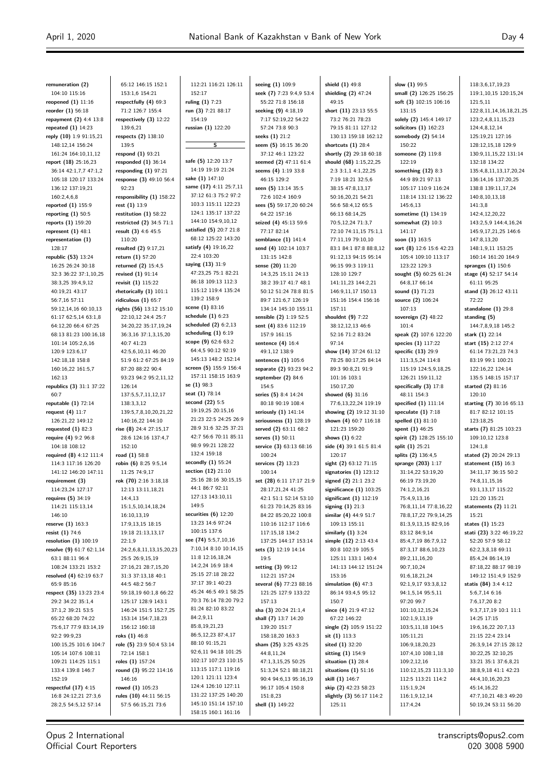| remuneration (2)                               | 65:12 146:15 152:1                              | 112:21 116:21 126:11                          | seeing (1) 109:9                           | shield (1) 49:8                            | slow (1) 99:5                            | 118:3,6,17,19,23                                |
|------------------------------------------------|-------------------------------------------------|-----------------------------------------------|--------------------------------------------|--------------------------------------------|------------------------------------------|-------------------------------------------------|
| 104:10 115:16                                  | 153:1,6 154:21                                  | 152:17                                        | seek (7) 7:23 9:4,9 53:4                   | shielding (2) 47:24                        | small (2) 126:25 156:25                  | 119:1,10,15 120:15,24                           |
| reopened (1) 11:16                             | respectfully $(4)$ 69:3                         | ruling $(1)$ 7:23                             | 55:22 71:8 156:18                          | 49:15                                      | soft (3) 102:15 106:16                   | 121:5,11                                        |
| reorder (1) 56:18<br>repayment (2) 4:4 13:8    | 71:2 126:7 155:4<br>respectively $(3)$ 12:22    | run (3) 7:21 88:17<br>154:19                  | seeking (9) 4:18,19<br>7:17 52:19,22 54:22 | short (11) 23:13 55:5<br>73:2 76:21 78:23  | 131:15<br>solely (2) 145:4 149:17        | 122:8,11,14,16,18,21,25<br>123:2,4,8,11,15,23   |
| repeated (1) 14:23                             | 139:6,21                                        | russian (1) 122:20                            | 57:24 73:8 90:3                            | 79:15 81:11 127:12                         | solicitors $(1)$ 162:23                  | 124:4,8,12,14                                   |
| reply (10) 1:9 91:15,21                        | respects (2) 138:10                             |                                               | seeks (1) 21:2                             | 130:13 159:18 162:12                       | somebody (2) 54:14                       | 125:19,21 127:16                                |
| 148:12,14 156:24                               | 139:5                                           | s                                             | seem (5) 16:15 36:20                       | shortcuts $(1)$ 28:4                       | 150:22                                   | 128:12,15,18 129:9                              |
| 161:24 164:10,11,12                            | respond (1) 93:21                               |                                               | 37:12 46:1 123:22                          | shortly (2) 29:18 60:18                    | someone (2) 119:8                        | 130:9,11,15,22 131:14                           |
| report (18) 25:16,23                           | responded $(1)$ 36:14                           | safe (5) 12:20 13:7                           | seemed (2) 47:11 61:4                      | should (68) 1:15,22,25                     | 122:19                                   | 132:18 134:22                                   |
| 36:14 42:1,7,7 47:1,2                          | responding $(1)$ 97:21                          | 14:19 19:19 21:24                             | seems (4) 1:19 33:8                        | 2:3 3:1,1 4:1,22,25                        | something $(12)$ 8:3                     | 135:4,8,11,13,17,20,24                          |
| 105:18 120:17 133:24                           | response (3) 49:10 56:4                         | sake (1) 147:10                               | 46:15 129:2                                | 7:19 18:21 32:5,6                          | 44:9 89:21 97:13                         | 136:14,16 137:20,25                             |
| 136:12 137:19,21                               | 92:23                                           | same (17) 4:11 25:7,11                        | seen (5) 13:14 35:5                        | 38:15 47:8,13,17                           | 105:17 110:9 116:24                      | 138:8 139:11,17,24                              |
| 160:2,4,6,8                                    | responsibility (1) 158:22                       | 37:12 61:3 75:2 97:2                          | 72:6 102:4 160:9                           | 50:16,20,21 54:21                          | 118:14 131:12 136:22                     | 140:8,10,13,18                                  |
| reported (1) 155:9                             | rest (1) 13:9                                   | 103:3 115:11 122:23<br>124:1 135:17 137:22    | sees (5) 59:17,20 60:24                    | 56:6 58:4,12 65:5                          | 145:6,13                                 | 141:3,8                                         |
| reporting (1) 50:5                             | restitution $(1)$ 58:22                         | 144:10 154:9,10,12                            | 64:22 157:16                               | 66:13 68:14,25                             | sometime (1) 134:19                      | 142:4,12,20,22                                  |
| reports (1) 159:20<br>represent (1) 48:1       | restricted (2) 34:5 71:1<br>result (3) 4:6 45:5 | satisfied (5) 20:7 21:8                       | seized (4) 45:13 59:6<br>77:17 82:14       | 70:5,12,24 71:3,7<br>72:10 74:11,15 75:1,1 | somewhat (2) 10:3<br>141:17              | 143:2,5,9 144:4,16,24<br>145:9,17,21,25 146:6   |
| representation (1)                             | 110:20                                          | 68:12 125:22 143:20                           | semblance $(1)$ 141:4                      | 77:11,19 79:10,10                          | soon $(1)$ 163:5                         | 147:8,13,20                                     |
| 128:17                                         | resulted (2) 9:17,21                            | satisfy (4) 19:16,22                          | send (4) 102:14 103:7                      | 83:1 84:1 87:8 88:8,12                     | sort (8) 12:6 15:6 42:23                 | 148:1,9,11 153:25                               |
| republic (53) 13:24                            | return (1) 57:20                                | 22:4 103:20                                   | 131:15 142:8                               | 91:12,13 94:15 95:14                       | 105:4 109:10 113:17                      | 160:14 161:20 164:9                             |
| 16:25 26:24 30:18                              | returned (2) 15:4,5                             | saying (13) 31:9                              | sense (20) 11:20                           | 96:15 99:3 119:11                          | 123:22 129:3                             | spranges $(1)$ 150:6                            |
| 32:3 36:22 37:1,10,25                          | revised (1) 91:14                               | 47:23,25 75:1 82:21                           | 14:3,25 15:11 24:13                        | 128:10 129:7                               | sought (5) 60:25 61:24                   | stage (4) 52:17 54:14                           |
| 38:3,25 39:4,9,12                              | revisit (1) 115:22                              | 86:18 109:13 112:3                            | 38:2 39:17 41:7 48:1                       | 141:11,23 144:2,21                         | 64:8,17 66:14                            | 61:11 95:25                                     |
| 40:19,21 43:17                                 | rhetorically (1) 101:1                          | 115:12 119:4 135:24                           | 50:12 51:24 78:8 81:5                      | 146:9,11,17 150:13                         | sound (1) 71:23                          | stand (3) 26:12 43:11                           |
| 56:7,16 57:11                                  | ridiculous $(1)$ 65:7                           | 139:2 158:9                                   | 89:7 121:6,7 126:19                        | 151:16 154:4 156:16                        | source (2) 106:24                        | 72:22                                           |
| 59:12,14,16 60:10,13                           | rights (56) 13:12 15:10                         | scene (1) 83:16                               | 134:14 145:10 155:11                       | 157:11                                     | 107:13                                   | standalone $(1)$ 29:8                           |
| 61:17 62:5,14 63:1,8                           | 22:10,12 24:4 25:7                              | schedule $(1)$ 6:23                           | sensible (2) 1:19 52:5                     | shouldnt (9) 7:22                          | sovereign $(2)$ 48:22                    | standing (5)                                    |
| 64:12,20 66:4 67:25                            | 34:20,22 35:17,19,24                            | scheduled (2) 6:2,13<br>scheduling $(1)$ 6:19 | sent (4) 83:6 112:19                       | 38:12,12,13 46:6                           | 101:4                                    | 144:7,8,9,18 145:2                              |
| 68:13 81:23 100:16,18                          | 36:3,16 37:1,3,15,20                            | scope (9) 62:6 63:2                           | 157:9 161:15                               | 52:16 71:2 83:24                           | speak (2) 107:6 122:20                   | stark (1) 22:14                                 |
| 101:14 105:2,6,16<br>120:9 123:6,17            | 40:7 41:23<br>42:5,6,10,11 46:20                | 64:4,5 90:12 92:19                            | sentence (4) 16:4<br>49:1,12 138:9         | 97:14<br>show (14) 37:24 61:12             | species (1) 117:22<br>specific (13) 29:9 | start (15) 2:12 27:4<br>61:14 73:21,23 74:3     |
| 142:18,18 158:8                                | 51:9 61:2 67:25 84:19                           | 145:13 148:2 152:14                           | sentences (1) 105:6                        | 78:25 80:17,25 84:14                       | 111:3,5,24 114:8                         | 83:19 99:1 100:21                               |
| 160:16,22 161:5,7                              | 87:20 88:22 90:4                                | screen (5) 155:9 156:4                        | separate (2) 93:23 94:2                    | 89:3 90:8,21 91:9                          | 115:19 124:5,9,18,25                     | 122:16,22 124:14                                |
| 162:13                                         | 93:23 94:2 95:2,11,12                           | 157:11 158:15 163:9                           | september $(2)$ 84:6                       | 101:16 103:1                               | 126:21 159:11,12                         | 135:5 148:15 157:17                             |
| republics (3) 31:1 37:22                       | 126:14                                          | se (1) 98:3                                   | 154:5                                      | 150:17,20                                  | specifically (3) 17:8                    | started (2) 81:16                               |
| 60:7                                           | 137:5,5,7,11,12,17                              | seat (1) 78:14                                | series (5) 8:4 14:24                       | showed $(6)$ 31:16                         | 48:11 154:3                              | 120:10                                          |
| reputable (1) 72:14                            | 138:3,3,12                                      | second $(22)$ 5:5                             | 80:18 90:19 108:4                          | 77:6,13,22,24 119:19                       | specified $(1)$ 111:14                   | starting (7) 30:16 65:13                        |
| request (4) 11:7                               | 139:5,7,8,10,20,21,22                           | 19:19,25 20:15,16                             | seriously $(1)$ 141:14                     | showing (2) 19:12 31:10                    | speculate $(1)$ 7:18                     | 81:7 82:12 101:15                               |
| 126:21,22 149:12                               | 140:16,22 144:10                                | 21:23 22:5 24:25 26:9                         | seriousness $(1)$ 128:19                   | shown (4) 60:7 116:18                      | spelled $(1)$ 81:10                      | 123:18,25                                       |
| requested $(1)$ 82:3                           | rise (8) 24:4 27:15,17                          | 28:9 31:6 32:25 37:21                         | served (2) 63:11 68:2                      | 121:23 159:20                              | spent (1) 46:25                          | starts (7) 81:25 103:23                         |
| require (4) 9:2 96:8                           | 28:6 124:16 137:4,7                             | 42:7 56:6 70:11 85:11<br>98:9 99:21 128:22    | serves (1) 50:11                           | shows $(1)$ 6:22                           | spirit (2) 128:25 155:10                 | 109:10,12 123:8                                 |
| 104:18 108:12                                  | 152:10                                          | 132:4 159:18                                  | service (3) 63:13 68:16                    | side (4) 39:1 61:5 81:4                    | split (1) 25:21                          | 124:1,8                                         |
| required (8) 4:12 111:4<br>114:3 117:16 126:20 | road (1) 58:8<br>robin (6) 8:25 9:5,14          | secondly $(1)$ 55:24                          | 100:24<br>services (2) 13:23               | 120:17<br>sight (2) 63:12 71:15            | splits (2) 136:4,5<br>sprange (203) 1:17 | stated (2) 20:24 29:13<br>statement $(15)$ 16:3 |
| 141:12 146:20 147:11                           | 11:25 74:9,17                                   | section (12) 21:10                            | 100:14                                     | signatories $(1)$ 123:12                   | 31:14,22 53:19,20                        | 34:11,17 36:15 50:2                             |
| requirement (3)                                | rok (70) 2:16 3:18,18                           | 25:16 28:16 30:15,15                          | set (28) 6:11 17:17 21:9                   | signed (2) 21:1 23:2                       | 66:19 73:19,20                           | 74:8,11,15,16                                   |
| 114:23,24 127:17                               | 12:13 13:11,18,21                               | 44:1 86:7 92:11                               | 28:17,21,24 41:25                          | significance $(1)$ 103:25                  | 74:1,2,16,21                             | 93:1,13,17 115:22                               |
| requires (5) 34:19                             | 14:4,13                                         | 127:13 143:10,11                              | 42:1 51:1 52:14 53:10                      | significant $(1)$ 112:19                   | 75:4,9,13,16                             | 121:20 135:21                                   |
| 114:21 115:13,14                               | 15:1,5,10,14,18,24                              | 149:5                                         | 61:23 70:14,25 83:16                       | signing $(1)$ 21:3                         | 76:8,11,14 77:8,16,22                    | statements (2) 11:21                            |
| 146:10                                         | 16:10,13,19                                     | securities $(6)$ 12:20                        | 84:22 85:20,22 100:8                       | similar (4) 44:9 51:7                      | 78:8,17,22 79:9,14,25                    | 15:21                                           |
| reserve (1) 163:3                              | 17:9,13,15 18:15                                | 13:23 14:6 97:24                              | 110:16 112:17 116:6                        | 109:13 155:11                              | 81:3,9,13,15 82:9,16                     | states (1) 15:23                                |
| resist (1) 74:6                                | 19:18 21:13,13,17                               | 100:15 137:6                                  | 117:15,18 134:2                            | similarly $(1)$ 3:24                       | 83:12 84:9,14                            | stati (23) 3:22 46:19,22                        |
| resolution $(1)$ $100:19$                      | 22:1,9                                          | see (74) 5:5,7,10,16                          | 137:25 144:17 153:14                       | simple (12) 2:13 43:4                      | 85:4,7,19 86:7,9,12                      | 52:20 57:9 58:12                                |
| resolve (9) 61:7 62:1,14                       | 24:2,6,8,11,13,15,20,23                         | 7:10,14 8:10 10:14,15<br>11:8 12:16,18,24     | sets (3) 12:19 14:14                       | 80:8 102:19 105:5                          | 87:3,17 88:6,10,23                       | 62:2,3,8,18 69:11                               |
| 63:1 88:11 96:4                                | 25:5 26:9,15,19<br>27:16,21 28:7,15,20          | 14:2,24 16:9 18:4                             | 19:5<br>setting (3) 99:12                  | 125:11 133:1 140:4<br>141:13 144:12 151:24 | 89:2,11,16,20<br>90:7,10,24              | 85:4,24 86:14,19<br>87:18,22 88:17 98:19        |
| 108:24 133:21 153:2<br>resolved (4) 62:19 63:7 | 31:3 37:13,18 40:1                              | 25:15 27:18 28:22                             | 112:21 157:24                              | 153:16                                     | 91:6,18,21,24                            | 149:12 151:4,9 152:9                            |
| 65:9 85:16                                     | 44:5 48:2 56:7                                  | 37:17 39:1 40:23                              | several (6) 77:23 88:16                    | simulation $(6)$ 47:3                      | 92:1,9,17 93:3,8,12                      | statis (84) 3:4 4:12                            |
| respect (35) 13:23 23:4                        | 59:18,19 60:1,8 66:22                           | 45:24 46:5 49:1 58:25                         | 121:25 127:9 133:22                        | 86:14 93:4,5 95:12                         | 94:1,5,14 95:5,11                        | 5:6,7,14 6:16                                   |
| 29:2 34:22 35:1,4                              | 125:17 128:9 143:1                              | 70:3 76:14 78:20 79:2                         | 157:13                                     | 150:7                                      | 97:20 99:7                               | 7:6,17,20 8:2                                   |
| 37:1,2 39:21 53:5                              | 146:24 151:5 152:7,25                           | 81:24 82:10 83:22                             | sha (3) 20:24 21:1,4                       | since $(4)$ 21:9 47:12                     | 101:10,12,15,24                          | 9:3,7,17,19 10:1 11:1                           |
| 65:22 68:20 74:22                              | 153:14 154:7,18,23                              | 84:2,9,11                                     | shall (7) 13:7 14:20                       | 67:22 146:22                               | 102:1,9,13,19                            | 14:25 17:15                                     |
| 75:6,17 77:9 83:14,19                          | 156:12 160:18                                   | 85:8,19,21,23                                 | 139:20 151:7                               | single (2) 105:9 151:22                    | 103:5,11,18 104:5                        | 19:6,16,22 20:7,13                              |
| 92:2 99:9,23                                   | roks (1) 46:8                                   | 86:5,12,23 87:4,17                            | 158:18,20 163:3                            | $s$ it $(1)$ 113:3                         | 105:11,21                                | 21:15 22:4 23:14                                |
| 100:15,25 101:6 104:7                          | role (5) 23:9 50:4 53:14                        | 88:10 91:15,21                                | sham (25) 3:25 43:25                       | sited $(1)$ 32:20                          | 106:9,18,20,23                           | 26:3,9,14 27:15 28:12                           |
| 105:14 107:6 108:11                            | 72:14 158:1                                     | 92:6,11 94:18 101:25                          | 44:8,11,24                                 | sitting (1) 154:9                          | 107:4,10 108:1,18                        | 30:22,25 32:10,25                               |
| 109:21 114:25 115:1                            | roles (1) 157:24                                | 102:17 107:23 110:15                          | 47:1,3,15,25 50:25                         | situation $(1)$ 28:4                       | 109:2,12,16                              | 33:21 35:1 37:6,8,21                            |
| 133:4 139:8 146:7                              | round (3) 95:22 114:16                          | 113:15 117:1 119:16<br>120:1 121:11 123:4     | 51:3,24 52:1 88:18,21                      | situations $(1)$ 51:16                     | 110:12,15,23 111:3,10                    | 38:8,9,18 41:1 42:23                            |
| 152:19<br>respectful (17) 4:15                 | 146:16<br>rowed (1) 105:23                      | 124:4 126:10 127:11                           | 90:4 94:6,13 95:16,19<br>96:17 105:4 150:8 | skill (1) 146:7<br>skip (2) 42:23 58:23    | 112:5 113:21 114:2<br>115:1,9,24         | 44:4,10,16,20,23<br>45:14,16,22                 |
| 16:8 24:12,21 27:3,6                           | rules (10) 44:11 56:15                          | 131:22 137:25 140:20                          | 151:8,23                                   | slightly (3) 56:17 114:2                   | 116:1,9,12,14                            | 47:7,10,21 48:3 49:20                           |
| 28:2,5 54:5,12 57:14                           | 57:5 66:15,21 73:6                              | 145:10 151:14 157:10                          | shell (1) 149:22                           | 125:11                                     | 117:4,24                                 | 50:19,24 53:11 56:20                            |
|                                                |                                                 | 158:15 160:1 161:16                           |                                            |                                            |                                          |                                                 |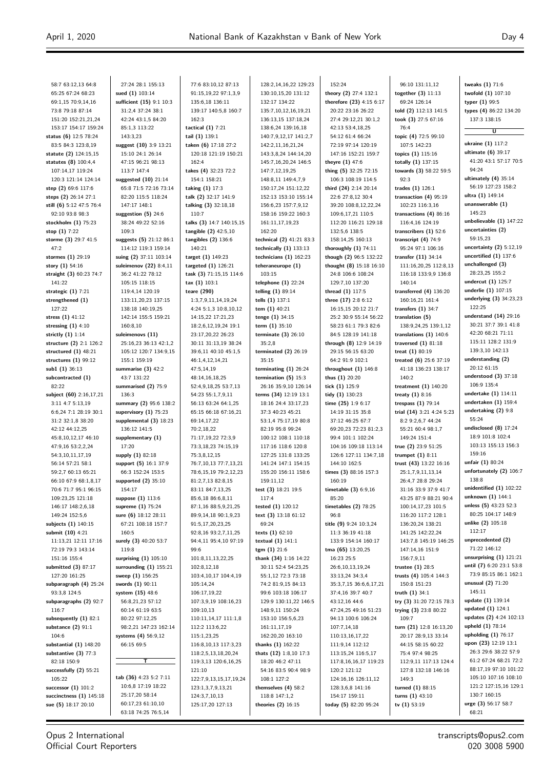58:7 63:12,13 64:8 65:25 67:24 68:23 69:1,15 70:9,14,16 73:8 79:18 87:14 151:20 152:21,21,24 153:17 154:17 159:24 **status (6)** 12:5 78:24 83:5 84:3 123:8,19 **statute (2)** 124:15,15 **statutes (8)** 100:4,4 107:14,17 119:24 120:3 121:14 124:14 **step (2)** 69:6 117:6 **steps (2)** 26:14 27:1 **still (6)** 5:12 47:5 76:4 92:10 93:8 98:3 **stockholm (1)** 75:23 **stop (1)** 7:22 **storme (3)** 29:7 41:5  $47.2$ **stormes (1)** 29:19 **story (1)** 54:16 **straight (3)** 60:23 74:7 141:22 **strategic (1)** 7:21 **strengthened (1)** 127:22 **stress (1)** 41:12 **stressing (1)** 4:10 **strictly (1)** 1:14 **structure (2)** 2:1 126:2 **structured (1)** 48:21 **structures (1)** 99:12 **sub1 (1)** 36:13 **subcontracted (1)** 82:22 **subject (60)** 2:16,17,21 3:11 4:7 5:13,19 6:6,24 7:1 28:19 30:1 31:2 32:1,8 38:20 42:12 44:12,25 45:8,10,12,17 46:10 47:9,16 53:2,2,24 54:3,10,11,17,19 56:14 57:21 58:1 59:2,7 60:13 65:21 66:10 67:9 68:1,8,17 70:6 71:7 95:1 96:15 109:23,25 121:18 146:17 148:2,6,18 149:24 152:5,6 **subjects (1)** 140:15 **submit (10)** 4:21 11:13,21 12:11 17:16 72:19 79:3 143:14 151:16 155:4 **submitted (3)** 87:17 127:20 161:25 **subparagraph (4)** 25:24 93:3,8 124:5 **subparagraphs (2)** 92:7 116:7 **subsequently (1)** 82:1 **substance (2)** 91:1 104:6 **substantial (1)** 148:20 **substantive (3)** 77:3 82:18 150:9 **successfully (2)** 55:21 105:22 **successor (1)** 101:2 **succinctness (1)** 145:18 **sue (5)** 18:17 20:10

27:24 28:1 155:13 **sued (1)** 103:14 **sufficient (15)** 9:1 10:3 31:2,4 37:24 38:1  $42.24$   $43.1$  5  $84.20$ 85:1,3 113:22 143:3,23 **suggest (10)** 3:9 13:21 15:10 24:1 26:14 47:15 96:21 98:13 113:7 147:4 **suggested (10)** 21:14 65:8 71:5 72:16 73:14 82:20 115:5 118:24 147:17 148:1 **suggestion (5)** 24:6 38:24 49:22 52:16 109:3 **suggests (5)** 21:12 86:1 114:12 119:3 159:14 **suing (2)** 37:11 103:14 **suleimenov (22)** 8:4,11 36:2 41:22 78:12 105:15 118:15 119:4,14 120:19 133:11,20,23 137:15 138:18 140:19,25 142:14 155:5 159:21 160:8,10 **suleimenovs (11)** 25:16,23 36:13 42:1,2 105:12 120:7 134:9,15 155:1 159:19 **summarise (3)** 42:2 43:7 131:22 **summarised (2)** 75:9 136:3 **summary (2)** 95:6 138:2 **supervisory (1)** 75:23 **supplemental (3)** 18:23 136:12 141:5 **supplementary (1)** 17:20 **supply (1)** 82:18 **support (5)** 16:1 37:9 66:3 152:24 153:5 **supported (2)** 35:10 154:17 **suppose (1)** 113:6 **supreme (1)** 75:24 **sure (6)** 18:12 28:11 67:21 108:18 157:7 160:5 **surely (3)** 40:20 53:7 119:8 **surprising (1)** 105:10 **surrounding (1)** 155:21 **sweep (1)** 156:25 **swords (1)** 90:11 **system (15)** 48:6 56:8,21,23 57:12 60:14 61:19 63:5 80:22 97:12,25 98:2,21 147:23 162:14 **systems (4)** 56:9,12 66:15 69:5 **T tab (36)** 4:23 5:2 7:11 10:6,8 17:19 18:22 25:17,20 58:14 60:17,23 61:10,10

77:6 83:10,12 87:13 91:15,19,22 97:1,3,9 135:6,18 136:11 139:17 140:5,8 160:7 162:3 **tactical (1)** 7:21 **tail (1)** 139:1 **taken (6)** 17:18 27:2 120:18 121:19 150:21 162:4 **takes (4)** 32:23 72:2 154:1 158:21 **taking (1)** 17:3 **talk (2)** 32:17 141:9 **talking (3)** 32:18,18 110:7 **talks (3)** 14:7 140:15,15 **tangible (2)** 42:5,10 **tangibles (2)** 136:6 140:21 **target (1)** 149:23 **targeted (1)** 126:21 **task (3)** 71:15,15 114:6 **tax (1)** 103:1 **teare (290)** 1:3,7,9,11,14,19,24 4:24 5:1,3 10:8,10,12 14:15,22 17:21,23 18:2,6,12,19,24 19:1 23:17,20,22 26:23 30:11 31:13,19 38:24 39:6,11 40:10 45:1,5 46:1,4,12,14,21 47:5,14,19 48:14,16,18,25 52:4,9,18,25 53:7,13 54:23 55:1,7,9,11 56:13 63:24 64:1,25 65:15 66:18 67:16,21 69:14,17,22 70:2,18,22 71:17,19,22 72:3,9 73:3,18,23 74:15,19 75:3,8,12,15 76:7,10,13 77:7,13,21 78:6,15,19 79:2,12,23 81:2,7,13 82:8,15 83:11 84:7,13,25 85:6,18 86:6,8,11 87:1,16 88:5,9,21,25 89:9,14,18 90:1,9,23 91:5,17,20,23,25 92:8,16 93:2,7,11,25 94:4,11 95:4,10 97:19 99:6 101:8,11,13,22,25 102:8,12,18 103:4,10,17 104:4,19 105:14,24 106:17,19,22 107:3,9,19 108:16,23 109:10,13 110:11,14,17 111:1,8 112:2 113:6,22 115:1,23,25 116:8,10,13 117:3,23 118:2,5,13,18,20,24 119:3,13 120:6,16,25 121:10 122:7,9,13,15,17,19,24 123:1,3,7,9,13,21 124:3,7,10,13 125:17,20 127:13

128:2,14,16,22 129:23 130:10,15,20 131:12 132:17 134:22 135:7,10,12,16,19,21 136:13,15 137:18,24 138:6,24 139:16,18 140:7,9,12,17 141:2,7 142:2,11,16,21,24 143:3,8,24 144:14,20 145:7,16,20,24 146:5 147:7,12,19,25 148:8,11 149:4,7,9 150:17,24 151:12,22 152:13 153:10 155:14 156:6,23 157:7,9,12 158:16 159:22 160:3 161:11,17,19,23 162:20 **technical (2)** 41:21 83:3 **technically (1)** 133:13 **technicians (1)** 162:23 **teheraneurope (1)** 103:15 **telephone (1)** 22:24 **telling (1)** 89:14 **tells (1)** 137:1 **tem (1)** 40:21 **tenge (1)** 34:15 **term (1)** 35:10 **terminate (3)** 26:10 35:2,8 **terminated (2)** 26:19 35:15 **terminating (1)** 26:24 **termination (5)** 15:3 26:16 35:9,10 126:14 **terms (34)** 12:19 13:1 18:16 24:4 33:17,23 37:3 40:23 45:21 53:1,4 75:17,19 80:8 82:19 95:8 99:24 100:12 108:1 110:18 117:16 118:6 120:8 127:25 131:8 133:25 141:24 147:1 154:15 155:20 156:11 158:6 159:11,12 **test (3)** 18:21 19:5 117:4 **tested (1)** 120:12 **text (3)** 13:18 61:12 69:24 **texts (1)** 62:10 **textual (1)** 141:1 **tgm (1)** 21:6 **thank (34)** 1:16 14:22 30:11 52:4 54:23,25 55:1,12 72:3 73:18 74:2 81:9,15 84:13 99:6 103:18 106:17 129:9 130:11,22 146:5 148:9,11 150:24 153:10 156:5,6,23 161:11,17,19 162:20,20 163:10 **thanks (1)** 162:22 **thats (12)** 1:8,10 17:3 18:20 46:2 47:11 54:16 83:5 90:4 98:9 108:1 127:2 **themselves (4)** 58:2 118:8 147:1,2 **theories (2)** 16:15

152:24 **theory (2)** 27:4 132:1 **therefore (23)** 4:15 6:17 20:22 23:16 26:22 27:4 29:12,21:30:1,2 42:13 53:4,18,25 54:12 61:4 66:24 72:19 97:14 120:19 147:16 152:21 159:7 **theyre (1)** 47:6 **thing (5)** 32:25 72:15 106:3 108:19 114:5 **third (24)** 2:14 20:14 22:6 27:8,12 30:4 39:20 108:8,12,22,24 109:6,17,21 110:5 112:20 116:21 129:18 132:5,6 138:5 158:14,25 160:13 **thoroughly (1)** 74:11 **though (2)** 96:5 132:22 **thought (8)** 15:18 16:10 24:8 106:6 108:24 129:7,10 137:20 **thread (1)** 117:5 **three (17)** 2:8 6:12 16:15,15 20:12 21:7 25:2 30:9 55:14 56:22 58:23 61:1 79:3 82:6 84:5 128:19 141:18 **through (8)** 12:9 14:19 29:15 56:15 63:20 64:2 91:9 102:1 **throughout (1)** 146:8 **thus (1)** 20:20 **tick (1)** 125:9 **tidy (1)** 130:23 **time (25)** 1:9 6:17 14:19 31:15 35:8 37:12 46:25 67:7 69:20,23 72:23 81:2,3 99:4 101:1 102:24 104:16 109:18 113:14 126:6 127:11 134:7,18 144:10 162:5 **times (3)** 88:16 157:3 160:19 **timetable (3)** 6:9,16 85:20 **timetables (2)** 78:25 96:8 **title (9)** 9:24 10:3,24 11:3 36:19 41:18 133:9 154:14 160:17 **tma (65)** 13:20,25 16:23 25:5 26:6,10,13,19,24 33:13,24 34:3,4 35:3,7,15 36:6,6,17,21 37:4,16 39:7 40:7 43:12,16 44:6 47:24,25 49:16 51:23 94:13 100:6 106:24 107:7,14,18 110:13,16,17,22 111:9,14 112:12 113:15,24 116:5,17 117:8,16,16,17 119:23 120:2 121:12 124:16,16 126:11,12 128:3,6,8 141:16 154:17 159:11 **today (5)** 82:20 95:24

96:10 131:11,12 **together (3)** 11:13 69:24 126:14 **told (2)** 112:13 141:5 **took (3)** 27:5 67:16 76:4 **topic (4)** 72:5 99:10 107:5 142:23 **topics (1)** 115:16 **totally (1)** 137:15 **towards (3)** 58:22 59:5 92:3 **trades (1)** 126:1 **transaction (4)** 95:19 102:23 116:3,16 **transactions (4)** 86:16 116:4,16 124:19 **transcribers (1)** 52:6 **transcript (4)** 74:9 95:24 97:1 106:16 **transfer (11)** 34:14 111:16,20,25 112:8,13 116:18 133:9,9 136:8 140:14 **transferred (4)** 136:20 160:16,21 161:4 **transfers (1)** 34:7 **translation (5)** 138:9,24,25 139:1,12 **translations (1)** 140:6 **traversed (1)** 81:18 **treat (1)** 80:19 **treated (6)** 25:6 37:19 41:18 136:23 138:17 140:2 **treatment (1)** 140:20 **treaty (1)** 8:16 **trespass (1)** 79:14 **trial (14)** 3:21 4:24 5:23 8:2 9:2,6,7 44:24 55:21 60:4 98:1,7 149:24 151:4 **true (2)** 23:9 51:25 **trumpet (1)** 8:11 **trust (43)** 13:22 16:16 25:1,7,9,11,13,14 26:4,7 28:8 29:24 31:16 33:9 37:9 41:7 43:25 87:9 88:21 90:4 100:14,17,23 101:5 116:20 117:2 128:1 136:20,24 138:21 141:25 142:22,24 143:7,8 145:19 146:25 147:14,16 151:9 156:7,9,11 **trustee (1)** 28:5 **trusts (4)** 105:4 144:3 150:8 151:23 **truth (1)** 34:1 **try (3)** 31:20 72:15 78:3 **trying (3)** 23:8 80:22 109:7 **turn (21)** 12:8 16:13,20 20:17 28:9,13 33:14 44:15 58:15 60:22 75:4 97:4 98:25 112:9,11 117:13 124:4 127:8 132:18 146:16 149:3 **turned (1)** 88:15 **turns (1)** 43:10 **tv (1)** 53:19

**tweaks (1)** 71:6 **twofold (1)** 107:10 **typer (1)** 99:5 **types (4)** 86:22 134:20 137:3 138:15

**U**

**ukraine (1)** 117:2 **ultimate (6)** 39:17 41:20 43:1 57:17 70:5 94:24 **ultimately (4)** 35:14 56:19 127:23 158:2 **ultra (1)** 149:14 **unanswerable (1)** 145:23 **unbelievable (1)** 147:22 **uncertainties (2)** 59:15,23 **uncertainty (2)** 5:12,19 **uncertified (1)** 137:6 **unchallenged (3)** 28:23,25 155:2 **undercut (1)** 125:7 **underlie (1)** 107:15 **underlying (3)** 34:23,23 122:25 **understand (14)** 29:16 30:21 37:7 39:1 41:8 42:20 68:21 71:11 115:11 128:2 131:9 139:3,10 142:13 **understanding (2)** 20:12 61:15 **understood (3)** 37:18 106:9 135:4 **undertake (1)** 114:11 **undertaken (1)** 159:4 **undertaking (2)** 9:8 55:24 **undisclosed (8)** 17:24 18:9 101:8 102:4 103:13 155:13 156:3 159:16 **unfair (1)** 80:24 **unfortunately (2)** 106:7 138:8 **unidentified (1)** 102:22 **unknown (1)** 144:1 **unless (5)** 43:23 52:3 80:25 104:17 148:9 **unlike (2)** 105:18 112:17 **unprecedented (2)** 71:22 146:12 **unsurprising (1)** 121:21 **until (7)** 6:20 23:1 53:8 73:9 85:15 86:1 162:1 **unusual (2)** 71:20 145:11 **update (1)** 139:14 **updated (1)** 124:1 **updates (2)** 4:24 102:13 **upheld (1)** 78:14 **upholding (1)** 76:17 **upon (23)** 12:19 13:1 26:3 29:6 38:22 57:9 61:2 67:24 68:21 72:2 88:17,19 97:10 101:22 105:10 107:16 108:10 121:2 127:15,16 129:1 130:7 160:15 **urge (3)** 56:17 58:7

63:18 74:25 76:5,14

68:21